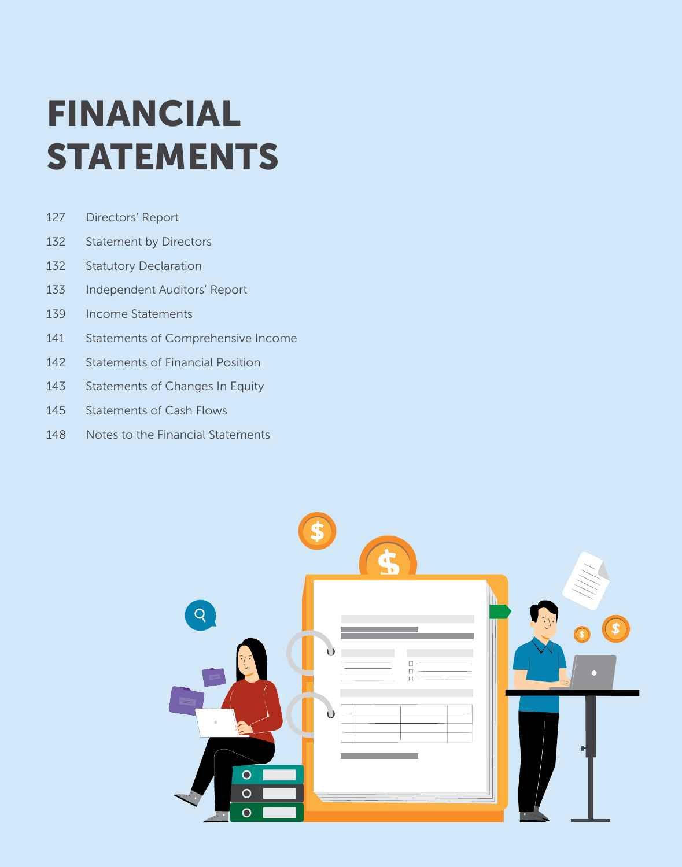# FINANCIAL STATEMENTS

- Directors' Report
- Statement by Directors
- Statutory Declaration
- Independent Auditors' Report
- Income Statements
- Statements of Comprehensive Income
- Statements of Financial Position
- Statements of Changes In Equity
- Statements of Cash Flows
- Notes to the Financial Statements

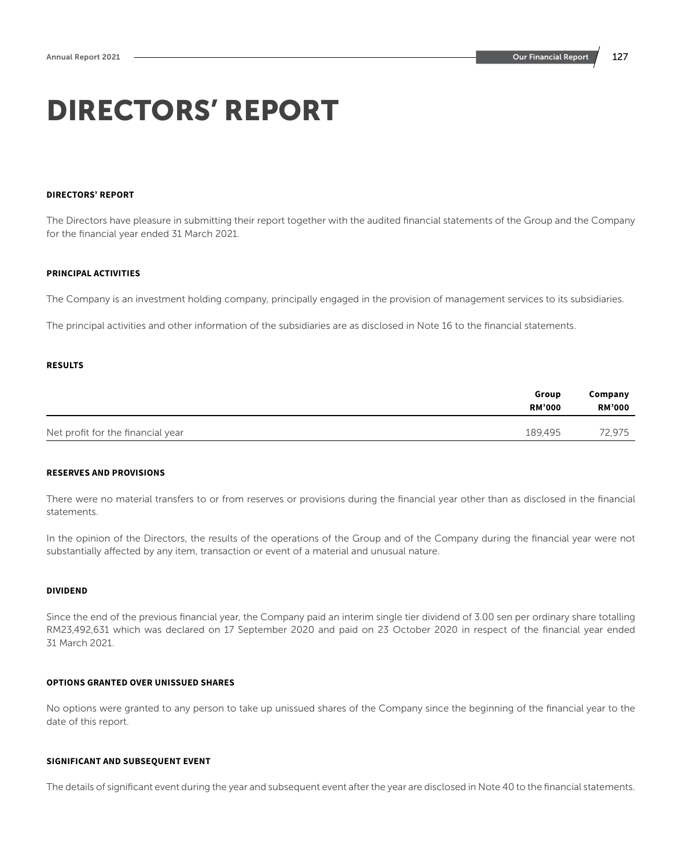## DIRECTORS' REPORT

#### **DIRECTORS' REPORT**

The Directors have pleasure in submitting their report together with the audited financial statements of the Group and the Company for the financial year ended 31 March 2021.

#### **PRINCIPAL ACTIVITIES**

The Company is an investment holding company, principally engaged in the provision of management services to its subsidiaries.

The principal activities and other information of the subsidiaries are as disclosed in Note 16 to the financial statements.

#### **RESULTS**

|                                   | Group<br><b>RM'000</b> | Company<br><b>RM'000</b> |
|-----------------------------------|------------------------|--------------------------|
| Net profit for the financial year | 189,495                | 72,975                   |

#### **RESERVES AND PROVISIONS**

There were no material transfers to or from reserves or provisions during the financial year other than as disclosed in the financial statements.

In the opinion of the Directors, the results of the operations of the Group and of the Company during the financial year were not substantially affected by any item, transaction or event of a material and unusual nature.

#### **DIVIDEND**

Since the end of the previous financial year, the Company paid an interim single tier dividend of 3.00 sen per ordinary share totalling RM23,492,631 which was declared on 17 September 2020 and paid on 23 October 2020 in respect of the financial year ended 31 March 2021.

#### **OPTIONS GRANTED OVER UNISSUED SHARES**

No options were granted to any person to take up unissued shares of the Company since the beginning of the financial year to the date of this report.

#### **SIGNIFICANT AND SUBSEQUENT EVENT**

The details of significant event during the year and subsequent event after the year are disclosed in Note 40 to the financial statements.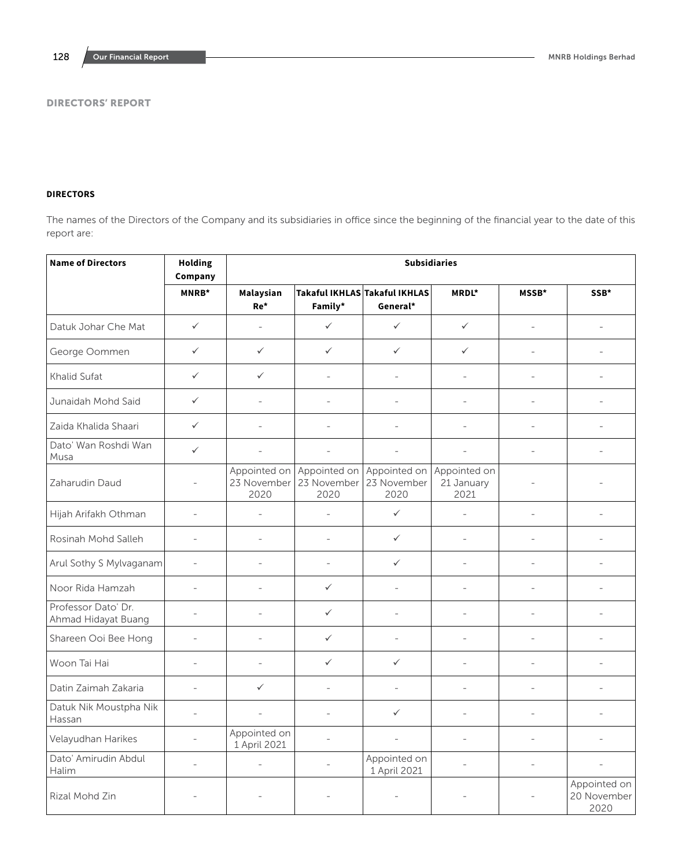#### DIRECTORS' REPORT

#### **DIRECTORS**

The names of the Directors of the Company and its subsidiaries in office since the beginning of the financial year to the date of this report are:

| <b>Name of Directors</b>                   | <b>Holding</b><br>Company | <b>Subsidiaries</b>                 |                                     |                                           |                                    |                |                                     |
|--------------------------------------------|---------------------------|-------------------------------------|-------------------------------------|-------------------------------------------|------------------------------------|----------------|-------------------------------------|
|                                            | MNRB*                     | Malaysian<br>Re*                    | Family*                             | Takaful IKHLAS Takaful IKHLAS<br>General* | MRDL*                              | MSSB*          | SSB*                                |
| Datuk Johar Che Mat                        | $\checkmark$              | $\bar{a}$                           | $\checkmark$                        | $\checkmark$                              | $\checkmark$                       |                | L.                                  |
| George Oommen                              | $\checkmark$              | $\checkmark$                        | $\checkmark$                        | $\checkmark$                              | $\checkmark$                       |                | $\overline{a}$                      |
| <b>Khalid Sufat</b>                        | ✓                         | $\checkmark$                        | ÷                                   | $\overline{\phantom{0}}$                  | $\overline{\phantom{a}}$           | L.             | L.                                  |
| Junaidah Mohd Said                         | $\checkmark$              | $\overline{\phantom{a}}$            | $\overline{a}$                      | $\overline{\phantom{a}}$                  | $\overline{a}$                     | $\overline{a}$ | $\overline{a}$                      |
| Zaida Khalida Shaari                       | $\checkmark$              | $\overline{a}$                      |                                     | $\overline{\phantom{a}}$                  | $\overline{a}$                     |                |                                     |
| Dato' Wan Roshdi Wan<br>Musa               | $\checkmark$              | $\overline{a}$                      |                                     | $\overline{\phantom{a}}$                  | J.                                 |                | ÷                                   |
| Zaharudin Daud                             | $\overline{a}$            | Appointed on<br>23 November<br>2020 | Appointed on<br>23 November<br>2020 | Appointed on<br>23 November<br>2020       | Appointed on<br>21 January<br>2021 |                |                                     |
| Hijah Arifakh Othman                       | $\overline{a}$            | $\sim$                              |                                     | $\checkmark$                              | $\bar{a}$                          | $\overline{a}$ | $\overline{a}$                      |
| Rosinah Mohd Salleh                        | $\frac{1}{2}$             | L,                                  |                                     | $\checkmark$                              | $\frac{1}{2}$                      |                |                                     |
| Arul Sothy S Mylvaganam                    | $\overline{\phantom{a}}$  | L,                                  |                                     | $\checkmark$                              | J.                                 |                |                                     |
| Noor Rida Hamzah                           | $\overline{a}$            | $\overline{a}$                      | $\checkmark$                        | $\overline{\phantom{a}}$                  | $\overline{a}$                     | ÷.             | $\overline{a}$                      |
| Professor Dato' Dr.<br>Ahmad Hidayat Buang | $\overline{a}$            | $\overline{a}$                      | $\checkmark$                        | $\overline{\phantom{a}}$                  | L,                                 |                | $\overline{a}$                      |
| Shareen Ooi Bee Hong                       | $\overline{\phantom{a}}$  | $\overline{a}$                      | $\checkmark$                        | $\overline{a}$                            | $\overline{a}$                     |                | $\overline{a}$                      |
| Woon Tai Hai                               | $\overline{a}$            | $\overline{\phantom{a}}$            | $\checkmark$                        | $\checkmark$                              | $\overline{\phantom{a}}$           | ÷              | ÷                                   |
| Datin Zaimah Zakaria                       | $\overline{a}$            | $\checkmark$                        |                                     | $\overline{a}$                            | L,                                 | $\overline{a}$ | $\overline{a}$                      |
| Datuk Nik Moustpha Nik<br>Hassan           | $\overline{a}$            | $\sim$                              |                                     | $\checkmark$                              | L,                                 |                |                                     |
| Velayudhan Harikes                         | $\overline{a}$            | Appointed on<br>1 April 2021        |                                     | L,                                        | $\overline{a}$                     |                | $\overline{a}$                      |
| Dato' Amirudin Abdul<br>Halim              |                           | $\overline{a}$                      |                                     | Appointed on<br>1 April 2021              |                                    |                |                                     |
| Rizal Mohd Zin                             |                           |                                     |                                     |                                           |                                    |                | Appointed on<br>20 November<br>2020 |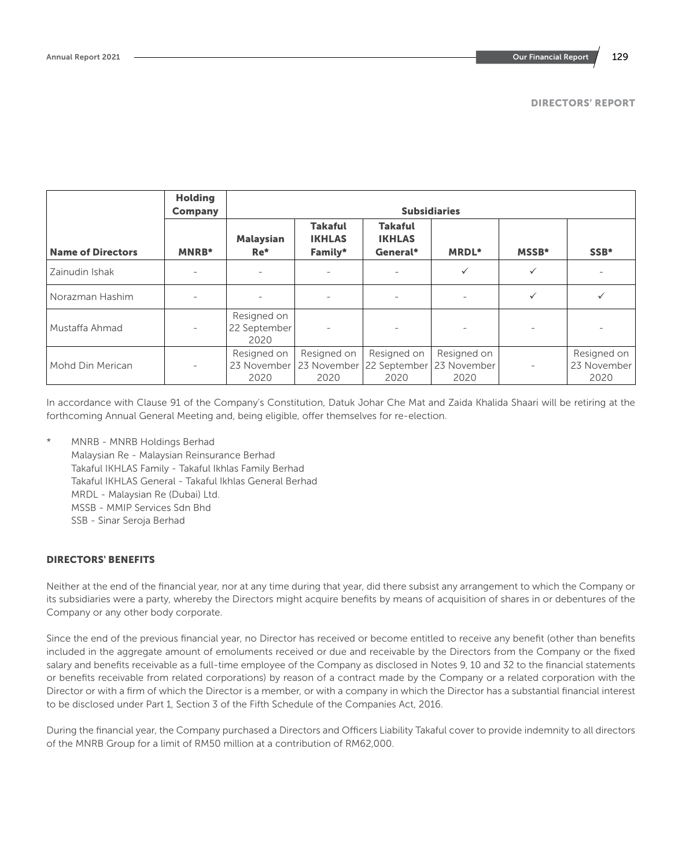|                          | <b>Holding</b><br><b>Company</b> | <b>Subsidiaries</b>                 |                                            |                                             |                                    |       |                                    |
|--------------------------|----------------------------------|-------------------------------------|--------------------------------------------|---------------------------------------------|------------------------------------|-------|------------------------------------|
| <b>Name of Directors</b> | MNRB*                            | <b>Malaysian</b><br>$Re*$           | <b>Takaful</b><br><b>IKHLAS</b><br>Family* | <b>Takaful</b><br><b>IKHLAS</b><br>General* | <b>MRDL*</b>                       | MSSB* | SSB*                               |
| Zainudin Ishak           |                                  |                                     |                                            | $\overline{\phantom{a}}$                    | ✓                                  | ✓     |                                    |
| Norazman Hashim          |                                  |                                     |                                            | ۰                                           |                                    | ✓     | $\checkmark$                       |
| Mustaffa Ahmad           |                                  | Resigned on<br>22 September<br>2020 |                                            |                                             |                                    |       |                                    |
| Mohd Din Merican         |                                  | Resigned on<br>23 November<br>2020  | Resigned on<br>23 November<br>2020         | Resigned on<br>22 September<br>2020         | Resigned on<br>23 November<br>2020 |       | Resigned on<br>23 November<br>2020 |

In accordance with Clause 91 of the Company's Constitution, Datuk Johar Che Mat and Zaida Khalida Shaari will be retiring at the forthcoming Annual General Meeting and, being eligible, offer themselves for re-election.

MNRB - MNRB Holdings Berhad Malaysian Re - Malaysian Reinsurance Berhad Takaful IKHLAS Family - Takaful Ikhlas Family Berhad Takaful IKHLAS General - Takaful Ikhlas General Berhad MRDL - Malaysian Re (Dubai) Ltd. MSSB - MMIP Services Sdn Bhd SSB - Sinar Seroja Berhad

#### DIRECTORS' BENEFITS

Neither at the end of the financial year, nor at any time during that year, did there subsist any arrangement to which the Company or its subsidiaries were a party, whereby the Directors might acquire benefits by means of acquisition of shares in or debentures of the Company or any other body corporate.

Since the end of the previous financial year, no Director has received or become entitled to receive any benefit (other than benefits included in the aggregate amount of emoluments received or due and receivable by the Directors from the Company or the fixed salary and benefits receivable as a full-time employee of the Company as disclosed in Notes 9, 10 and 32 to the financial statements or benefits receivable from related corporations) by reason of a contract made by the Company or a related corporation with the Director or with a firm of which the Director is a member, or with a company in which the Director has a substantial financial interest to be disclosed under Part 1, Section 3 of the Fifth Schedule of the Companies Act, 2016.

During the financial year, the Company purchased a Directors and Officers Liability Takaful cover to provide indemnity to all directors of the MNRB Group for a limit of RM50 million at a contribution of RM62,000.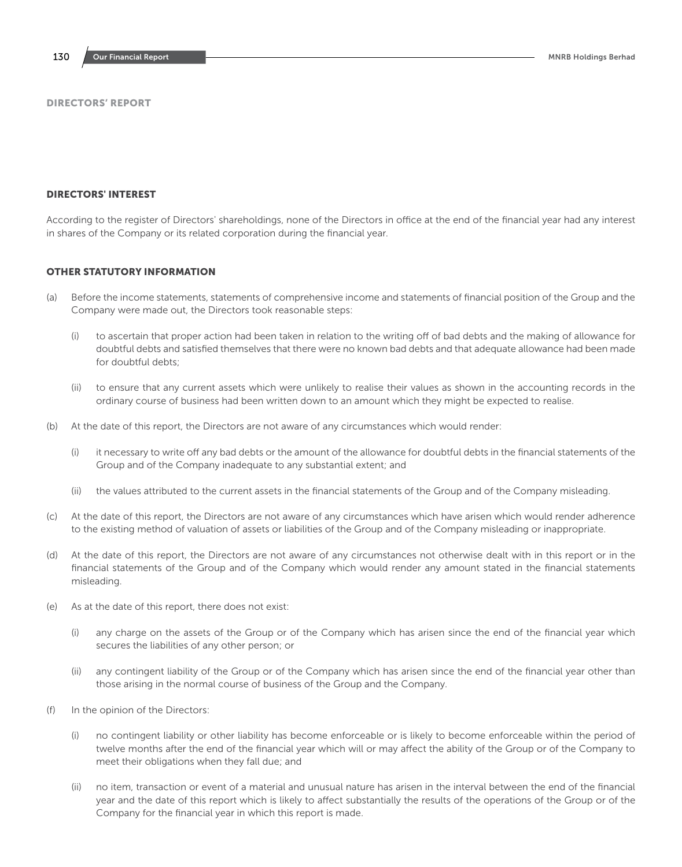#### DIRECTORS' REPORT

#### DIRECTORS' INTEREST

According to the register of Directors' shareholdings, none of the Directors in office at the end of the financial year had any interest in shares of the Company or its related corporation during the financial year.

#### OTHER STATUTORY INFORMATION

- (a) Before the income statements, statements of comprehensive income and statements of financial position of the Group and the Company were made out, the Directors took reasonable steps:
	- (i) to ascertain that proper action had been taken in relation to the writing off of bad debts and the making of allowance for doubtful debts and satisfied themselves that there were no known bad debts and that adequate allowance had been made for doubtful debts;
	- (ii) to ensure that any current assets which were unlikely to realise their values as shown in the accounting records in the ordinary course of business had been written down to an amount which they might be expected to realise.
- (b) At the date of this report, the Directors are not aware of any circumstances which would render:
	- (i) it necessary to write off any bad debts or the amount of the allowance for doubtful debts in the financial statements of the Group and of the Company inadequate to any substantial extent; and
	- (ii) the values attributed to the current assets in the financial statements of the Group and of the Company misleading.
- (c) At the date of this report, the Directors are not aware of any circumstances which have arisen which would render adherence to the existing method of valuation of assets or liabilities of the Group and of the Company misleading or inappropriate.
- (d) At the date of this report, the Directors are not aware of any circumstances not otherwise dealt with in this report or in the financial statements of the Group and of the Company which would render any amount stated in the financial statements misleading.
- (e) As at the date of this report, there does not exist:
	- (i) any charge on the assets of the Group or of the Company which has arisen since the end of the financial year which secures the liabilities of any other person; or
	- (ii) any contingent liability of the Group or of the Company which has arisen since the end of the financial year other than those arising in the normal course of business of the Group and the Company.
- (f) In the opinion of the Directors:
	- (i) no contingent liability or other liability has become enforceable or is likely to become enforceable within the period of twelve months after the end of the financial year which will or may affect the ability of the Group or of the Company to meet their obligations when they fall due; and
	- (ii) no item, transaction or event of a material and unusual nature has arisen in the interval between the end of the financial year and the date of this report which is likely to affect substantially the results of the operations of the Group or of the Company for the financial year in which this report is made.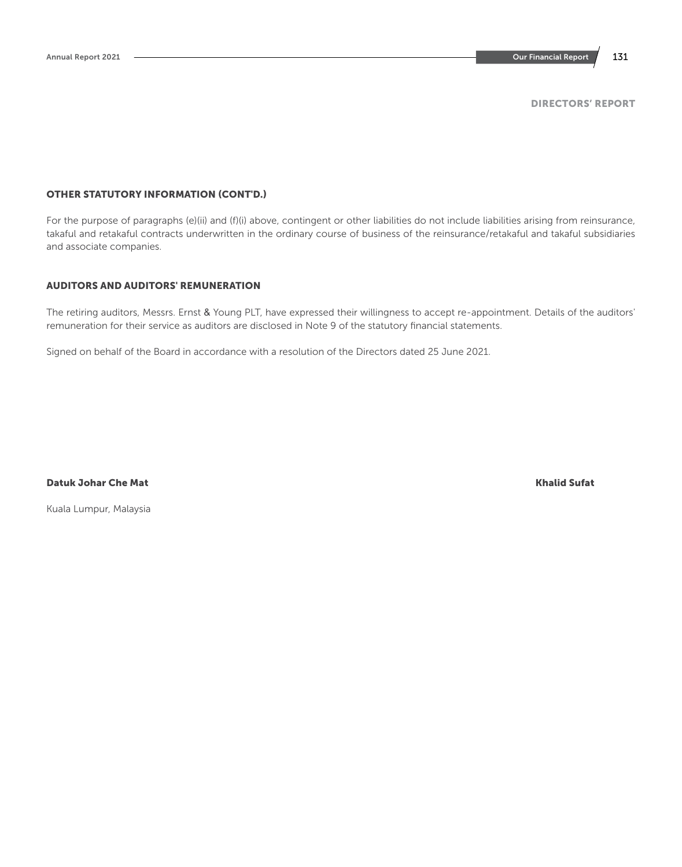DIRECTORS' REPORT

#### OTHER STATUTORY INFORMATION (CONT'D.)

For the purpose of paragraphs (e)(ii) and (f)(i) above, contingent or other liabilities do not include liabilities arising from reinsurance, takaful and retakaful contracts underwritten in the ordinary course of business of the reinsurance/retakaful and takaful subsidiaries and associate companies.

#### AUDITORS AND AUDITORS' REMUNERATION

The retiring auditors, Messrs. Ernst & Young PLT, have expressed their willingness to accept re-appointment. Details of the auditors' remuneration for their service as auditors are disclosed in Note 9 of the statutory financial statements.

Signed on behalf of the Board in accordance with a resolution of the Directors dated 25 June 2021.

Datuk Johar Che Mat

Kuala Lumpur, Malaysia

Khalid Sufat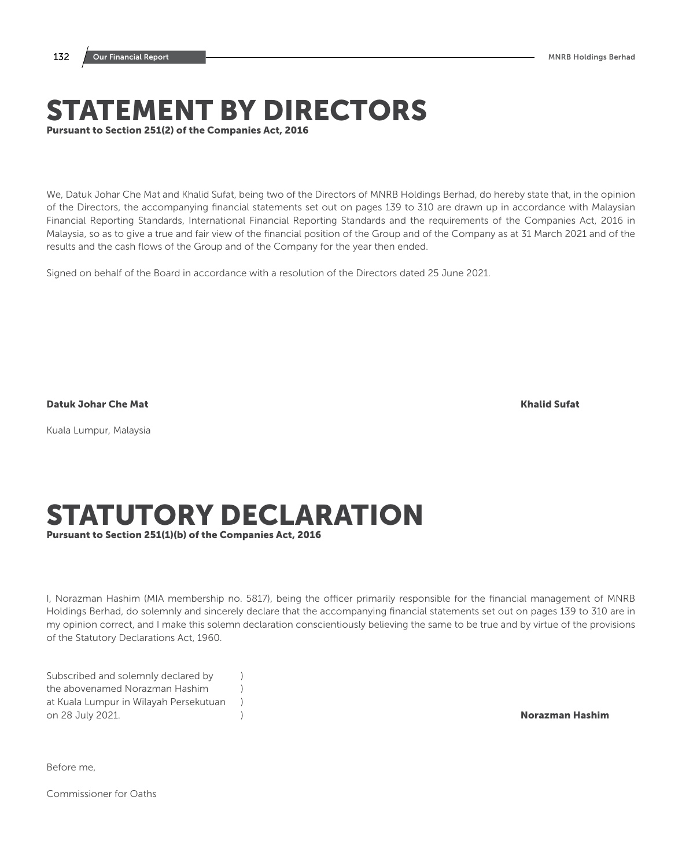### STATEMENT BY DIRECTORS

Pursuant to Section 251(2) of the Companies Act, 2016

We, Datuk Johar Che Mat and Khalid Sufat, being two of the Directors of MNRB Holdings Berhad, do hereby state that, in the opinion of the Directors, the accompanying financial statements set out on pages 139 to 310 are drawn up in accordance with Malaysian Financial Reporting Standards, International Financial Reporting Standards and the requirements of the Companies Act, 2016 in Malaysia, so as to give a true and fair view of the financial position of the Group and of the Company as at 31 March 2021 and of the results and the cash flows of the Group and of the Company for the year then ended.

Signed on behalf of the Board in accordance with a resolution of the Directors dated 25 June 2021.

Datuk Johar Che Mat

Kuala Lumpur, Malaysia

Khalid Sufat

## STATUTORY DECLARATION

Pursuant to Section 251(1)(b) of the Companies Act, 2016

I, Norazman Hashim (MIA membership no. 5817), being the officer primarily responsible for the financial management of MNRB Holdings Berhad, do solemnly and sincerely declare that the accompanying financial statements set out on pages 139 to 310 are in my opinion correct, and I make this solemn declaration conscientiously believing the same to be true and by virtue of the provisions of the Statutory Declarations Act, 1960.

Subscribed and solemnly declared by  $\qquad \qquad$  ) the abovenamed Norazman Hashim (a) at Kuala Lumpur in Wilayah Persekutuan ) on 28 July 2021. )

Norazman Hashim

Before me,

Commissioner for Oaths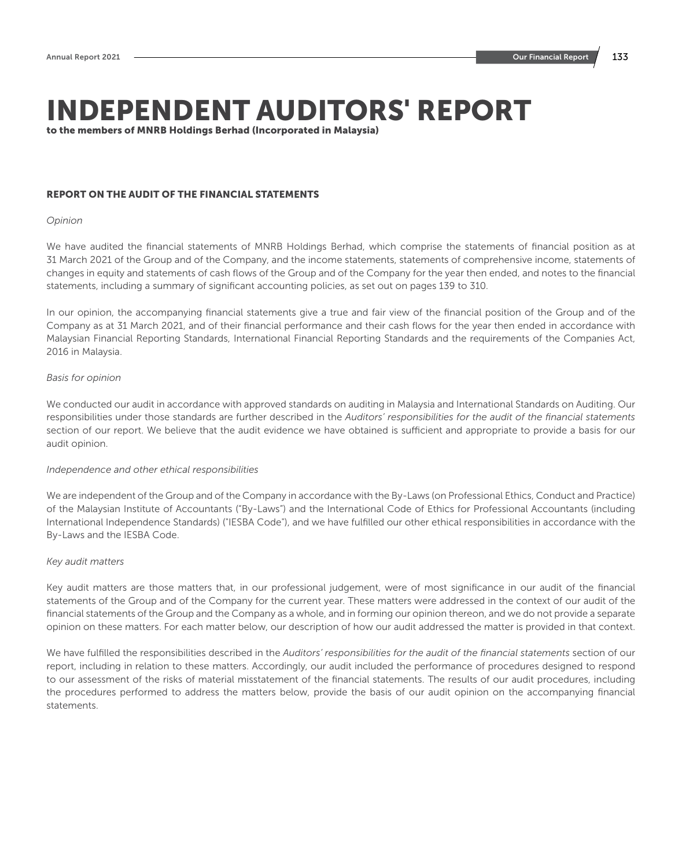### INDEPENDENT AUDITORS' REPORT

to the members of MNRB Holdings Berhad (Incorporated in Malaysia)

#### REPORT ON THE AUDIT OF THE FINANCIAL STATEMENTS

#### *Opinion*

We have audited the financial statements of MNRB Holdings Berhad, which comprise the statements of financial position as at 31 March 2021 of the Group and of the Company, and the income statements, statements of comprehensive income, statements of changes in equity and statements of cash flows of the Group and of the Company for the year then ended, and notes to the financial statements, including a summary of significant accounting policies, as set out on pages 139 to 310.

In our opinion, the accompanying financial statements give a true and fair view of the financial position of the Group and of the Company as at 31 March 2021, and of their financial performance and their cash flows for the year then ended in accordance with Malaysian Financial Reporting Standards, International Financial Reporting Standards and the requirements of the Companies Act, 2016 in Malaysia.

#### *Basis for opinion*

We conducted our audit in accordance with approved standards on auditing in Malaysia and International Standards on Auditing. Our responsibilities under those standards are further described in the *Auditors' responsibilities for the audit of the financial statements*  section of our report. We believe that the audit evidence we have obtained is sufficient and appropriate to provide a basis for our audit opinion.

#### *Independence and other ethical responsibilities*

We are independent of the Group and of the Company in accordance with the By-Laws (on Professional Ethics, Conduct and Practice) of the Malaysian Institute of Accountants ("By-Laws") and the International Code of Ethics for Professional Accountants (including International Independence Standards) ("IESBA Code"), and we have fulfilled our other ethical responsibilities in accordance with the By-Laws and the IESBA Code.

#### *Key audit matters*

Key audit matters are those matters that, in our professional judgement, were of most significance in our audit of the financial statements of the Group and of the Company for the current year. These matters were addressed in the context of our audit of the financial statements of the Group and the Company as a whole, and in forming our opinion thereon, and we do not provide a separate opinion on these matters. For each matter below, our description of how our audit addressed the matter is provided in that context.

We have fulfilled the responsibilities described in the *Auditors' responsibilities for the audit of the financial statements* section of our report, including in relation to these matters. Accordingly, our audit included the performance of procedures designed to respond to our assessment of the risks of material misstatement of the financial statements. The results of our audit procedures, including the procedures performed to address the matters below, provide the basis of our audit opinion on the accompanying financial statements.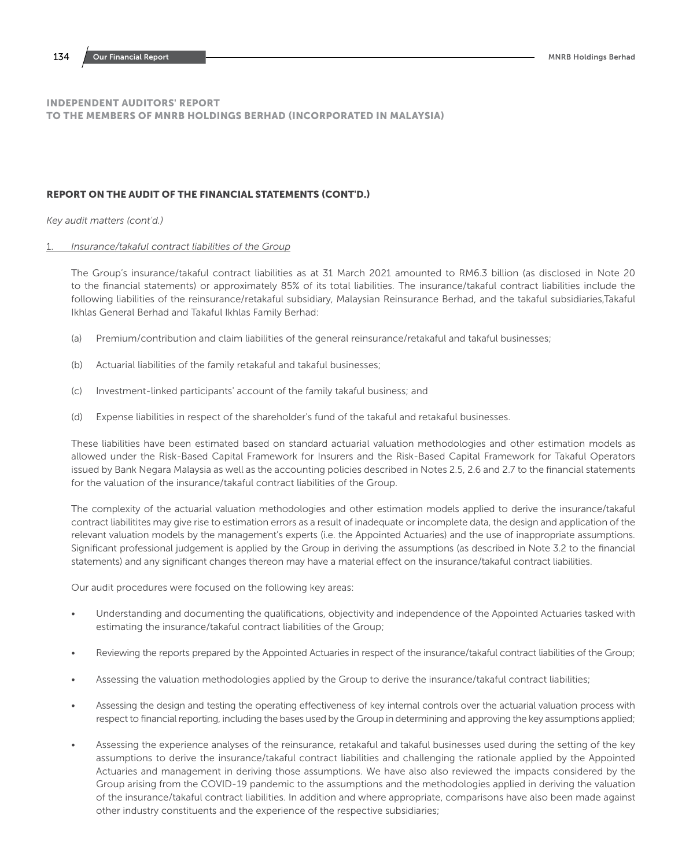#### INDEPENDENT AUDITORS' REPORT

TO THE MEMBERS OF MNRB HOLDINGS BERHAD (INCORPORATED IN MALAYSIA)

#### REPORT ON THE AUDIT OF THE FINANCIAL STATEMENTS (CONT'D.)

*Key audit matters (cont'd.)*

#### 1. *Insurance/takaful contract liabilities of the Group*

The Group's insurance/takaful contract liabilities as at 31 March 2021 amounted to RM6.3 billion (as disclosed in Note 20 to the financial statements) or approximately 85% of its total liabilities. The insurance/takaful contract liabilities include the following liabilities of the reinsurance/retakaful subsidiary, Malaysian Reinsurance Berhad, and the takaful subsidiaries,Takaful Ikhlas General Berhad and Takaful Ikhlas Family Berhad:

- (a) Premium/contribution and claim liabilities of the general reinsurance/retakaful and takaful businesses;
- (b) Actuarial liabilities of the family retakaful and takaful businesses;
- (c) Investment-linked participants' account of the family takaful business; and
- (d) Expense liabilities in respect of the shareholder's fund of the takaful and retakaful businesses.

These liabilities have been estimated based on standard actuarial valuation methodologies and other estimation models as allowed under the Risk-Based Capital Framework for Insurers and the Risk-Based Capital Framework for Takaful Operators issued by Bank Negara Malaysia as well as the accounting policies described in Notes 2.5, 2.6 and 2.7 to the financial statements for the valuation of the insurance/takaful contract liabilities of the Group.

The complexity of the actuarial valuation methodologies and other estimation models applied to derive the insurance/takaful contract liabilitites may give rise to estimation errors as a result of inadequate or incomplete data, the design and application of the relevant valuation models by the management's experts (i.e. the Appointed Actuaries) and the use of inappropriate assumptions. Significant professional judgement is applied by the Group in deriving the assumptions (as described in Note 3.2 to the financial statements) and any significant changes thereon may have a material effect on the insurance/takaful contract liabilities.

Our audit procedures were focused on the following key areas:

- Understanding and documenting the qualifications, objectivity and independence of the Appointed Actuaries tasked with estimating the insurance/takaful contract liabilities of the Group;
- Reviewing the reports prepared by the Appointed Actuaries in respect of the insurance/takaful contract liabilities of the Group;
- Assessing the valuation methodologies applied by the Group to derive the insurance/takaful contract liabilities;
- Assessing the design and testing the operating effectiveness of key internal controls over the actuarial valuation process with respect to financial reporting, including the bases used by the Group in determining and approving the key assumptions applied;
- Assessing the experience analyses of the reinsurance, retakaful and takaful businesses used during the setting of the key assumptions to derive the insurance/takaful contract liabilities and challenging the rationale applied by the Appointed Actuaries and management in deriving those assumptions. We have also also reviewed the impacts considered by the Group arising from the COVID-19 pandemic to the assumptions and the methodologies applied in deriving the valuation of the insurance/takaful contract liabilities. In addition and where appropriate, comparisons have also been made against other industry constituents and the experience of the respective subsidiaries;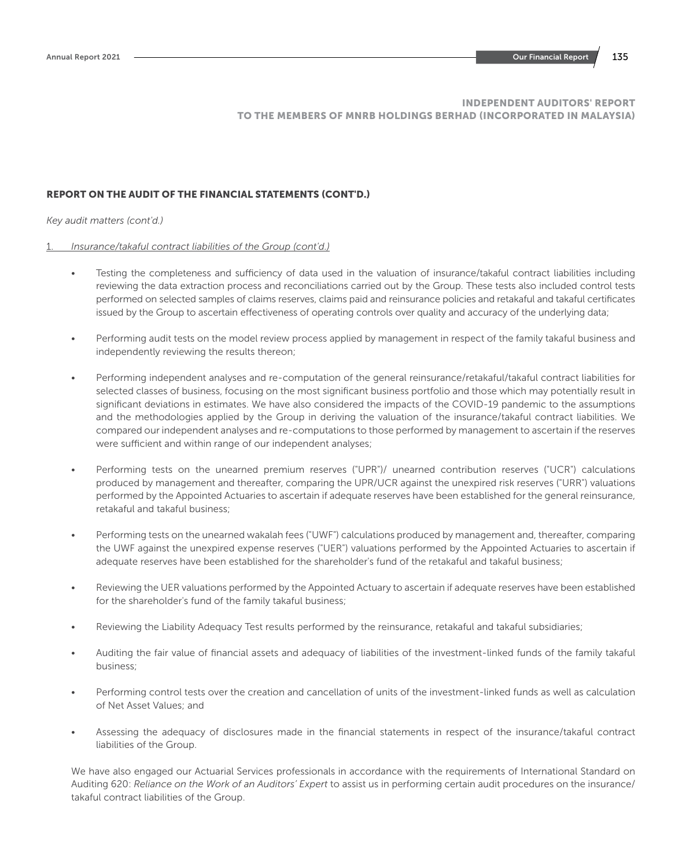#### INDEPENDENT AUDITORS' REPORT TO THE MEMBERS OF MNRB HOLDINGS BERHAD (INCORPORATED IN MALAYSIA)

#### REPORT ON THE AUDIT OF THE FINANCIAL STATEMENTS (CONT'D.)

*Key audit matters (cont'd.)*

#### 1. *Insurance/takaful contract liabilities of the Group (cont'd.)*

- Testing the completeness and sufficiency of data used in the valuation of insurance/takaful contract liabilities including reviewing the data extraction process and reconciliations carried out by the Group. These tests also included control tests performed on selected samples of claims reserves, claims paid and reinsurance policies and retakaful and takaful certificates issued by the Group to ascertain effectiveness of operating controls over quality and accuracy of the underlying data;
- Performing audit tests on the model review process applied by management in respect of the family takaful business and independently reviewing the results thereon;
- Performing independent analyses and re-computation of the general reinsurance/retakaful/takaful contract liabilities for selected classes of business, focusing on the most significant business portfolio and those which may potentially result in significant deviations in estimates. We have also considered the impacts of the COVID-19 pandemic to the assumptions and the methodologies applied by the Group in deriving the valuation of the insurance/takaful contract liabilities. We compared our independent analyses and re-computations to those performed by management to ascertain if the reserves were sufficient and within range of our independent analyses;
- Performing tests on the unearned premium reserves ("UPR")/ unearned contribution reserves ("UCR") calculations produced by management and thereafter, comparing the UPR/UCR against the unexpired risk reserves ("URR") valuations performed by the Appointed Actuaries to ascertain if adequate reserves have been established for the general reinsurance, retakaful and takaful business;
- Performing tests on the unearned wakalah fees ("UWF") calculations produced by management and, thereafter, comparing the UWF against the unexpired expense reserves ("UER") valuations performed by the Appointed Actuaries to ascertain if adequate reserves have been established for the shareholder's fund of the retakaful and takaful business;
- Reviewing the UER valuations performed by the Appointed Actuary to ascertain if adequate reserves have been established for the shareholder's fund of the family takaful business;
- Reviewing the Liability Adequacy Test results performed by the reinsurance, retakaful and takaful subsidiaries;
- Auditing the fair value of financial assets and adequacy of liabilities of the investment-linked funds of the family takaful business;
- Performing control tests over the creation and cancellation of units of the investment-linked funds as well as calculation of Net Asset Values; and
- Assessing the adequacy of disclosures made in the financial statements in respect of the insurance/takaful contract liabilities of the Group.

We have also engaged our Actuarial Services professionals in accordance with the requirements of International Standard on Auditing 620: *Reliance on the Work of an Auditors' Expert* to assist us in performing certain audit procedures on the insurance/ takaful contract liabilities of the Group.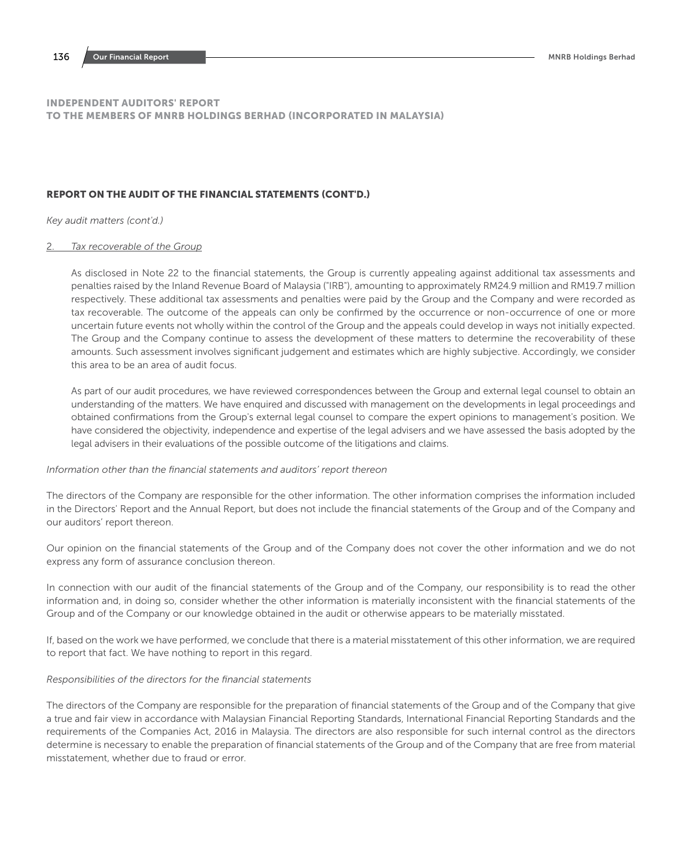#### INDEPENDENT AUDITORS' REPORT TO THE MEMBERS OF MNRB HOLDINGS BERHAD (INCORPORATED IN MALAYSIA)

#### REPORT ON THE AUDIT OF THE FINANCIAL STATEMENTS (CONT'D.)

*Key audit matters (cont'd.)*

#### 2. *Tax recoverable of the Group*

As disclosed in Note 22 to the financial statements, the Group is currently appealing against additional tax assessments and penalties raised by the Inland Revenue Board of Malaysia ("IRB"), amounting to approximately RM24.9 million and RM19.7 million respectively. These additional tax assessments and penalties were paid by the Group and the Company and were recorded as tax recoverable. The outcome of the appeals can only be confirmed by the occurrence or non-occurrence of one or more uncertain future events not wholly within the control of the Group and the appeals could develop in ways not initially expected. The Group and the Company continue to assess the development of these matters to determine the recoverability of these amounts. Such assessment involves significant judgement and estimates which are highly subjective. Accordingly, we consider this area to be an area of audit focus.

As part of our audit procedures, we have reviewed correspondences between the Group and external legal counsel to obtain an understanding of the matters. We have enquired and discussed with management on the developments in legal proceedings and obtained confirmations from the Group's external legal counsel to compare the expert opinions to management's position. We have considered the objectivity, independence and expertise of the legal advisers and we have assessed the basis adopted by the legal advisers in their evaluations of the possible outcome of the litigations and claims.

#### *Information other than the financial statements and auditors' report thereon*

The directors of the Company are responsible for the other information. The other information comprises the information included in the Directors' Report and the Annual Report, but does not include the financial statements of the Group and of the Company and our auditors' report thereon.

Our opinion on the financial statements of the Group and of the Company does not cover the other information and we do not express any form of assurance conclusion thereon.

In connection with our audit of the financial statements of the Group and of the Company, our responsibility is to read the other information and, in doing so, consider whether the other information is materially inconsistent with the financial statements of the Group and of the Company or our knowledge obtained in the audit or otherwise appears to be materially misstated.

If, based on the work we have performed, we conclude that there is a material misstatement of this other information, we are required to report that fact. We have nothing to report in this regard.

#### *Responsibilities of the directors for the financial statements*

The directors of the Company are responsible for the preparation of financial statements of the Group and of the Company that give a true and fair view in accordance with Malaysian Financial Reporting Standards, International Financial Reporting Standards and the requirements of the Companies Act, 2016 in Malaysia. The directors are also responsible for such internal control as the directors determine is necessary to enable the preparation of financial statements of the Group and of the Company that are free from material misstatement, whether due to fraud or error.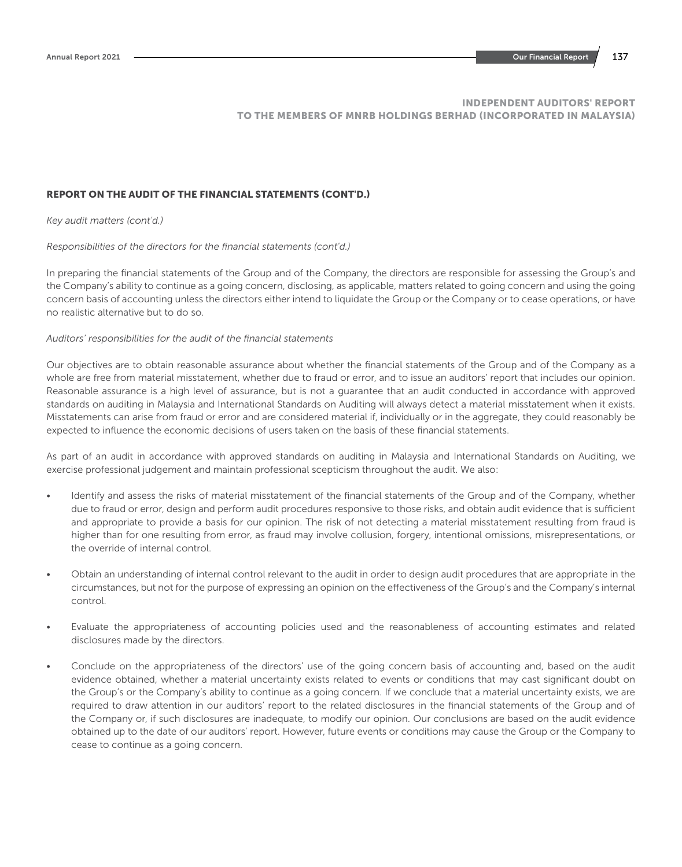#### INDEPENDENT AUDITORS' REPORT TO THE MEMBERS OF MNRB HOLDINGS BERHAD (INCORPORATED IN MALAYSIA)

#### REPORT ON THE AUDIT OF THE FINANCIAL STATEMENTS (CONT'D.)

*Key audit matters (cont'd.)*

*Responsibilities of the directors for the financial statements (cont'd.)*

In preparing the financial statements of the Group and of the Company, the directors are responsible for assessing the Group's and the Company's ability to continue as a going concern, disclosing, as applicable, matters related to going concern and using the going concern basis of accounting unless the directors either intend to liquidate the Group or the Company or to cease operations, or have no realistic alternative but to do so.

#### *Auditors' responsibilities for the audit of the financial statements*

Our objectives are to obtain reasonable assurance about whether the financial statements of the Group and of the Company as a whole are free from material misstatement, whether due to fraud or error, and to issue an auditors' report that includes our opinion. Reasonable assurance is a high level of assurance, but is not a guarantee that an audit conducted in accordance with approved standards on auditing in Malaysia and International Standards on Auditing will always detect a material misstatement when it exists. Misstatements can arise from fraud or error and are considered material if, individually or in the aggregate, they could reasonably be expected to influence the economic decisions of users taken on the basis of these financial statements.

As part of an audit in accordance with approved standards on auditing in Malaysia and International Standards on Auditing, we exercise professional judgement and maintain professional scepticism throughout the audit. We also:

- Identify and assess the risks of material misstatement of the financial statements of the Group and of the Company, whether due to fraud or error, design and perform audit procedures responsive to those risks, and obtain audit evidence that is sufficient and appropriate to provide a basis for our opinion. The risk of not detecting a material misstatement resulting from fraud is higher than for one resulting from error, as fraud may involve collusion, forgery, intentional omissions, misrepresentations, or the override of internal control.
- Obtain an understanding of internal control relevant to the audit in order to design audit procedures that are appropriate in the circumstances, but not for the purpose of expressing an opinion on the effectiveness of the Group's and the Company's internal control.
- Evaluate the appropriateness of accounting policies used and the reasonableness of accounting estimates and related disclosures made by the directors.
- Conclude on the appropriateness of the directors' use of the going concern basis of accounting and, based on the audit evidence obtained, whether a material uncertainty exists related to events or conditions that may cast significant doubt on the Group's or the Company's ability to continue as a going concern. If we conclude that a material uncertainty exists, we are required to draw attention in our auditors' report to the related disclosures in the financial statements of the Group and of the Company or, if such disclosures are inadequate, to modify our opinion. Our conclusions are based on the audit evidence obtained up to the date of our auditors' report. However, future events or conditions may cause the Group or the Company to cease to continue as a going concern.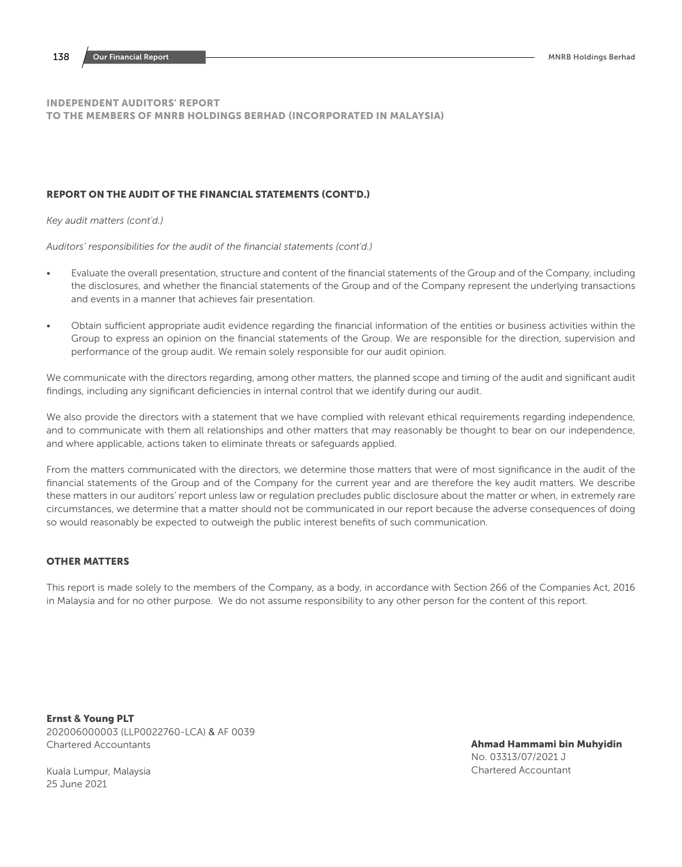#### INDEPENDENT AUDITORS' REPORT

TO THE MEMBERS OF MNRB HOLDINGS BERHAD (INCORPORATED IN MALAYSIA)

#### REPORT ON THE AUDIT OF THE FINANCIAL STATEMENTS (CONT'D.)

*Key audit matters (cont'd.)*

*Auditors' responsibilities for the audit of the financial statements (cont'd.)*

- Evaluate the overall presentation, structure and content of the financial statements of the Group and of the Company, including the disclosures, and whether the financial statements of the Group and of the Company represent the underlying transactions and events in a manner that achieves fair presentation.
- Obtain sufficient appropriate audit evidence regarding the financial information of the entities or business activities within the Group to express an opinion on the financial statements of the Group. We are responsible for the direction, supervision and performance of the group audit. We remain solely responsible for our audit opinion.

We communicate with the directors regarding, among other matters, the planned scope and timing of the audit and significant audit findings, including any significant deficiencies in internal control that we identify during our audit.

We also provide the directors with a statement that we have complied with relevant ethical requirements regarding independence, and to communicate with them all relationships and other matters that may reasonably be thought to bear on our independence, and where applicable, actions taken to eliminate threats or safeguards applied.

From the matters communicated with the directors, we determine those matters that were of most significance in the audit of the financial statements of the Group and of the Company for the current year and are therefore the key audit matters. We describe these matters in our auditors' report unless law or regulation precludes public disclosure about the matter or when, in extremely rare circumstances, we determine that a matter should not be communicated in our report because the adverse consequences of doing so would reasonably be expected to outweigh the public interest benefits of such communication.

#### OTHER MATTERS

This report is made solely to the members of the Company, as a body, in accordance with Section 266 of the Companies Act, 2016 in Malaysia and for no other purpose. We do not assume responsibility to any other person for the content of this report.

Ernst **&** Young PLT 202006000003 (LLP0022760-LCA) & AF 0039 Chartered Accountants

Ahmad Hammami bin Muhyidin No. 03313/07/2021 J Chartered Accountant

Kuala Lumpur, Malaysia 25 June 2021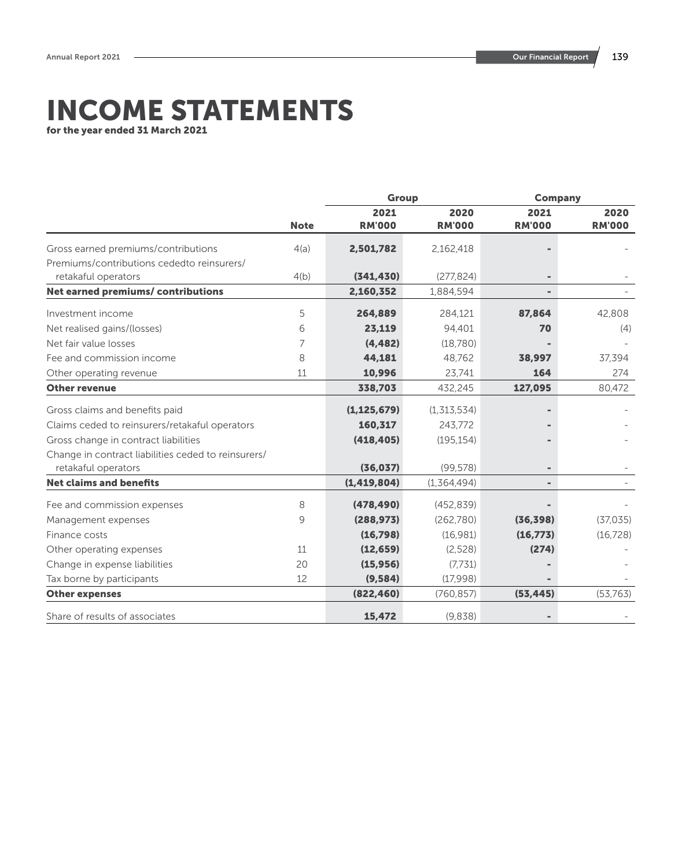## INCOME STATEMENTS

for the year ended 31 March 2021

|                                                     |             | Group         |               | <b>Company</b> |               |
|-----------------------------------------------------|-------------|---------------|---------------|----------------|---------------|
|                                                     |             | 2021          | 2020          | 2021           | 2020          |
|                                                     | <b>Note</b> | <b>RM'000</b> | <b>RM'000</b> | <b>RM'000</b>  | <b>RM'000</b> |
| Gross earned premiums/contributions                 | 4(a)        | 2,501,782     | 2,162,418     |                |               |
| Premiums/contributions cededto reinsurers/          |             |               |               |                |               |
| retakaful operators                                 | 4(b)        | (341, 430)    | (277, 824)    |                |               |
| Net earned premiums/ contributions                  |             | 2,160,352     | 1,884,594     |                |               |
| Investment income                                   | 5           | 264,889       | 284,121       | 87,864         | 42,808        |
| Net realised gains/(losses)                         | 6           | 23,119        | 94.401        | 70             | (4)           |
| Net fair value losses                               | 7           | (4, 482)      | (18,780)      |                |               |
| Fee and commission income                           | 8           | 44,181        | 48,762        | 38,997         | 37,394        |
| Other operating revenue                             | 11          | 10,996        | 23,741        | 164            | 274           |
| <b>Other revenue</b>                                |             | 338,703       | 432,245       | 127,095        | 80,472        |
| Gross claims and benefits paid                      |             | (1, 125, 679) | (1, 313, 534) |                |               |
| Claims ceded to reinsurers/retakaful operators      |             | 160,317       | 243.772       |                |               |
| Gross change in contract liabilities                |             | (418, 405)    | (195, 154)    |                |               |
| Change in contract liabilities ceded to reinsurers/ |             |               |               |                |               |
| retakaful operators                                 |             | (36, 037)     | (99, 578)     |                |               |
| <b>Net claims and benefits</b>                      |             | (1, 419, 804) | (1,364,494)   |                |               |
| Fee and commission expenses                         | 8           | (478, 490)    | (452, 839)    |                |               |
| Management expenses                                 | 9           | (288, 973)    | (262,780)     | (36, 398)      | (37,035)      |
| Finance costs                                       |             | (16,798)      | (16,981)      | (16, 773)      | (16, 728)     |
| Other operating expenses                            | 11          | (12, 659)     | (2,528)       | (274)          |               |
| Change in expense liabilities                       | 20          | (15, 956)     | (7,731)       |                |               |
| Tax borne by participants                           | 12          | (9, 584)      | (17,998)      |                |               |
| <b>Other expenses</b>                               |             | (822, 460)    | (760, 857)    | (53, 445)      | (53,763)      |
| Share of results of associates                      |             | 15,472        | (9,838)       |                |               |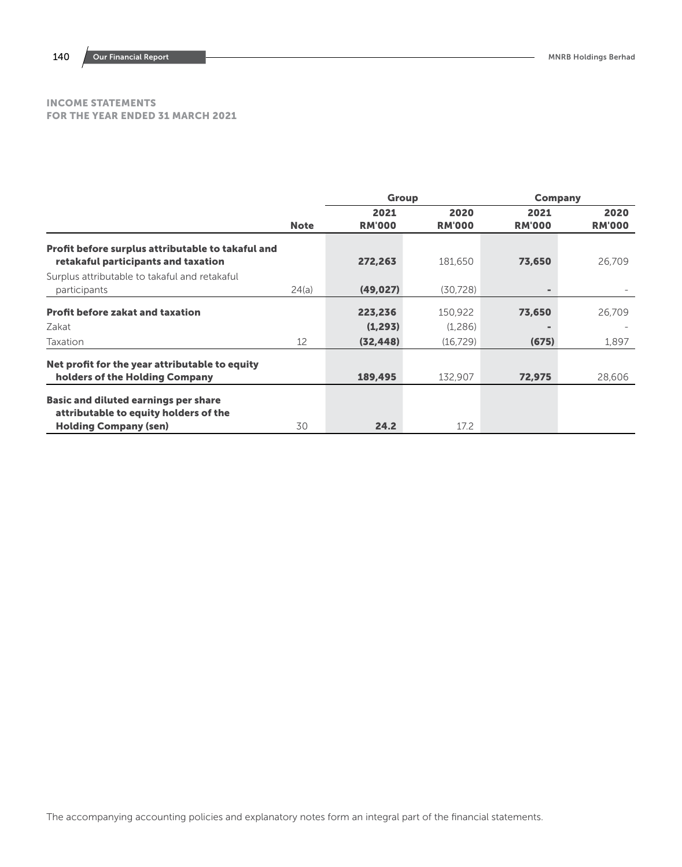#### INCOME STATEMENTS FOR THE YEAR ENDED 31 MARCH 2021

|                                                                                          |             |               | <b>Group</b>  | <b>Company</b> |               |  |
|------------------------------------------------------------------------------------------|-------------|---------------|---------------|----------------|---------------|--|
|                                                                                          |             | 2021          | 2020          | 2021           | 2020          |  |
|                                                                                          | <b>Note</b> | <b>RM'000</b> | <b>RM'000</b> | <b>RM'000</b>  | <b>RM'000</b> |  |
| Profit before surplus attributable to takaful and<br>retakaful participants and taxation |             | 272,263       | 181.650       | 73,650         | 26,709        |  |
| Surplus attributable to takaful and retakaful<br>participants                            | 24(a)       | (49, 027)     | (30, 728)     |                |               |  |
| <b>Profit before zakat and taxation</b>                                                  |             | 223,236       | 150.922       | 73,650         | 26,709        |  |
| Zakat                                                                                    |             | (1, 293)      | (1,286)       |                |               |  |
| Taxation                                                                                 | 12          | (32, 448)     | (16.729)      | (675)          | 1,897         |  |
| Net profit for the year attributable to equity<br>holders of the Holding Company         |             | 189,495       | 132,907       | 72,975         | 28,606        |  |
| <b>Basic and diluted earnings per share</b><br>attributable to equity holders of the     |             |               |               |                |               |  |
| <b>Holding Company (sen)</b>                                                             | 30          | 24.2          | 17.2          |                |               |  |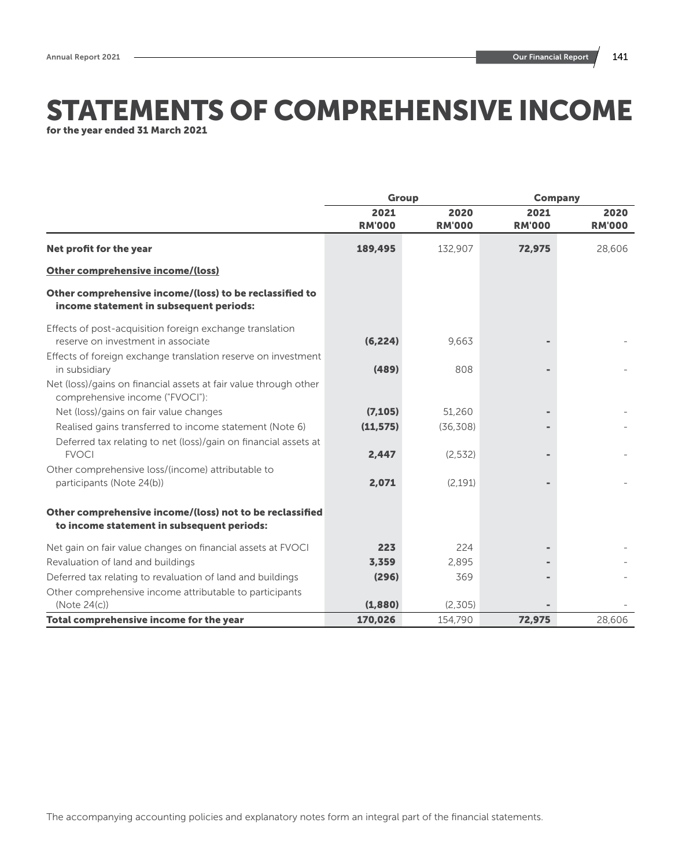## STATEMENTS OF COMPREHENSIVE INCOME

for the year ended 31 March 2021

|                                                                                                        | <b>Group</b>  |               | <b>Company</b> |               |
|--------------------------------------------------------------------------------------------------------|---------------|---------------|----------------|---------------|
|                                                                                                        | 2021          | 2020          | 2021           | 2020          |
|                                                                                                        | <b>RM'000</b> | <b>RM'000</b> | <b>RM'000</b>  | <b>RM'000</b> |
| Net profit for the year                                                                                | 189,495       | 132,907       | 72,975         | 28,606        |
| Other comprehensive income/(loss)                                                                      |               |               |                |               |
| Other comprehensive income/(loss) to be reclassified to<br>income statement in subsequent periods:     |               |               |                |               |
| Effects of post-acquisition foreign exchange translation<br>reserve on investment in associate         | (6, 224)      | 9,663         |                |               |
| Effects of foreign exchange translation reserve on investment<br>in subsidiary                         | (489)         | 808           |                |               |
| Net (loss)/gains on financial assets at fair value through other<br>comprehensive income ("FVOCI"):    |               |               |                |               |
| Net (loss)/gains on fair value changes                                                                 | (7, 105)      | 51,260        |                |               |
| Realised gains transferred to income statement (Note 6)                                                | (11, 575)     | (36, 308)     |                |               |
| Deferred tax relating to net (loss)/gain on financial assets at<br><b>FVOCI</b>                        | 2.447         | (2, 532)      |                |               |
| Other comprehensive loss/(income) attributable to                                                      |               |               |                |               |
| participants (Note 24(b))                                                                              | 2,071         | (2, 191)      |                |               |
| Other comprehensive income/(loss) not to be reclassified<br>to income statement in subsequent periods: |               |               |                |               |
| Net gain on fair value changes on financial assets at FVOCI                                            | 223           | 224           |                |               |
| Revaluation of land and buildings                                                                      | 3,359         | 2,895         |                |               |
| Deferred tax relating to revaluation of land and buildings                                             | (296)         | 369           |                |               |
| Other comprehensive income attributable to participants                                                |               |               |                |               |
| (Note 24(c))                                                                                           | (1,880)       | (2,305)       |                |               |
| Total comprehensive income for the year                                                                | 170,026       | 154,790       | 72,975         | 28,606        |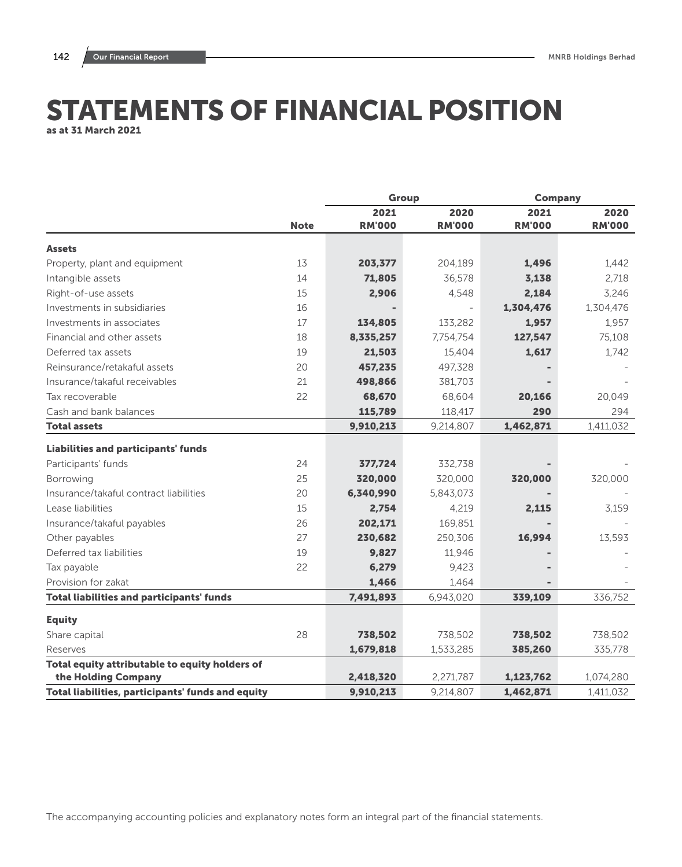### STATEMENTS OF FINANCIAL POSITION as at 31 March 2021

|                                                   |             | Group         |               | <b>Company</b> |               |
|---------------------------------------------------|-------------|---------------|---------------|----------------|---------------|
|                                                   |             | 2021          | 2020          | 2021           | 2020          |
|                                                   | <b>Note</b> | <b>RM'000</b> | <b>RM'000</b> | <b>RM'000</b>  | <b>RM'000</b> |
| <b>Assets</b>                                     |             |               |               |                |               |
| Property, plant and equipment                     | 13          | 203,377       | 204,189       | 1,496          | 1,442         |
| Intangible assets                                 | 14          | 71,805        | 36,578        | 3,138          | 2,718         |
| Right-of-use assets                               | 15          | 2,906         | 4,548         | 2,184          | 3,246         |
| Investments in subsidiaries                       | 16          |               |               | 1,304,476      | 1,304,476     |
| Investments in associates                         | 17          | 134,805       | 133,282       | 1,957          | 1,957         |
| Financial and other assets                        | 18          | 8,335,257     | 7,754,754     | 127,547        | 75,108        |
| Deferred tax assets                               | 19          | 21,503        | 15,404        | 1,617          | 1,742         |
| Reinsurance/retakaful assets                      | 20          | 457,235       | 497,328       |                |               |
| Insurance/takaful receivables                     | 21          | 498,866       | 381,703       |                |               |
| Tax recoverable                                   | 22          | 68,670        | 68,604        | 20,166         | 20,049        |
| Cash and bank balances                            |             | 115,789       | 118,417       | 290            | 294           |
| <b>Total assets</b>                               |             | 9,910,213     | 9,214,807     | 1,462,871      | 1,411,032     |
| <b>Liabilities and participants' funds</b>        |             |               |               |                |               |
| Participants' funds                               | 24          | 377,724       | 332,738       |                |               |
| Borrowing                                         | 25          | 320,000       | 320,000       | 320,000        | 320,000       |
| Insurance/takaful contract liabilities            | 20          | 6,340,990     | 5,843,073     |                |               |
| Lease liabilities                                 | 15          | 2,754         | 4,219         | 2,115          | 3,159         |
| Insurance/takaful payables                        | 26          | 202,171       | 169.851       |                |               |
| Other payables                                    | 27          | 230,682       | 250,306       | 16,994         | 13,593        |
| Deferred tax liabilities                          | 19          | 9,827         | 11,946        |                |               |
| Tax payable                                       | 22          | 6,279         | 9,423         |                |               |
| Provision for zakat                               |             | 1,466         | 1,464         |                |               |
| Total liabilities and participants' funds         |             | 7,491,893     | 6,943,020     | 339,109        | 336,752       |
| <b>Equity</b>                                     |             |               |               |                |               |
| Share capital                                     | 28          | 738,502       | 738,502       | 738,502        | 738,502       |
| Reserves                                          |             | 1,679,818     | 1,533,285     | 385,260        | 335,778       |
| Total equity attributable to equity holders of    |             |               |               |                |               |
| the Holding Company                               |             | 2,418,320     | 2,271,787     | 1,123,762      | 1,074,280     |
| Total liabilities, participants' funds and equity |             | 9,910,213     | 9,214,807     | 1,462,871      | 1,411,032     |

The accompanying accounting policies and explanatory notes form an integral part of the financial statements.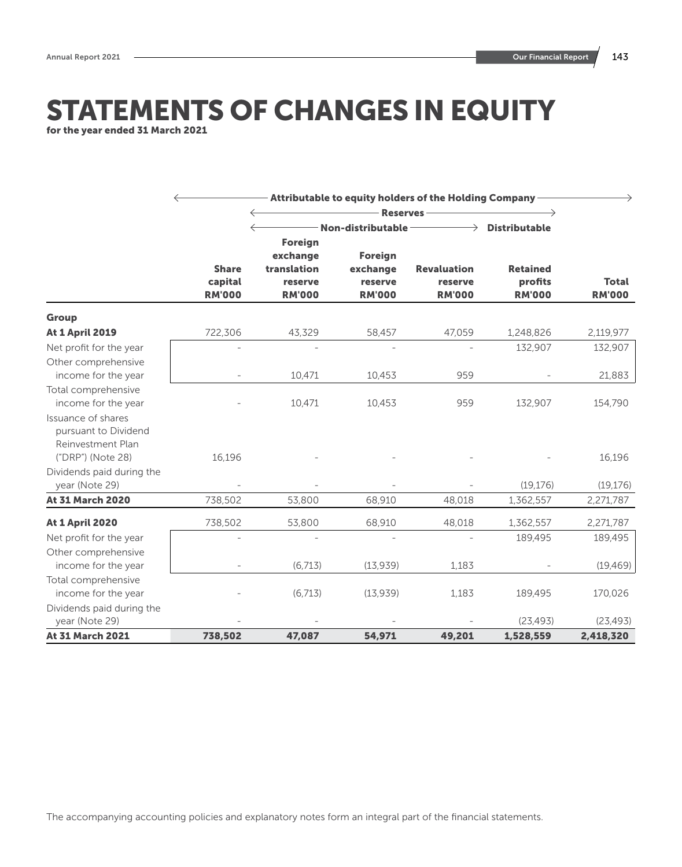### STATEMENTS OF CHANGES IN EQUITY

for the year ended 31 March 2021

|                                    |               |               |                                  | Attributable to equity holders of the Holding Company - |                      |               |
|------------------------------------|---------------|---------------|----------------------------------|---------------------------------------------------------|----------------------|---------------|
|                                    |               |               |                                  | Reserves-                                               |                      |               |
|                                    |               |               | $-$ Non-distributable $\hbox{-}$ | $\rightarrow$                                           | <b>Distributable</b> |               |
|                                    |               | Foreign       |                                  |                                                         |                      |               |
|                                    |               | exchange      | Foreign                          |                                                         |                      |               |
|                                    | <b>Share</b>  | translation   | exchange                         | <b>Revaluation</b>                                      | <b>Retained</b>      |               |
|                                    | capital       | reserve       | reserve                          | reserve                                                 | profits              | <b>Total</b>  |
|                                    | <b>RM'000</b> | <b>RM'000</b> | <b>RM'000</b>                    | <b>RM'000</b>                                           | <b>RM'000</b>        | <b>RM'000</b> |
| <b>Group</b>                       |               |               |                                  |                                                         |                      |               |
| <b>At 1 April 2019</b>             | 722,306       | 43,329        | 58,457                           | 47,059                                                  | 1,248,826            | 2,119,977     |
| Net profit for the year            |               |               |                                  |                                                         | 132,907              | 132,907       |
| Other comprehensive                |               |               |                                  |                                                         |                      |               |
| income for the year                |               | 10,471        | 10,453                           | 959                                                     |                      | 21,883        |
| Total comprehensive                |               |               |                                  |                                                         |                      |               |
| income for the year                |               | 10,471        | 10,453                           | 959                                                     | 132,907              | 154,790       |
| Issuance of shares                 |               |               |                                  |                                                         |                      |               |
| pursuant to Dividend               |               |               |                                  |                                                         |                      |               |
| Reinvestment Plan                  |               |               |                                  |                                                         |                      |               |
| ("DRP") (Note 28)                  | 16,196        |               |                                  |                                                         |                      | 16,196        |
| Dividends paid during the          |               |               |                                  |                                                         |                      |               |
| year (Note 29)<br>At 31 March 2020 |               |               |                                  |                                                         | (19, 176)            | (19, 176)     |
|                                    | 738,502       | 53,800        | 68,910                           | 48,018                                                  | 1,362,557            | 2,271,787     |
| <b>At 1 April 2020</b>             | 738,502       | 53,800        | 68,910                           | 48,018                                                  | 1,362,557            | 2,271,787     |
| Net profit for the year            |               |               |                                  |                                                         | 189,495              | 189,495       |
| Other comprehensive                |               |               |                                  |                                                         |                      |               |
| income for the year                |               | (6,713)       | (13,939)                         | 1,183                                                   |                      | (19, 469)     |
| Total comprehensive                |               |               |                                  |                                                         |                      |               |
| income for the year                |               | (6,713)       | (13,939)                         | 1,183                                                   | 189,495              | 170,026       |
| Dividends paid during the          |               |               |                                  |                                                         |                      |               |
| year (Note 29)                     |               |               |                                  |                                                         | (23, 493)            | (23, 493)     |
| At 31 March 2021                   | 738,502       | 47,087        | 54,971                           | 49,201                                                  | 1,528,559            | 2,418,320     |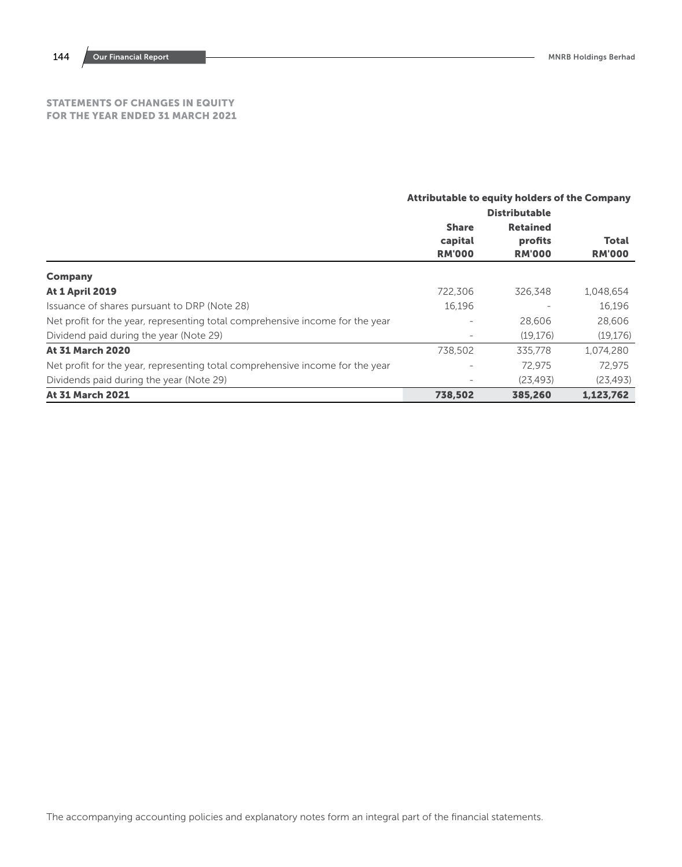#### STATEMENTS OF CHANGES IN EQUITY FOR THE YEAR ENDED 31 MARCH 2021

|                                                                               |                                          | Attributable to equity holders of the Company |                               |  |  |
|-------------------------------------------------------------------------------|------------------------------------------|-----------------------------------------------|-------------------------------|--|--|
|                                                                               |                                          | <b>Distributable</b>                          |                               |  |  |
|                                                                               | <b>Share</b><br>capital<br><b>RM'000</b> | <b>Retained</b><br>profits<br><b>RM'000</b>   | <b>Total</b><br><b>RM'000</b> |  |  |
| Company                                                                       |                                          |                                               |                               |  |  |
| <b>At 1 April 2019</b>                                                        | 722.306                                  | 326.348                                       | 1,048,654                     |  |  |
| Issuance of shares pursuant to DRP (Note 28)                                  | 16,196                                   |                                               | 16,196                        |  |  |
| Net profit for the year, representing total comprehensive income for the year |                                          | 28.606                                        | 28,606                        |  |  |
| Dividend paid during the year (Note 29)                                       |                                          | (19, 176)                                     | (19, 176)                     |  |  |
| <b>At 31 March 2020</b>                                                       | 738.502                                  | 335,778                                       | 1.074.280                     |  |  |
| Net profit for the year, representing total comprehensive income for the year |                                          | 72.975                                        | 72.975                        |  |  |
| Dividends paid during the year (Note 29)                                      |                                          | (23, 493)                                     | (23, 493)                     |  |  |
| At 31 March 2021                                                              | 738,502                                  | 385,260                                       | 1.123.762                     |  |  |

#### The accompanying accounting policies and explanatory notes form an integral part of the financial statements.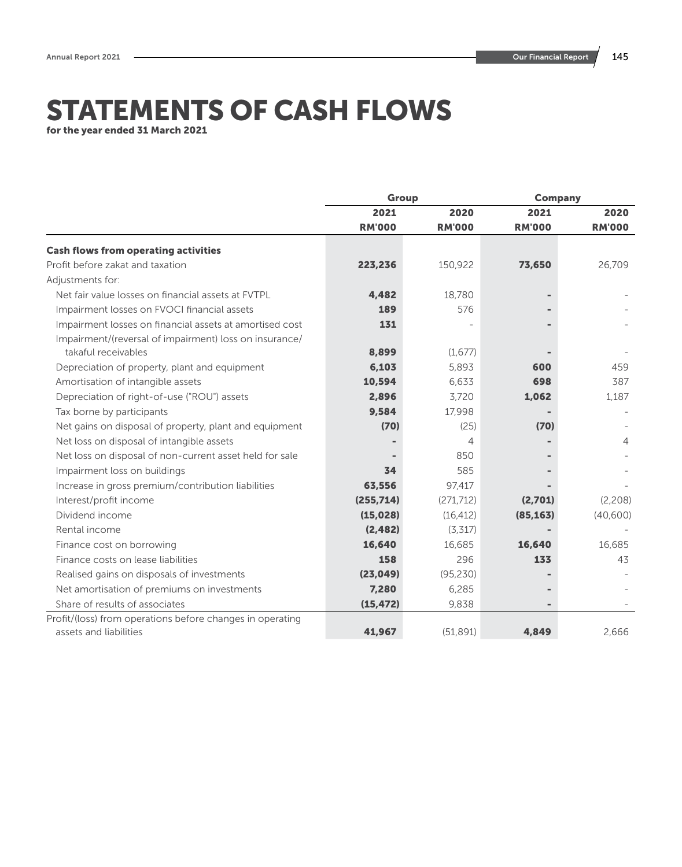### STATEMENTS OF CASH FLOWS

for the year ended 31 March 2021

|                                                           | Group         |               | <b>Company</b> |               |
|-----------------------------------------------------------|---------------|---------------|----------------|---------------|
|                                                           | 2021          | 2020          | 2021           | 2020          |
|                                                           | <b>RM'000</b> | <b>RM'000</b> | <b>RM'000</b>  | <b>RM'000</b> |
| <b>Cash flows from operating activities</b>               |               |               |                |               |
| Profit before zakat and taxation                          | 223,236       | 150,922       | 73,650         | 26,709        |
| Adjustments for:                                          |               |               |                |               |
| Net fair value losses on financial assets at FVTPL        | 4,482         | 18,780        |                |               |
| Impairment losses on FVOCI financial assets               | 189           | 576           |                |               |
| Impairment losses on financial assets at amortised cost   | 131           |               |                |               |
| Impairment/(reversal of impairment) loss on insurance/    |               |               |                |               |
| takaful receivables                                       | 8,899         | (1,677)       |                |               |
| Depreciation of property, plant and equipment             | 6,103         | 5,893         | 600            | 459           |
| Amortisation of intangible assets                         | 10,594        | 6,633         | 698            | 387           |
| Depreciation of right-of-use ("ROU") assets               | 2,896         | 3,720         | 1,062          | 1,187         |
| Tax borne by participants                                 | 9,584         | 17,998        |                |               |
| Net gains on disposal of property, plant and equipment    | (70)          | (25)          | (70)           |               |
| Net loss on disposal of intangible assets                 |               | 4             |                | 4             |
| Net loss on disposal of non-current asset held for sale   |               | 850           |                |               |
| Impairment loss on buildings                              | 34            | 585           |                |               |
| Increase in gross premium/contribution liabilities        | 63,556        | 97,417        |                |               |
| Interest/profit income                                    | (255, 714)    | (271, 712)    | (2,701)        | (2,208)       |
| Dividend income                                           | (15, 028)     | (16, 412)     | (85, 163)      | (40,600)      |
| Rental income                                             | (2.482)       | (3.317)       |                |               |
| Finance cost on borrowing                                 | 16,640        | 16.685        | 16,640         | 16.685        |
| Finance costs on lease liabilities                        | 158           | 296           | 133            | 43            |
| Realised gains on disposals of investments                | (23, 049)     | (95, 230)     |                |               |
| Net amortisation of premiums on investments               | 7,280         | 6,285         |                |               |
| Share of results of associates                            | (15, 472)     | 9.838         |                |               |
| Profit/(loss) from operations before changes in operating |               |               |                |               |
| assets and liabilities                                    | 41,967        | (51, 891)     | 4,849          | 2,666         |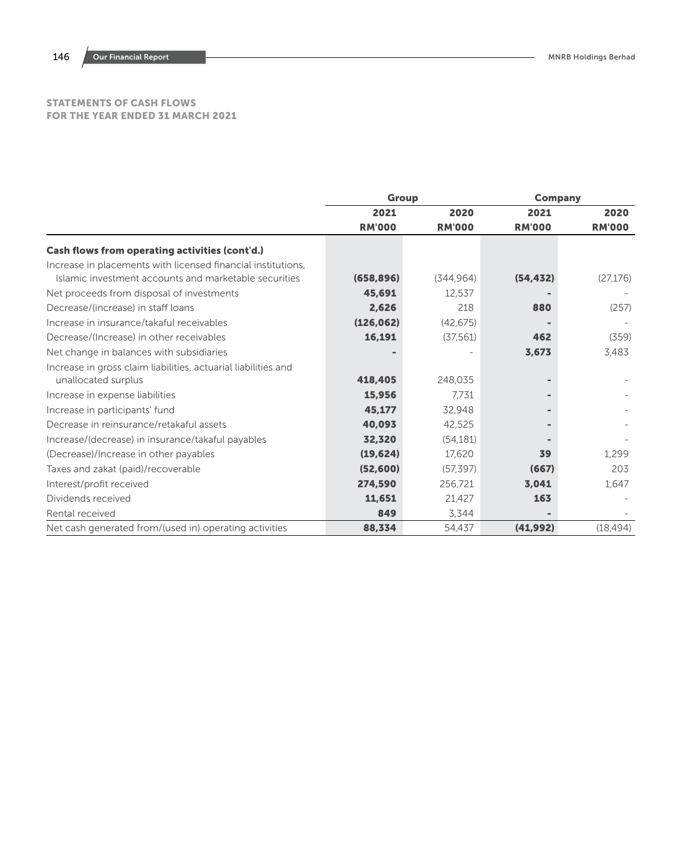#### STATEMENTS OF CASH FLOWS FOR THE YEAR ENDED 31 MARCH 2021

|                                                                | <b>Group</b>  |               | <b>Company</b> |               |
|----------------------------------------------------------------|---------------|---------------|----------------|---------------|
|                                                                | 2021          | 2020          | 2021           | 2020          |
|                                                                | <b>RM'000</b> | <b>RM'000</b> | <b>RM'000</b>  | <b>RM'000</b> |
| Cash flows from operating activities (cont'd.)                 |               |               |                |               |
| Increase in placements with licensed financial institutions,   |               |               |                |               |
| Islamic investment accounts and marketable securities          | (658, 896)    | (344, 964)    | (54, 432)      | (27, 176)     |
| Net proceeds from disposal of investments                      | 45,691        | 12,537        |                |               |
| Decrease/(increase) in staff loans                             | 2,626         | 218           | 880            | (257)         |
| Increase in insurance/takaful receivables                      | (126, 062)    | (42, 675)     |                |               |
| Decrease/(Increase) in other receivables                       | 16,191        | (37, 561)     | 462            | (359)         |
| Net change in balances with subsidiaries                       |               |               | 3,673          | 3,483         |
| Increase in gross claim liabilities, actuarial liabilities and |               |               |                |               |
| unallocated surplus                                            | 418,405       | 248,035       |                |               |
| Increase in expense liabilities                                | 15,956        | 7.731         |                |               |
| Increase in participants' fund                                 | 45,177        | 32.948        |                |               |
| Decrease in reinsurance/retakaful assets                       | 40,093        | 42.525        |                |               |
| Increase/(decrease) in insurance/takaful payables              | 32,320        | (54, 181)     |                |               |
| (Decrease)/Increase in other payables                          | (19, 624)     | 17.620        | 39             | 1,299         |
| Taxes and zakat (paid)/recoverable                             | (52,600)      | (57, 397)     | (667)          | 203           |
| Interest/profit received                                       | 274,590       | 256,721       | 3.041          | 1,647         |
| Dividends received                                             | 11,651        | 21,427        | 163            |               |
| Rental received                                                | 849           | 3,344         |                |               |
| Net cash generated from/(used in) operating activities         | 88,334        | 54.437        | (41.992)       | (18.494)      |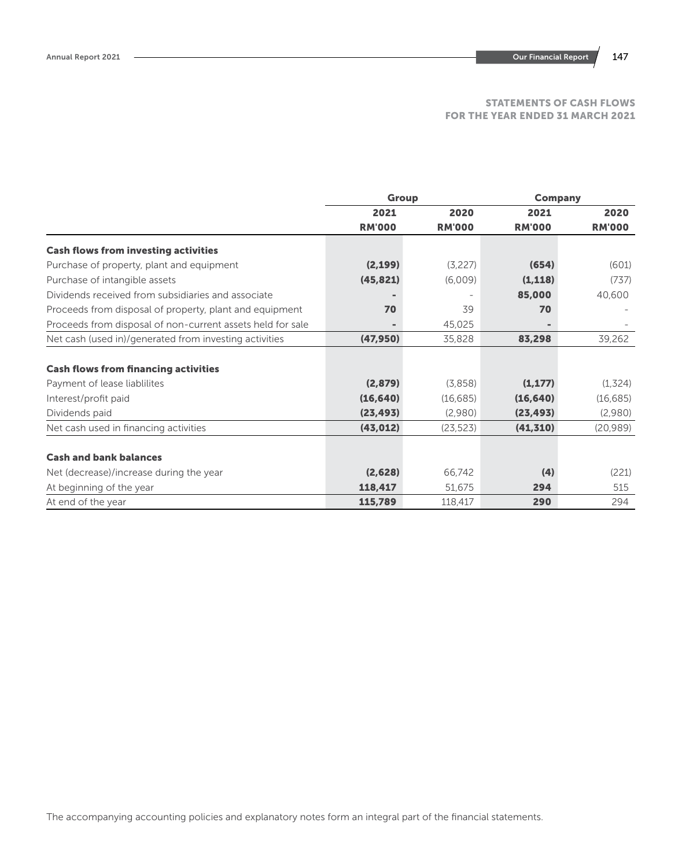#### STATEMENTS OF CASH FLOWS FOR THE YEAR ENDED 31 MARCH 2021

|                                                            | <b>Group</b>  |               | <b>Company</b> |               |
|------------------------------------------------------------|---------------|---------------|----------------|---------------|
|                                                            | 2021          | 2020          | 2021           | 2020          |
|                                                            | <b>RM'000</b> | <b>RM'000</b> | <b>RM'000</b>  | <b>RM'000</b> |
| <b>Cash flows from investing activities</b>                |               |               |                |               |
| Purchase of property, plant and equipment                  | (2, 199)      | (3,227)       | (654)          | (601)         |
| Purchase of intangible assets                              | (45, 821)     | (6,009)       | (1, 118)       | (737)         |
| Dividends received from subsidiaries and associate         |               |               | 85,000         | 40,600        |
| Proceeds from disposal of property, plant and equipment    | 70            | 39            | 70             |               |
| Proceeds from disposal of non-current assets held for sale |               | 45,025        |                |               |
| Net cash (used in)/generated from investing activities     | (47, 950)     | 35,828        | 83,298         | 39,262        |
|                                                            |               |               |                |               |
| <b>Cash flows from financing activities</b>                |               |               |                |               |
| Payment of lease liablilites                               | (2,879)       | (3,858)       | (1, 177)       | (1, 324)      |
| Interest/profit paid                                       | (16, 640)     | (16, 685)     | (16, 640)      | (16, 685)     |
| Dividends paid                                             | (23, 493)     | (2,980)       | (23, 493)      | (2,980)       |
| Net cash used in financing activities                      | (43, 012)     | (23, 523)     | (41, 310)      | (20, 989)     |
|                                                            |               |               |                |               |
| <b>Cash and bank balances</b>                              |               |               |                |               |
| Net (decrease)/increase during the year                    | (2,628)       | 66,742        | (4)            | (221)         |
| At beginning of the year                                   | 118,417       | 51,675        | 294            | 515           |
| At end of the year                                         | 115,789       | 118,417       | 290            | 294           |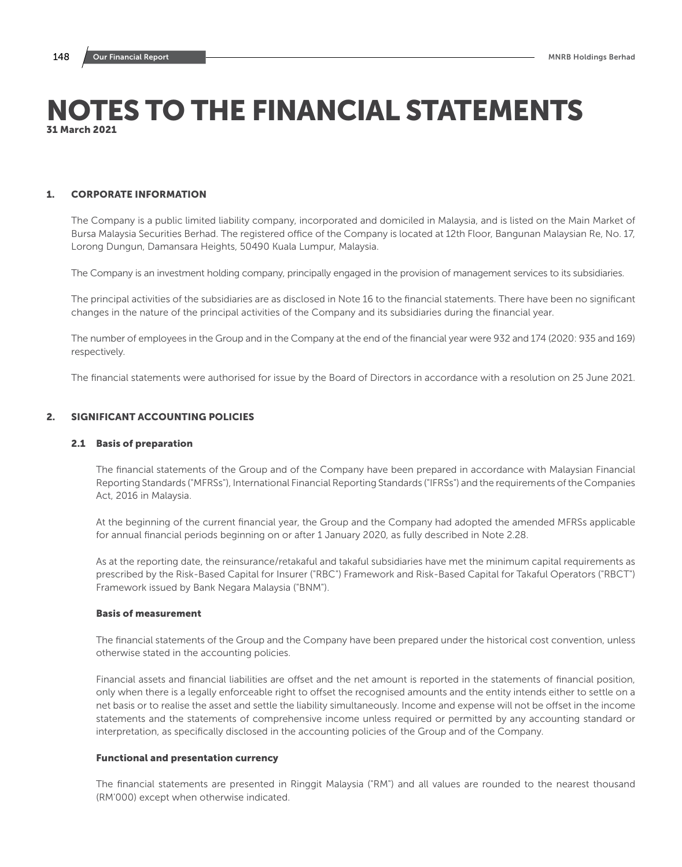#### 1. CORPORATE INFORMATION

The Company is a public limited liability company, incorporated and domiciled in Malaysia, and is listed on the Main Market of Bursa Malaysia Securities Berhad. The registered office of the Company is located at 12th Floor, Bangunan Malaysian Re, No. 17, Lorong Dungun, Damansara Heights, 50490 Kuala Lumpur, Malaysia.

The Company is an investment holding company, principally engaged in the provision of management services to its subsidiaries.

The principal activities of the subsidiaries are as disclosed in Note 16 to the financial statements. There have been no significant changes in the nature of the principal activities of the Company and its subsidiaries during the financial year.

The number of employees in the Group and in the Company at the end of the financial year were 932 and 174 (2020: 935 and 169) respectively.

The financial statements were authorised for issue by the Board of Directors in accordance with a resolution on 25 June 2021.

#### 2. SIGNIFICANT ACCOUNTING POLICIES

#### 2.1 Basis of preparation

The financial statements of the Group and of the Company have been prepared in accordance with Malaysian Financial Reporting Standards ("MFRSs"), International Financial Reporting Standards ("IFRSs") and the requirements of the Companies Act, 2016 in Malaysia.

At the beginning of the current financial year, the Group and the Company had adopted the amended MFRSs applicable for annual financial periods beginning on or after 1 January 2020, as fully described in Note 2.28.

As at the reporting date, the reinsurance/retakaful and takaful subsidiaries have met the minimum capital requirements as prescribed by the Risk-Based Capital for Insurer ("RBC") Framework and Risk-Based Capital for Takaful Operators ("RBCT") Framework issued by Bank Negara Malaysia ("BNM").

#### Basis of measurement

The financial statements of the Group and the Company have been prepared under the historical cost convention, unless otherwise stated in the accounting policies.

Financial assets and financial liabilities are offset and the net amount is reported in the statements of financial position, only when there is a legally enforceable right to offset the recognised amounts and the entity intends either to settle on a net basis or to realise the asset and settle the liability simultaneously. Income and expense will not be offset in the income statements and the statements of comprehensive income unless required or permitted by any accounting standard or interpretation, as specifically disclosed in the accounting policies of the Group and of the Company.

#### Functional and presentation currency

The financial statements are presented in Ringgit Malaysia ("RM") and all values are rounded to the nearest thousand (RM'000) except when otherwise indicated.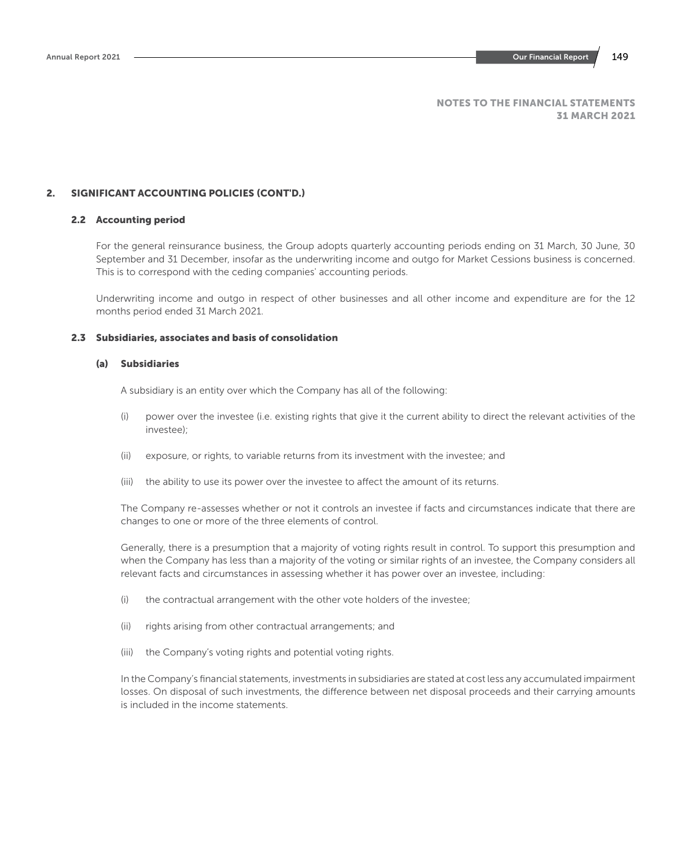#### 2. SIGNIFICANT ACCOUNTING POLICIES (CONT'D.)

#### 2.2 Accounting period

For the general reinsurance business, the Group adopts quarterly accounting periods ending on 31 March, 30 June, 30 September and 31 December, insofar as the underwriting income and outgo for Market Cessions business is concerned. This is to correspond with the ceding companies' accounting periods.

Underwriting income and outgo in respect of other businesses and all other income and expenditure are for the 12 months period ended 31 March 2021.

#### 2.3 Subsidiaries, associates and basis of consolidation

#### (a) Subsidiaries

A subsidiary is an entity over which the Company has all of the following:

- (i) power over the investee (i.e. existing rights that give it the current ability to direct the relevant activities of the investee);
- (ii) exposure, or rights, to variable returns from its investment with the investee; and
- (iii) the ability to use its power over the investee to affect the amount of its returns.

The Company re-assesses whether or not it controls an investee if facts and circumstances indicate that there are changes to one or more of the three elements of control.

Generally, there is a presumption that a majority of voting rights result in control. To support this presumption and when the Company has less than a majority of the voting or similar rights of an investee, the Company considers all relevant facts and circumstances in assessing whether it has power over an investee, including:

- (i) the contractual arrangement with the other vote holders of the investee;
- (ii) rights arising from other contractual arrangements; and
- (iii) the Company's voting rights and potential voting rights.

In the Company's financial statements, investments in subsidiaries are stated at cost less any accumulated impairment losses. On disposal of such investments, the difference between net disposal proceeds and their carrying amounts is included in the income statements.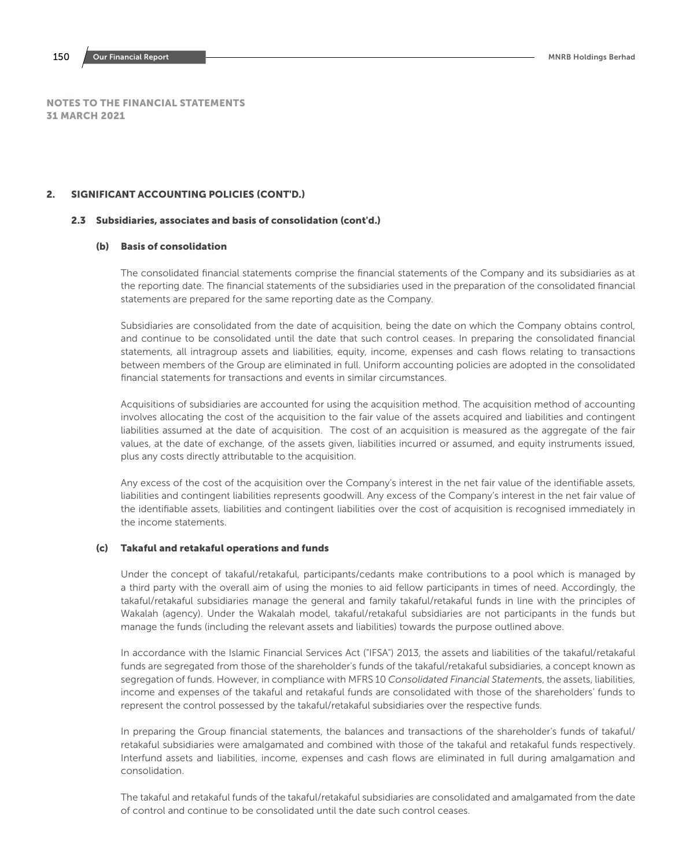#### 2. SIGNIFICANT ACCOUNTING POLICIES (CONT'D.)

#### 2.3 Subsidiaries, associates and basis of consolidation (cont'd.)

#### (b) Basis of consolidation

The consolidated financial statements comprise the financial statements of the Company and its subsidiaries as at the reporting date. The financial statements of the subsidiaries used in the preparation of the consolidated financial statements are prepared for the same reporting date as the Company.

Subsidiaries are consolidated from the date of acquisition, being the date on which the Company obtains control, and continue to be consolidated until the date that such control ceases. In preparing the consolidated financial statements, all intragroup assets and liabilities, equity, income, expenses and cash flows relating to transactions between members of the Group are eliminated in full. Uniform accounting policies are adopted in the consolidated financial statements for transactions and events in similar circumstances.

Acquisitions of subsidiaries are accounted for using the acquisition method. The acquisition method of accounting involves allocating the cost of the acquisition to the fair value of the assets acquired and liabilities and contingent liabilities assumed at the date of acquisition. The cost of an acquisition is measured as the aggregate of the fair values, at the date of exchange, of the assets given, liabilities incurred or assumed, and equity instruments issued, plus any costs directly attributable to the acquisition.

Any excess of the cost of the acquisition over the Company's interest in the net fair value of the identifiable assets, liabilities and contingent liabilities represents goodwill. Any excess of the Company's interest in the net fair value of the identifiable assets, liabilities and contingent liabilities over the cost of acquisition is recognised immediately in the income statements.

#### (c) Takaful and retakaful operations and funds

Under the concept of takaful/retakaful, participants/cedants make contributions to a pool which is managed by a third party with the overall aim of using the monies to aid fellow participants in times of need. Accordingly, the takaful/retakaful subsidiaries manage the general and family takaful/retakaful funds in line with the principles of Wakalah (agency). Under the Wakalah model, takaful/retakaful subsidiaries are not participants in the funds but manage the funds (including the relevant assets and liabilities) towards the purpose outlined above.

In accordance with the Islamic Financial Services Act ("IFSA") 2013, the assets and liabilities of the takaful/retakaful funds are segregated from those of the shareholder's funds of the takaful/retakaful subsidiaries, a concept known as segregation of funds. However, in compliance with MFRS 10 *Consolidated Financial Statement*s, the assets, liabilities, income and expenses of the takaful and retakaful funds are consolidated with those of the shareholders' funds to represent the control possessed by the takaful/retakaful subsidiaries over the respective funds.

In preparing the Group financial statements, the balances and transactions of the shareholder's funds of takaful/ retakaful subsidiaries were amalgamated and combined with those of the takaful and retakaful funds respectively. Interfund assets and liabilities, income, expenses and cash flows are eliminated in full during amalgamation and consolidation.

The takaful and retakaful funds of the takaful/retakaful subsidiaries are consolidated and amalgamated from the date of control and continue to be consolidated until the date such control ceases.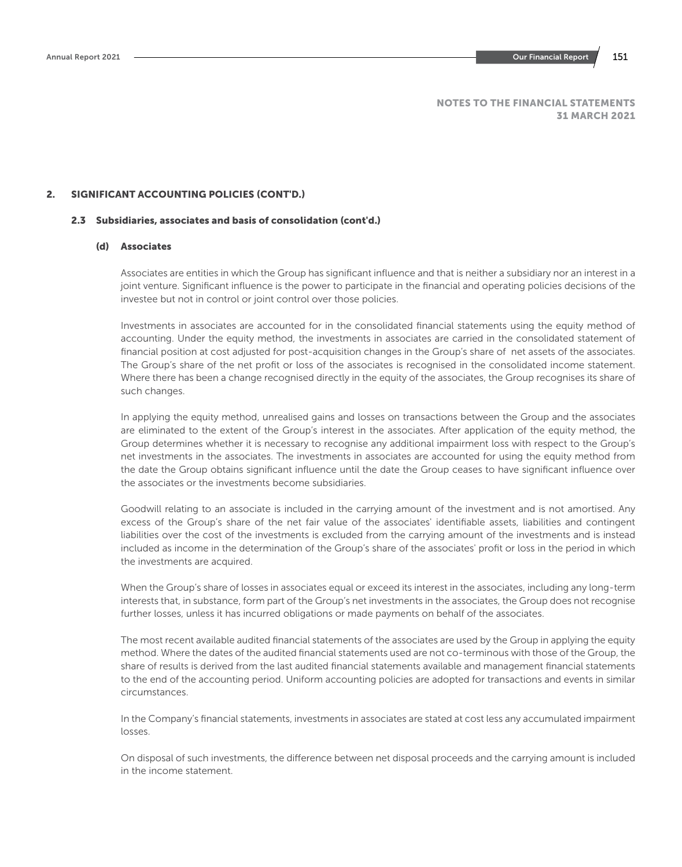#### 2. SIGNIFICANT ACCOUNTING POLICIES (CONT'D.)

#### 2.3 Subsidiaries, associates and basis of consolidation (cont'd.)

#### (d) Associates

Associates are entities in which the Group has significant influence and that is neither a subsidiary nor an interest in a joint venture. Significant influence is the power to participate in the financial and operating policies decisions of the investee but not in control or joint control over those policies.

Investments in associates are accounted for in the consolidated financial statements using the equity method of accounting. Under the equity method, the investments in associates are carried in the consolidated statement of financial position at cost adjusted for post-acquisition changes in the Group's share of net assets of the associates. The Group's share of the net profit or loss of the associates is recognised in the consolidated income statement. Where there has been a change recognised directly in the equity of the associates, the Group recognises its share of such changes.

In applying the equity method, unrealised gains and losses on transactions between the Group and the associates are eliminated to the extent of the Group's interest in the associates. After application of the equity method, the Group determines whether it is necessary to recognise any additional impairment loss with respect to the Group's net investments in the associates. The investments in associates are accounted for using the equity method from the date the Group obtains significant influence until the date the Group ceases to have significant influence over the associates or the investments become subsidiaries.

Goodwill relating to an associate is included in the carrying amount of the investment and is not amortised. Any excess of the Group's share of the net fair value of the associates' identifiable assets, liabilities and contingent liabilities over the cost of the investments is excluded from the carrying amount of the investments and is instead included as income in the determination of the Group's share of the associates' profit or loss in the period in which the investments are acquired.

When the Group's share of losses in associates equal or exceed its interest in the associates, including any long-term interests that, in substance, form part of the Group's net investments in the associates, the Group does not recognise further losses, unless it has incurred obligations or made payments on behalf of the associates.

The most recent available audited financial statements of the associates are used by the Group in applying the equity method. Where the dates of the audited financial statements used are not co-terminous with those of the Group, the share of results is derived from the last audited financial statements available and management financial statements to the end of the accounting period. Uniform accounting policies are adopted for transactions and events in similar circumstances.

In the Company's financial statements, investments in associates are stated at cost less any accumulated impairment losses.

On disposal of such investments, the difference between net disposal proceeds and the carrying amount is included in the income statement.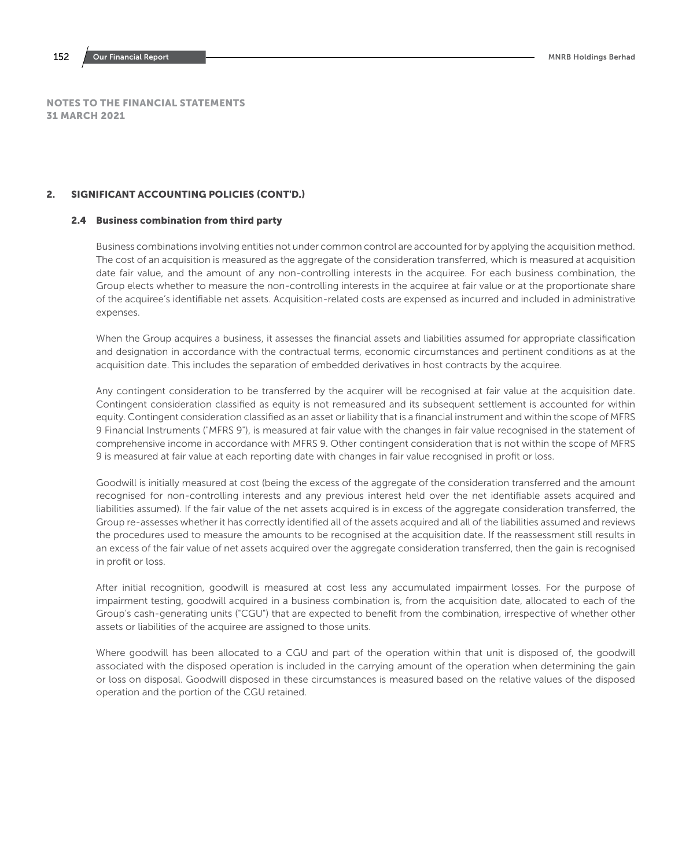#### 2. SIGNIFICANT ACCOUNTING POLICIES (CONT'D.)

#### 2.4 Business combination from third party

Business combinations involving entities not under common control are accounted for by applying the acquisition method. The cost of an acquisition is measured as the aggregate of the consideration transferred, which is measured at acquisition date fair value, and the amount of any non-controlling interests in the acquiree. For each business combination, the Group elects whether to measure the non-controlling interests in the acquiree at fair value or at the proportionate share of the acquiree's identifiable net assets. Acquisition-related costs are expensed as incurred and included in administrative expenses.

When the Group acquires a business, it assesses the financial assets and liabilities assumed for appropriate classification and designation in accordance with the contractual terms, economic circumstances and pertinent conditions as at the acquisition date. This includes the separation of embedded derivatives in host contracts by the acquiree.

Any contingent consideration to be transferred by the acquirer will be recognised at fair value at the acquisition date. Contingent consideration classified as equity is not remeasured and its subsequent settlement is accounted for within equity. Contingent consideration classified as an asset or liability that is a financial instrument and within the scope of MFRS 9 Financial Instruments ("MFRS 9"), is measured at fair value with the changes in fair value recognised in the statement of comprehensive income in accordance with MFRS 9. Other contingent consideration that is not within the scope of MFRS 9 is measured at fair value at each reporting date with changes in fair value recognised in profit or loss.

Goodwill is initially measured at cost (being the excess of the aggregate of the consideration transferred and the amount recognised for non-controlling interests and any previous interest held over the net identifiable assets acquired and liabilities assumed). If the fair value of the net assets acquired is in excess of the aggregate consideration transferred, the Group re-assesses whether it has correctly identified all of the assets acquired and all of the liabilities assumed and reviews the procedures used to measure the amounts to be recognised at the acquisition date. If the reassessment still results in an excess of the fair value of net assets acquired over the aggregate consideration transferred, then the gain is recognised in profit or loss.

After initial recognition, goodwill is measured at cost less any accumulated impairment losses. For the purpose of impairment testing, goodwill acquired in a business combination is, from the acquisition date, allocated to each of the Group's cash-generating units ("CGU") that are expected to benefit from the combination, irrespective of whether other assets or liabilities of the acquiree are assigned to those units.

Where goodwill has been allocated to a CGU and part of the operation within that unit is disposed of, the goodwill associated with the disposed operation is included in the carrying amount of the operation when determining the gain or loss on disposal. Goodwill disposed in these circumstances is measured based on the relative values of the disposed operation and the portion of the CGU retained.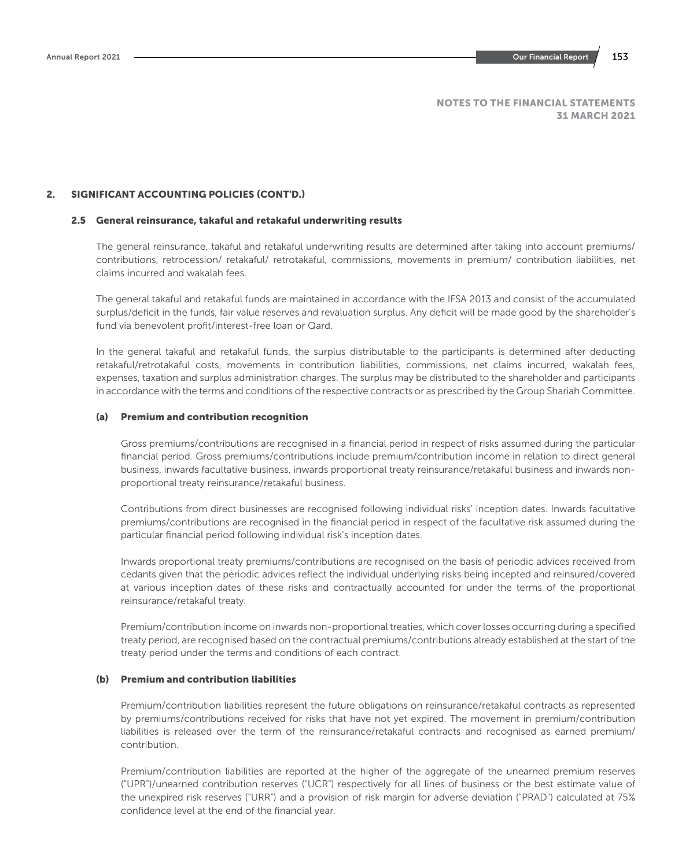#### 2. SIGNIFICANT ACCOUNTING POLICIES (CONT'D.)

#### 2.5 General reinsurance, takaful and retakaful underwriting results

The general reinsurance, takaful and retakaful underwriting results are determined after taking into account premiums/ contributions, retrocession/ retakaful/ retrotakaful, commissions, movements in premium/ contribution liabilities, net claims incurred and wakalah fees.

The general takaful and retakaful funds are maintained in accordance with the IFSA 2013 and consist of the accumulated surplus/deficit in the funds, fair value reserves and revaluation surplus. Any deficit will be made good by the shareholder's fund via benevolent profit/interest-free loan or Qard.

In the general takaful and retakaful funds, the surplus distributable to the participants is determined after deducting retakaful/retrotakaful costs, movements in contribution liabilities, commissions, net claims incurred, wakalah fees, expenses, taxation and surplus administration charges. The surplus may be distributed to the shareholder and participants in accordance with the terms and conditions of the respective contracts or as prescribed by the Group Shariah Committee.

#### (a) Premium and contribution recognition

Gross premiums/contributions are recognised in a financial period in respect of risks assumed during the particular financial period. Gross premiums/contributions include premium/contribution income in relation to direct general business, inwards facultative business, inwards proportional treaty reinsurance/retakaful business and inwards nonproportional treaty reinsurance/retakaful business.

Contributions from direct businesses are recognised following individual risks' inception dates. Inwards facultative premiums/contributions are recognised in the financial period in respect of the facultative risk assumed during the particular financial period following individual risk's inception dates.

Inwards proportional treaty premiums/contributions are recognised on the basis of periodic advices received from cedants given that the periodic advices reflect the individual underlying risks being incepted and reinsured/covered at various inception dates of these risks and contractually accounted for under the terms of the proportional reinsurance/retakaful treaty.

Premium/contribution income on inwards non-proportional treaties, which cover losses occurring during a specified treaty period, are recognised based on the contractual premiums/contributions already established at the start of the treaty period under the terms and conditions of each contract.

#### (b) Premium and contribution liabilities

Premium/contribution liabilities represent the future obligations on reinsurance/retakaful contracts as represented by premiums/contributions received for risks that have not yet expired. The movement in premium/contribution liabilities is released over the term of the reinsurance/retakaful contracts and recognised as earned premium/ contribution.

Premium/contribution liabilities are reported at the higher of the aggregate of the unearned premium reserves ("UPR")/unearned contribution reserves ("UCR") respectively for all lines of business or the best estimate value of the unexpired risk reserves ("URR") and a provision of risk margin for adverse deviation ("PRAD") calculated at 75% confidence level at the end of the financial year.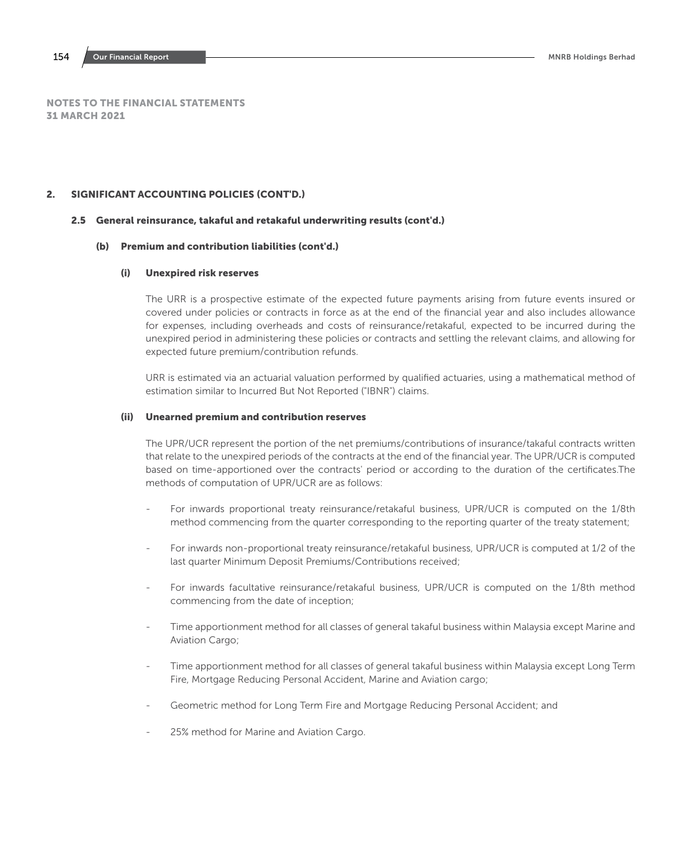#### 2. SIGNIFICANT ACCOUNTING POLICIES (CONT'D.)

#### 2.5 General reinsurance, takaful and retakaful underwriting results (cont'd.)

#### (b) Premium and contribution liabilities (cont'd.)

#### (i) Unexpired risk reserves

The URR is a prospective estimate of the expected future payments arising from future events insured or covered under policies or contracts in force as at the end of the financial year and also includes allowance for expenses, including overheads and costs of reinsurance/retakaful, expected to be incurred during the unexpired period in administering these policies or contracts and settling the relevant claims, and allowing for expected future premium/contribution refunds.

URR is estimated via an actuarial valuation performed by qualified actuaries, using a mathematical method of estimation similar to Incurred But Not Reported ("IBNR") claims.

#### (ii) Unearned premium and contribution reserves

The UPR/UCR represent the portion of the net premiums/contributions of insurance/takaful contracts written that relate to the unexpired periods of the contracts at the end of the financial year. The UPR/UCR is computed based on time-apportioned over the contracts' period or according to the duration of the certificates.The methods of computation of UPR/UCR are as follows:

- For inwards proportional treaty reinsurance/retakaful business, UPR/UCR is computed on the 1/8th method commencing from the quarter corresponding to the reporting quarter of the treaty statement;
- For inwards non-proportional treaty reinsurance/retakaful business, UPR/UCR is computed at 1/2 of the last quarter Minimum Deposit Premiums/Contributions received;
- For inwards facultative reinsurance/retakaful business, UPR/UCR is computed on the 1/8th method commencing from the date of inception;
- Time apportionment method for all classes of general takaful business within Malaysia except Marine and Aviation Cargo;
- Time apportionment method for all classes of general takaful business within Malaysia except Long Term Fire, Mortgage Reducing Personal Accident, Marine and Aviation cargo;
- Geometric method for Long Term Fire and Mortgage Reducing Personal Accident; and
- 25% method for Marine and Aviation Cargo.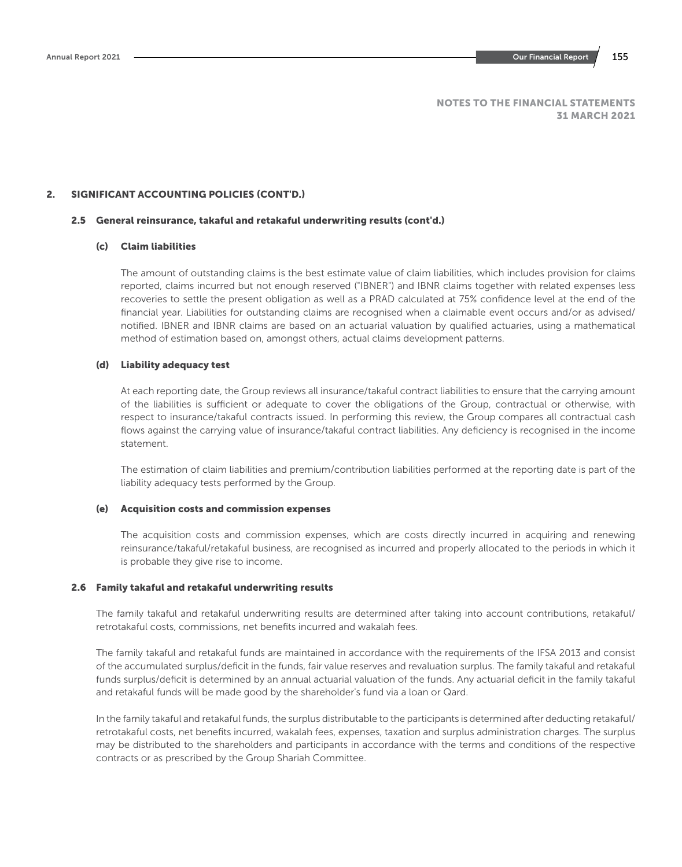#### 2. SIGNIFICANT ACCOUNTING POLICIES (CONT'D.)

#### 2.5 General reinsurance, takaful and retakaful underwriting results (cont'd.)

#### (c) Claim liabilities

The amount of outstanding claims is the best estimate value of claim liabilities, which includes provision for claims reported, claims incurred but not enough reserved ("IBNER") and IBNR claims together with related expenses less recoveries to settle the present obligation as well as a PRAD calculated at 75% confidence level at the end of the financial year. Liabilities for outstanding claims are recognised when a claimable event occurs and/or as advised/ notified. IBNER and IBNR claims are based on an actuarial valuation by qualified actuaries, using a mathematical method of estimation based on, amongst others, actual claims development patterns.

#### (d) Liability adequacy test

At each reporting date, the Group reviews all insurance/takaful contract liabilities to ensure that the carrying amount of the liabilities is sufficient or adequate to cover the obligations of the Group, contractual or otherwise, with respect to insurance/takaful contracts issued. In performing this review, the Group compares all contractual cash flows against the carrying value of insurance/takaful contract liabilities. Any deficiency is recognised in the income statement.

The estimation of claim liabilities and premium/contribution liabilities performed at the reporting date is part of the liability adequacy tests performed by the Group.

#### (e) Acquisition costs and commission expenses

The acquisition costs and commission expenses, which are costs directly incurred in acquiring and renewing reinsurance/takaful/retakaful business, are recognised as incurred and properly allocated to the periods in which it is probable they give rise to income.

#### 2.6 Family takaful and retakaful underwriting results

The family takaful and retakaful underwriting results are determined after taking into account contributions, retakaful/ retrotakaful costs, commissions, net benefits incurred and wakalah fees.

The family takaful and retakaful funds are maintained in accordance with the requirements of the IFSA 2013 and consist of the accumulated surplus/deficit in the funds, fair value reserves and revaluation surplus. The family takaful and retakaful funds surplus/deficit is determined by an annual actuarial valuation of the funds. Any actuarial deficit in the family takaful and retakaful funds will be made good by the shareholder's fund via a loan or Qard.

In the family takaful and retakaful funds, the surplus distributable to the participants is determined after deducting retakaful/ retrotakaful costs, net benefits incurred, wakalah fees, expenses, taxation and surplus administration charges. The surplus may be distributed to the shareholders and participants in accordance with the terms and conditions of the respective contracts or as prescribed by the Group Shariah Committee.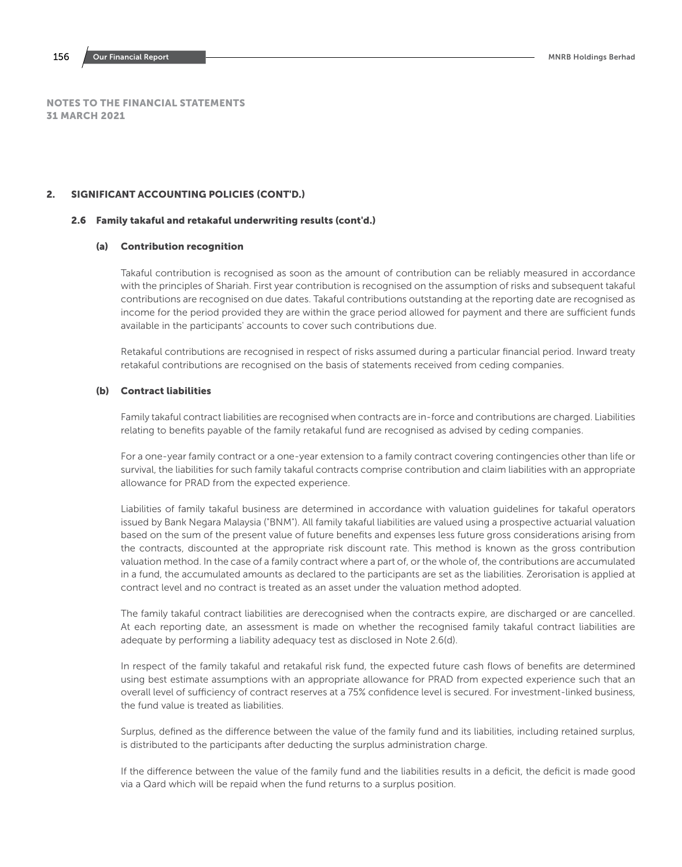#### 2. SIGNIFICANT ACCOUNTING POLICIES (CONT'D.)

#### 2.6 Family takaful and retakaful underwriting results (cont'd.)

#### (a) Contribution recognition

Takaful contribution is recognised as soon as the amount of contribution can be reliably measured in accordance with the principles of Shariah. First year contribution is recognised on the assumption of risks and subsequent takaful contributions are recognised on due dates. Takaful contributions outstanding at the reporting date are recognised as income for the period provided they are within the grace period allowed for payment and there are sufficient funds available in the participants' accounts to cover such contributions due.

Retakaful contributions are recognised in respect of risks assumed during a particular financial period. Inward treaty retakaful contributions are recognised on the basis of statements received from ceding companies.

#### (b) Contract liabilities

Family takaful contract liabilities are recognised when contracts are in-force and contributions are charged. Liabilities relating to benefits payable of the family retakaful fund are recognised as advised by ceding companies.

For a one-year family contract or a one-year extension to a family contract covering contingencies other than life or survival, the liabilities for such family takaful contracts comprise contribution and claim liabilities with an appropriate allowance for PRAD from the expected experience.

Liabilities of family takaful business are determined in accordance with valuation guidelines for takaful operators issued by Bank Negara Malaysia ("BNM"). All family takaful liabilities are valued using a prospective actuarial valuation based on the sum of the present value of future benefits and expenses less future gross considerations arising from the contracts, discounted at the appropriate risk discount rate. This method is known as the gross contribution valuation method. In the case of a family contract where a part of, or the whole of, the contributions are accumulated in a fund, the accumulated amounts as declared to the participants are set as the liabilities. Zerorisation is applied at contract level and no contract is treated as an asset under the valuation method adopted.

The family takaful contract liabilities are derecognised when the contracts expire, are discharged or are cancelled. At each reporting date, an assessment is made on whether the recognised family takaful contract liabilities are adequate by performing a liability adequacy test as disclosed in Note 2.6(d).

In respect of the family takaful and retakaful risk fund, the expected future cash flows of benefits are determined using best estimate assumptions with an appropriate allowance for PRAD from expected experience such that an overall level of sufficiency of contract reserves at a 75% confidence level is secured. For investment-linked business, the fund value is treated as liabilities.

Surplus, defined as the difference between the value of the family fund and its liabilities, including retained surplus, is distributed to the participants after deducting the surplus administration charge.

If the difference between the value of the family fund and the liabilities results in a deficit, the deficit is made good via a Qard which will be repaid when the fund returns to a surplus position.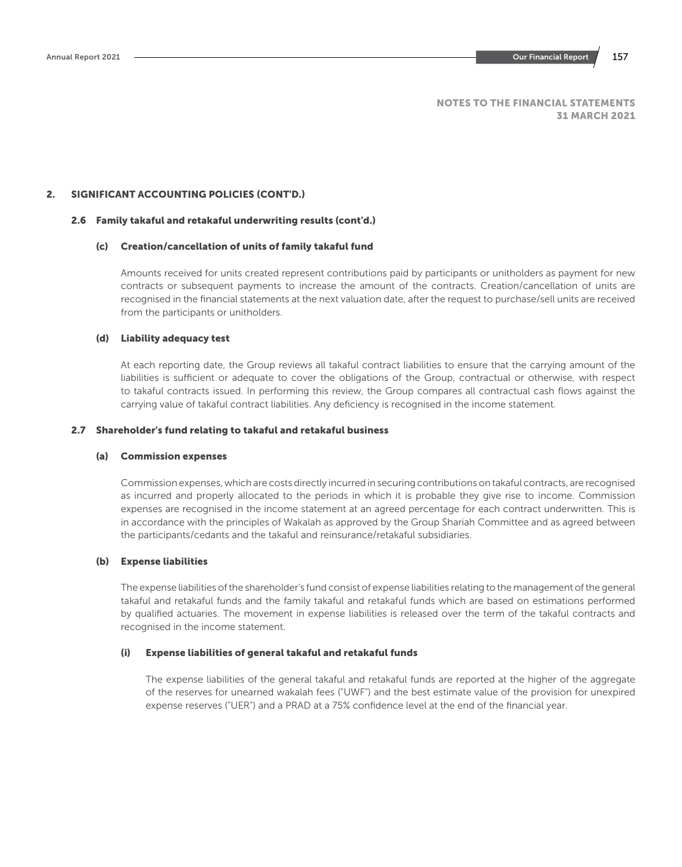#### 2. SIGNIFICANT ACCOUNTING POLICIES (CONT'D.)

#### 2.6 Family takaful and retakaful underwriting results (cont'd.)

#### (c) Creation/cancellation of units of family takaful fund

Amounts received for units created represent contributions paid by participants or unitholders as payment for new contracts or subsequent payments to increase the amount of the contracts. Creation/cancellation of units are recognised in the financial statements at the next valuation date, after the request to purchase/sell units are received from the participants or unitholders.

#### (d) Liability adequacy test

At each reporting date, the Group reviews all takaful contract liabilities to ensure that the carrying amount of the liabilities is sufficient or adequate to cover the obligations of the Group, contractual or otherwise, with respect to takaful contracts issued. In performing this review, the Group compares all contractual cash flows against the carrying value of takaful contract liabilities. Any deficiency is recognised in the income statement.

#### 2.7 Shareholder's fund relating to takaful and retakaful business

#### (a) Commission expenses

Commission expenses, which are costs directly incurred in securing contributions on takaful contracts, are recognised as incurred and properly allocated to the periods in which it is probable they give rise to income. Commission expenses are recognised in the income statement at an agreed percentage for each contract underwritten. This is in accordance with the principles of Wakalah as approved by the Group Shariah Committee and as agreed between the participants/cedants and the takaful and reinsurance/retakaful subsidiaries.

#### (b) Expense liabilities

The expense liabilities of the shareholder's fund consist of expense liabilities relating to the management of the general takaful and retakaful funds and the family takaful and retakaful funds which are based on estimations performed by qualified actuaries. The movement in expense liabilities is released over the term of the takaful contracts and recognised in the income statement.

#### (i) Expense liabilities of general takaful and retakaful funds

The expense liabilities of the general takaful and retakaful funds are reported at the higher of the aggregate of the reserves for unearned wakalah fees ("UWF") and the best estimate value of the provision for unexpired expense reserves ("UER") and a PRAD at a 75% confidence level at the end of the financial year.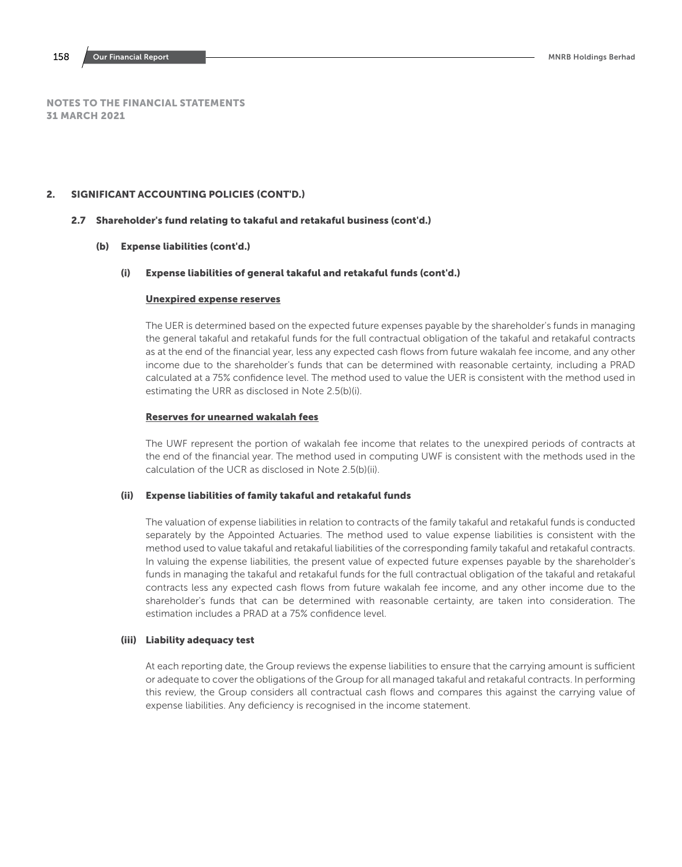#### 2. SIGNIFICANT ACCOUNTING POLICIES (CONT'D.)

#### 2.7 Shareholder's fund relating to takaful and retakaful business (cont'd.)

#### (b) Expense liabilities (cont'd.)

#### (i) Expense liabilities of general takaful and retakaful funds (cont'd.)

#### Unexpired expense reserves

The UER is determined based on the expected future expenses payable by the shareholder's funds in managing the general takaful and retakaful funds for the full contractual obligation of the takaful and retakaful contracts as at the end of the financial year, less any expected cash flows from future wakalah fee income, and any other income due to the shareholder's funds that can be determined with reasonable certainty, including a PRAD calculated at a 75% confidence level. The method used to value the UER is consistent with the method used in estimating the URR as disclosed in Note 2.5(b)(i).

#### Reserves for unearned wakalah fees

The UWF represent the portion of wakalah fee income that relates to the unexpired periods of contracts at the end of the financial year. The method used in computing UWF is consistent with the methods used in the calculation of the UCR as disclosed in Note 2.5(b)(ii).

#### (ii) Expense liabilities of family takaful and retakaful funds

The valuation of expense liabilities in relation to contracts of the family takaful and retakaful funds is conducted separately by the Appointed Actuaries. The method used to value expense liabilities is consistent with the method used to value takaful and retakaful liabilities of the corresponding family takaful and retakaful contracts. In valuing the expense liabilities, the present value of expected future expenses payable by the shareholder's funds in managing the takaful and retakaful funds for the full contractual obligation of the takaful and retakaful contracts less any expected cash flows from future wakalah fee income, and any other income due to the shareholder's funds that can be determined with reasonable certainty, are taken into consideration. The estimation includes a PRAD at a 75% confidence level.

#### (iii) Liability adequacy test

At each reporting date, the Group reviews the expense liabilities to ensure that the carrying amount is sufficient or adequate to cover the obligations of the Group for all managed takaful and retakaful contracts. In performing this review, the Group considers all contractual cash flows and compares this against the carrying value of expense liabilities. Any deficiency is recognised in the income statement.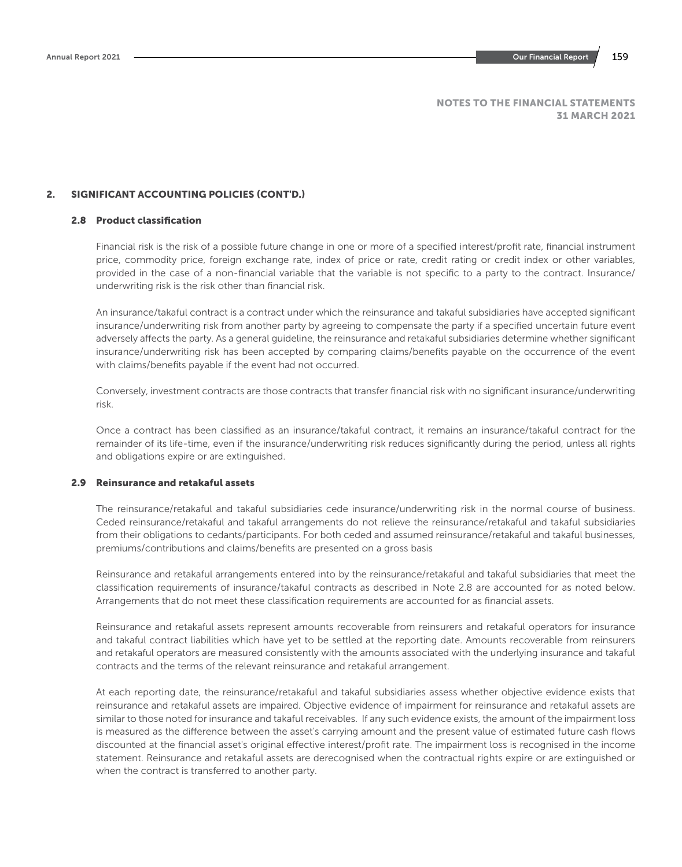#### 2. SIGNIFICANT ACCOUNTING POLICIES (CONT'D.)

#### 2.8 Product classification

Financial risk is the risk of a possible future change in one or more of a specified interest/profit rate, financial instrument price, commodity price, foreign exchange rate, index of price or rate, credit rating or credit index or other variables, provided in the case of a non-financial variable that the variable is not specific to a party to the contract. Insurance/ underwriting risk is the risk other than financial risk.

An insurance/takaful contract is a contract under which the reinsurance and takaful subsidiaries have accepted significant insurance/underwriting risk from another party by agreeing to compensate the party if a specified uncertain future event adversely affects the party. As a general guideline, the reinsurance and retakaful subsidiaries determine whether significant insurance/underwriting risk has been accepted by comparing claims/benefits payable on the occurrence of the event with claims/benefits payable if the event had not occurred.

Conversely, investment contracts are those contracts that transfer financial risk with no significant insurance/underwriting risk.

Once a contract has been classified as an insurance/takaful contract, it remains an insurance/takaful contract for the remainder of its life-time, even if the insurance/underwriting risk reduces significantly during the period, unless all rights and obligations expire or are extinguished.

#### 2.9 Reinsurance and retakaful assets

The reinsurance/retakaful and takaful subsidiaries cede insurance/underwriting risk in the normal course of business. Ceded reinsurance/retakaful and takaful arrangements do not relieve the reinsurance/retakaful and takaful subsidiaries from their obligations to cedants/participants. For both ceded and assumed reinsurance/retakaful and takaful businesses, premiums/contributions and claims/benefits are presented on a gross basis

Reinsurance and retakaful arrangements entered into by the reinsurance/retakaful and takaful subsidiaries that meet the classification requirements of insurance/takaful contracts as described in Note 2.8 are accounted for as noted below. Arrangements that do not meet these classification requirements are accounted for as financial assets.

Reinsurance and retakaful assets represent amounts recoverable from reinsurers and retakaful operators for insurance and takaful contract liabilities which have yet to be settled at the reporting date. Amounts recoverable from reinsurers and retakaful operators are measured consistently with the amounts associated with the underlying insurance and takaful contracts and the terms of the relevant reinsurance and retakaful arrangement.

At each reporting date, the reinsurance/retakaful and takaful subsidiaries assess whether objective evidence exists that reinsurance and retakaful assets are impaired. Objective evidence of impairment for reinsurance and retakaful assets are similar to those noted for insurance and takaful receivables. If any such evidence exists, the amount of the impairment loss is measured as the difference between the asset's carrying amount and the present value of estimated future cash flows discounted at the financial asset's original effective interest/profit rate. The impairment loss is recognised in the income statement. Reinsurance and retakaful assets are derecognised when the contractual rights expire or are extinguished or when the contract is transferred to another party.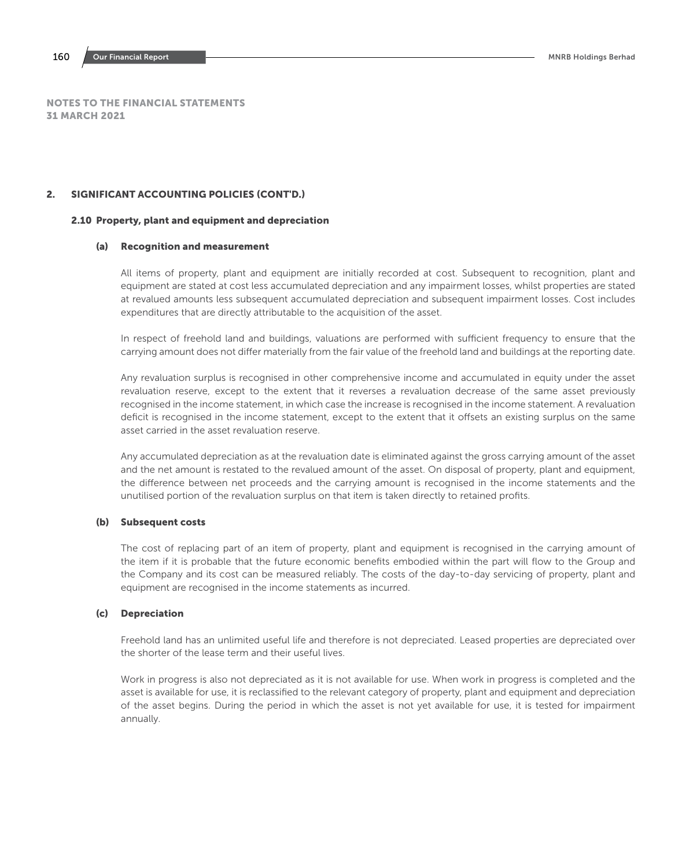#### 2. SIGNIFICANT ACCOUNTING POLICIES (CONT'D.)

#### 2.10 Property, plant and equipment and depreciation

#### (a) Recognition and measurement

All items of property, plant and equipment are initially recorded at cost. Subsequent to recognition, plant and equipment are stated at cost less accumulated depreciation and any impairment losses, whilst properties are stated at revalued amounts less subsequent accumulated depreciation and subsequent impairment losses. Cost includes expenditures that are directly attributable to the acquisition of the asset.

In respect of freehold land and buildings, valuations are performed with sufficient frequency to ensure that the carrying amount does not differ materially from the fair value of the freehold land and buildings at the reporting date.

Any revaluation surplus is recognised in other comprehensive income and accumulated in equity under the asset revaluation reserve, except to the extent that it reverses a revaluation decrease of the same asset previously recognised in the income statement, in which case the increase is recognised in the income statement. A revaluation deficit is recognised in the income statement, except to the extent that it offsets an existing surplus on the same asset carried in the asset revaluation reserve.

Any accumulated depreciation as at the revaluation date is eliminated against the gross carrying amount of the asset and the net amount is restated to the revalued amount of the asset. On disposal of property, plant and equipment, the difference between net proceeds and the carrying amount is recognised in the income statements and the unutilised portion of the revaluation surplus on that item is taken directly to retained profits.

#### (b) Subsequent costs

The cost of replacing part of an item of property, plant and equipment is recognised in the carrying amount of the item if it is probable that the future economic benefits embodied within the part will flow to the Group and the Company and its cost can be measured reliably. The costs of the day-to-day servicing of property, plant and equipment are recognised in the income statements as incurred.

#### (c) Depreciation

Freehold land has an unlimited useful life and therefore is not depreciated. Leased properties are depreciated over the shorter of the lease term and their useful lives.

Work in progress is also not depreciated as it is not available for use. When work in progress is completed and the asset is available for use, it is reclassified to the relevant category of property, plant and equipment and depreciation of the asset begins. During the period in which the asset is not yet available for use, it is tested for impairment annually.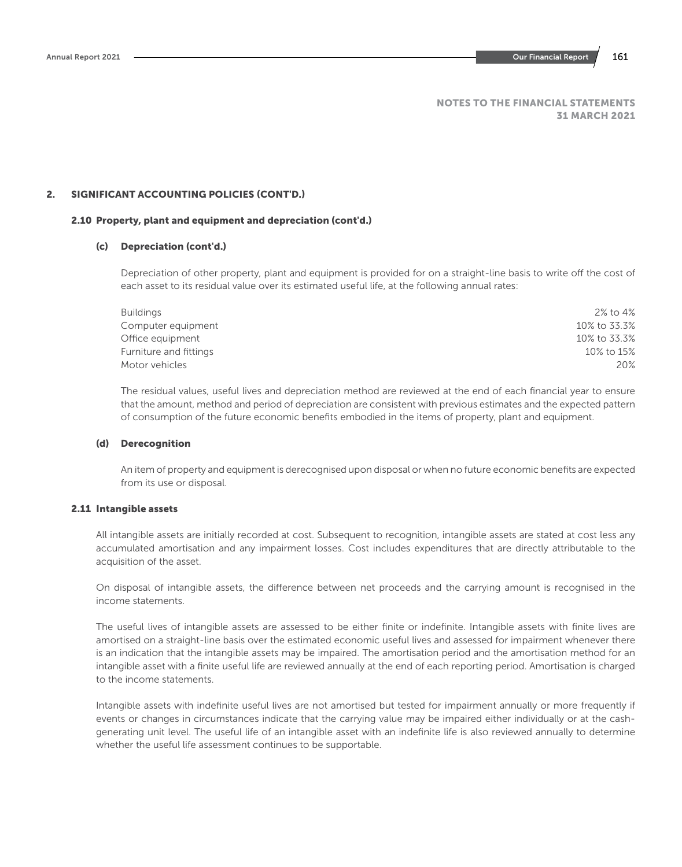#### 2. SIGNIFICANT ACCOUNTING POLICIES (CONT'D.)

#### 2.10 Property, plant and equipment and depreciation (cont'd.)

#### (c) Depreciation (cont'd.)

Depreciation of other property, plant and equipment is provided for on a straight-line basis to write off the cost of each asset to its residual value over its estimated useful life, at the following annual rates:

| <b>Buildings</b>       | 2% to 4%     |
|------------------------|--------------|
| Computer equipment     | 10% to 33.3% |
| Office equipment       | 10% to 33.3% |
| Furniture and fittings | 10% to 15%   |
| Motor vehicles         | 20%          |

The residual values, useful lives and depreciation method are reviewed at the end of each financial year to ensure that the amount, method and period of depreciation are consistent with previous estimates and the expected pattern of consumption of the future economic benefits embodied in the items of property, plant and equipment.

#### (d) Derecognition

An item of property and equipment is derecognised upon disposal or when no future economic benefits are expected from its use or disposal.

#### 2.11 Intangible assets

All intangible assets are initially recorded at cost. Subsequent to recognition, intangible assets are stated at cost less any accumulated amortisation and any impairment losses. Cost includes expenditures that are directly attributable to the acquisition of the asset.

On disposal of intangible assets, the difference between net proceeds and the carrying amount is recognised in the income statements.

The useful lives of intangible assets are assessed to be either finite or indefinite. Intangible assets with finite lives are amortised on a straight-line basis over the estimated economic useful lives and assessed for impairment whenever there is an indication that the intangible assets may be impaired. The amortisation period and the amortisation method for an intangible asset with a finite useful life are reviewed annually at the end of each reporting period. Amortisation is charged to the income statements.

Intangible assets with indefinite useful lives are not amortised but tested for impairment annually or more frequently if events or changes in circumstances indicate that the carrying value may be impaired either individually or at the cashgenerating unit level. The useful life of an intangible asset with an indefinite life is also reviewed annually to determine whether the useful life assessment continues to be supportable.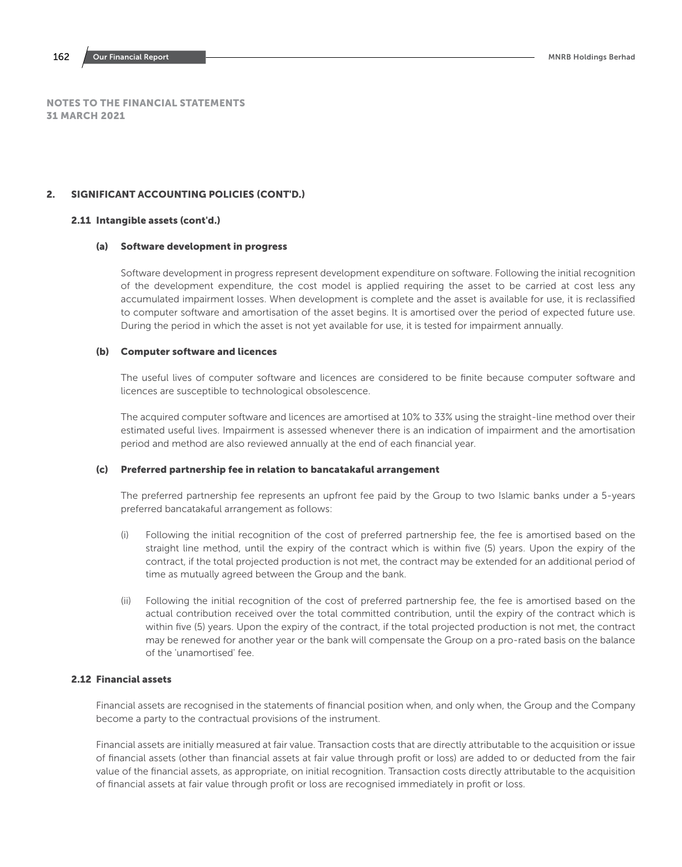#### 2. SIGNIFICANT ACCOUNTING POLICIES (CONT'D.)

# 2.11 Intangible assets (cont'd.)

### (a) Software development in progress

Software development in progress represent development expenditure on software. Following the initial recognition of the development expenditure, the cost model is applied requiring the asset to be carried at cost less any accumulated impairment losses. When development is complete and the asset is available for use, it is reclassified to computer software and amortisation of the asset begins. It is amortised over the period of expected future use. During the period in which the asset is not yet available for use, it is tested for impairment annually.

#### (b) Computer software and licences

The useful lives of computer software and licences are considered to be finite because computer software and licences are susceptible to technological obsolescence.

The acquired computer software and licences are amortised at 10% to 33% using the straight-line method over their estimated useful lives. Impairment is assessed whenever there is an indication of impairment and the amortisation period and method are also reviewed annually at the end of each financial year.

#### (c) Preferred partnership fee in relation to bancatakaful arrangement

The preferred partnership fee represents an upfront fee paid by the Group to two Islamic banks under a 5-years preferred bancatakaful arrangement as follows:

- (i) Following the initial recognition of the cost of preferred partnership fee, the fee is amortised based on the straight line method, until the expiry of the contract which is within five (5) years. Upon the expiry of the contract, if the total projected production is not met, the contract may be extended for an additional period of time as mutually agreed between the Group and the bank.
- (ii) Following the initial recognition of the cost of preferred partnership fee, the fee is amortised based on the actual contribution received over the total committed contribution, until the expiry of the contract which is within five (5) years. Upon the expiry of the contract, if the total projected production is not met, the contract may be renewed for another year or the bank will compensate the Group on a pro-rated basis on the balance of the 'unamortised' fee.

### 2.12 Financial assets

Financial assets are recognised in the statements of financial position when, and only when, the Group and the Company become a party to the contractual provisions of the instrument.

Financial assets are initially measured at fair value. Transaction costs that are directly attributable to the acquisition or issue of financial assets (other than financial assets at fair value through profit or loss) are added to or deducted from the fair value of the financial assets, as appropriate, on initial recognition. Transaction costs directly attributable to the acquisition of financial assets at fair value through profit or loss are recognised immediately in profit or loss.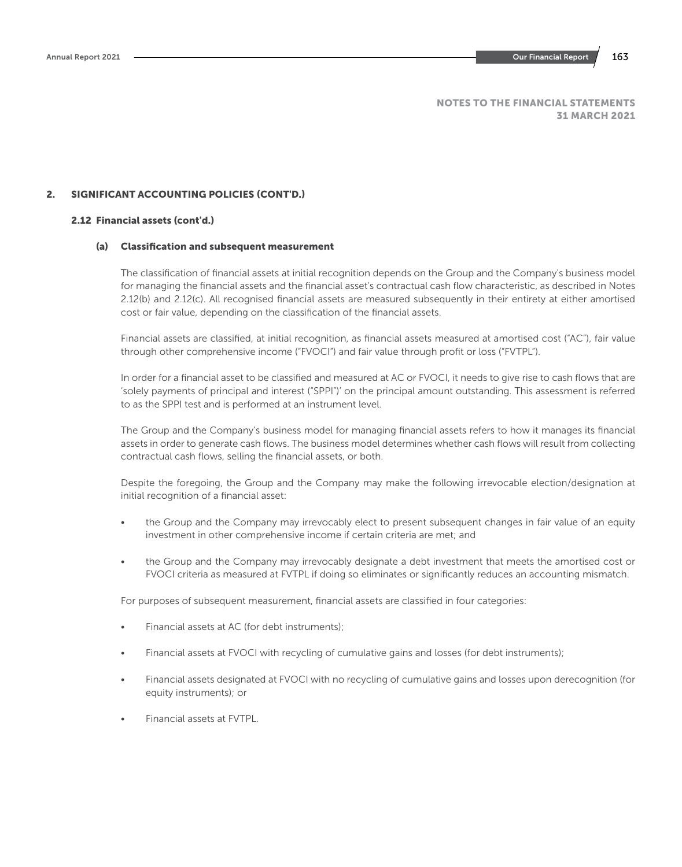# 2.12 Financial assets (cont'd.)

# (a) Classification and subsequent measurement

The classification of financial assets at initial recognition depends on the Group and the Company's business model for managing the financial assets and the financial asset's contractual cash flow characteristic, as described in Notes 2.12(b) and 2.12(c). All recognised financial assets are measured subsequently in their entirety at either amortised cost or fair value, depending on the classification of the financial assets.

Financial assets are classified, at initial recognition, as financial assets measured at amortised cost ("AC"), fair value through other comprehensive income ("FVOCI") and fair value through profit or loss ("FVTPL").

In order for a financial asset to be classified and measured at AC or FVOCI, it needs to give rise to cash flows that are 'solely payments of principal and interest ("SPPI")' on the principal amount outstanding. This assessment is referred to as the SPPI test and is performed at an instrument level.

The Group and the Company's business model for managing financial assets refers to how it manages its financial assets in order to generate cash flows. The business model determines whether cash flows will result from collecting contractual cash flows, selling the financial assets, or both.

Despite the foregoing, the Group and the Company may make the following irrevocable election/designation at initial recognition of a financial asset:

- the Group and the Company may irrevocably elect to present subsequent changes in fair value of an equity investment in other comprehensive income if certain criteria are met; and
- the Group and the Company may irrevocably designate a debt investment that meets the amortised cost or FVOCI criteria as measured at FVTPL if doing so eliminates or significantly reduces an accounting mismatch.

For purposes of subsequent measurement, financial assets are classified in four categories:

- Financial assets at AC (for debt instruments);
- Financial assets at FVOCI with recycling of cumulative gains and losses (for debt instruments);
- Financial assets designated at FVOCI with no recycling of cumulative gains and losses upon derecognition (for equity instruments); or
- Financial assets at FVTPL.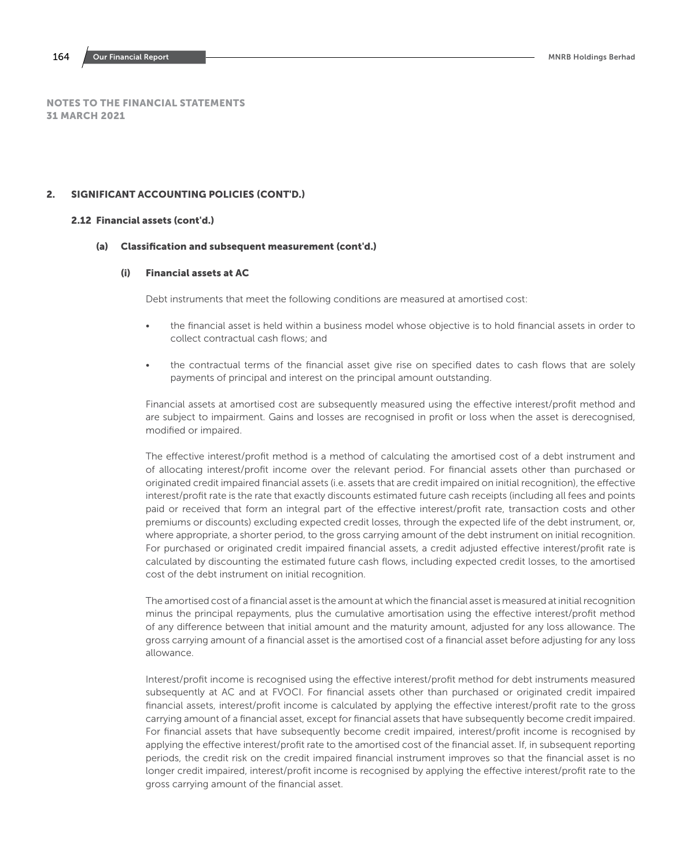#### 2. SIGNIFICANT ACCOUNTING POLICIES (CONT'D.)

### 2.12 Financial assets (cont'd.)

### (a) Classification and subsequent measurement (cont'd.)

### (i) Financial assets at AC

Debt instruments that meet the following conditions are measured at amortised cost:

- the financial asset is held within a business model whose objective is to hold financial assets in order to collect contractual cash flows; and
- the contractual terms of the financial asset give rise on specified dates to cash flows that are solely payments of principal and interest on the principal amount outstanding.

Financial assets at amortised cost are subsequently measured using the effective interest/profit method and are subject to impairment. Gains and losses are recognised in profit or loss when the asset is derecognised, modified or impaired.

The effective interest/profit method is a method of calculating the amortised cost of a debt instrument and of allocating interest/profit income over the relevant period. For financial assets other than purchased or originated credit impaired financial assets (i.e. assets that are credit impaired on initial recognition), the effective interest/profit rate is the rate that exactly discounts estimated future cash receipts (including all fees and points paid or received that form an integral part of the effective interest/profit rate, transaction costs and other premiums or discounts) excluding expected credit losses, through the expected life of the debt instrument, or, where appropriate, a shorter period, to the gross carrying amount of the debt instrument on initial recognition. For purchased or originated credit impaired financial assets, a credit adjusted effective interest/profit rate is calculated by discounting the estimated future cash flows, including expected credit losses, to the amortised cost of the debt instrument on initial recognition.

The amortised cost of a financial asset is the amount at which the financial asset is measured at initial recognition minus the principal repayments, plus the cumulative amortisation using the effective interest/profit method of any difference between that initial amount and the maturity amount, adjusted for any loss allowance. The gross carrying amount of a financial asset is the amortised cost of a financial asset before adjusting for any loss allowance.

Interest/profit income is recognised using the effective interest/profit method for debt instruments measured subsequently at AC and at FVOCI. For financial assets other than purchased or originated credit impaired financial assets, interest/profit income is calculated by applying the effective interest/profit rate to the gross carrying amount of a financial asset, except for financial assets that have subsequently become credit impaired. For financial assets that have subsequently become credit impaired, interest/profit income is recognised by applying the effective interest/profit rate to the amortised cost of the financial asset. If, in subsequent reporting periods, the credit risk on the credit impaired financial instrument improves so that the financial asset is no longer credit impaired, interest/profit income is recognised by applying the effective interest/profit rate to the gross carrying amount of the financial asset.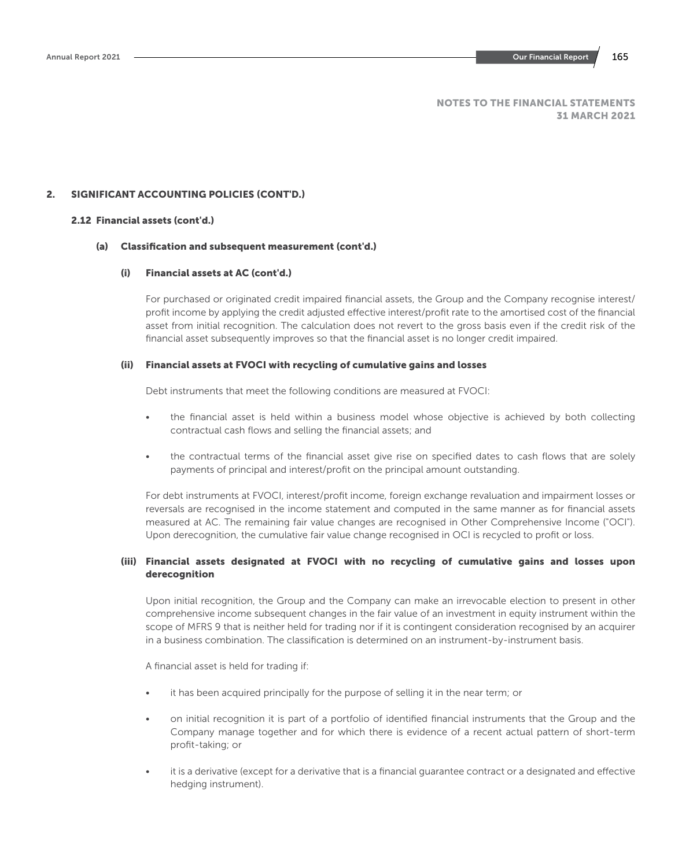# 2.12 Financial assets (cont'd.)

### (a) Classification and subsequent measurement (cont'd.)

### (i) Financial assets at AC (cont'd.)

For purchased or originated credit impaired financial assets, the Group and the Company recognise interest/ profit income by applying the credit adjusted effective interest/profit rate to the amortised cost of the financial asset from initial recognition. The calculation does not revert to the gross basis even if the credit risk of the financial asset subsequently improves so that the financial asset is no longer credit impaired.

### (ii) Financial assets at FVOCI with recycling of cumulative gains and losses

Debt instruments that meet the following conditions are measured at FVOCI:

- the financial asset is held within a business model whose objective is achieved by both collecting contractual cash flows and selling the financial assets; and
- the contractual terms of the financial asset give rise on specified dates to cash flows that are solely payments of principal and interest/profit on the principal amount outstanding.

For debt instruments at FVOCI, interest/profit income, foreign exchange revaluation and impairment losses or reversals are recognised in the income statement and computed in the same manner as for financial assets measured at AC. The remaining fair value changes are recognised in Other Comprehensive Income ("OCI"). Upon derecognition, the cumulative fair value change recognised in OCI is recycled to profit or loss.

# (iii) Financial assets designated at FVOCI with no recycling of cumulative gains and losses upon derecognition

Upon initial recognition, the Group and the Company can make an irrevocable election to present in other comprehensive income subsequent changes in the fair value of an investment in equity instrument within the scope of MFRS 9 that is neither held for trading nor if it is contingent consideration recognised by an acquirer in a business combination. The classification is determined on an instrument-by-instrument basis.

A financial asset is held for trading if:

- it has been acquired principally for the purpose of selling it in the near term; or
- on initial recognition it is part of a portfolio of identified financial instruments that the Group and the Company manage together and for which there is evidence of a recent actual pattern of short-term profit-taking; or
- it is a derivative (except for a derivative that is a financial guarantee contract or a designated and effective hedging instrument).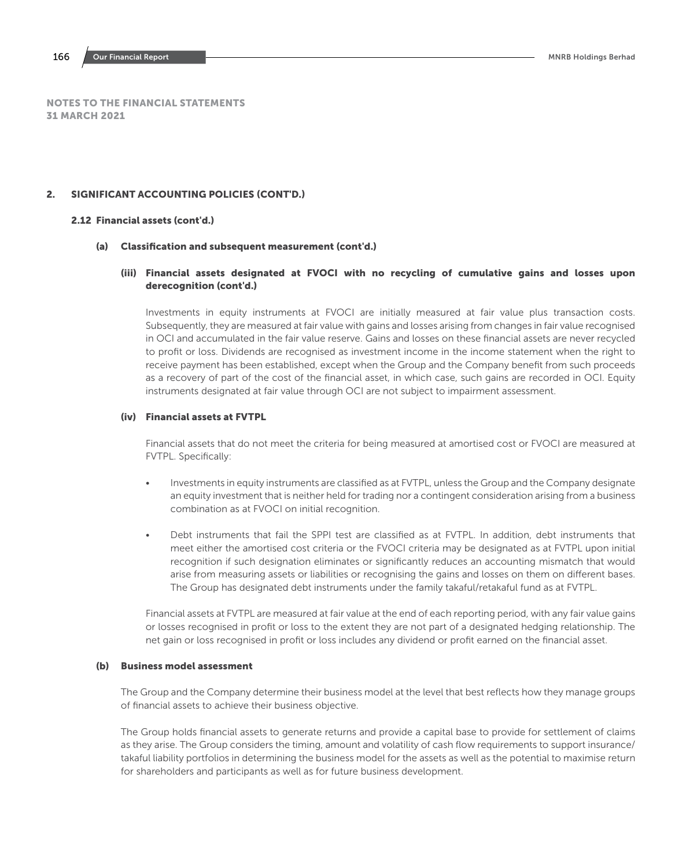#### 2. SIGNIFICANT ACCOUNTING POLICIES (CONT'D.)

### 2.12 Financial assets (cont'd.)

#### (a) Classification and subsequent measurement (cont'd.)

# (iii) Financial assets designated at FVOCI with no recycling of cumulative gains and losses upon derecognition (cont'd.)

Investments in equity instruments at FVOCI are initially measured at fair value plus transaction costs. Subsequently, they are measured at fair value with gains and losses arising from changes in fair value recognised in OCI and accumulated in the fair value reserve. Gains and losses on these financial assets are never recycled to profit or loss. Dividends are recognised as investment income in the income statement when the right to receive payment has been established, except when the Group and the Company benefit from such proceeds as a recovery of part of the cost of the financial asset, in which case, such gains are recorded in OCI. Equity instruments designated at fair value through OCI are not subject to impairment assessment.

### (iv) Financial assets at FVTPL

Financial assets that do not meet the criteria for being measured at amortised cost or FVOCI are measured at FVTPL. Specifically:

- Investments in equity instruments are classified as at FVTPL, unless the Group and the Company designate an equity investment that is neither held for trading nor a contingent consideration arising from a business combination as at FVOCI on initial recognition.
- Debt instruments that fail the SPPI test are classified as at FVTPL. In addition, debt instruments that meet either the amortised cost criteria or the FVOCI criteria may be designated as at FVTPL upon initial recognition if such designation eliminates or significantly reduces an accounting mismatch that would arise from measuring assets or liabilities or recognising the gains and losses on them on different bases. The Group has designated debt instruments under the family takaful/retakaful fund as at FVTPL.

Financial assets at FVTPL are measured at fair value at the end of each reporting period, with any fair value gains or losses recognised in profit or loss to the extent they are not part of a designated hedging relationship. The net gain or loss recognised in profit or loss includes any dividend or profit earned on the financial asset.

#### (b) Business model assessment

The Group and the Company determine their business model at the level that best reflects how they manage groups of financial assets to achieve their business objective.

The Group holds financial assets to generate returns and provide a capital base to provide for settlement of claims as they arise. The Group considers the timing, amount and volatility of cash flow requirements to support insurance/ takaful liability portfolios in determining the business model for the assets as well as the potential to maximise return for shareholders and participants as well as for future business development.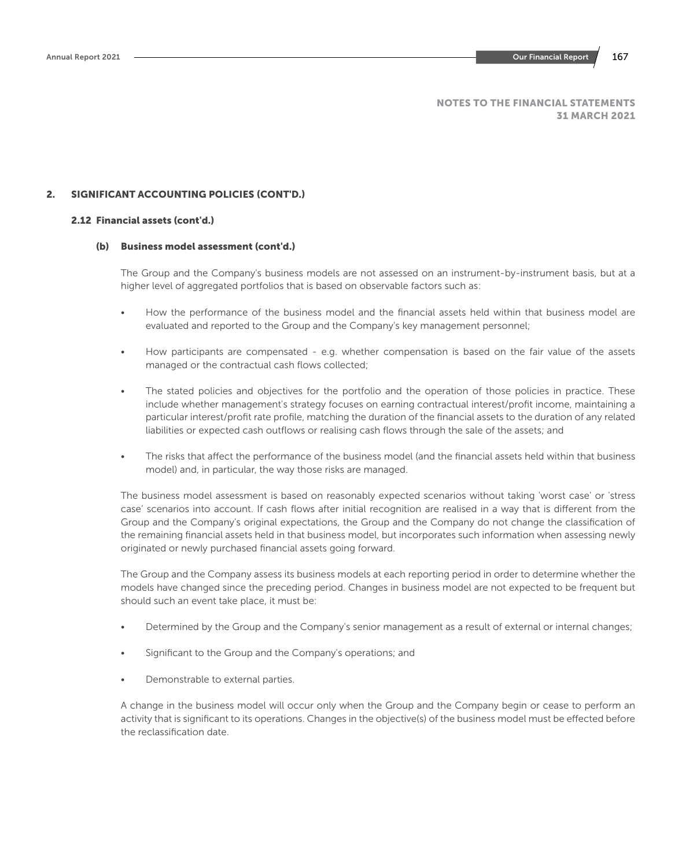# 2.12 Financial assets (cont'd.)

# (b) Business model assessment (cont'd.)

The Group and the Company's business models are not assessed on an instrument-by-instrument basis, but at a higher level of aggregated portfolios that is based on observable factors such as:

- How the performance of the business model and the financial assets held within that business model are evaluated and reported to the Group and the Company's key management personnel;
- How participants are compensated e.g. whether compensation is based on the fair value of the assets managed or the contractual cash flows collected;
- The stated policies and objectives for the portfolio and the operation of those policies in practice. These include whether management's strategy focuses on earning contractual interest/profit income, maintaining a particular interest/profit rate profile, matching the duration of the financial assets to the duration of any related liabilities or expected cash outflows or realising cash flows through the sale of the assets; and
- The risks that affect the performance of the business model (and the financial assets held within that business model) and, in particular, the way those risks are managed.

The business model assessment is based on reasonably expected scenarios without taking 'worst case' or 'stress case' scenarios into account. If cash flows after initial recognition are realised in a way that is different from the Group and the Company's original expectations, the Group and the Company do not change the classification of the remaining financial assets held in that business model, but incorporates such information when assessing newly originated or newly purchased financial assets going forward.

The Group and the Company assess its business models at each reporting period in order to determine whether the models have changed since the preceding period. Changes in business model are not expected to be frequent but should such an event take place, it must be:

- Determined by the Group and the Company's senior management as a result of external or internal changes;
- Significant to the Group and the Company's operations; and
- Demonstrable to external parties.

A change in the business model will occur only when the Group and the Company begin or cease to perform an activity that is significant to its operations. Changes in the objective(s) of the business model must be effected before the reclassification date.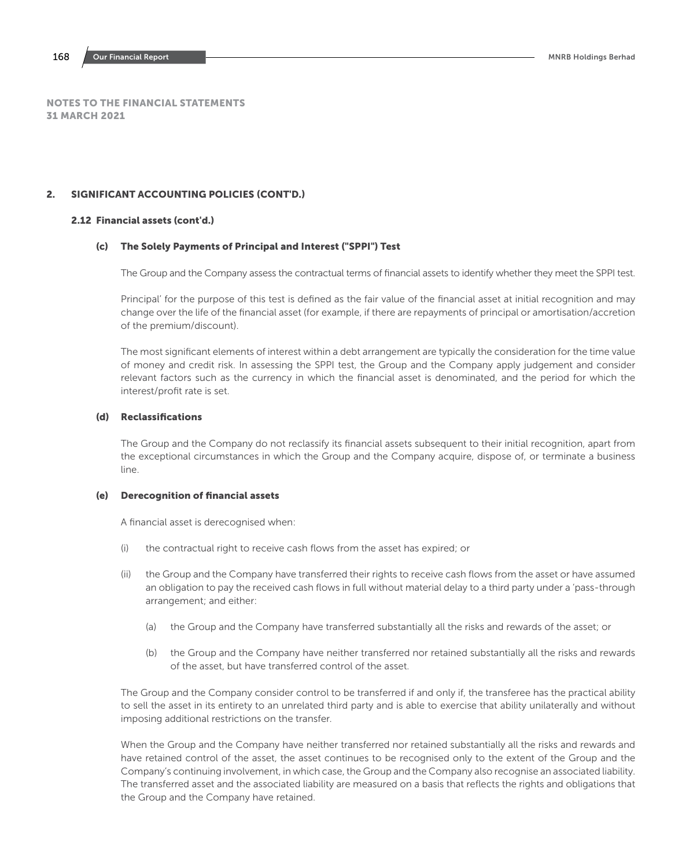#### 2. SIGNIFICANT ACCOUNTING POLICIES (CONT'D.)

# 2.12 Financial assets (cont'd.)

### (c) The Solely Payments of Principal and Interest ("SPPI") Test

The Group and the Company assess the contractual terms of financial assets to identify whether they meet the SPPI test.

Principal' for the purpose of this test is defined as the fair value of the financial asset at initial recognition and may change over the life of the financial asset (for example, if there are repayments of principal or amortisation/accretion of the premium/discount).

The most significant elements of interest within a debt arrangement are typically the consideration for the time value of money and credit risk. In assessing the SPPI test, the Group and the Company apply judgement and consider relevant factors such as the currency in which the financial asset is denominated, and the period for which the interest/profit rate is set.

# (d) Reclassifications

The Group and the Company do not reclassify its financial assets subsequent to their initial recognition, apart from the exceptional circumstances in which the Group and the Company acquire, dispose of, or terminate a business line.

#### (e) Derecognition of financial assets

A financial asset is derecognised when:

- (i) the contractual right to receive cash flows from the asset has expired; or
- (ii) the Group and the Company have transferred their rights to receive cash flows from the asset or have assumed an obligation to pay the received cash flows in full without material delay to a third party under a 'pass-through arrangement; and either:
	- (a) the Group and the Company have transferred substantially all the risks and rewards of the asset; or
	- (b) the Group and the Company have neither transferred nor retained substantially all the risks and rewards of the asset, but have transferred control of the asset.

The Group and the Company consider control to be transferred if and only if, the transferee has the practical ability to sell the asset in its entirety to an unrelated third party and is able to exercise that ability unilaterally and without imposing additional restrictions on the transfer.

When the Group and the Company have neither transferred nor retained substantially all the risks and rewards and have retained control of the asset, the asset continues to be recognised only to the extent of the Group and the Company's continuing involvement, in which case, the Group and the Company also recognise an associated liability. The transferred asset and the associated liability are measured on a basis that reflects the rights and obligations that the Group and the Company have retained.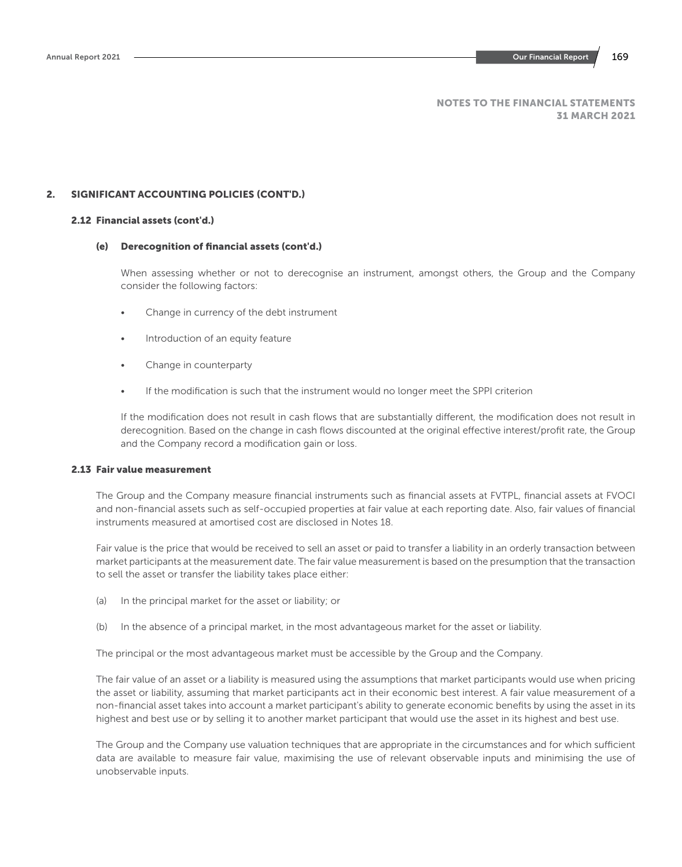# 2.12 Financial assets (cont'd.)

### (e) Derecognition of financial assets (cont'd.)

When assessing whether or not to derecognise an instrument, amongst others, the Group and the Company consider the following factors:

- Change in currency of the debt instrument
- Introduction of an equity feature
- Change in counterparty
- If the modification is such that the instrument would no longer meet the SPPI criterion

If the modification does not result in cash flows that are substantially different, the modification does not result in derecognition. Based on the change in cash flows discounted at the original effective interest/profit rate, the Group and the Company record a modification gain or loss.

### 2.13 Fair value measurement

The Group and the Company measure financial instruments such as financial assets at FVTPL, financial assets at FVOCI and non-financial assets such as self-occupied properties at fair value at each reporting date. Also, fair values of financial instruments measured at amortised cost are disclosed in Notes 18.

Fair value is the price that would be received to sell an asset or paid to transfer a liability in an orderly transaction between market participants at the measurement date. The fair value measurement is based on the presumption that the transaction to sell the asset or transfer the liability takes place either:

- (a) In the principal market for the asset or liability; or
- (b) In the absence of a principal market, in the most advantageous market for the asset or liability.

The principal or the most advantageous market must be accessible by the Group and the Company.

The fair value of an asset or a liability is measured using the assumptions that market participants would use when pricing the asset or liability, assuming that market participants act in their economic best interest. A fair value measurement of a non-financial asset takes into account a market participant's ability to generate economic benefits by using the asset in its highest and best use or by selling it to another market participant that would use the asset in its highest and best use.

The Group and the Company use valuation techniques that are appropriate in the circumstances and for which sufficient data are available to measure fair value, maximising the use of relevant observable inputs and minimising the use of unobservable inputs.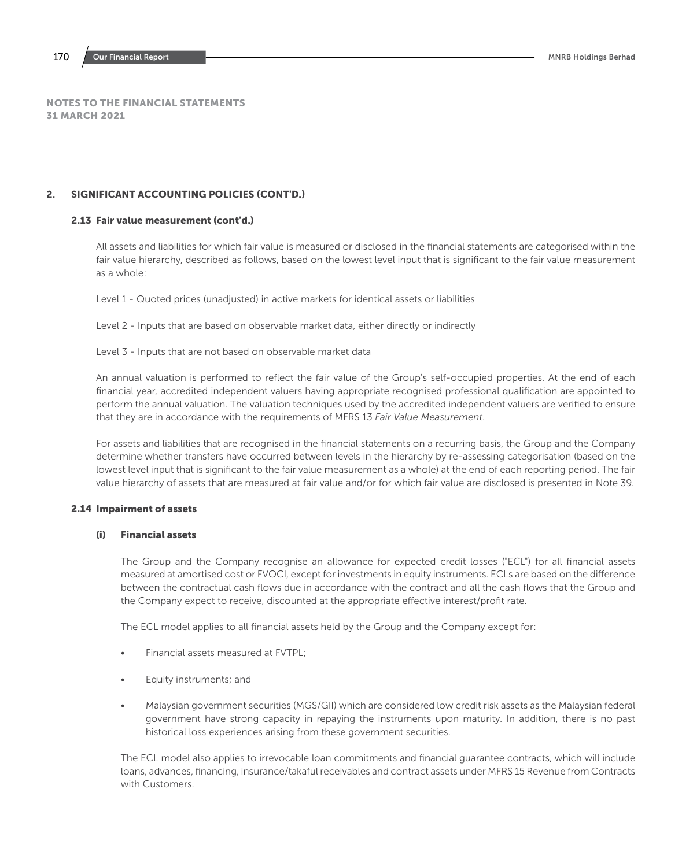#### 2. SIGNIFICANT ACCOUNTING POLICIES (CONT'D.)

### 2.13 Fair value measurement (cont'd.)

All assets and liabilities for which fair value is measured or disclosed in the financial statements are categorised within the fair value hierarchy, described as follows, based on the lowest level input that is significant to the fair value measurement as a whole:

Level 1 - Quoted prices (unadjusted) in active markets for identical assets or liabilities

Level 2 - Inputs that are based on observable market data, either directly or indirectly

Level 3 - Inputs that are not based on observable market data

An annual valuation is performed to reflect the fair value of the Group's self-occupied properties. At the end of each financial year, accredited independent valuers having appropriate recognised professional qualification are appointed to perform the annual valuation. The valuation techniques used by the accredited independent valuers are verified to ensure that they are in accordance with the requirements of MFRS 13 *Fair Value Measurement*.

For assets and liabilities that are recognised in the financial statements on a recurring basis, the Group and the Company determine whether transfers have occurred between levels in the hierarchy by re-assessing categorisation (based on the lowest level input that is significant to the fair value measurement as a whole) at the end of each reporting period. The fair value hierarchy of assets that are measured at fair value and/or for which fair value are disclosed is presented in Note 39.

### 2.14 Impairment of assets

### (i) Financial assets

The Group and the Company recognise an allowance for expected credit losses ("ECL") for all financial assets measured at amortised cost or FVOCI, except for investments in equity instruments. ECLs are based on the difference between the contractual cash flows due in accordance with the contract and all the cash flows that the Group and the Company expect to receive, discounted at the appropriate effective interest/profit rate.

The ECL model applies to all financial assets held by the Group and the Company except for:

- Financial assets measured at FVTPL;
- Equity instruments; and
- Malaysian government securities (MGS/GII) which are considered low credit risk assets as the Malaysian federal government have strong capacity in repaying the instruments upon maturity. In addition, there is no past historical loss experiences arising from these government securities.

The ECL model also applies to irrevocable loan commitments and financial guarantee contracts, which will include loans, advances, financing, insurance/takaful receivables and contract assets under MFRS 15 Revenue from Contracts with Customers.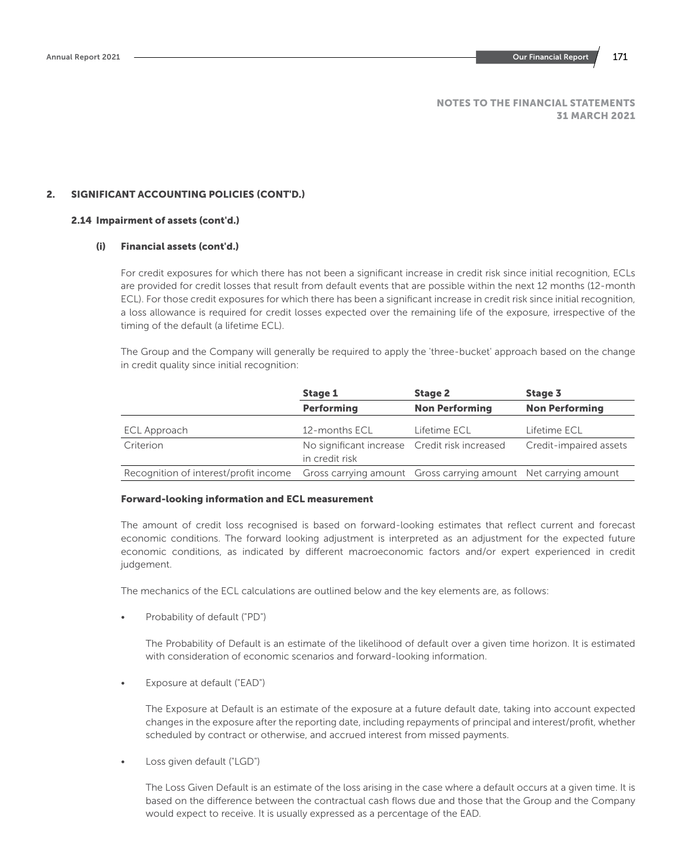# 2.14 Impairment of assets (cont'd.)

# (i) Financial assets (cont'd.)

For credit exposures for which there has not been a significant increase in credit risk since initial recognition, ECLs are provided for credit losses that result from default events that are possible within the next 12 months (12-month ECL). For those credit exposures for which there has been a significant increase in credit risk since initial recognition, a loss allowance is required for credit losses expected over the remaining life of the exposure, irrespective of the timing of the default (a lifetime ECL).

The Group and the Company will generally be required to apply the 'three-bucket' approach based on the change in credit quality since initial recognition:

|                                       | Stage 1                                                         | Stage 2                                                         | Stage 3                |
|---------------------------------------|-----------------------------------------------------------------|-----------------------------------------------------------------|------------------------|
|                                       | <b>Performing</b>                                               | <b>Non Performing</b>                                           | <b>Non Performing</b>  |
| <b>ECL Approach</b>                   | 12-months ECL                                                   | Lifetime ECL                                                    | Lifetime ECL           |
| Criterion                             | No significant increase Credit risk increased<br>in credit risk |                                                                 | Credit-impaired assets |
| Recognition of interest/profit income |                                                                 | Gross carrying amount Gross carrying amount Net carrying amount |                        |

#### Forward-looking information and ECL measurement

The amount of credit loss recognised is based on forward-looking estimates that reflect current and forecast economic conditions. The forward looking adjustment is interpreted as an adjustment for the expected future economic conditions, as indicated by different macroeconomic factors and/or expert experienced in credit judgement.

The mechanics of the ECL calculations are outlined below and the key elements are, as follows:

• Probability of default ("PD")

The Probability of Default is an estimate of the likelihood of default over a given time horizon. It is estimated with consideration of economic scenarios and forward-looking information.

Exposure at default ("EAD")

The Exposure at Default is an estimate of the exposure at a future default date, taking into account expected changes in the exposure after the reporting date, including repayments of principal and interest/profit, whether scheduled by contract or otherwise, and accrued interest from missed payments.

Loss given default ("LGD")

The Loss Given Default is an estimate of the loss arising in the case where a default occurs at a given time. It is based on the difference between the contractual cash flows due and those that the Group and the Company would expect to receive. It is usually expressed as a percentage of the EAD.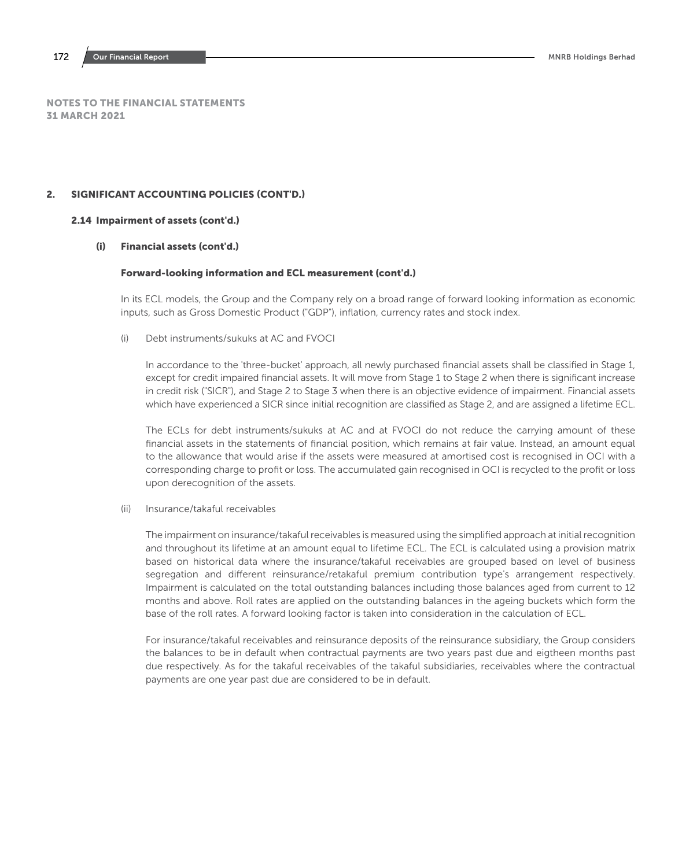### 2. SIGNIFICANT ACCOUNTING POLICIES (CONT'D.)

### 2.14 Impairment of assets (cont'd.)

# (i) Financial assets (cont'd.)

#### Forward-looking information and ECL measurement (cont'd.)

In its ECL models, the Group and the Company rely on a broad range of forward looking information as economic inputs, such as Gross Domestic Product ("GDP"), inflation, currency rates and stock index.

(i) Debt instruments/sukuks at AC and FVOCI

In accordance to the 'three-bucket' approach, all newly purchased financial assets shall be classified in Stage 1, except for credit impaired financial assets. It will move from Stage 1 to Stage 2 when there is significant increase in credit risk ("SICR"), and Stage 2 to Stage 3 when there is an objective evidence of impairment. Financial assets which have experienced a SICR since initial recognition are classified as Stage 2, and are assigned a lifetime ECL.

The ECLs for debt instruments/sukuks at AC and at FVOCI do not reduce the carrying amount of these financial assets in the statements of financial position, which remains at fair value. Instead, an amount equal to the allowance that would arise if the assets were measured at amortised cost is recognised in OCI with a corresponding charge to profit or loss. The accumulated gain recognised in OCI is recycled to the profit or loss upon derecognition of the assets.

(ii) Insurance/takaful receivables

The impairment on insurance/takaful receivables is measured using the simplified approach at initial recognition and throughout its lifetime at an amount equal to lifetime ECL. The ECL is calculated using a provision matrix based on historical data where the insurance/takaful receivables are grouped based on level of business segregation and different reinsurance/retakaful premium contribution type's arrangement respectively. Impairment is calculated on the total outstanding balances including those balances aged from current to 12 months and above. Roll rates are applied on the outstanding balances in the ageing buckets which form the base of the roll rates. A forward looking factor is taken into consideration in the calculation of ECL.

For insurance/takaful receivables and reinsurance deposits of the reinsurance subsidiary, the Group considers the balances to be in default when contractual payments are two years past due and eigtheen months past due respectively. As for the takaful receivables of the takaful subsidiaries, receivables where the contractual payments are one year past due are considered to be in default.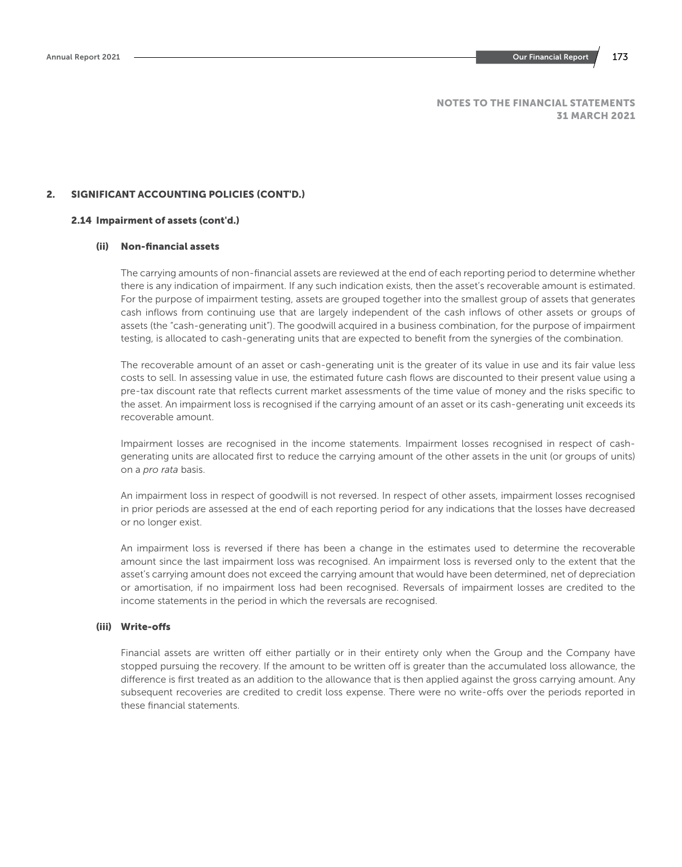### 2. SIGNIFICANT ACCOUNTING POLICIES (CONT'D.)

# 2.14 Impairment of assets (cont'd.)

# (ii) Non-financial assets

The carrying amounts of non-financial assets are reviewed at the end of each reporting period to determine whether there is any indication of impairment. If any such indication exists, then the asset's recoverable amount is estimated. For the purpose of impairment testing, assets are grouped together into the smallest group of assets that generates cash inflows from continuing use that are largely independent of the cash inflows of other assets or groups of assets (the "cash-generating unit"). The goodwill acquired in a business combination, for the purpose of impairment testing, is allocated to cash-generating units that are expected to benefit from the synergies of the combination.

The recoverable amount of an asset or cash-generating unit is the greater of its value in use and its fair value less costs to sell. In assessing value in use, the estimated future cash flows are discounted to their present value using a pre-tax discount rate that reflects current market assessments of the time value of money and the risks specific to the asset. An impairment loss is recognised if the carrying amount of an asset or its cash-generating unit exceeds its recoverable amount.

Impairment losses are recognised in the income statements. Impairment losses recognised in respect of cashgenerating units are allocated first to reduce the carrying amount of the other assets in the unit (or groups of units) on a *pro rata* basis.

An impairment loss in respect of goodwill is not reversed. In respect of other assets, impairment losses recognised in prior periods are assessed at the end of each reporting period for any indications that the losses have decreased or no longer exist.

An impairment loss is reversed if there has been a change in the estimates used to determine the recoverable amount since the last impairment loss was recognised. An impairment loss is reversed only to the extent that the asset's carrying amount does not exceed the carrying amount that would have been determined, net of depreciation or amortisation, if no impairment loss had been recognised. Reversals of impairment losses are credited to the income statements in the period in which the reversals are recognised.

### (iii) Write-offs

Financial assets are written off either partially or in their entirety only when the Group and the Company have stopped pursuing the recovery. If the amount to be written off is greater than the accumulated loss allowance, the difference is first treated as an addition to the allowance that is then applied against the gross carrying amount. Any subsequent recoveries are credited to credit loss expense. There were no write-offs over the periods reported in these financial statements.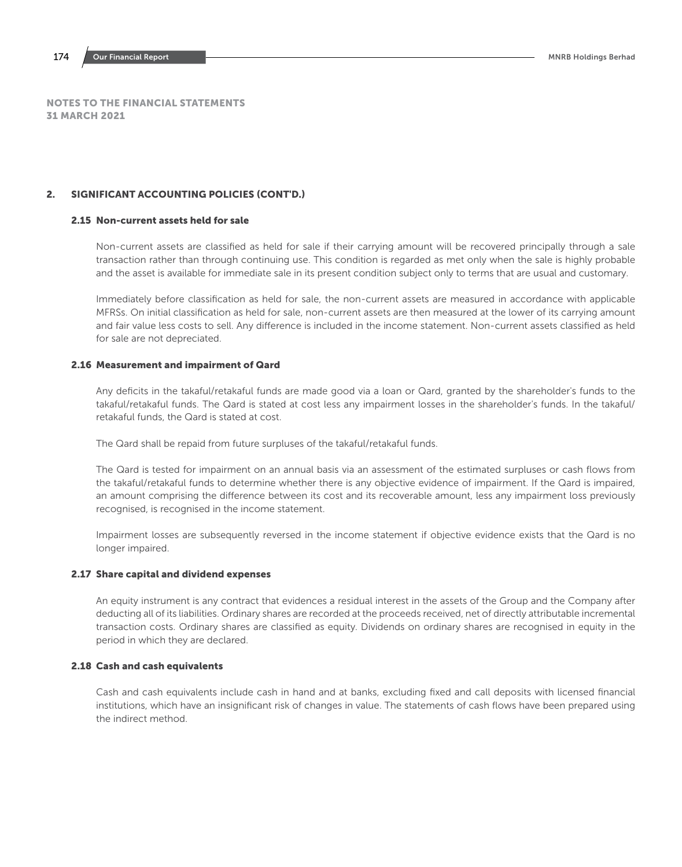#### 2. SIGNIFICANT ACCOUNTING POLICIES (CONT'D.)

# 2.15 Non-current assets held for sale

Non-current assets are classified as held for sale if their carrying amount will be recovered principally through a sale transaction rather than through continuing use. This condition is regarded as met only when the sale is highly probable and the asset is available for immediate sale in its present condition subject only to terms that are usual and customary.

Immediately before classification as held for sale, the non-current assets are measured in accordance with applicable MFRSs. On initial classification as held for sale, non-current assets are then measured at the lower of its carrying amount and fair value less costs to sell. Any difference is included in the income statement. Non-current assets classified as held for sale are not depreciated.

#### 2.16 Measurement and impairment of Qard

Any deficits in the takaful/retakaful funds are made good via a loan or Qard, granted by the shareholder's funds to the takaful/retakaful funds. The Qard is stated at cost less any impairment losses in the shareholder's funds. In the takaful/ retakaful funds, the Qard is stated at cost.

The Qard shall be repaid from future surpluses of the takaful/retakaful funds.

The Qard is tested for impairment on an annual basis via an assessment of the estimated surpluses or cash flows from the takaful/retakaful funds to determine whether there is any objective evidence of impairment. If the Qard is impaired, an amount comprising the difference between its cost and its recoverable amount, less any impairment loss previously recognised, is recognised in the income statement.

Impairment losses are subsequently reversed in the income statement if objective evidence exists that the Qard is no longer impaired.

#### 2.17 Share capital and dividend expenses

An equity instrument is any contract that evidences a residual interest in the assets of the Group and the Company after deducting all of its liabilities. Ordinary shares are recorded at the proceeds received, net of directly attributable incremental transaction costs. Ordinary shares are classified as equity. Dividends on ordinary shares are recognised in equity in the period in which they are declared.

#### 2.18 Cash and cash equivalents

Cash and cash equivalents include cash in hand and at banks, excluding fixed and call deposits with licensed financial institutions, which have an insignificant risk of changes in value. The statements of cash flows have been prepared using the indirect method.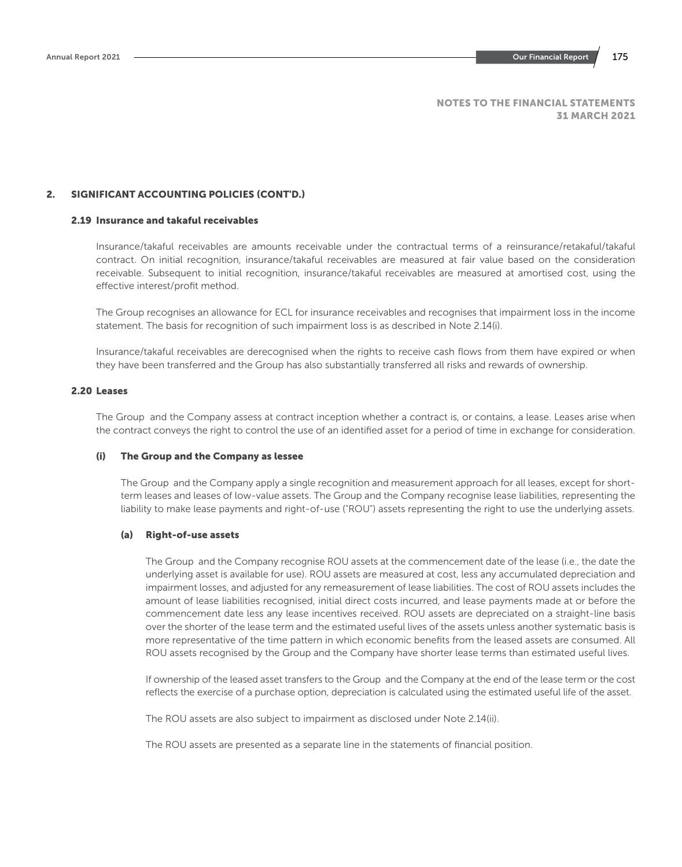### 2. SIGNIFICANT ACCOUNTING POLICIES (CONT'D.)

# 2.19 Insurance and takaful receivables

Insurance/takaful receivables are amounts receivable under the contractual terms of a reinsurance/retakaful/takaful contract. On initial recognition, insurance/takaful receivables are measured at fair value based on the consideration receivable. Subsequent to initial recognition, insurance/takaful receivables are measured at amortised cost, using the effective interest/profit method.

The Group recognises an allowance for ECL for insurance receivables and recognises that impairment loss in the income statement. The basis for recognition of such impairment loss is as described in Note 2.14(i).

Insurance/takaful receivables are derecognised when the rights to receive cash flows from them have expired or when they have been transferred and the Group has also substantially transferred all risks and rewards of ownership.

#### 2.20 Leases

The Group and the Company assess at contract inception whether a contract is, or contains, a lease. Leases arise when the contract conveys the right to control the use of an identified asset for a period of time in exchange for consideration.

### (i) The Group and the Company as lessee

The Group and the Company apply a single recognition and measurement approach for all leases, except for shortterm leases and leases of low-value assets. The Group and the Company recognise lease liabilities, representing the liability to make lease payments and right-of-use ("ROU") assets representing the right to use the underlying assets.

### (a) Right-of-use assets

The Group and the Company recognise ROU assets at the commencement date of the lease (i.e., the date the underlying asset is available for use). ROU assets are measured at cost, less any accumulated depreciation and impairment losses, and adjusted for any remeasurement of lease liabilities. The cost of ROU assets includes the amount of lease liabilities recognised, initial direct costs incurred, and lease payments made at or before the commencement date less any lease incentives received. ROU assets are depreciated on a straight-line basis over the shorter of the lease term and the estimated useful lives of the assets unless another systematic basis is more representative of the time pattern in which economic benefits from the leased assets are consumed. All ROU assets recognised by the Group and the Company have shorter lease terms than estimated useful lives.

If ownership of the leased asset transfers to the Group and the Company at the end of the lease term or the cost reflects the exercise of a purchase option, depreciation is calculated using the estimated useful life of the asset.

The ROU assets are also subject to impairment as disclosed under Note 2.14(ii).

The ROU assets are presented as a separate line in the statements of financial position.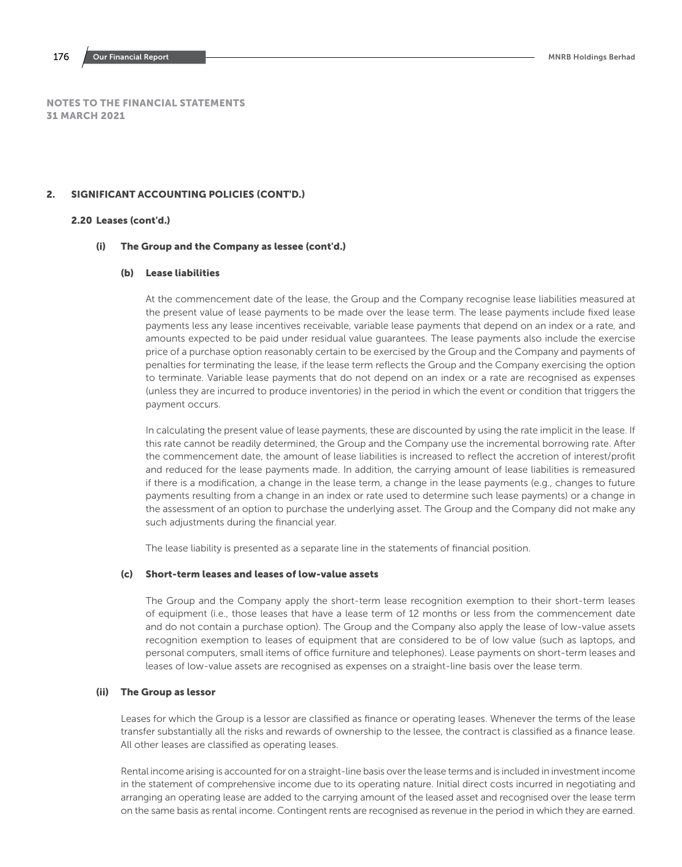#### 2. SIGNIFICANT ACCOUNTING POLICIES (CONT'D.)

### 2.20 Leases (cont'd.)

### (i) The Group and the Company as lessee (cont'd.)

### (b) Lease liabilities

At the commencement date of the lease, the Group and the Company recognise lease liabilities measured at the present value of lease payments to be made over the lease term. The lease payments include fixed lease payments less any lease incentives receivable, variable lease payments that depend on an index or a rate, and amounts expected to be paid under residual value guarantees. The lease payments also include the exercise price of a purchase option reasonably certain to be exercised by the Group and the Company and payments of penalties for terminating the lease, if the lease term reflects the Group and the Company exercising the option to terminate. Variable lease payments that do not depend on an index or a rate are recognised as expenses (unless they are incurred to produce inventories) in the period in which the event or condition that triggers the payment occurs.

In calculating the present value of lease payments, these are discounted by using the rate implicit in the lease. If this rate cannot be readily determined, the Group and the Company use the incremental borrowing rate. After the commencement date, the amount of lease liabilities is increased to reflect the accretion of interest/profit and reduced for the lease payments made. In addition, the carrying amount of lease liabilities is remeasured if there is a modification, a change in the lease term, a change in the lease payments (e.g., changes to future payments resulting from a change in an index or rate used to determine such lease payments) or a change in the assessment of an option to purchase the underlying asset. The Group and the Company did not make any such adjustments during the financial year.

The lease liability is presented as a separate line in the statements of financial position.

## (c) Short-term leases and leases of low-value assets

The Group and the Company apply the short-term lease recognition exemption to their short-term leases of equipment (i.e., those leases that have a lease term of 12 months or less from the commencement date and do not contain a purchase option). The Group and the Company also apply the lease of low-value assets recognition exemption to leases of equipment that are considered to be of low value (such as laptops, and personal computers, small items of office furniture and telephones). Lease payments on short-term leases and leases of low-value assets are recognised as expenses on a straight-line basis over the lease term.

#### (ii) The Group as lessor

Leases for which the Group is a lessor are classified as finance or operating leases. Whenever the terms of the lease transfer substantially all the risks and rewards of ownership to the lessee, the contract is classified as a finance lease. All other leases are classified as operating leases.

Rental income arising is accounted for on a straight-line basis over the lease terms and is included in investment income in the statement of comprehensive income due to its operating nature. Initial direct costs incurred in negotiating and arranging an operating lease are added to the carrying amount of the leased asset and recognised over the lease term on the same basis as rental income. Contingent rents are recognised as revenue in the period in which they are earned.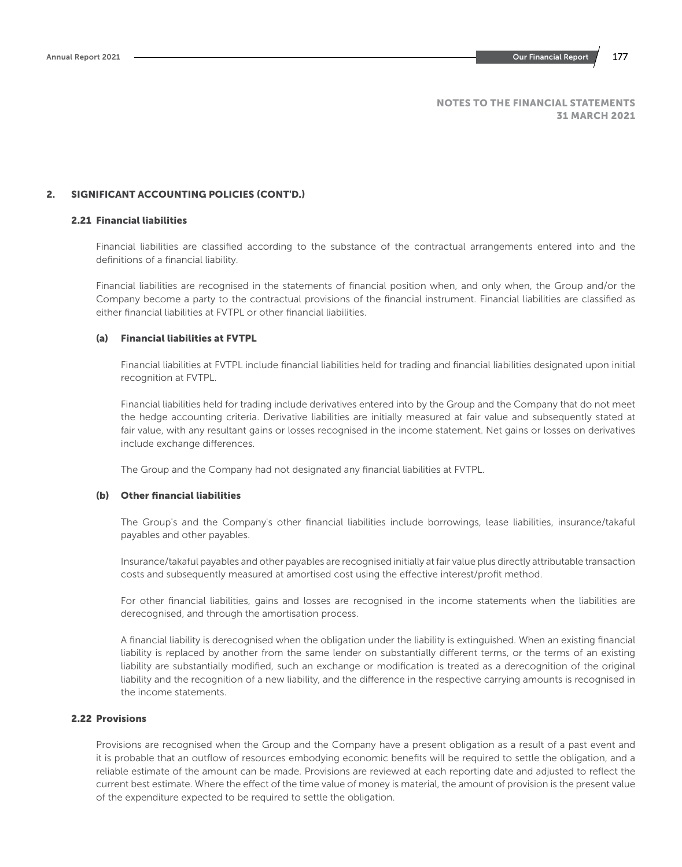# 2.21 Financial liabilities

Financial liabilities are classified according to the substance of the contractual arrangements entered into and the definitions of a financial liability.

Financial liabilities are recognised in the statements of financial position when, and only when, the Group and/or the Company become a party to the contractual provisions of the financial instrument. Financial liabilities are classified as either financial liabilities at FVTPL or other financial liabilities.

# (a) Financial liabilities at FVTPL

Financial liabilities at FVTPL include financial liabilities held for trading and financial liabilities designated upon initial recognition at FVTPL.

Financial liabilities held for trading include derivatives entered into by the Group and the Company that do not meet the hedge accounting criteria. Derivative liabilities are initially measured at fair value and subsequently stated at fair value, with any resultant gains or losses recognised in the income statement. Net gains or losses on derivatives include exchange differences.

The Group and the Company had not designated any financial liabilities at FVTPL.

### (b) Other financial liabilities

The Group's and the Company's other financial liabilities include borrowings, lease liabilities, insurance/takaful payables and other payables.

Insurance/takaful payables and other payables are recognised initially at fair value plus directly attributable transaction costs and subsequently measured at amortised cost using the effective interest/profit method.

For other financial liabilities, gains and losses are recognised in the income statements when the liabilities are derecognised, and through the amortisation process.

A financial liability is derecognised when the obligation under the liability is extinguished. When an existing financial liability is replaced by another from the same lender on substantially different terms, or the terms of an existing liability are substantially modified, such an exchange or modification is treated as a derecognition of the original liability and the recognition of a new liability, and the difference in the respective carrying amounts is recognised in the income statements.

# 2.22 Provisions

Provisions are recognised when the Group and the Company have a present obligation as a result of a past event and it is probable that an outflow of resources embodying economic benefits will be required to settle the obligation, and a reliable estimate of the amount can be made. Provisions are reviewed at each reporting date and adjusted to reflect the current best estimate. Where the effect of the time value of money is material, the amount of provision is the present value of the expenditure expected to be required to settle the obligation.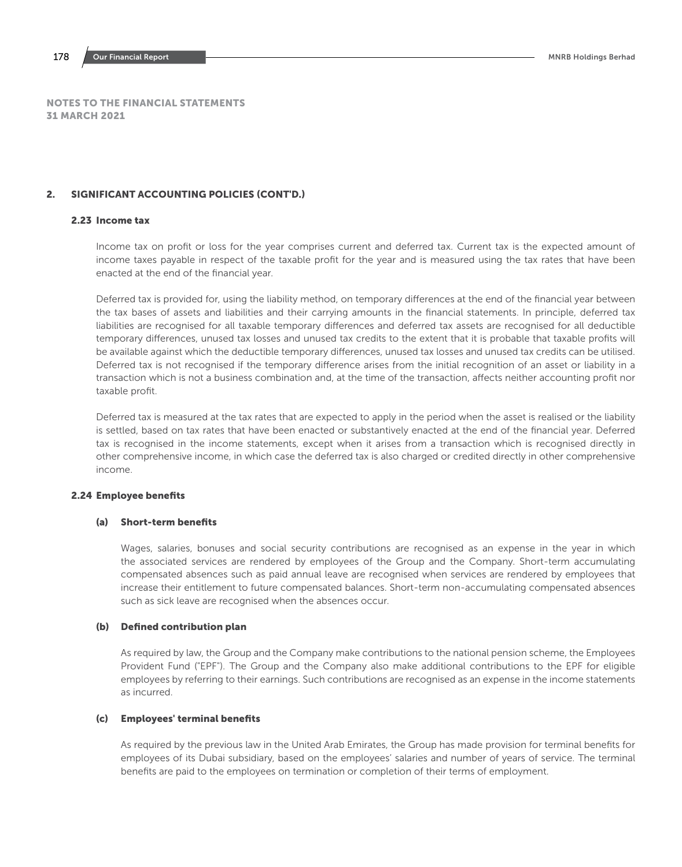#### 2. SIGNIFICANT ACCOUNTING POLICIES (CONT'D.)

# 2.23 Income tax

Income tax on profit or loss for the year comprises current and deferred tax. Current tax is the expected amount of income taxes payable in respect of the taxable profit for the year and is measured using the tax rates that have been enacted at the end of the financial year.

Deferred tax is provided for, using the liability method, on temporary differences at the end of the financial year between the tax bases of assets and liabilities and their carrying amounts in the financial statements. In principle, deferred tax liabilities are recognised for all taxable temporary differences and deferred tax assets are recognised for all deductible temporary differences, unused tax losses and unused tax credits to the extent that it is probable that taxable profits will be available against which the deductible temporary differences, unused tax losses and unused tax credits can be utilised. Deferred tax is not recognised if the temporary difference arises from the initial recognition of an asset or liability in a transaction which is not a business combination and, at the time of the transaction, affects neither accounting profit nor taxable profit.

Deferred tax is measured at the tax rates that are expected to apply in the period when the asset is realised or the liability is settled, based on tax rates that have been enacted or substantively enacted at the end of the financial year. Deferred tax is recognised in the income statements, except when it arises from a transaction which is recognised directly in other comprehensive income, in which case the deferred tax is also charged or credited directly in other comprehensive income.

### 2.24 Employee benefits

### (a) Short-term benefits

Wages, salaries, bonuses and social security contributions are recognised as an expense in the year in which the associated services are rendered by employees of the Group and the Company. Short-term accumulating compensated absences such as paid annual leave are recognised when services are rendered by employees that increase their entitlement to future compensated balances. Short-term non-accumulating compensated absences such as sick leave are recognised when the absences occur.

### (b) Defined contribution plan

As required by law, the Group and the Company make contributions to the national pension scheme, the Employees Provident Fund ("EPF"). The Group and the Company also make additional contributions to the EPF for eligible employees by referring to their earnings. Such contributions are recognised as an expense in the income statements as incurred.

### (c) Employees' terminal benefits

As required by the previous law in the United Arab Emirates, the Group has made provision for terminal benefits for employees of its Dubai subsidiary, based on the employees' salaries and number of years of service. The terminal benefits are paid to the employees on termination or completion of their terms of employment.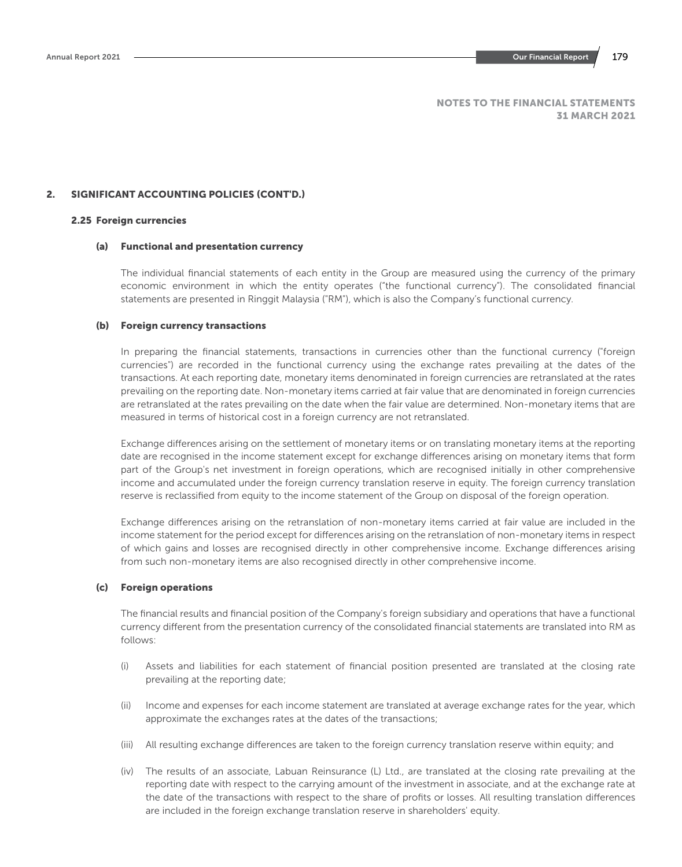#### 2.25 Foreign currencies

### (a) Functional and presentation currency

The individual financial statements of each entity in the Group are measured using the currency of the primary economic environment in which the entity operates ("the functional currency"). The consolidated financial statements are presented in Ringgit Malaysia ("RM"), which is also the Company's functional currency.

#### (b) Foreign currency transactions

In preparing the financial statements, transactions in currencies other than the functional currency ("foreign currencies") are recorded in the functional currency using the exchange rates prevailing at the dates of the transactions. At each reporting date, monetary items denominated in foreign currencies are retranslated at the rates prevailing on the reporting date. Non-monetary items carried at fair value that are denominated in foreign currencies are retranslated at the rates prevailing on the date when the fair value are determined. Non-monetary items that are measured in terms of historical cost in a foreign currency are not retranslated.

Exchange differences arising on the settlement of monetary items or on translating monetary items at the reporting date are recognised in the income statement except for exchange differences arising on monetary items that form part of the Group's net investment in foreign operations, which are recognised initially in other comprehensive income and accumulated under the foreign currency translation reserve in equity. The foreign currency translation reserve is reclassified from equity to the income statement of the Group on disposal of the foreign operation.

Exchange differences arising on the retranslation of non-monetary items carried at fair value are included in the income statement for the period except for differences arising on the retranslation of non-monetary items in respect of which gains and losses are recognised directly in other comprehensive income. Exchange differences arising from such non-monetary items are also recognised directly in other comprehensive income.

### (c) Foreign operations

The financial results and financial position of the Company's foreign subsidiary and operations that have a functional currency different from the presentation currency of the consolidated financial statements are translated into RM as follows:

- (i) Assets and liabilities for each statement of financial position presented are translated at the closing rate prevailing at the reporting date;
- (ii) Income and expenses for each income statement are translated at average exchange rates for the year, which approximate the exchanges rates at the dates of the transactions;
- (iii) All resulting exchange differences are taken to the foreign currency translation reserve within equity; and
- (iv) The results of an associate, Labuan Reinsurance (L) Ltd., are translated at the closing rate prevailing at the reporting date with respect to the carrying amount of the investment in associate, and at the exchange rate at the date of the transactions with respect to the share of profits or losses. All resulting translation differences are included in the foreign exchange translation reserve in shareholders' equity.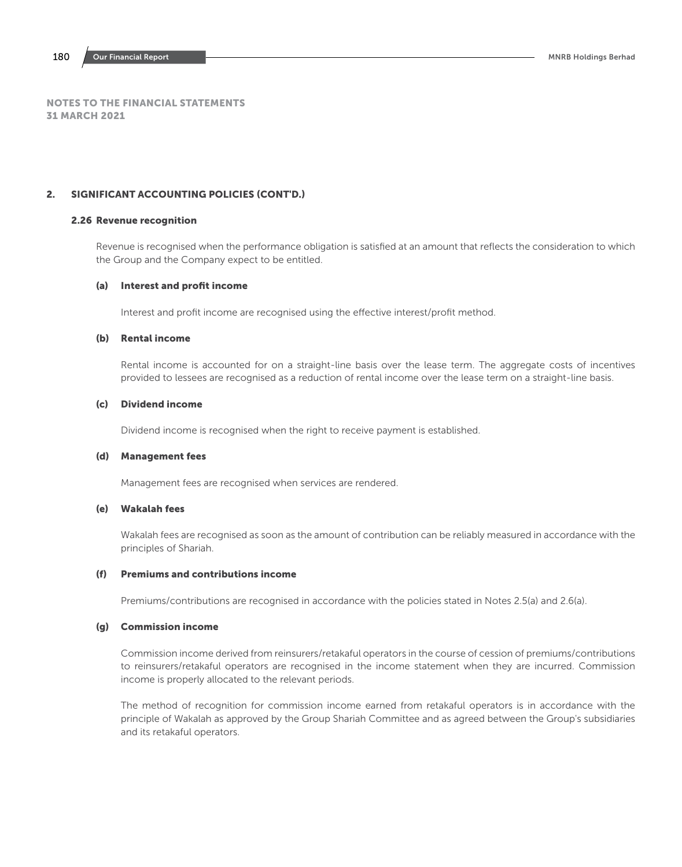#### 2. SIGNIFICANT ACCOUNTING POLICIES (CONT'D.)

### 2.26 Revenue recognition

Revenue is recognised when the performance obligation is satisfied at an amount that reflects the consideration to which the Group and the Company expect to be entitled.

#### (a) Interest and profit income

Interest and profit income are recognised using the effective interest/profit method.

### (b) Rental income

Rental income is accounted for on a straight-line basis over the lease term. The aggregate costs of incentives provided to lessees are recognised as a reduction of rental income over the lease term on a straight-line basis.

### (c) Dividend income

Dividend income is recognised when the right to receive payment is established.

### (d) Management fees

Management fees are recognised when services are rendered.

# (e) Wakalah fees

Wakalah fees are recognised as soon as the amount of contribution can be reliably measured in accordance with the principles of Shariah.

#### (f) Premiums and contributions income

Premiums/contributions are recognised in accordance with the policies stated in Notes 2.5(a) and 2.6(a).

#### (g) Commission income

Commission income derived from reinsurers/retakaful operators in the course of cession of premiums/contributions to reinsurers/retakaful operators are recognised in the income statement when they are incurred. Commission income is properly allocated to the relevant periods.

The method of recognition for commission income earned from retakaful operators is in accordance with the principle of Wakalah as approved by the Group Shariah Committee and as agreed between the Group's subsidiaries and its retakaful operators.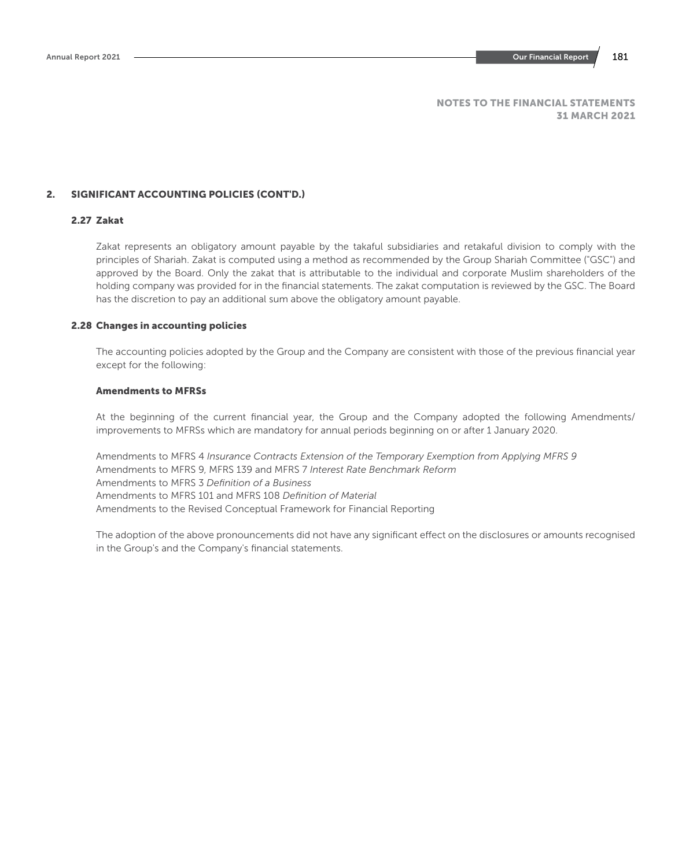# 2. SIGNIFICANT ACCOUNTING POLICIES (CONT'D.)

# 2.27 Zakat

Zakat represents an obligatory amount payable by the takaful subsidiaries and retakaful division to comply with the principles of Shariah. Zakat is computed using a method as recommended by the Group Shariah Committee ("GSC") and approved by the Board. Only the zakat that is attributable to the individual and corporate Muslim shareholders of the holding company was provided for in the financial statements. The zakat computation is reviewed by the GSC. The Board has the discretion to pay an additional sum above the obligatory amount payable.

#### 2.28 Changes in accounting policies

The accounting policies adopted by the Group and the Company are consistent with those of the previous financial year except for the following:

#### Amendments to MFRSs

At the beginning of the current financial year, the Group and the Company adopted the following Amendments/ improvements to MFRSs which are mandatory for annual periods beginning on or after 1 January 2020.

Amendments to MFRS 4 *Insurance Contracts Extension of the Temporary Exemption from Applying MFRS 9*  Amendments to MFRS 9, MFRS 139 and MFRS 7 *Interest Rate Benchmark Reform* Amendments to MFRS 3 *Definition of a Business* Amendments to MFRS 101 and MFRS 108 *Definition of Material* Amendments to the Revised Conceptual Framework for Financial Reporting

The adoption of the above pronouncements did not have any significant effect on the disclosures or amounts recognised in the Group's and the Company's financial statements.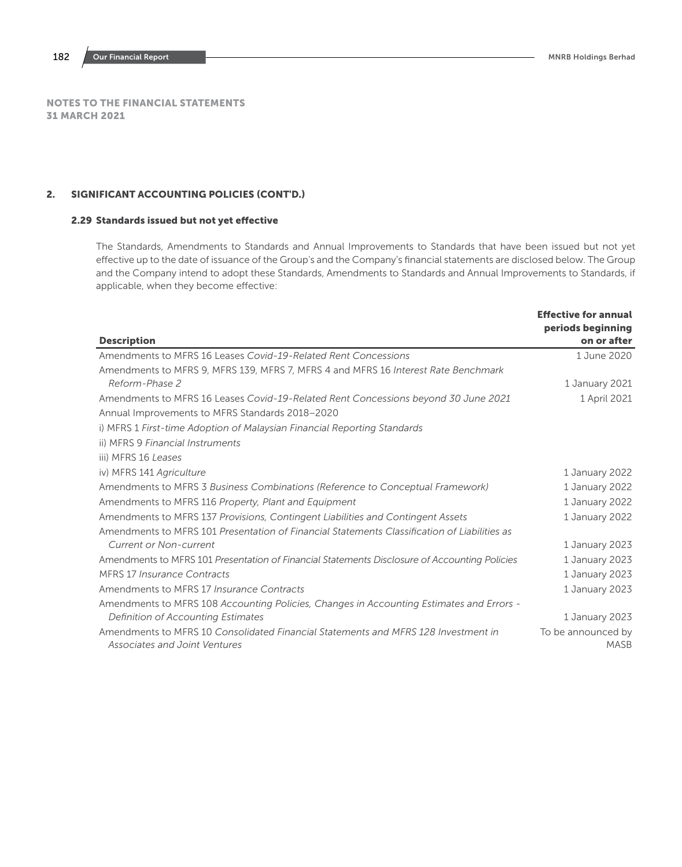# 2. SIGNIFICANT ACCOUNTING POLICIES (CONT'D.)

# 2.29 Standards issued but not yet effective

The Standards, Amendments to Standards and Annual Improvements to Standards that have been issued but not yet effective up to the date of issuance of the Group's and the Company's financial statements are disclosed below. The Group and the Company intend to adopt these Standards, Amendments to Standards and Annual Improvements to Standards, if applicable, when they become effective:

| <b>Description</b>                                                                                                  | <b>Effective for annual</b><br>periods beginning<br>on or after |
|---------------------------------------------------------------------------------------------------------------------|-----------------------------------------------------------------|
| Amendments to MFRS 16 Leases Covid-19-Related Rent Concessions                                                      | 1 June 2020                                                     |
|                                                                                                                     |                                                                 |
| Amendments to MFRS 9, MFRS 139, MFRS 7, MFRS 4 and MFRS 16 Interest Rate Benchmark<br>Reform-Phase 2                | 1 January 2021                                                  |
| Amendments to MFRS 16 Leases Covid-19-Related Rent Concessions beyond 30 June 2021                                  | 1 April 2021                                                    |
| Annual Improvements to MFRS Standards 2018-2020                                                                     |                                                                 |
| i) MFRS 1 First-time Adoption of Malaysian Financial Reporting Standards                                            |                                                                 |
| ii) MFRS 9 Financial Instruments                                                                                    |                                                                 |
| iii) MFRS 16 Leases                                                                                                 |                                                                 |
| iv) MFRS 141 Agriculture                                                                                            | 1 January 2022                                                  |
| Amendments to MFRS 3 Business Combinations (Reference to Conceptual Framework)                                      | 1 January 2022                                                  |
| Amendments to MFRS 116 Property, Plant and Equipment                                                                | 1 January 2022                                                  |
| Amendments to MFRS 137 Provisions, Contingent Liabilities and Contingent Assets                                     | 1 January 2022                                                  |
| Amendments to MFRS 101 Presentation of Financial Statements Classification of Liabilities as                        |                                                                 |
| Current or Non-current                                                                                              | 1 January 2023                                                  |
| Amendments to MFRS 101 Presentation of Financial Statements Disclosure of Accounting Policies                       | 1 January 2023                                                  |
| <b>MFRS 17 Insurance Contracts</b>                                                                                  | 1 January 2023                                                  |
| Amendments to MFRS 17 Insurance Contracts                                                                           | 1 January 2023                                                  |
| Amendments to MFRS 108 Accounting Policies, Changes in Accounting Estimates and Errors -                            |                                                                 |
| Definition of Accounting Estimates                                                                                  | 1 January 2023                                                  |
| Amendments to MFRS 10 Consolidated Financial Statements and MFRS 128 Investment in<br>Associates and Joint Ventures | To be announced by<br><b>MASB</b>                               |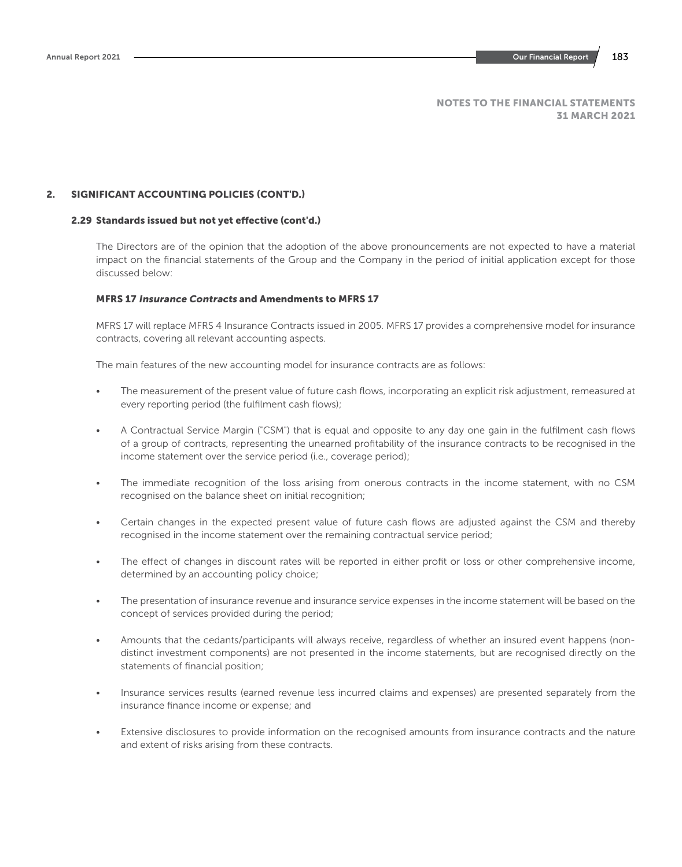# 2.29 Standards issued but not yet effective (cont'd.)

The Directors are of the opinion that the adoption of the above pronouncements are not expected to have a material impact on the financial statements of the Group and the Company in the period of initial application except for those discussed below:

#### MFRS 17 Insurance Contracts and Amendments to MFRS 17

MFRS 17 will replace MFRS 4 Insurance Contracts issued in 2005. MFRS 17 provides a comprehensive model for insurance contracts, covering all relevant accounting aspects.

The main features of the new accounting model for insurance contracts are as follows:

- The measurement of the present value of future cash flows, incorporating an explicit risk adjustment, remeasured at every reporting period (the fulfilment cash flows);
- A Contractual Service Margin ("CSM") that is equal and opposite to any day one gain in the fulfilment cash flows of a group of contracts, representing the unearned profitability of the insurance contracts to be recognised in the income statement over the service period (i.e., coverage period);
- The immediate recognition of the loss arising from onerous contracts in the income statement, with no CSM recognised on the balance sheet on initial recognition;
- Certain changes in the expected present value of future cash flows are adjusted against the CSM and thereby recognised in the income statement over the remaining contractual service period;
- The effect of changes in discount rates will be reported in either profit or loss or other comprehensive income, determined by an accounting policy choice;
- The presentation of insurance revenue and insurance service expenses in the income statement will be based on the concept of services provided during the period;
- Amounts that the cedants/participants will always receive, regardless of whether an insured event happens (nondistinct investment components) are not presented in the income statements, but are recognised directly on the statements of financial position;
- Insurance services results (earned revenue less incurred claims and expenses) are presented separately from the insurance finance income or expense; and
- Extensive disclosures to provide information on the recognised amounts from insurance contracts and the nature and extent of risks arising from these contracts.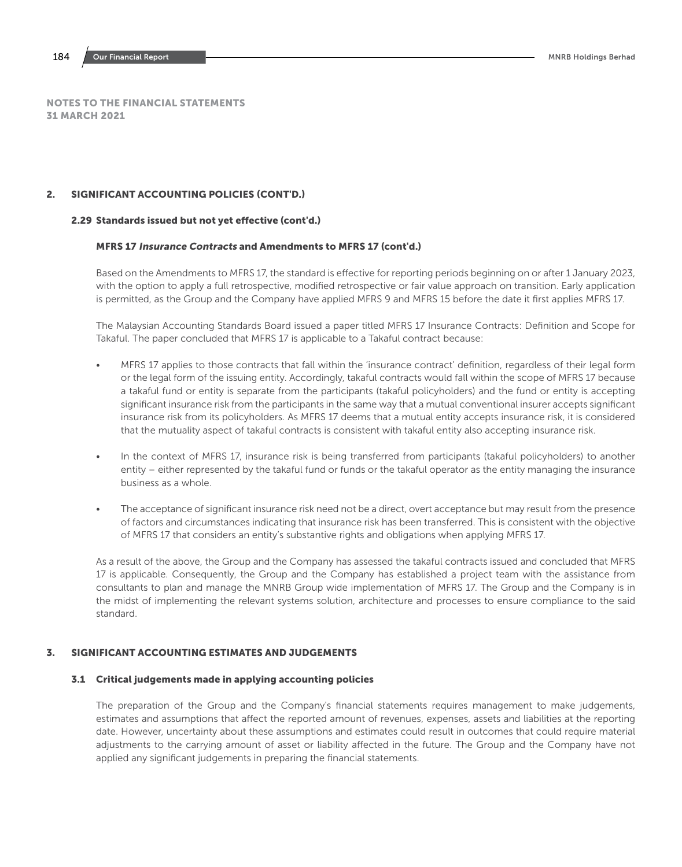#### 2. SIGNIFICANT ACCOUNTING POLICIES (CONT'D.)

### 2.29 Standards issued but not yet effective (cont'd.)

#### MFRS 17 Insurance Contracts and Amendments to MFRS 17 (cont'd.)

Based on the Amendments to MFRS 17, the standard is effective for reporting periods beginning on or after 1 January 2023, with the option to apply a full retrospective, modified retrospective or fair value approach on transition. Early application is permitted, as the Group and the Company have applied MFRS 9 and MFRS 15 before the date it first applies MFRS 17.

The Malaysian Accounting Standards Board issued a paper titled MFRS 17 Insurance Contracts: Definition and Scope for Takaful. The paper concluded that MFRS 17 is applicable to a Takaful contract because:

- MFRS 17 applies to those contracts that fall within the 'insurance contract' definition, regardless of their legal form or the legal form of the issuing entity. Accordingly, takaful contracts would fall within the scope of MFRS 17 because a takaful fund or entity is separate from the participants (takaful policyholders) and the fund or entity is accepting significant insurance risk from the participants in the same way that a mutual conventional insurer accepts significant insurance risk from its policyholders. As MFRS 17 deems that a mutual entity accepts insurance risk, it is considered that the mutuality aspect of takaful contracts is consistent with takaful entity also accepting insurance risk.
- In the context of MFRS 17, insurance risk is being transferred from participants (takaful policyholders) to another entity – either represented by the takaful fund or funds or the takaful operator as the entity managing the insurance business as a whole.
- The acceptance of significant insurance risk need not be a direct, overt acceptance but may result from the presence of factors and circumstances indicating that insurance risk has been transferred. This is consistent with the objective of MFRS 17 that considers an entity's substantive rights and obligations when applying MFRS 17.

As a result of the above, the Group and the Company has assessed the takaful contracts issued and concluded that MFRS 17 is applicable. Consequently, the Group and the Company has established a project team with the assistance from consultants to plan and manage the MNRB Group wide implementation of MFRS 17. The Group and the Company is in the midst of implementing the relevant systems solution, architecture and processes to ensure compliance to the said standard.

### 3. SIGNIFICANT ACCOUNTING ESTIMATES AND JUDGEMENTS

### 3.1 Critical judgements made in applying accounting policies

The preparation of the Group and the Company's financial statements requires management to make judgements, estimates and assumptions that affect the reported amount of revenues, expenses, assets and liabilities at the reporting date. However, uncertainty about these assumptions and estimates could result in outcomes that could require material adjustments to the carrying amount of asset or liability affected in the future. The Group and the Company have not applied any significant judgements in preparing the financial statements.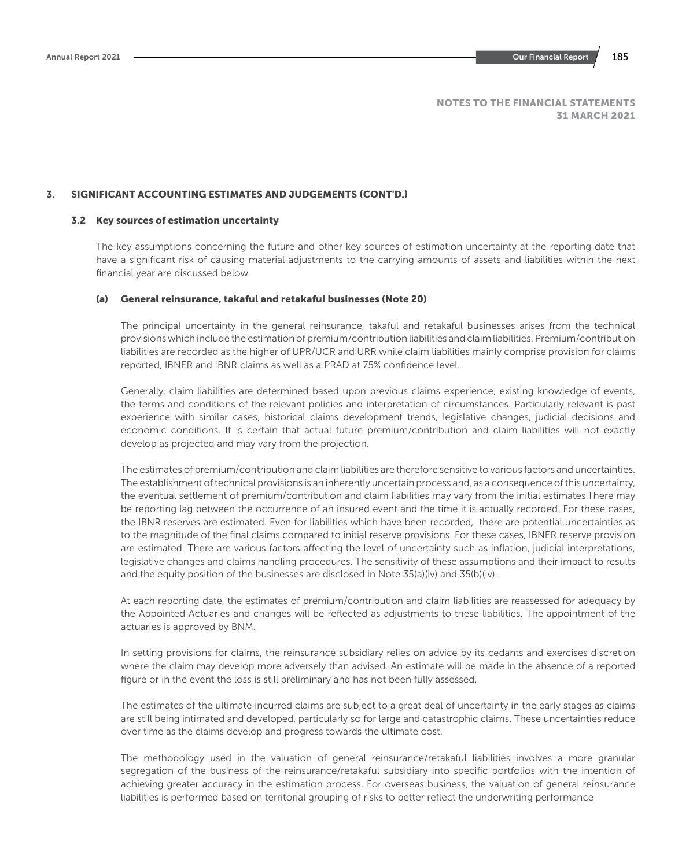### 3. SIGNIFICANT ACCOUNTING ESTIMATES AND JUDGEMENTS (CONT'D.)

### 3.2 Key sources of estimation uncertainty

The key assumptions concerning the future and other key sources of estimation uncertainty at the reporting date that have a significant risk of causing material adjustments to the carrying amounts of assets and liabilities within the next financial year are discussed below

#### (a) General reinsurance, takaful and retakaful businesses (Note 20)

The principal uncertainty in the general reinsurance, takaful and retakaful businesses arises from the technical provisions which include the estimation of premium/contribution liabilities and claim liabilities. Premium/contribution liabilities are recorded as the higher of UPR/UCR and URR while claim liabilities mainly comprise provision for claims reported, IBNER and IBNR claims as well as a PRAD at 75% confidence level.

Generally, claim liabilities are determined based upon previous claims experience, existing knowledge of events, the terms and conditions of the relevant policies and interpretation of circumstances. Particularly relevant is past experience with similar cases, historical claims development trends, legislative changes, judicial decisions and economic conditions. It is certain that actual future premium/contribution and claim liabilities will not exactly develop as projected and may vary from the projection.

The estimates of premium/contribution and claim liabilities are therefore sensitive to various factors and uncertainties. The establishment of technical provisions is an inherently uncertain process and, as a consequence of this uncertainty, the eventual settlement of premium/contribution and claim liabilities may vary from the initial estimates.There may be reporting lag between the occurrence of an insured event and the time it is actually recorded. For these cases, the IBNR reserves are estimated. Even for liabilities which have been recorded, there are potential uncertainties as to the magnitude of the final claims compared to initial reserve provisions. For these cases, IBNER reserve provision are estimated. There are various factors affecting the level of uncertainty such as inflation, judicial interpretations, legislative changes and claims handling procedures. The sensitivity of these assumptions and their impact to results and the equity position of the businesses are disclosed in Note 35(a)(iv) and 35(b)(iv).

At each reporting date, the estimates of premium/contribution and claim liabilities are reassessed for adequacy by the Appointed Actuaries and changes will be reflected as adjustments to these liabilities. The appointment of the actuaries is approved by BNM.

In setting provisions for claims, the reinsurance subsidiary relies on advice by its cedants and exercises discretion where the claim may develop more adversely than advised. An estimate will be made in the absence of a reported figure or in the event the loss is still preliminary and has not been fully assessed.

The estimates of the ultimate incurred claims are subject to a great deal of uncertainty in the early stages as claims are still being intimated and developed, particularly so for large and catastrophic claims. These uncertainties reduce over time as the claims develop and progress towards the ultimate cost.

The methodology used in the valuation of general reinsurance/retakaful liabilities involves a more granular segregation of the business of the reinsurance/retakaful subsidiary into specific portfolios with the intention of achieving greater accuracy in the estimation process. For overseas business, the valuation of general reinsurance liabilities is performed based on territorial grouping of risks to better reflect the underwriting performance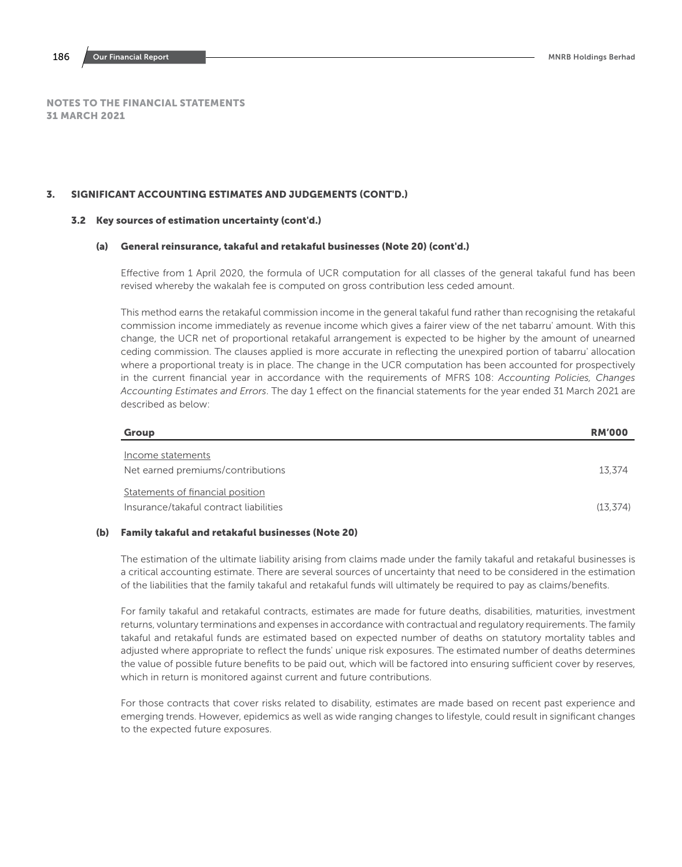### 3. SIGNIFICANT ACCOUNTING ESTIMATES AND JUDGEMENTS (CONT'D.)

### 3.2 Key sources of estimation uncertainty (cont'd.)

### (a) General reinsurance, takaful and retakaful businesses (Note 20) (cont'd.)

Effective from 1 April 2020, the formula of UCR computation for all classes of the general takaful fund has been revised whereby the wakalah fee is computed on gross contribution less ceded amount.

This method earns the retakaful commission income in the general takaful fund rather than recognising the retakaful commission income immediately as revenue income which gives a fairer view of the net tabarru' amount. With this change, the UCR net of proportional retakaful arrangement is expected to be higher by the amount of unearned ceding commission. The clauses applied is more accurate in reflecting the unexpired portion of tabarru' allocation where a proportional treaty is in place. The change in the UCR computation has been accounted for prospectively in the current financial year in accordance with the requirements of MFRS 108: *Accounting Policies, Changes Accounting Estimates and Errors*. The day 1 effect on the financial statements for the year ended 31 March 2021 are described as below:

| Group                                                                      | <b>RM'000</b> |
|----------------------------------------------------------------------------|---------------|
| Income statements<br>Net earned premiums/contributions                     | 13.374        |
| Statements of financial position<br>Insurance/takaful contract liabilities | (13.374)      |

### (b) Family takaful and retakaful businesses (Note 20)

The estimation of the ultimate liability arising from claims made under the family takaful and retakaful businesses is a critical accounting estimate. There are several sources of uncertainty that need to be considered in the estimation of the liabilities that the family takaful and retakaful funds will ultimately be required to pay as claims/benefits.

For family takaful and retakaful contracts, estimates are made for future deaths, disabilities, maturities, investment returns, voluntary terminations and expenses in accordance with contractual and regulatory requirements. The family takaful and retakaful funds are estimated based on expected number of deaths on statutory mortality tables and adjusted where appropriate to reflect the funds' unique risk exposures. The estimated number of deaths determines the value of possible future benefits to be paid out, which will be factored into ensuring sufficient cover by reserves, which in return is monitored against current and future contributions.

For those contracts that cover risks related to disability, estimates are made based on recent past experience and emerging trends. However, epidemics as well as wide ranging changes to lifestyle, could result in significant changes to the expected future exposures.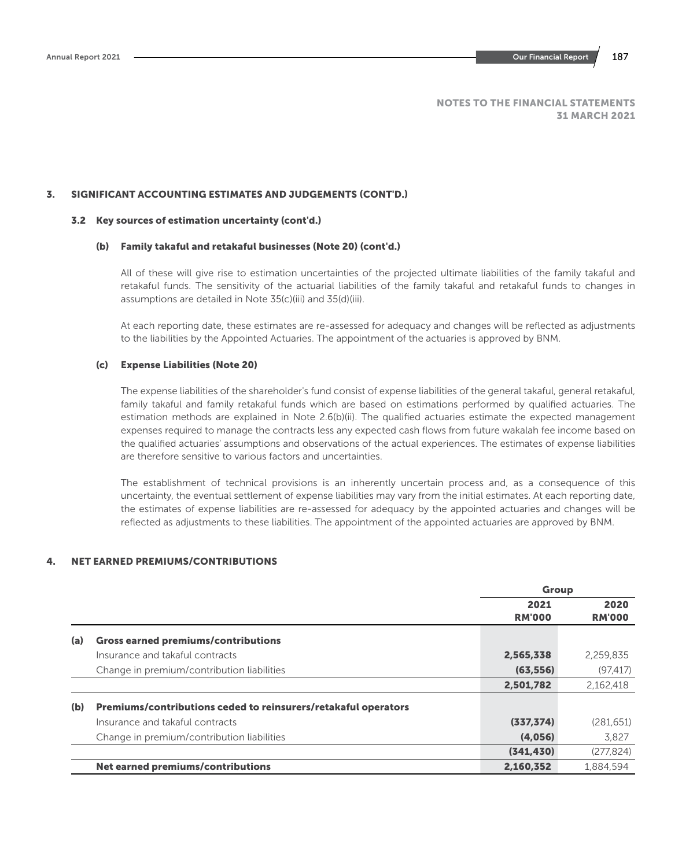### 3. SIGNIFICANT ACCOUNTING ESTIMATES AND JUDGEMENTS (CONT'D.)

# 3.2 Key sources of estimation uncertainty (cont'd.)

## (b) Family takaful and retakaful businesses (Note 20) (cont'd.)

All of these will give rise to estimation uncertainties of the projected ultimate liabilities of the family takaful and retakaful funds. The sensitivity of the actuarial liabilities of the family takaful and retakaful funds to changes in assumptions are detailed in Note 35(c)(iii) and 35(d)(iii).

At each reporting date, these estimates are re-assessed for adequacy and changes will be reflected as adjustments to the liabilities by the Appointed Actuaries. The appointment of the actuaries is approved by BNM.

#### (c) Expense Liabilities (Note 20)

The expense liabilities of the shareholder's fund consist of expense liabilities of the general takaful, general retakaful, family takaful and family retakaful funds which are based on estimations performed by qualified actuaries. The estimation methods are explained in Note 2.6(b)(ii). The qualified actuaries estimate the expected management expenses required to manage the contracts less any expected cash flows from future wakalah fee income based on the qualified actuaries' assumptions and observations of the actual experiences. The estimates of expense liabilities are therefore sensitive to various factors and uncertainties.

The establishment of technical provisions is an inherently uncertain process and, as a consequence of this uncertainty, the eventual settlement of expense liabilities may vary from the initial estimates. At each reporting date, the estimates of expense liabilities are re-assessed for adequacy by the appointed actuaries and changes will be reflected as adjustments to these liabilities. The appointment of the appointed actuaries are approved by BNM.

# 4. NET EARNED PREMIUMS/CONTRIBUTIONS

|     |                                                                | <b>Group</b>          |                       |
|-----|----------------------------------------------------------------|-----------------------|-----------------------|
|     |                                                                | 2021<br><b>RM'000</b> | 2020<br><b>RM'000</b> |
| (a) | <b>Gross earned premiums/contributions</b>                     |                       |                       |
|     | Insurance and takaful contracts                                | 2,565,338             | 2,259,835             |
|     | Change in premium/contribution liabilities                     | (63, 556)             | (97, 417)             |
|     |                                                                | 2,501,782             | 2.162.418             |
| (b) | Premiums/contributions ceded to reinsurers/retakaful operators |                       |                       |
|     | Insurance and takaful contracts                                | (337, 374)            | (281, 651)            |
|     | Change in premium/contribution liabilities                     | (4,056)               | 3.827                 |
|     |                                                                | (341, 430)            | (277, 824)            |
|     | Net earned premiums/contributions                              | 2,160,352             | 1.884.594             |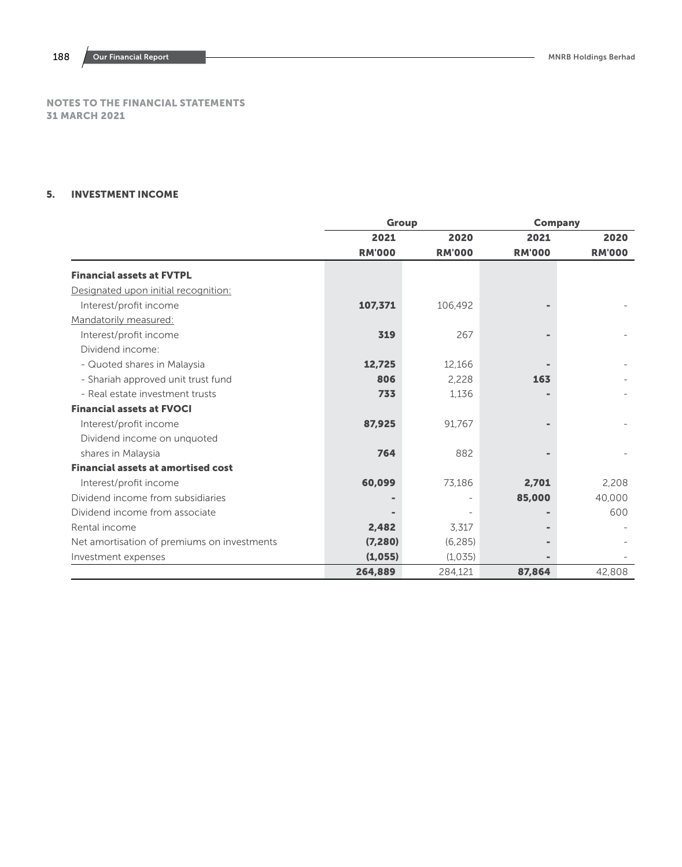# 5. INVESTMENT INCOME

|                                             |               | Group         | <b>Company</b> |               |
|---------------------------------------------|---------------|---------------|----------------|---------------|
|                                             | 2021          | 2020          | 2021           | 2020          |
|                                             | <b>RM'000</b> | <b>RM'000</b> | <b>RM'000</b>  | <b>RM'000</b> |
| <b>Financial assets at FVTPL</b>            |               |               |                |               |
| Designated upon initial recognition:        |               |               |                |               |
| Interest/profit income                      | 107,371       | 106,492       |                |               |
| Mandatorily measured:                       |               |               |                |               |
| Interest/profit income                      | 319           | 267           |                |               |
| Dividend income:                            |               |               |                |               |
| - Quoted shares in Malaysia                 | 12,725        | 12,166        |                |               |
| - Shariah approved unit trust fund          | 806           | 2.228         | 163            |               |
| - Real estate investment trusts             | 733           | 1,136         |                |               |
| <b>Financial assets at FVOCI</b>            |               |               |                |               |
| Interest/profit income                      | 87,925        | 91.767        |                |               |
| Dividend income on unquoted                 |               |               |                |               |
| shares in Malaysia                          | 764           | 882           |                |               |
| <b>Financial assets at amortised cost</b>   |               |               |                |               |
| Interest/profit income                      | 60,099        | 73,186        | 2,701          | 2.208         |
| Dividend income from subsidiaries           |               |               | 85,000         | 40.000        |
| Dividend income from associate              |               |               |                | 600           |
| Rental income                               | 2,482         | 3,317         |                |               |
| Net amortisation of premiums on investments | (7, 280)      | (6, 285)      |                |               |
| Investment expenses                         | (1,055)       | (1,035)       |                |               |
|                                             | 264,889       | 284,121       | 87,864         | 42,808        |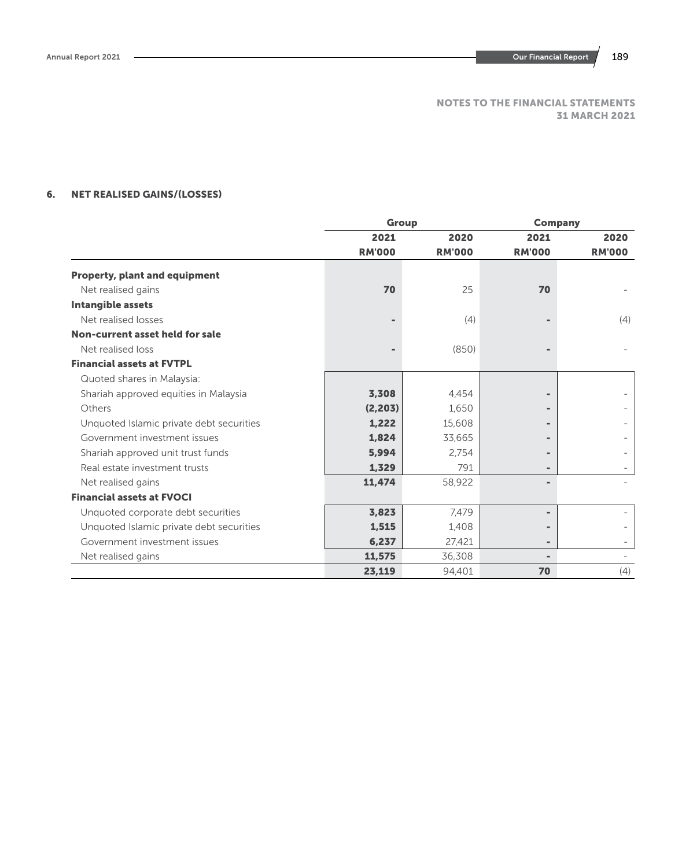# 6. NET REALISED GAINS/(LOSSES)

|                                          |               | <b>Group</b>  |                | <b>Company</b> |
|------------------------------------------|---------------|---------------|----------------|----------------|
|                                          | 2021          | 2020          | 2021           | 2020           |
|                                          | <b>RM'000</b> | <b>RM'000</b> | <b>RM'000</b>  | <b>RM'000</b>  |
| Property, plant and equipment            |               |               |                |                |
| Net realised gains                       | 70            | 25            | 70             |                |
| Intangible assets                        |               |               |                |                |
| Net realised losses                      |               | (4)           |                | (4)            |
| Non-current asset held for sale          |               |               |                |                |
| Net realised loss                        |               | (850)         |                |                |
| <b>Financial assets at FVTPL</b>         |               |               |                |                |
| Quoted shares in Malaysia:               |               |               |                |                |
| Shariah approved equities in Malaysia    | 3,308         | 4,454         | $\blacksquare$ |                |
| Others                                   | (2, 203)      | 1,650         | ۰.             |                |
| Unquoted Islamic private debt securities | 1,222         | 15,608        |                |                |
| Government investment issues             | 1,824         | 33,665        |                |                |
| Shariah approved unit trust funds        | 5,994         | 2.754         |                |                |
| Real estate investment trusts            | 1,329         | 791           |                |                |
| Net realised gains                       | 11,474        | 58,922        | $\blacksquare$ |                |
| <b>Financial assets at FVOCI</b>         |               |               |                |                |
| Unquoted corporate debt securities       | 3,823         | 7,479         | $\blacksquare$ |                |
| Unquoted Islamic private debt securities | 1,515         | 1.408         |                |                |
| Government investment issues             | 6,237         | 27,421        | $\blacksquare$ |                |
| Net realised gains                       | 11,575        | 36,308        | $\blacksquare$ |                |
|                                          | 23,119        | 94,401        | 70             | (4)            |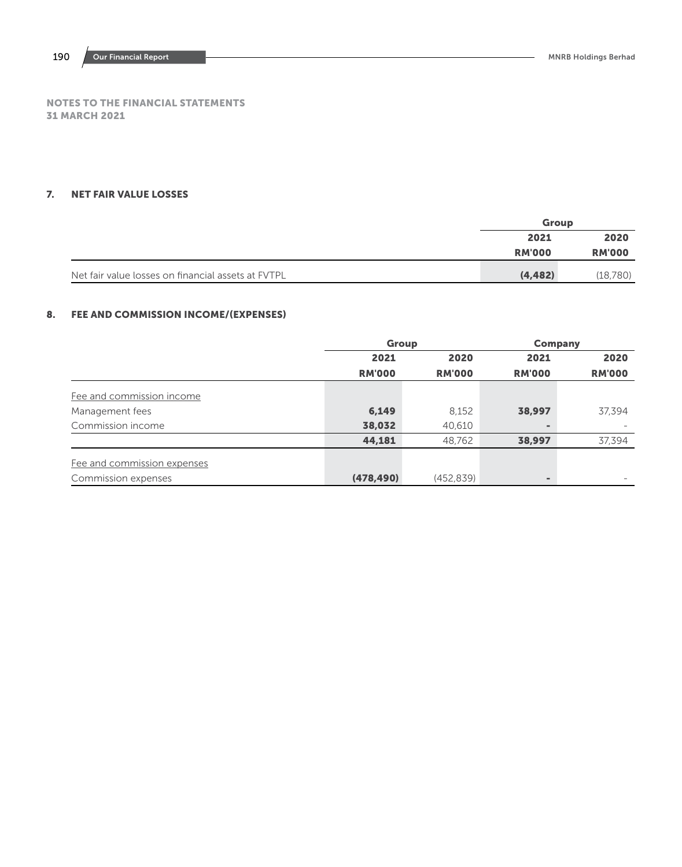# 7. NET FAIR VALUE LOSSES

|                                                    | Group         |               |
|----------------------------------------------------|---------------|---------------|
|                                                    | 2021          | 2020          |
|                                                    | <b>RM'000</b> | <b>RM'000</b> |
| Net fair value losses on financial assets at FVTPL | (4, 482)      | (18,780)      |

# 8. FEE AND COMMISSION INCOME/(EXPENSES)

|                                                    | <b>Group</b>  |               |                | <b>Company</b> |
|----------------------------------------------------|---------------|---------------|----------------|----------------|
|                                                    | 2021          | 2020          | 2021           | 2020           |
|                                                    | <b>RM'000</b> | <b>RM'000</b> | <b>RM'000</b>  | <b>RM'000</b>  |
| Fee and commission income                          |               |               |                |                |
| Management fees                                    | 6,149         | 8,152         | 38,997         | 37,394         |
| Commission income                                  | 38,032        | 40,610        |                |                |
|                                                    | 44,181        | 48,762        | 38,997         | 37,394         |
| Fee and commission expenses<br>Commission expenses | (478, 490)    | (452, 839)    | $\blacksquare$ |                |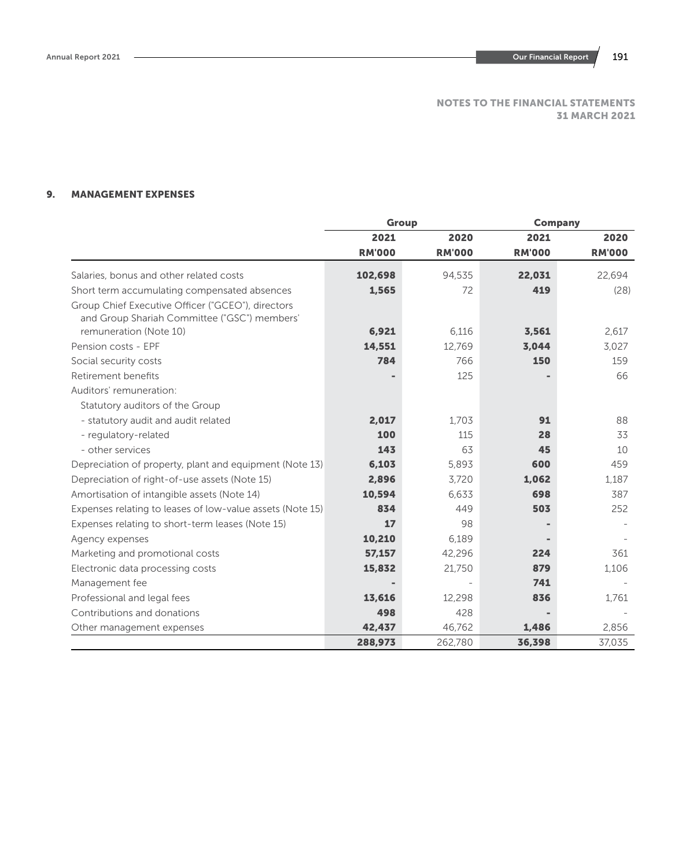# 9. MANAGEMENT EXPENSES

|                                                                                                   |               | <b>Group</b>  |               | <b>Company</b> |
|---------------------------------------------------------------------------------------------------|---------------|---------------|---------------|----------------|
|                                                                                                   | 2021          | 2020          | 2021          | 2020           |
|                                                                                                   | <b>RM'000</b> | <b>RM'000</b> | <b>RM'000</b> | <b>RM'000</b>  |
| Salaries, bonus and other related costs                                                           | 102,698       | 94,535        | 22,031        | 22,694         |
| Short term accumulating compensated absences                                                      | 1,565         | 72            | 419           | (28)           |
| Group Chief Executive Officer ("GCEO"), directors<br>and Group Shariah Committee ("GSC") members' |               |               |               |                |
| remuneration (Note 10)                                                                            | 6,921         | 6,116         | 3,561         | 2,617          |
| Pension costs - EPF                                                                               | 14,551        | 12,769        | 3,044         | 3,027          |
| Social security costs                                                                             | 784           | 766           | 150           | 159            |
| Retirement benefits                                                                               |               | 125           |               | 66             |
| Auditors' remuneration:                                                                           |               |               |               |                |
| Statutory auditors of the Group                                                                   |               |               |               |                |
| - statutory audit and audit related                                                               | 2.017         | 1,703         | 91            | 88             |
| - regulatory-related                                                                              | 100           | 115           | 28            | 33             |
| - other services                                                                                  | 143           | 63            | 45            | 10             |
| Depreciation of property, plant and equipment (Note 13)                                           | 6,103         | 5,893         | 600           | 459            |
| Depreciation of right-of-use assets (Note 15)                                                     | 2,896         | 3,720         | 1,062         | 1,187          |
| Amortisation of intangible assets (Note 14)                                                       | 10,594        | 6,633         | 698           | 387            |
| Expenses relating to leases of low-value assets (Note 15)                                         | 834           | 449           | 503           | 252            |
| Expenses relating to short-term leases (Note 15)                                                  | 17            | 98            |               |                |
| Agency expenses                                                                                   | 10,210        | 6,189         |               |                |
| Marketing and promotional costs                                                                   | 57,157        | 42,296        | 224           | 361            |
| Electronic data processing costs                                                                  | 15,832        | 21,750        | 879           | 1,106          |
| Management fee                                                                                    |               | $\sim$        | 741           |                |
| Professional and legal fees                                                                       | 13,616        | 12,298        | 836           | 1.761          |
| Contributions and donations                                                                       | 498           | 428           |               |                |
| Other management expenses                                                                         | 42,437        | 46,762        | 1,486         | 2,856          |
|                                                                                                   | 288,973       | 262,780       | 36,398        | 37,035         |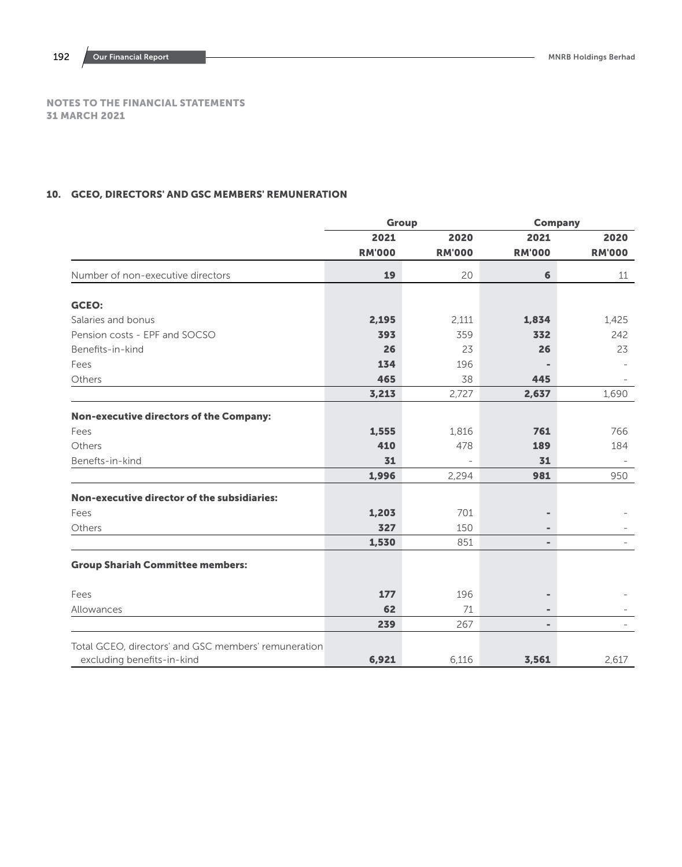# 10. GCEO, DIRECTORS' AND GSC MEMBERS' REMUNERATION

|                                                      |               | Group         |                | <b>Company</b>           |
|------------------------------------------------------|---------------|---------------|----------------|--------------------------|
|                                                      | 2021          | 2020          | 2021           | 2020                     |
|                                                      | <b>RM'000</b> | <b>RM'000</b> | <b>RM'000</b>  | <b>RM'000</b>            |
| Number of non-executive directors                    | 19            | 20            | 6              | 11                       |
| <b>GCEO:</b>                                         |               |               |                |                          |
| Salaries and bonus                                   | 2,195         | 2,111         | 1,834          | 1,425                    |
| Pension costs - EPF and SOCSO                        | 393           | 359           | 332            | 242                      |
| Benefits-in-kind                                     | 26            | 23            | 26             | 23                       |
| Fees                                                 | 134           | 196           |                |                          |
| Others                                               | 465           | 38            | 445            |                          |
|                                                      | 3,213         | 2,727         | 2,637          | 1,690                    |
| Non-executive directors of the Company:              |               |               |                |                          |
| Fees                                                 | 1,555         | 1,816         | 761            | 766                      |
| Others                                               | 410           | 478           | 189            | 184                      |
| Benefts-in-kind                                      | 31            |               | 31             | $\overline{\phantom{a}}$ |
|                                                      | 1,996         | 2,294         | 981            | 950                      |
| Non-executive director of the subsidiaries:          |               |               |                |                          |
| Fees                                                 | 1,203         | 701           |                |                          |
| Others                                               | 327           | 150           |                |                          |
|                                                      | 1,530         | 851           | $\blacksquare$ |                          |
| <b>Group Shariah Committee members:</b>              |               |               |                |                          |
| Fees                                                 | 177           | 196           |                |                          |
| Allowances                                           | 62            | 71            |                |                          |
|                                                      | 239           | 267           | $\blacksquare$ |                          |
| Total GCEO, directors' and GSC members' remuneration |               |               |                |                          |
| excluding benefits-in-kind                           | 6,921         | 6,116         | 3,561          | 2,617                    |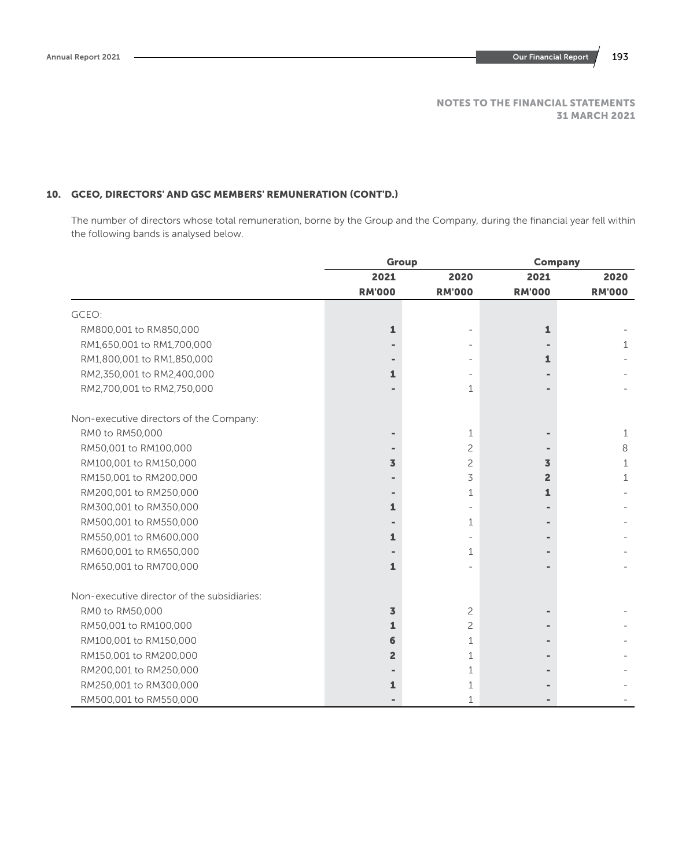# 10. GCEO, DIRECTORS' AND GSC MEMBERS' REMUNERATION (CONT'D.)

The number of directors whose total remuneration, borne by the Group and the Company, during the financial year fell within the following bands is analysed below.

|                                             |               | Group          |                | <b>Company</b> |
|---------------------------------------------|---------------|----------------|----------------|----------------|
|                                             | 2021          | 2020           | 2021           | 2020           |
|                                             | <b>RM'000</b> | <b>RM'000</b>  | <b>RM'000</b>  | <b>RM'000</b>  |
| GCEO:                                       |               |                |                |                |
| RM800,001 to RM850,000                      | 1             |                | 1              |                |
| RM1,650,001 to RM1,700,000                  |               |                |                | 1              |
| RM1,800,001 to RM1,850,000                  |               |                | 1              |                |
| RM2,350,001 to RM2,400,000                  | 1             |                |                |                |
| RM2,700,001 to RM2,750,000                  |               | $\mathbf{1}$   |                |                |
| Non-executive directors of the Company:     |               |                |                |                |
| RM0 to RM50,000                             |               | 1              |                | 1              |
| RM50,001 to RM100,000                       |               | $\overline{c}$ |                | 8              |
| RM100,001 to RM150,000                      | 3             | $\overline{c}$ | 3              | 1              |
| RM150,001 to RM200,000                      |               | 3              | $\overline{2}$ | $\mathbf{1}$   |
| RM200,001 to RM250,000                      |               | $\mathbf{1}$   | 1              |                |
| RM300,001 to RM350,000                      | 1             |                |                |                |
| RM500,001 to RM550,000                      |               | $\mathbf{1}$   |                |                |
| RM550,001 to RM600,000                      | 1             |                |                |                |
| RM600,001 to RM650,000                      |               | $\mathbf{1}$   |                |                |
| RM650,001 to RM700,000                      | 1             |                |                |                |
| Non-executive director of the subsidiaries: |               |                |                |                |
| RM0 to RM50,000                             | 3             | $\overline{c}$ |                |                |
| RM50,001 to RM100,000                       | 1             | $\overline{c}$ |                |                |
| RM100,001 to RM150,000                      | 6             | 1              |                |                |
| RM150,001 to RM200,000                      | 2             | $\mathbf{1}$   |                |                |
| RM200,001 to RM250,000                      |               | $\mathbf{1}$   |                |                |
| RM250,001 to RM300,000                      | 1             | 1              |                |                |
| RM500,001 to RM550,000                      |               | $\mathbf{1}$   |                |                |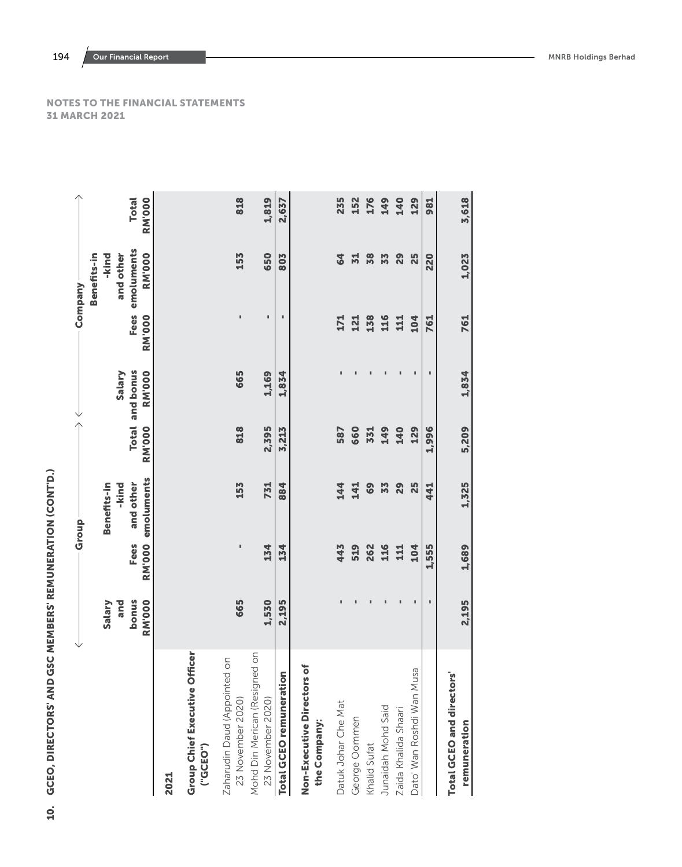|                                                              |                        |                       | Group                   |                               |                            |                       | Company                     |                               |
|--------------------------------------------------------------|------------------------|-----------------------|-------------------------|-------------------------------|----------------------------|-----------------------|-----------------------------|-------------------------------|
|                                                              |                        |                       |                         |                               |                            |                       | Benefits-in                 |                               |
|                                                              | Salary                 |                       | Benefits-in             |                               |                            |                       | -kind                       |                               |
|                                                              | and                    |                       | -kind                   |                               | Salary                     |                       | and other                   |                               |
|                                                              | bonus<br><b>RM'000</b> | Fees<br><b>RM'000</b> | emoluments<br>and other | <b>Total</b><br><b>RM'000</b> | and bonus<br><b>RM'000</b> | Fees<br><b>RM'000</b> | emoluments<br><b>RM'000</b> | <b>Total</b><br><b>RM'000</b> |
| 2021                                                         |                        |                       |                         |                               |                            |                       |                             |                               |
| <b>Group Chief Executive Officer</b><br>("GECEO")            |                        |                       |                         |                               |                            |                       |                             |                               |
| Zaharudin Daud (Appointed on<br>23 November 2020)            | 665                    | ٠                     | 153                     | 818                           | 665                        | п                     | 153                         | 818                           |
| <b>SP</b><br>Mohd Din Merican (Resigned<br>23 November 2020) | 1,530                  | 134                   | 731                     | 2,395                         | 1,169                      | ı                     | 650                         | 1,819                         |
| Total GCEO remuneration                                      | 2,195                  | 134                   | 884                     | 3,213                         | 1,834                      | п                     | 803                         | 2,637                         |
| Non-Executive Directors of<br>the Company:                   |                        |                       |                         |                               |                            |                       |                             |                               |
| Datuk Johar Che Mat                                          |                        | 443                   | 144                     | 587                           | п                          | 171                   | $\overline{5}$              | 235                           |
| George Oommen                                                |                        | 519                   | 141                     | 660                           |                            | 121                   | $\frac{1}{2}$               | 152                           |
| Khalid Sufat                                                 | п                      | 262                   | 69                      | 331                           | D                          | 138                   | 58                          | 176                           |
| Junaidah Mohd Said                                           | п                      | 116                   | 53                      | 149                           | п                          | 116                   | 53                          | 149                           |
| Zaida Khalida Shaari                                         | п                      | $\frac{11}{11}$       | 29                      | 140                           | П                          | 111                   | 29                          | 140                           |
| Dato' Wan Roshdi Wan Musa                                    | ٠                      | 104                   | 25                      | 129                           | п                          | 104                   | 25                          | 129                           |
|                                                              | ٠                      | 1,555                 | 441                     | 1,996                         | п                          | 761                   | 220                         | 981                           |
| Total GCEO and directors'                                    |                        |                       |                         |                               |                            |                       |                             |                               |
| remuneration                                                 | 2,195                  | 1,689                 | 1,325                   | 5,209                         | 1,834                      | 761                   | 1,023                       | 3,618                         |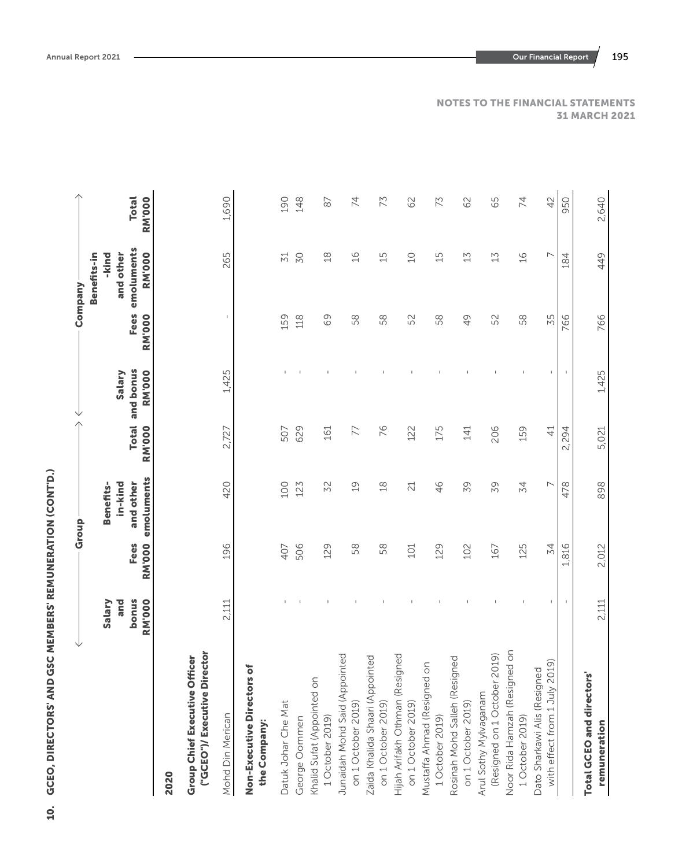|             | ļ<br>ı                                                      |
|-------------|-------------------------------------------------------------|
|             | l<br>I<br>١<br>$\overline{\phantom{a}}$                     |
|             |                                                             |
| l           | Į                                                           |
| J<br>Í<br>Í | Ì<br>í<br>ı<br>I<br>I<br>ı                                  |
|             | l<br>I<br>l                                                 |
|             | I<br>$\frac{1}{2}$<br>l<br>í<br>ı                           |
|             | ſ<br>٩<br>¢<br>ı<br>I<br>I<br>$\overline{\phantom{a}}$<br>i |
|             | Í<br>I<br>I<br>۱<br>Ò                                       |
|             | C<br>١<br>ı<br>ŧ                                            |

|                                                                           |                        |                       | Group                    |                               |                            |                       | Company                     |                               |
|---------------------------------------------------------------------------|------------------------|-----------------------|--------------------------|-------------------------------|----------------------------|-----------------------|-----------------------------|-------------------------------|
|                                                                           | Salary                 |                       | Benefits-                |                               |                            |                       | Benefits-in<br>-kind        |                               |
|                                                                           | and                    |                       | in-kind                  |                               | Salary                     |                       | and other                   |                               |
|                                                                           | bonus<br><b>RM'000</b> | Fees<br><b>RM'000</b> | emoluments<br>and other  | <b>Total</b><br><b>RM'000</b> | and bonus<br><b>RM'000</b> | Fees<br><b>RM'000</b> | emoluments<br><b>RM'000</b> | <b>Total</b><br><b>RM'000</b> |
| 2020                                                                      |                        |                       |                          |                               |                            |                       |                             |                               |
| ("GCEO")/ Executive Director<br>icer<br><b>Group Chief Executive Offi</b> |                        |                       |                          |                               |                            |                       |                             |                               |
| Mohd Din Merican                                                          | 2,111                  | 196                   | 420                      | 2.727                         | 1,425                      | 1                     | 265                         | 1,690                         |
| Non-Executive Directors<br>the Company:                                   |                        |                       |                          |                               |                            |                       |                             |                               |
| Datuk Johar Che Mat                                                       |                        | 407                   | 100                      | 507                           |                            | 159                   | 51                          | 190                           |
| George Oommen                                                             |                        | 506                   | 123                      | 629                           |                            | 118                   | 50                          | 148                           |
| Khalid Sufat (Appointed on<br>1 October 2019)                             | J.                     | 129                   | 32                       | 161                           |                            | 69                    | $\frac{8}{10}$              | $\overline{8}$                |
| Junaidah Mohd Said (Appointed                                             |                        |                       |                          |                               |                            |                       |                             |                               |
| on 1 October 2019)                                                        | J.                     | 58                    | $\overline{c}$           | 77                            |                            | 58                    | $\frac{1}{6}$               | $\overline{7}$                |
| Zaida Khalida Shaari (Appointed<br>on 1 October 2019)                     |                        | 58                    | $\frac{8}{10}$           | 76                            |                            | 58                    | 15                          | 73                            |
| Hijah Arifakh Othman (Resigned                                            |                        |                       |                          |                               |                            |                       |                             |                               |
| on 1 October 2019)                                                        |                        | 101                   | $\overline{c}$           | 122                           |                            | 52                    | $\supseteq$                 | 62                            |
| Mustaffa Ahmad (Resigned on                                               |                        |                       |                          |                               |                            |                       |                             |                               |
| Rosinah Mohd Salleh (Resigned<br>1 October 2019)                          |                        | 129                   | 46                       | 175                           |                            | 58                    | $\overline{15}$             | 73                            |
| on 1 October 2019)                                                        |                        | 102                   | 59                       | 141                           |                            | $\frac{1}{2}$         | 15                          | 29                            |
| Arul Sothy Mylvaganam                                                     |                        |                       |                          |                               |                            |                       |                             |                               |
| (Resigned on 1 October 2019)                                              |                        | 167                   | 39                       | 206                           |                            | 52                    | 15                          | 65                            |
| Noor Rida Hamzah (Resigned on                                             |                        |                       |                          |                               |                            |                       |                             |                               |
| 1 October 2019)                                                           |                        | 125                   | 34                       | 159                           | $\mathbf{I}$               | 58                    | $\frac{6}{1}$               | $\overline{7}$                |
| with effect from 1 July 2019)<br>Dato Sharkawi Alis (Resigned             |                        | 34                    | $\overline{\phantom{0}}$ | $\overline{4}$                |                            | 55                    | ↖                           | 42                            |
|                                                                           | 1                      | 816<br>1,             | 478                      | 2,294                         | $\blacksquare$             | 766                   | 184                         | 950                           |
| Total GCEO and directors'                                                 |                        |                       |                          |                               |                            |                       |                             |                               |
| remuneration                                                              | 2,111                  | 2,012                 | 898                      | 5,021                         | 1,425                      | 766                   | 449                         | 2,640                         |
|                                                                           |                        |                       |                          |                               |                            |                       |                             |                               |

NOTES TO THE FINANCIAL STATEMENTS 31 MARCH 2021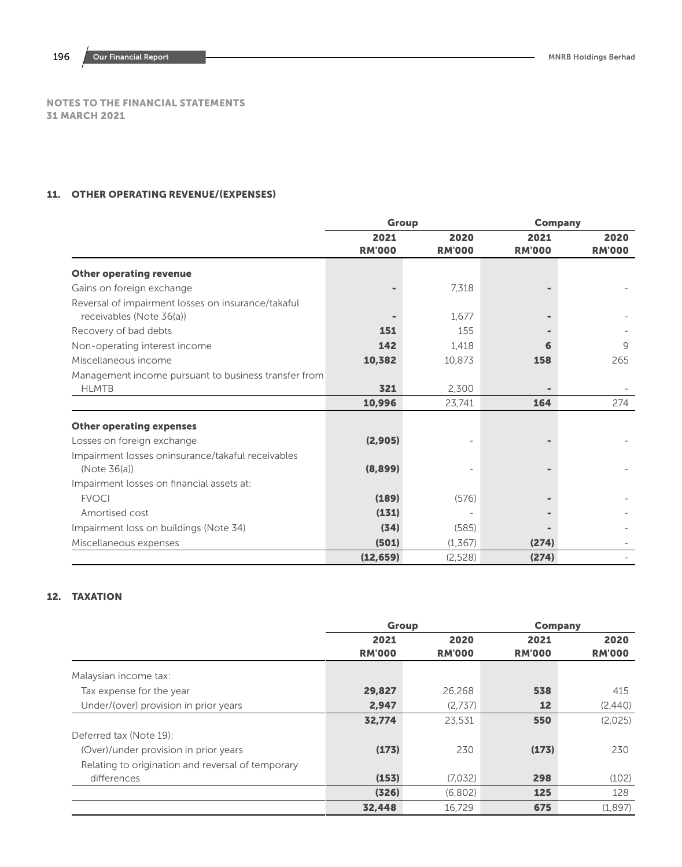# 11. OTHER OPERATING REVENUE/(EXPENSES)

|                                                      |               | Group         |               | <b>Company</b> |
|------------------------------------------------------|---------------|---------------|---------------|----------------|
|                                                      | 2021          | 2020          | 2021          | 2020           |
|                                                      | <b>RM'000</b> | <b>RM'000</b> | <b>RM'000</b> | <b>RM'000</b>  |
| <b>Other operating revenue</b>                       |               |               |               |                |
| Gains on foreign exchange                            |               | 7,318         |               |                |
| Reversal of impairment losses on insurance/takaful   |               |               |               |                |
| receivables (Note 36(a))                             |               | 1,677         |               |                |
| Recovery of bad debts                                | 151           | 155           |               |                |
| Non-operating interest income                        | 142           | 1.418         | 6             | 9              |
| Miscellaneous income                                 | 10,382        | 10,873        | 158           | 265            |
| Management income pursuant to business transfer from |               |               |               |                |
| <b>HLMTB</b>                                         | 321           | 2,300         |               |                |
|                                                      | 10,996        | 23,741        | 164           | 274            |
| <b>Other operating expenses</b>                      |               |               |               |                |
| Losses on foreign exchange                           | (2,905)       |               |               |                |
| Impairment losses oninsurance/takaful receivables    |               |               |               |                |
| (Note 36(a))                                         | (8,899)       |               |               |                |
| Impairment losses on financial assets at:            |               |               |               |                |
| <b>FVOCI</b>                                         | (189)         | (576)         |               |                |
| Amortised cost                                       | (131)         |               |               |                |
| Impairment loss on buildings (Note 34)               | (34)          | (585)         |               |                |
| Miscellaneous expenses                               | (501)         | (1, 367)      | (274)         |                |
|                                                      | (12, 659)     | (2,528)       | (274)         |                |

# 12. TAXATION

|                                                   |               | <b>Group</b>  |               | <b>Company</b> |
|---------------------------------------------------|---------------|---------------|---------------|----------------|
|                                                   | 2021          | 2020          | 2021          | 2020           |
|                                                   | <b>RM'000</b> | <b>RM'000</b> | <b>RM'000</b> | <b>RM'000</b>  |
| Malaysian income tax:                             |               |               |               |                |
| Tax expense for the year                          | 29,827        | 26.268        | 538           | 415            |
| Under/(over) provision in prior years             | 2.947         | (2,737)       | 12            | (2,440)        |
|                                                   | 32,774        | 23,531        | 550           | (2,025)        |
| Deferred tax (Note 19):                           |               |               |               |                |
| (Over)/under provision in prior years             | (173)         | 230           | (173)         | 230            |
| Relating to origination and reversal of temporary |               |               |               |                |
| differences                                       | (153)         | (7,032)       | 298           | (102)          |
|                                                   | (326)         | (6,802)       | 125           | 128            |
|                                                   | 32,448        | 16.729        | 675           | (1.897)        |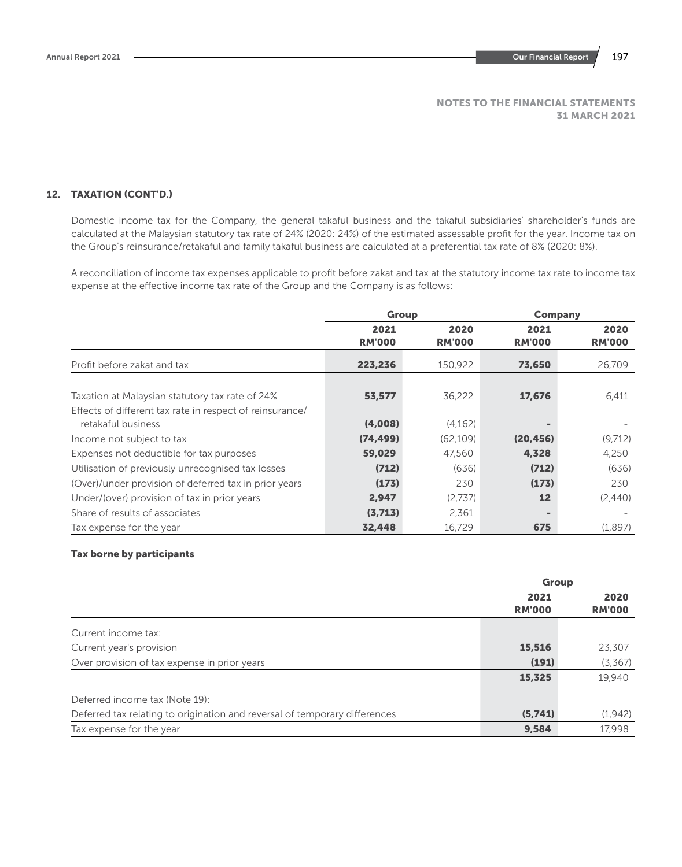# 12. TAXATION (CONT'D.)

Domestic income tax for the Company, the general takaful business and the takaful subsidiaries' shareholder's funds are calculated at the Malaysian statutory tax rate of 24% (2020: 24%) of the estimated assessable profit for the year. Income tax on the Group's reinsurance/retakaful and family takaful business are calculated at a preferential tax rate of 8% (2020: 8%).

A reconciliation of income tax expenses applicable to profit before zakat and tax at the statutory income tax rate to income tax expense at the effective income tax rate of the Group and the Company is as follows:

|                                                          |               | <b>Group</b>  |                | <b>Company</b> |
|----------------------------------------------------------|---------------|---------------|----------------|----------------|
|                                                          | 2021          | 2020          | 2021           | 2020           |
|                                                          | <b>RM'000</b> | <b>RM'000</b> | <b>RM'000</b>  | <b>RM'000</b>  |
| Profit before zakat and tax                              | 223,236       | 150,922       | 73,650         | 26,709         |
|                                                          |               |               |                |                |
| Taxation at Malaysian statutory tax rate of 24%          | 53,577        | 36,222        | 17,676         | 6,411          |
| Effects of different tax rate in respect of reinsurance/ |               |               |                |                |
| retakaful business                                       | (4,008)       | (4, 162)      |                |                |
| Income not subject to tax                                | (74, 499)     | (62, 109)     | (20, 456)      | (9,712)        |
| Expenses not deductible for tax purposes                 | 59,029        | 47,560        | 4,328          | 4,250          |
| Utilisation of previously unrecognised tax losses        | (712)         | (636)         | (712)          | (636)          |
| (Over)/under provision of deferred tax in prior years    | (173)         | 230           | (173)          | 230            |
| Under/(over) provision of tax in prior years             | 2,947         | (2,737)       | 12             | (2,440)        |
| Share of results of associates                           | (3,713)       | 2,361         | $\blacksquare$ |                |
| Tax expense for the year                                 | 32,448        | 16,729        | 675            | (1.897)        |

# Tax borne by participants

|                                                                            |               | <b>Group</b>  |
|----------------------------------------------------------------------------|---------------|---------------|
|                                                                            | 2021          | 2020          |
|                                                                            | <b>RM'000</b> | <b>RM'000</b> |
| Current income tax:                                                        |               |               |
| Current year's provision                                                   | 15,516        | 23,307        |
| Over provision of tax expense in prior years                               | (191)         | (3,367)       |
|                                                                            | 15,325        | 19.940        |
| Deferred income tax (Note 19):                                             |               |               |
| Deferred tax relating to origination and reversal of temporary differences | (5,741)       | (1,942)       |
| Tax expense for the year                                                   | 9,584         | 17.998        |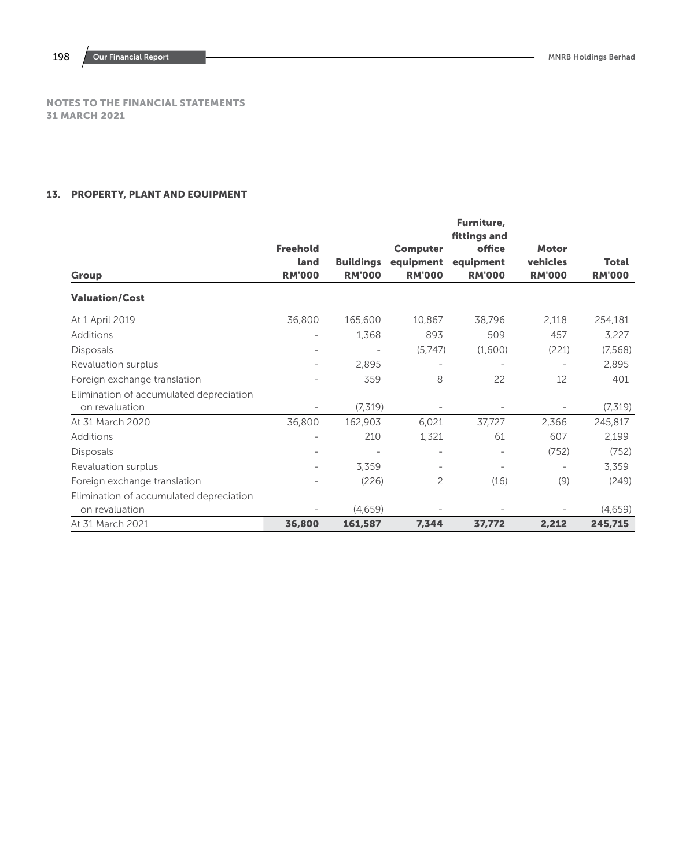## 13. PROPERTY, PLANT AND EQUIPMENT

| Group                                   | <b>Freehold</b><br>land<br><b>RM'000</b> | <b>Buildings</b><br><b>RM'000</b> | <b>Computer</b><br>equipment<br><b>RM'000</b> | Furniture,<br>fittings and<br>office<br>equipment<br><b>RM'000</b> | <b>Motor</b><br>vehicles<br><b>RM'000</b> | <b>Total</b><br><b>RM'000</b> |
|-----------------------------------------|------------------------------------------|-----------------------------------|-----------------------------------------------|--------------------------------------------------------------------|-------------------------------------------|-------------------------------|
| <b>Valuation/Cost</b>                   |                                          |                                   |                                               |                                                                    |                                           |                               |
| At 1 April 2019                         | 36,800                                   | 165,600                           | 10,867                                        | 38,796                                                             | 2,118                                     | 254,181                       |
| Additions                               | $\overline{\phantom{a}}$                 | 1,368                             | 893                                           | 509                                                                | 457                                       | 3,227                         |
| <b>Disposals</b>                        |                                          | $\overline{\phantom{a}}$          | (5,747)                                       | (1,600)                                                            | (221)                                     | (7, 568)                      |
| Revaluation surplus                     | $\overline{\phantom{a}}$                 | 2,895                             | $\overline{\phantom{a}}$                      | $\overline{\phantom{a}}$                                           | $\overline{\phantom{a}}$                  | 2,895                         |
| Foreign exchange translation            |                                          | 359                               | 8                                             | 22                                                                 | 12                                        | 401                           |
| Elimination of accumulated depreciation |                                          |                                   |                                               |                                                                    |                                           |                               |
| on revaluation                          |                                          | (7, 319)                          | $\overline{a}$                                | $\overline{\phantom{a}}$                                           |                                           | (7,319)                       |
| At 31 March 2020                        | 36,800                                   | 162,903                           | 6,021                                         | 37,727                                                             | 2,366                                     | 245,817                       |
| Additions                               |                                          | 210                               | 1,321                                         | 61                                                                 | 607                                       | 2,199                         |
| <b>Disposals</b>                        |                                          |                                   | $\qquad \qquad$                               |                                                                    | (752)                                     | (752)                         |
| Revaluation surplus                     | $\overline{\phantom{a}}$                 | 3,359                             | -                                             | $\overline{\phantom{a}}$                                           | $\overline{\phantom{0}}$                  | 3,359                         |
| Foreign exchange translation            |                                          | (226)                             | $\overline{c}$                                | (16)                                                               | (9)                                       | (249)                         |
| Elimination of accumulated depreciation |                                          |                                   |                                               |                                                                    |                                           |                               |
| on revaluation                          |                                          | (4,659)                           |                                               |                                                                    |                                           | (4,659)                       |
| At 31 March 2021                        | 36,800                                   | 161,587                           | 7,344                                         | 37,772                                                             | 2,212                                     | 245,715                       |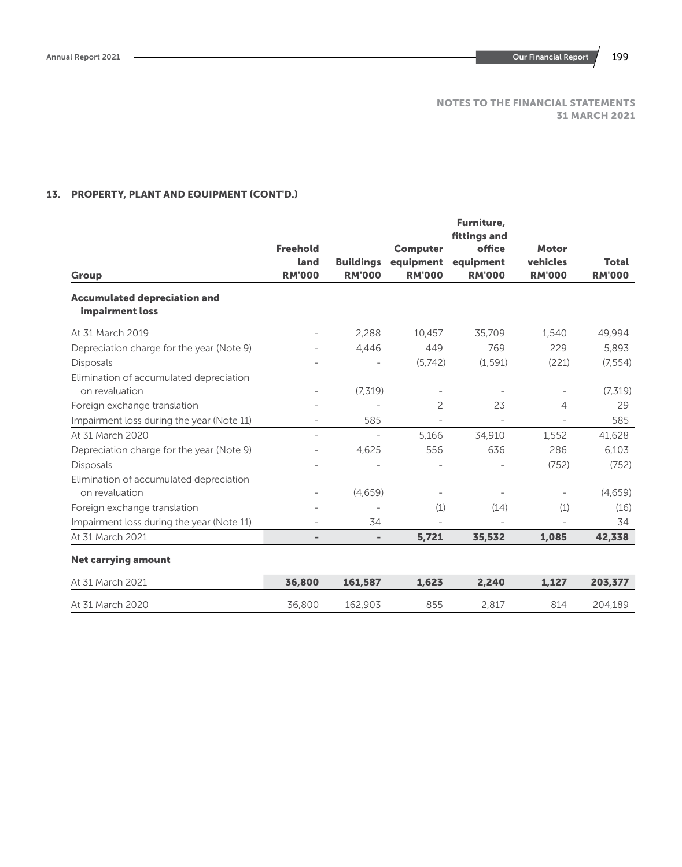# 13. PROPERTY, PLANT AND EQUIPMENT (CONT'D.)

|                                                           |                 |                          |                          | Furniture,<br>fittings and |                |               |
|-----------------------------------------------------------|-----------------|--------------------------|--------------------------|----------------------------|----------------|---------------|
|                                                           | <b>Freehold</b> |                          | <b>Computer</b>          | office                     | Motor          |               |
|                                                           | land            | <b>Buildings</b>         | equipment                | equipment                  | vehicles       | <b>Total</b>  |
| Group                                                     | <b>RM'000</b>   | <b>RM'000</b>            | <b>RM'000</b>            | <b>RM'000</b>              | <b>RM'000</b>  | <b>RM'000</b> |
| <b>Accumulated depreciation and</b><br>impairment loss    |                 |                          |                          |                            |                |               |
| At 31 March 2019                                          |                 | 2.288                    | 10.457                   | 35.709                     | 1.540          | 49.994        |
| Depreciation charge for the year (Note 9)                 |                 | 4.446                    | 449                      | 769                        | 229            | 5.893         |
| <b>Disposals</b>                                          |                 |                          | (5.742)                  | (1.591)                    | (221)          | (7, 554)      |
| Elimination of accumulated depreciation                   |                 |                          |                          |                            |                |               |
| on revaluation                                            |                 | (7, 319)                 |                          |                            |                | (7, 319)      |
| Foreign exchange translation                              |                 |                          | $\overline{c}$           | 23                         | 4              | 29            |
| Impairment loss during the year (Note 11)                 |                 | 585                      | $\overline{\phantom{0}}$ | $\overline{\phantom{a}}$   |                | 585           |
| At 31 March 2020                                          | ٠               | $\overline{\phantom{a}}$ | 5.166                    | 34.910                     | 1.552          | 41.628        |
| Depreciation charge for the year (Note 9)                 |                 | 4,625                    | 556                      | 636                        | 286            | 6,103         |
| <b>Disposals</b>                                          |                 |                          |                          |                            | (752)          | (752)         |
| Elimination of accumulated depreciation<br>on revaluation |                 | (4,659)                  | $\overline{\phantom{0}}$ |                            | $\overline{a}$ | (4,659)       |
| Foreign exchange translation                              |                 |                          | (1)                      | (14)                       | (1)            | (16)          |
| Impairment loss during the year (Note 11)                 |                 | 34                       | L.                       |                            |                | 34            |
| At 31 March 2021                                          | $\blacksquare$  | $\blacksquare$           | 5,721                    | 35,532                     | 1,085          | 42,338        |
| <b>Net carrying amount</b>                                |                 |                          |                          |                            |                |               |
| At 31 March 2021                                          | 36,800          | 161,587                  | 1,623                    | 2,240                      | 1,127          | 203,377       |
| At 31 March 2020                                          | 36,800          | 162,903                  | 855                      | 2,817                      | 814            | 204,189       |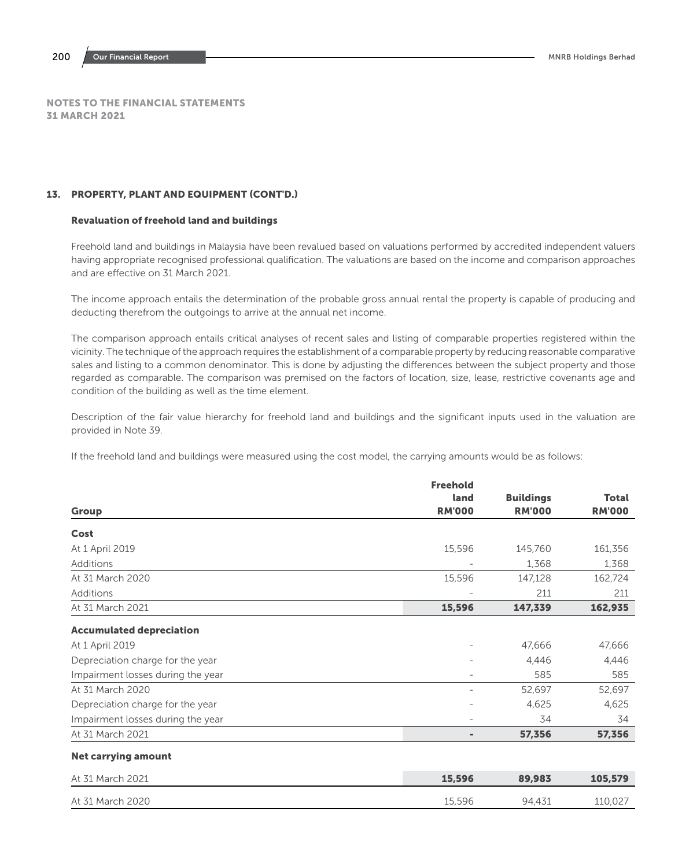#### 13. PROPERTY, PLANT AND EQUIPMENT (CONT'D.)

## Revaluation of freehold land and buildings

Freehold land and buildings in Malaysia have been revalued based on valuations performed by accredited independent valuers having appropriate recognised professional qualification. The valuations are based on the income and comparison approaches and are effective on 31 March 2021.

The income approach entails the determination of the probable gross annual rental the property is capable of producing and deducting therefrom the outgoings to arrive at the annual net income.

The comparison approach entails critical analyses of recent sales and listing of comparable properties registered within the vicinity. The technique of the approach requires the establishment of a comparable property by reducing reasonable comparative sales and listing to a common denominator. This is done by adjusting the differences between the subject property and those regarded as comparable. The comparison was premised on the factors of location, size, lease, restrictive covenants age and condition of the building as well as the time element.

Description of the fair value hierarchy for freehold land and buildings and the significant inputs used in the valuation are provided in Note 39.

If the freehold land and buildings were measured using the cost model, the carrying amounts would be as follows:

|                                   | <b>Freehold</b>          |                  | <b>Total</b>  |
|-----------------------------------|--------------------------|------------------|---------------|
|                                   | land                     | <b>Buildings</b> |               |
| Group                             | <b>RM'000</b>            | <b>RM'000</b>    | <b>RM'000</b> |
| Cost                              |                          |                  |               |
| At 1 April 2019                   | 15,596                   | 145,760          | 161,356       |
| Additions                         |                          | 1,368            | 1,368         |
| At 31 March 2020                  | 15,596                   | 147,128          | 162,724       |
| Additions                         | $\qquad \qquad -$        | 211              | 211           |
| At 31 March 2021                  | 15,596                   | 147,339          | 162,935       |
| <b>Accumulated depreciation</b>   |                          |                  |               |
| At 1 April 2019                   |                          | 47,666           | 47,666        |
| Depreciation charge for the year  | $\overline{\phantom{a}}$ | 4,446            | 4,446         |
| Impairment losses during the year |                          | 585              | 585           |
| At 31 March 2020                  | $\overline{\phantom{0}}$ | 52,697           | 52,697        |
| Depreciation charge for the year  |                          | 4,625            | 4,625         |
| Impairment losses during the year |                          | 34               | 34            |
| At 31 March 2021                  | $\blacksquare$           | 57,356           | 57,356        |
| <b>Net carrying amount</b>        |                          |                  |               |
| At 31 March 2021                  | 15,596                   | 89,983           | 105,579       |
| At 31 March 2020                  | 15,596                   | 94.431           | 110,027       |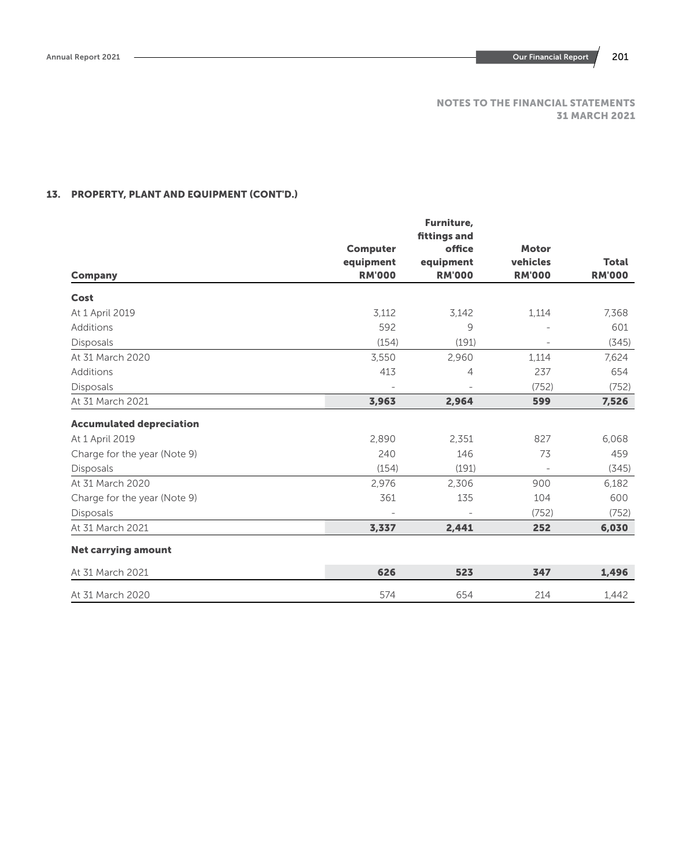# 13. PROPERTY, PLANT AND EQUIPMENT (CONT'D.)

|                                 |                            | Furniture,                 |                          |               |
|---------------------------------|----------------------------|----------------------------|--------------------------|---------------|
|                                 |                            | fittings and               |                          |               |
|                                 | <b>Computer</b>            | office                     | <b>Motor</b><br>vehicles | <b>Total</b>  |
| <b>Company</b>                  | equipment<br><b>RM'000</b> | equipment<br><b>RM'000</b> | <b>RM'000</b>            | <b>RM'000</b> |
|                                 |                            |                            |                          |               |
| Cost                            |                            |                            |                          |               |
| At 1 April 2019                 | 3,112                      | 3,142                      | 1,114                    | 7,368         |
| Additions                       | 592                        | 9                          |                          | 601           |
| <b>Disposals</b>                | (154)                      | (191)                      |                          | (345)         |
| At 31 March 2020                | 3,550                      | 2,960                      | 1,114                    | 7,624         |
| Additions                       | 413                        | 4                          | 237                      | 654           |
| Disposals                       | $\overline{a}$             | $\overline{\phantom{a}}$   | (752)                    | (752)         |
| At 31 March 2021                | 3,963                      | 2,964                      | 599                      | 7,526         |
| <b>Accumulated depreciation</b> |                            |                            |                          |               |
| At 1 April 2019                 | 2,890                      | 2,351                      | 827                      | 6,068         |
| Charge for the year (Note 9)    | 240                        | 146                        | 73                       | 459           |
| Disposals                       | (154)                      | (191)                      | $\sim$                   | (345)         |
| At 31 March 2020                | 2,976                      | 2,306                      | 900                      | 6,182         |
| Charge for the year (Note 9)    | 361                        | 135                        | 104                      | 600           |
| <b>Disposals</b>                |                            |                            | (752)                    | (752)         |
| At 31 March 2021                | 3,337                      | 2,441                      | 252                      | 6,030         |
| <b>Net carrying amount</b>      |                            |                            |                          |               |
| At 31 March 2021                | 626                        | 523                        | 347                      | 1,496         |
| At 31 March 2020                | 574                        | 654                        | 214                      | 1,442         |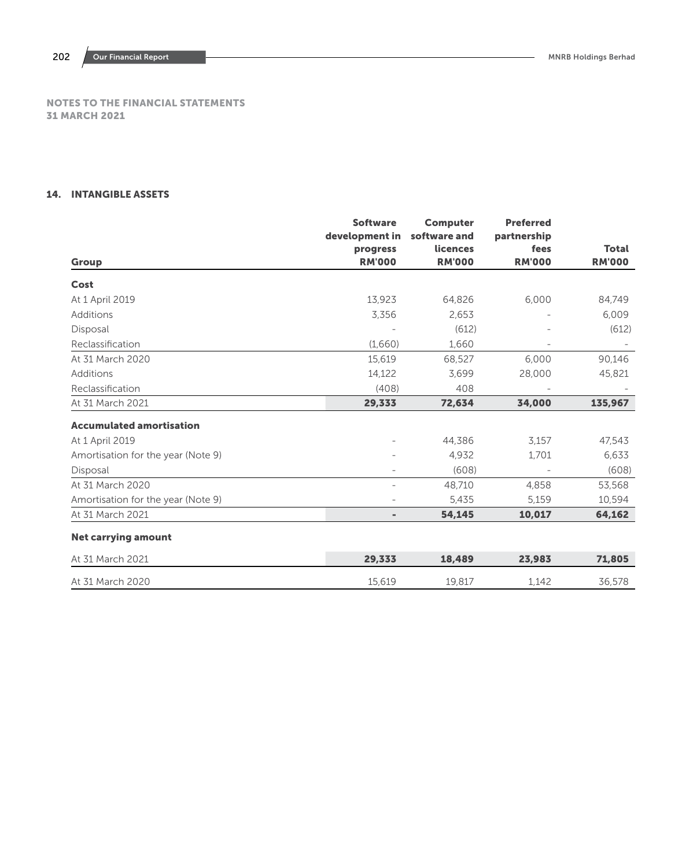## 14. INTANGIBLE ASSETS

|                                    | <b>Software</b>           | <b>Computer</b>           | <b>Preferred</b>         |                               |
|------------------------------------|---------------------------|---------------------------|--------------------------|-------------------------------|
|                                    | development in            | software and              | partnership              |                               |
| Group                              | progress<br><b>RM'000</b> | licences<br><b>RM'000</b> | fees<br><b>RM'000</b>    | <b>Total</b><br><b>RM'000</b> |
|                                    |                           |                           |                          |                               |
| Cost                               |                           |                           |                          |                               |
| At 1 April 2019                    | 13.923                    | 64.826                    | 6.000                    | 84.749                        |
| Additions                          | 3,356                     | 2,653                     |                          | 6,009                         |
| Disposal                           |                           | (612)                     |                          | (612)                         |
| Reclassification                   | (1,660)                   | 1,660                     | $\overline{a}$           |                               |
| At 31 March 2020                   | 15.619                    | 68.527                    | 6.000                    | 90,146                        |
| Additions                          | 14.122                    | 3.699                     | 28,000                   | 45,821                        |
| Reclassification                   | (408)                     | 408                       |                          |                               |
| At 31 March 2021                   | 29,333                    | 72,634                    | 34,000                   | 135,967                       |
| <b>Accumulated amortisation</b>    |                           |                           |                          |                               |
| At 1 April 2019                    |                           | 44.386                    | 3,157                    | 47,543                        |
| Amortisation for the year (Note 9) |                           | 4,932                     | 1,701                    | 6,633                         |
| Disposal                           |                           | (608)                     | $\overline{\phantom{a}}$ | (608)                         |
| At 31 March 2020                   | $\overline{a}$            | 48,710                    | 4,858                    | 53,568                        |
| Amortisation for the year (Note 9) |                           | 5,435                     | 5,159                    | 10,594                        |
| At 31 March 2021                   |                           | 54,145                    | 10,017                   | 64,162                        |
| <b>Net carrying amount</b>         |                           |                           |                          |                               |
| At 31 March 2021                   | 29,333                    | 18,489                    | 23,983                   | 71,805                        |
| At 31 March 2020                   | 15,619                    | 19,817                    | 1.142                    | 36,578                        |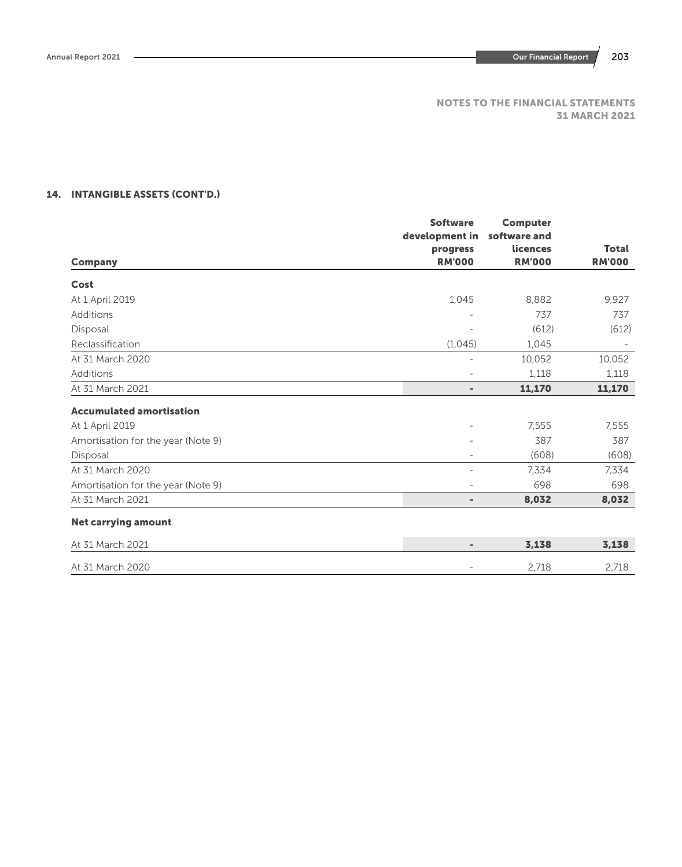## 14. INTANGIBLE ASSETS (CONT'D.)

|                                    | <b>Software</b>          | <b>Computer</b> |               |  |
|------------------------------------|--------------------------|-----------------|---------------|--|
|                                    | development in           | software and    | <b>Total</b>  |  |
|                                    | progress                 | licences        |               |  |
| <b>Company</b>                     | <b>RM'000</b>            | <b>RM'000</b>   | <b>RM'000</b> |  |
| Cost                               |                          |                 |               |  |
| At 1 April 2019                    | 1,045                    | 8,882           | 9,927         |  |
| Additions                          |                          | 737             | 737           |  |
| Disposal                           |                          | (612)           | (612)         |  |
| Reclassification                   | (1,045)                  | 1.045           |               |  |
| At 31 March 2020                   | $\overline{\phantom{a}}$ | 10,052          | 10,052        |  |
| Additions                          | $\overline{\phantom{a}}$ | 1,118           | 1,118         |  |
| At 31 March 2021                   | $\blacksquare$           | 11,170          | 11,170        |  |
| <b>Accumulated amortisation</b>    |                          |                 |               |  |
| At 1 April 2019                    |                          | 7,555           | 7,555         |  |
| Amortisation for the year (Note 9) |                          | 387             | 387           |  |
| Disposal                           |                          | (608)           | (608)         |  |
| At 31 March 2020                   | $\overline{\phantom{a}}$ | 7,334           | 7,334         |  |
| Amortisation for the year (Note 9) |                          | 698             | 698           |  |
| At 31 March 2021                   | $\qquad \qquad =$        | 8,032           | 8,032         |  |
| <b>Net carrying amount</b>         |                          |                 |               |  |
| At 31 March 2021                   | $\blacksquare$           | 3,138           | 3,138         |  |
| At 31 March 2020                   |                          | 2,718           | 2,718         |  |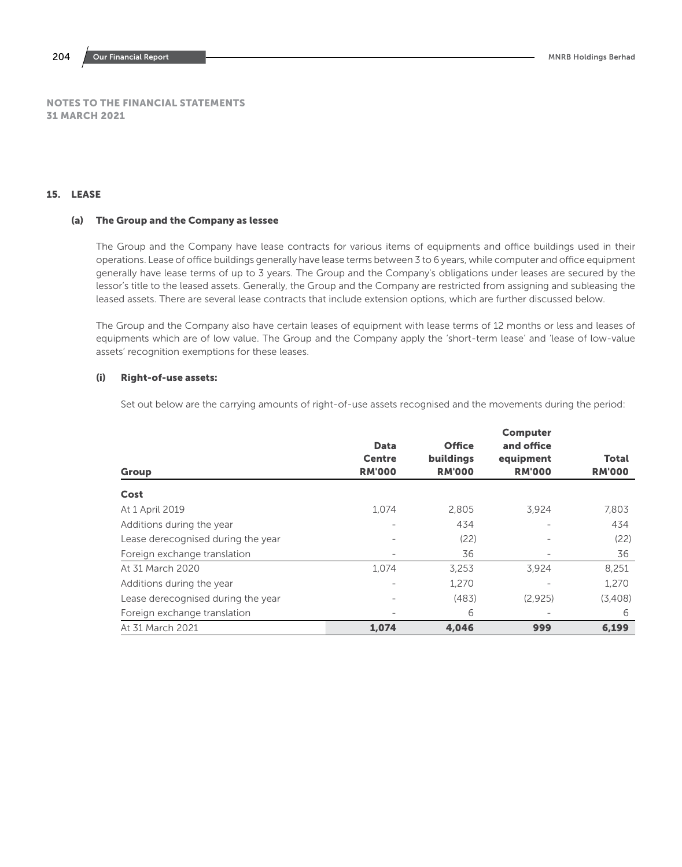#### 15. LEASE

#### (a) The Group and the Company as lessee

The Group and the Company have lease contracts for various items of equipments and office buildings used in their operations. Lease of office buildings generally have lease terms between 3 to 6 years, while computer and office equipment generally have lease terms of up to 3 years. The Group and the Company's obligations under leases are secured by the lessor's title to the leased assets. Generally, the Group and the Company are restricted from assigning and subleasing the leased assets. There are several lease contracts that include extension options, which are further discussed below.

The Group and the Company also have certain leases of equipment with lease terms of 12 months or less and leases of equipments which are of low value. The Group and the Company apply the 'short-term lease' and 'lease of low-value assets' recognition exemptions for these leases.

#### (i) Right-of-use assets:

Set out below are the carrying amounts of right-of-use assets recognised and the movements during the period:

| Group                              | <b>Data</b><br><b>Centre</b><br><b>RM'000</b> | <b>Office</b><br><b>buildings</b><br><b>RM'000</b> | <b>Computer</b><br>and office<br>equipment<br><b>RM'000</b> | Total<br><b>RM'000</b> |
|------------------------------------|-----------------------------------------------|----------------------------------------------------|-------------------------------------------------------------|------------------------|
| Cost                               |                                               |                                                    |                                                             |                        |
| At 1 April 2019                    | 1.074                                         | 2,805                                              | 3.924                                                       | 7,803                  |
| Additions during the year          |                                               | 434                                                |                                                             | 434                    |
| Lease derecognised during the year |                                               | (22)                                               |                                                             | (22)                   |
| Foreign exchange translation       |                                               | 36                                                 |                                                             | 36                     |
| At 31 March 2020                   | 1.074                                         | 3,253                                              | 3.924                                                       | 8,251                  |
| Additions during the year          |                                               | 1.270                                              |                                                             | 1,270                  |
| Lease derecognised during the year |                                               | (483)                                              | (2,925)                                                     | (3,408)                |
| Foreign exchange translation       |                                               | 6                                                  | $\overline{\phantom{a}}$                                    | 6                      |
| At 31 March 2021                   | 1.074                                         | 4,046                                              | 999                                                         | 6.199                  |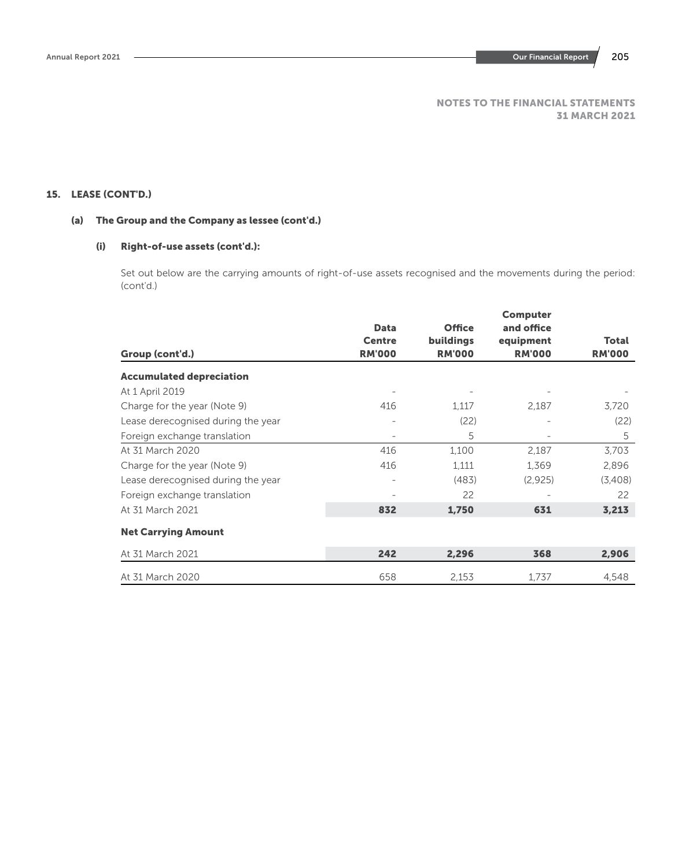# 15. LEASE (CONT'D.)

# (a) The Group and the Company as lessee (cont'd.)

# (i) Right-of-use assets (cont'd.):

Set out below are the carrying amounts of right-of-use assets recognised and the movements during the period: (cont'd.)

| Group (cont'd.)                    | <b>Data</b><br><b>Centre</b><br><b>RM'000</b> | <b>Office</b><br>buildings<br><b>RM'000</b> | <b>Computer</b><br>and office<br>equipment<br><b>RM'000</b> | <b>Total</b><br><b>RM'000</b> |
|------------------------------------|-----------------------------------------------|---------------------------------------------|-------------------------------------------------------------|-------------------------------|
| <b>Accumulated depreciation</b>    |                                               |                                             |                                                             |                               |
| At 1 April 2019                    |                                               |                                             |                                                             |                               |
| Charge for the year (Note 9)       | 416                                           | 1,117                                       | 2,187                                                       | 3,720                         |
| Lease derecognised during the year |                                               | (22)                                        |                                                             | (22)                          |
| Foreign exchange translation       |                                               | 5                                           |                                                             | 5                             |
| At 31 March 2020                   | 416                                           | 1,100                                       | 2,187                                                       | 3,703                         |
| Charge for the year (Note 9)       | 416                                           | 1,111                                       | 1,369                                                       | 2,896                         |
| Lease derecognised during the year |                                               | (483)                                       | (2,925)                                                     | (3,408)                       |
| Foreign exchange translation       |                                               | 22                                          |                                                             | 22                            |
| At 31 March 2021                   | 832                                           | 1,750                                       | 631                                                         | 3,213                         |
| <b>Net Carrying Amount</b>         |                                               |                                             |                                                             |                               |
| At 31 March 2021                   | 242                                           | 2,296                                       | 368                                                         | 2,906                         |
| At 31 March 2020                   | 658                                           | 2,153                                       | 1,737                                                       | 4,548                         |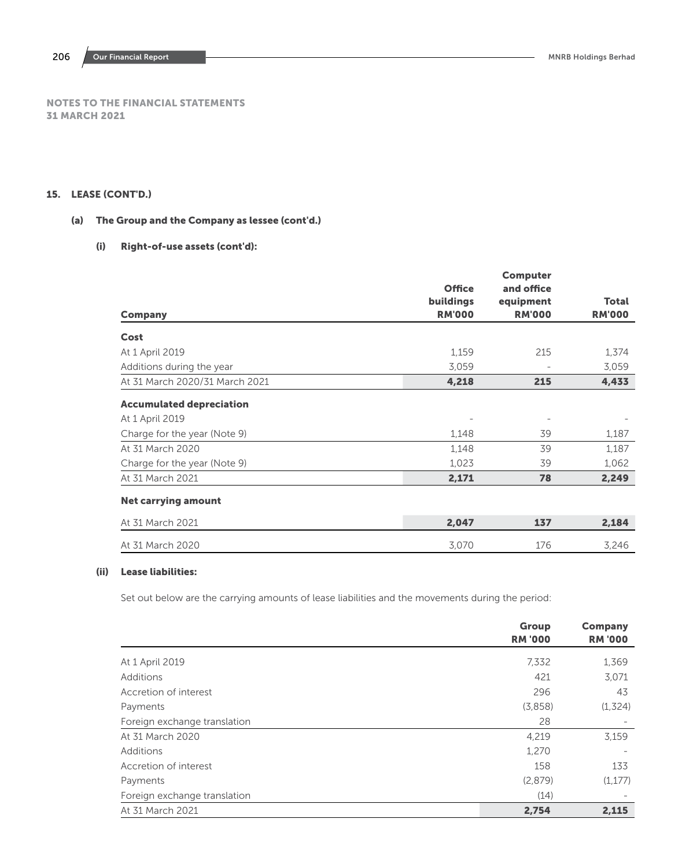## 15. LEASE (CONT'D.)

# (a) The Group and the Company as lessee (cont'd.)

## (i) Right-of-use assets (cont'd):

|                                 | <b>Office</b><br>buildings | <b>Computer</b><br>and office<br>equipment | Total         |
|---------------------------------|----------------------------|--------------------------------------------|---------------|
| <b>Company</b>                  | <b>RM'000</b>              | <b>RM'000</b>                              | <b>RM'000</b> |
| Cost                            |                            |                                            |               |
| At 1 April 2019                 | 1,159                      | 215                                        | 1,374         |
| Additions during the year       | 3,059                      | $\overline{\phantom{a}}$                   | 3,059         |
| At 31 March 2020/31 March 2021  | 4,218                      | 215                                        | 4,433         |
| <b>Accumulated depreciation</b> |                            |                                            |               |
| At 1 April 2019                 |                            | $\overline{\phantom{a}}$                   |               |
| Charge for the year (Note 9)    | 1,148                      | 39                                         | 1,187         |
| At 31 March 2020                | 1,148                      | 39                                         | 1,187         |
| Charge for the year (Note 9)    | 1,023                      | 39                                         | 1,062         |
| At 31 March 2021                | 2,171                      | 78                                         | 2,249         |
| <b>Net carrying amount</b>      |                            |                                            |               |
| At 31 March 2021                | 2,047                      | 137                                        | 2,184         |
| At 31 March 2020                | 3,070                      | 176                                        | 3,246         |

# (ii) Lease liabilities:

Set out below are the carrying amounts of lease liabilities and the movements during the period:

|                              | <b>Group</b><br><b>RM '000</b> | <b>Company</b><br><b>RM '000</b> |
|------------------------------|--------------------------------|----------------------------------|
| At 1 April 2019              | 7,332                          | 1,369                            |
| Additions                    | 421                            | 3,071                            |
| Accretion of interest        | 296                            | 43                               |
| Payments                     | (3,858)                        | (1, 324)                         |
| Foreign exchange translation | 28                             |                                  |
| At 31 March 2020             | 4,219                          | 3,159                            |
| Additions                    | 1,270                          |                                  |
| Accretion of interest        | 158                            | 133                              |
| Payments                     | (2,879)                        | (1, 177)                         |
| Foreign exchange translation | (14)                           |                                  |
| At 31 March 2021             | 2,754                          | 2,115                            |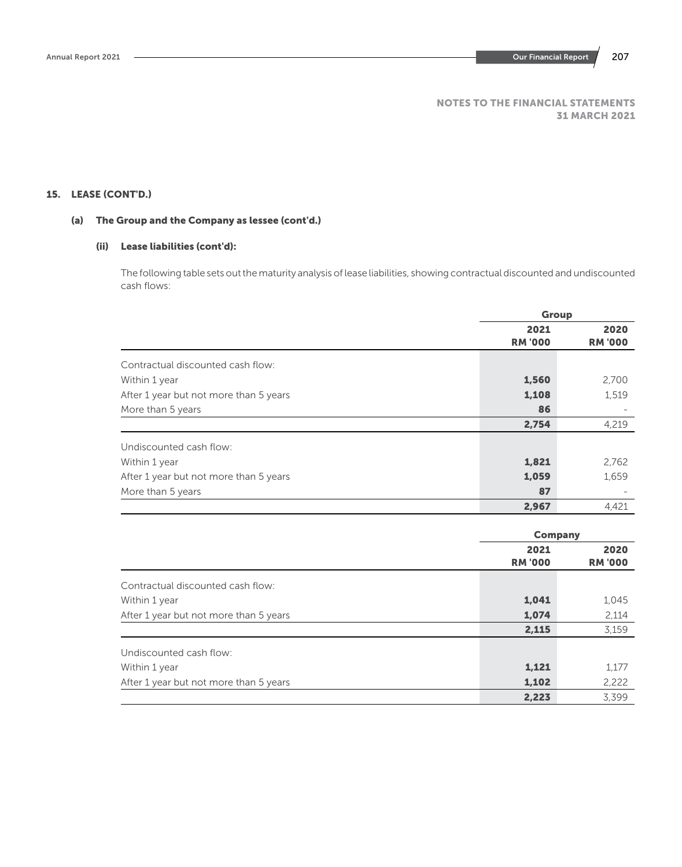## 15. LEASE (CONT'D.)

# (a) The Group and the Company as lessee (cont'd.)

## (ii) Lease liabilities (cont'd):

The following table sets out the maturity analysis of lease liabilities, showing contractual discounted and undiscounted cash flows:

|                                        | Group          |                |  |
|----------------------------------------|----------------|----------------|--|
|                                        | 2021           | 2020           |  |
|                                        | <b>RM '000</b> | <b>RM '000</b> |  |
| Contractual discounted cash flow:      |                |                |  |
| Within 1 year                          | 1,560          | 2,700          |  |
| After 1 year but not more than 5 years | 1,108          | 1,519          |  |
| More than 5 years                      | 86             |                |  |
|                                        | 2,754          | 4,219          |  |
| Undiscounted cash flow:                |                |                |  |
| Within 1 year                          | 1,821          | 2,762          |  |
| After 1 year but not more than 5 years | 1,059          | 1,659          |  |
| More than 5 years                      | 87             |                |  |
|                                        | 2,967          | 4,421          |  |

|                                        | <b>Company</b> |                |
|----------------------------------------|----------------|----------------|
|                                        | 2021           | 2020           |
|                                        | <b>RM '000</b> | <b>RM '000</b> |
| Contractual discounted cash flow:      |                |                |
| Within 1 year                          | 1,041          | 1,045          |
| After 1 year but not more than 5 years | 1,074          | 2,114          |
|                                        | 2,115          | 3,159          |
| Undiscounted cash flow:                |                |                |
| Within 1 year                          | 1,121          | 1,177          |
| After 1 year but not more than 5 years | 1,102          | 2,222          |
|                                        | 2,223          | 3.399          |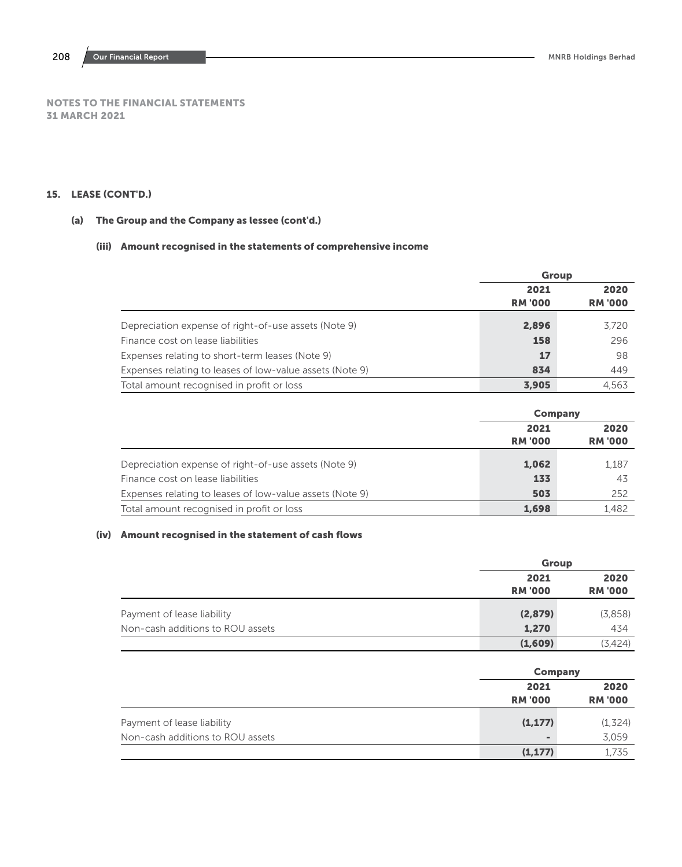#### 15. LEASE (CONT'D.)

# (a) The Group and the Company as lessee (cont'd.)

# (iii) Amount recognised in the statements of comprehensive income

|                                                          | Group          |                |
|----------------------------------------------------------|----------------|----------------|
|                                                          | 2021           | 2020           |
|                                                          | <b>RM '000</b> | <b>RM '000</b> |
| Depreciation expense of right-of-use assets (Note 9)     | 2,896          | 3,720          |
| Finance cost on lease liabilities                        | 158            | 296            |
| Expenses relating to short-term leases (Note 9)          | 17             | 98             |
| Expenses relating to leases of low-value assets (Note 9) | 834            | 449            |
| Total amount recognised in profit or loss                | 3,905          | 4,563          |

|                                                          | Company                |                        |
|----------------------------------------------------------|------------------------|------------------------|
|                                                          | 2021<br><b>RM '000</b> | 2020<br><b>RM '000</b> |
| Depreciation expense of right-of-use assets (Note 9)     | 1,062                  | 1,187                  |
| Finance cost on lease liabilities                        | 133                    | 43                     |
| Expenses relating to leases of low-value assets (Note 9) | 503                    | 252                    |
| Total amount recognised in profit or loss                | 1,698                  | 1,482                  |

# (iv) Amount recognised in the statement of cash flows

|                                  | Group                  |                        |
|----------------------------------|------------------------|------------------------|
|                                  | 2021<br><b>RM '000</b> | 2020<br><b>RM '000</b> |
| Payment of lease liability       | (2,879)                | (3,858)                |
| Non-cash additions to ROU assets | 1,270                  | 434                    |
|                                  | (1,609)                | (3,424)                |

|                                  | Company                |                        |
|----------------------------------|------------------------|------------------------|
|                                  | 2021<br><b>RM '000</b> | 2020<br><b>RM '000</b> |
| Payment of lease liability       | (1, 177)               | (1,324)                |
| Non-cash additions to ROU assets | $\blacksquare$         | 3,059                  |
|                                  | (1, 177)               | 1,735                  |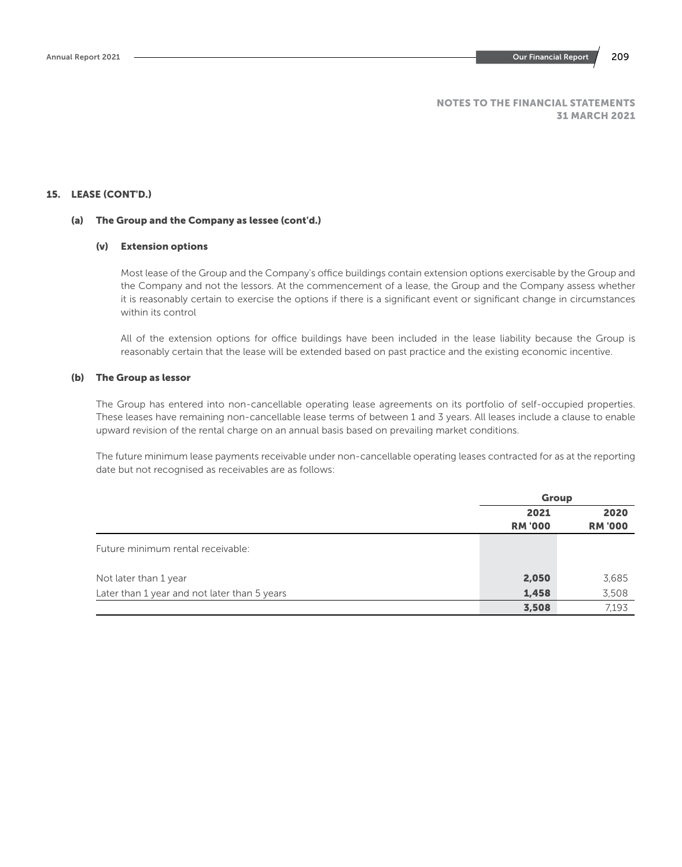#### 15. LEASE (CONT'D.)

#### (a) The Group and the Company as lessee (cont'd.)

#### (v) Extension options

Most lease of the Group and the Company's office buildings contain extension options exercisable by the Group and the Company and not the lessors. At the commencement of a lease, the Group and the Company assess whether it is reasonably certain to exercise the options if there is a significant event or significant change in circumstances within its control

All of the extension options for office buildings have been included in the lease liability because the Group is reasonably certain that the lease will be extended based on past practice and the existing economic incentive.

#### (b) The Group as lessor

The Group has entered into non-cancellable operating lease agreements on its portfolio of self-occupied properties. These leases have remaining non-cancellable lease terms of between 1 and 3 years. All leases include a clause to enable upward revision of the rental charge on an annual basis based on prevailing market conditions.

The future minimum lease payments receivable under non-cancellable operating leases contracted for as at the reporting date but not recognised as receivables are as follows:

|                                              | Group                  |                        |
|----------------------------------------------|------------------------|------------------------|
|                                              | 2021<br><b>RM '000</b> | 2020<br><b>RM '000</b> |
| Future minimum rental receivable:            |                        |                        |
| Not later than 1 year                        | 2,050                  | 3,685                  |
| Later than 1 year and not later than 5 years | 1,458                  | 3,508                  |
|                                              | 3,508                  | 7,193                  |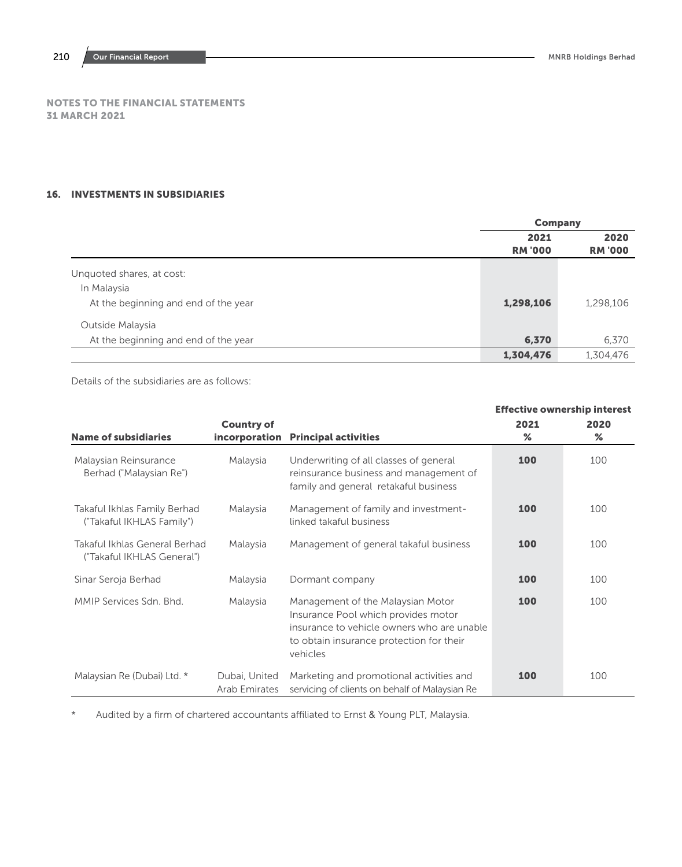#### 16. INVESTMENTS IN SUBSIDIARIES

|                                                                                  |                | <b>Company</b> |
|----------------------------------------------------------------------------------|----------------|----------------|
|                                                                                  | 2021           | 2020           |
|                                                                                  | <b>RM '000</b> | <b>RM '000</b> |
| Unquoted shares, at cost:<br>In Malaysia<br>At the beginning and end of the year | 1,298,106      | 1,298,106      |
| Outside Malaysia                                                                 |                |                |
| At the beginning and end of the year                                             | 6,370          | 6,370          |
|                                                                                  | 1,304,476      | 1.304.476      |

Details of the subsidiaries are as follows:

|                                                             |                                |                                                                                                                                                                                |              | <b>Effective ownership interest</b> |
|-------------------------------------------------------------|--------------------------------|--------------------------------------------------------------------------------------------------------------------------------------------------------------------------------|--------------|-------------------------------------|
| <b>Name of subsidiaries</b>                                 | <b>Country of</b>              | incorporation Principal activities                                                                                                                                             | 2021<br>$\%$ | 2020<br>$\%$                        |
| Malaysian Reinsurance<br>Berhad ("Malaysian Re")            | Malaysia                       | Underwriting of all classes of general<br>reinsurance business and management of<br>family and general retakaful business                                                      | 100          | 100                                 |
| Takaful Ikhlas Family Berhad<br>("Takaful IKHLAS Family")   | Malaysia                       | Management of family and investment-<br>linked takaful business                                                                                                                | 100          | 100                                 |
| Takaful Ikhlas General Berhad<br>("Takaful IKHLAS General") | Malaysia                       | Management of general takaful business                                                                                                                                         | 100          | 100                                 |
| Sinar Seroja Berhad                                         | Malaysia                       | Dormant company                                                                                                                                                                | 100          | 100                                 |
| MMIP Services Sdn. Bhd.                                     | Malaysia                       | Management of the Malaysian Motor<br>Insurance Pool which provides motor<br>insurance to vehicle owners who are unable<br>to obtain insurance protection for their<br>vehicles | 100          | 100                                 |
| Malaysian Re (Dubai) Ltd. *                                 | Dubai, United<br>Arab Emirates | Marketing and promotional activities and<br>servicing of clients on behalf of Malaysian Re                                                                                     | 100          | 100                                 |

\* Audited by a firm of chartered accountants affiliated to Ernst & Young PLT, Malaysia.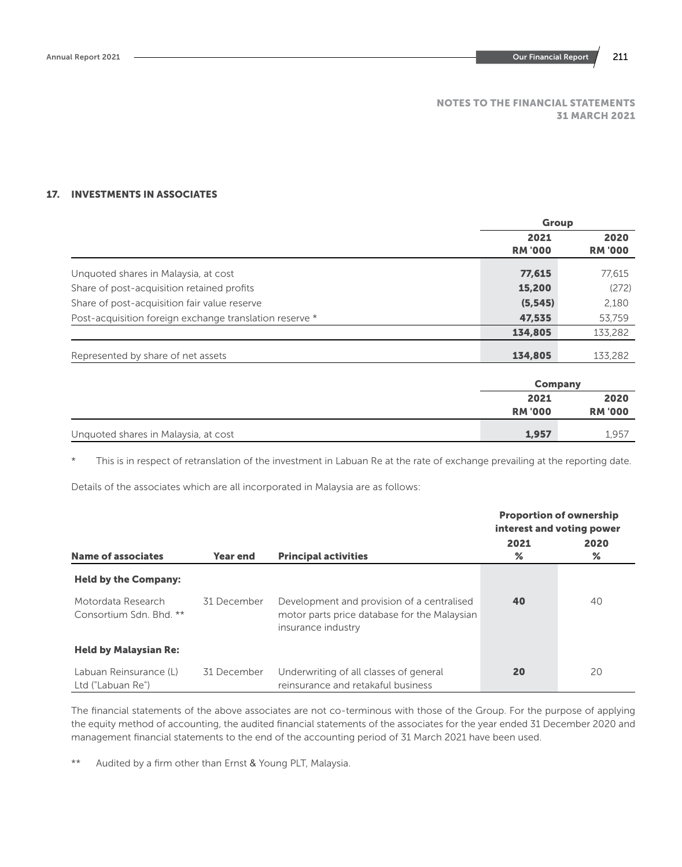#### 17. INVESTMENTS IN ASSOCIATES

|                                                         |                | Group          |  |
|---------------------------------------------------------|----------------|----------------|--|
|                                                         | 2021           | 2020           |  |
|                                                         | <b>RM '000</b> | <b>RM '000</b> |  |
| Unquoted shares in Malaysia, at cost                    | 77,615         | 77,615         |  |
| Share of post-acquisition retained profits              | 15,200         | (272)          |  |
| Share of post-acquisition fair value reserve            | (5, 545)       | 2,180          |  |
| Post-acquisition foreign exchange translation reserve * | 47,535         | 53,759         |  |
|                                                         | 134,805        | 133,282        |  |
| Represented by share of net assets                      | 134,805        | 133,282        |  |

|                                      | Company        |                |
|--------------------------------------|----------------|----------------|
|                                      | 2021           | 2020           |
|                                      | <b>RM '000</b> | <b>RM '000</b> |
| Unquoted shares in Malaysia, at cost | 1,957          | 1,957          |

\* This is in respect of retranslation of the investment in Labuan Re at the rate of exchange prevailing at the reporting date.

Details of the associates which are all incorporated in Malaysia are as follows:

|                                               |                 |                                                                                                                  |           | <b>Proportion of ownership</b><br>interest and voting power |
|-----------------------------------------------|-----------------|------------------------------------------------------------------------------------------------------------------|-----------|-------------------------------------------------------------|
| <b>Name of associates</b>                     | <b>Year end</b> | <b>Principal activities</b>                                                                                      | 2021<br>℅ | 2020<br>℅                                                   |
| <b>Held by the Company:</b>                   |                 |                                                                                                                  |           |                                                             |
| Motordata Research<br>Consortium Sdn. Bhd. ** | 31 December     | Development and provision of a centralised<br>motor parts price database for the Malaysian<br>insurance industry | 40        | 40                                                          |
| <b>Held by Malaysian Re:</b>                  |                 |                                                                                                                  |           |                                                             |
| Labuan Reinsurance (L)<br>Ltd ("Labuan Re")   | 31 December     | Underwriting of all classes of general<br>reinsurance and retakaful business                                     | 20        | 20                                                          |

The financial statements of the above associates are not co-terminous with those of the Group. For the purpose of applying the equity method of accounting, the audited financial statements of the associates for the year ended 31 December 2020 and management financial statements to the end of the accounting period of 31 March 2021 have been used.

\*\* Audited by a firm other than Ernst & Young PLT, Malaysia.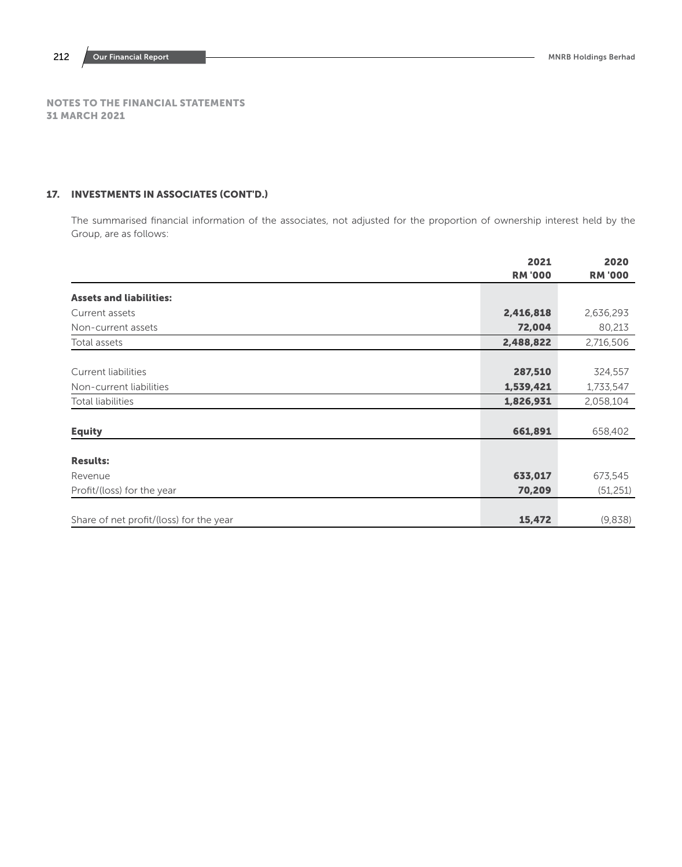## 17. INVESTMENTS IN ASSOCIATES (CONT'D.)

The summarised financial information of the associates, not adjusted for the proportion of ownership interest held by the Group, are as follows:

|                                         | 2021           | 2020           |
|-----------------------------------------|----------------|----------------|
|                                         | <b>RM '000</b> | <b>RM '000</b> |
| <b>Assets and liabilities:</b>          |                |                |
| Current assets                          | 2,416,818      | 2,636,293      |
| Non-current assets                      | 72,004         | 80,213         |
| Total assets                            | 2,488,822      | 2,716,506      |
|                                         |                |                |
| Current liabilities                     | 287,510        | 324,557        |
| Non-current liabilities                 | 1,539,421      | 1,733,547      |
| <b>Total liabilities</b>                | 1,826,931      | 2,058,104      |
|                                         |                |                |
| <b>Equity</b>                           | 661,891        | 658,402        |
|                                         |                |                |
| <b>Results:</b>                         |                |                |
| Revenue                                 | 633,017        | 673,545        |
| Profit/(loss) for the year              | 70,209         | (51, 251)      |
|                                         |                |                |
| Share of net profit/(loss) for the year | 15,472         | (9,838)        |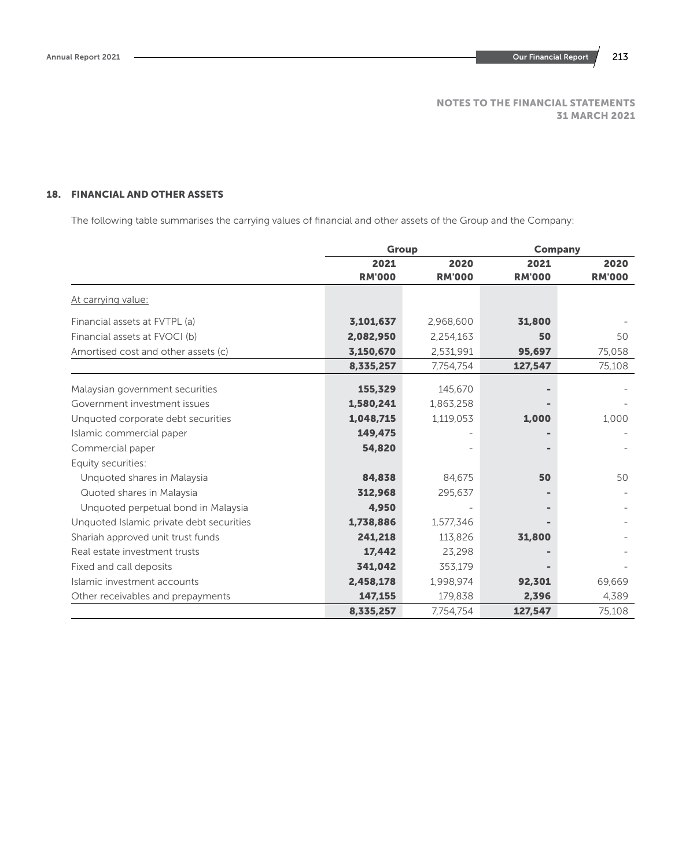# 18. FINANCIAL AND OTHER ASSETS

The following table summarises the carrying values of financial and other assets of the Group and the Company:

|                                          | Group         |               | <b>Company</b> |               |
|------------------------------------------|---------------|---------------|----------------|---------------|
|                                          | 2021          | 2020          | 2021           | 2020          |
|                                          | <b>RM'000</b> | <b>RM'000</b> | <b>RM'000</b>  | <b>RM'000</b> |
| At carrying value:                       |               |               |                |               |
| Financial assets at FVTPL (a)            | 3,101,637     | 2,968,600     | 31,800         |               |
| Financial assets at FVOCI (b)            | 2,082,950     | 2,254,163     | 50             | 50            |
| Amortised cost and other assets (c)      | 3,150,670     | 2,531,991     | 95,697         | 75,058        |
|                                          | 8,335,257     | 7,754,754     | 127,547        | 75,108        |
| Malaysian government securities          | 155,329       | 145,670       |                |               |
| Government investment issues             | 1,580,241     | 1,863,258     |                |               |
| Unquoted corporate debt securities       | 1,048,715     | 1,119,053     | 1,000          | 1,000         |
| Islamic commercial paper                 | 149,475       |               |                |               |
| Commercial paper                         | 54,820        |               |                |               |
| Equity securities:                       |               |               |                |               |
| Unquoted shares in Malaysia              | 84,838        | 84,675        | 50             | 50            |
| Quoted shares in Malaysia                | 312,968       | 295,637       |                |               |
| Unquoted perpetual bond in Malaysia      | 4,950         |               |                |               |
| Unquoted Islamic private debt securities | 1,738,886     | 1,577,346     |                |               |
| Shariah approved unit trust funds        | 241,218       | 113,826       | 31,800         |               |
| Real estate investment trusts            | 17,442        | 23,298        |                |               |
| Fixed and call deposits                  | 341,042       | 353,179       |                |               |
| Islamic investment accounts              | 2,458,178     | 1,998,974     | 92,301         | 69,669        |
| Other receivables and prepayments        | 147,155       | 179.838       | 2,396          | 4,389         |
|                                          | 8,335,257     | 7,754,754     | 127,547        | 75,108        |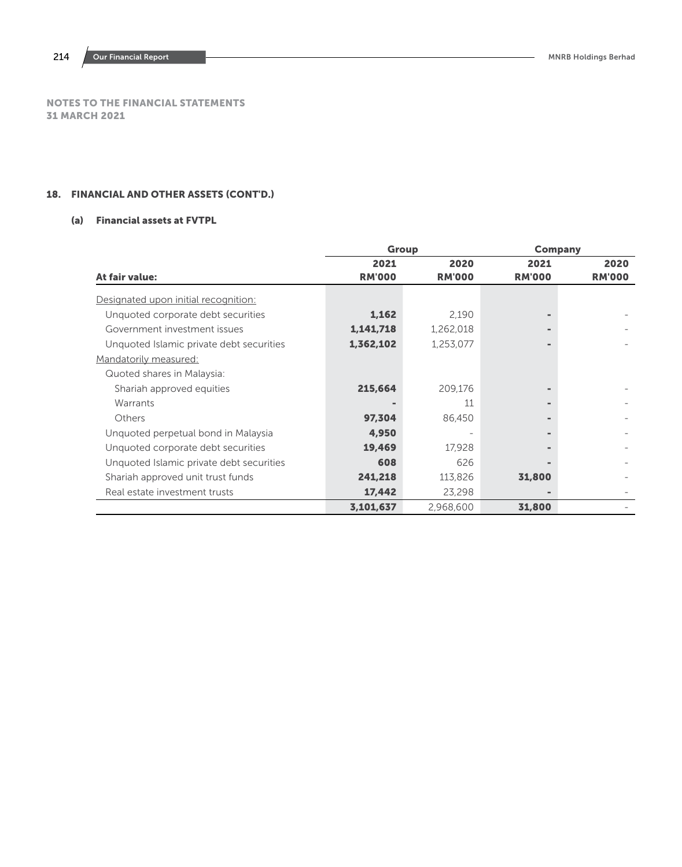# 18. FINANCIAL AND OTHER ASSETS (CONT'D.)

# (a) Financial assets at FVTPL

|                                          |                       | <b>Group</b>             |                       | <b>Company</b>        |
|------------------------------------------|-----------------------|--------------------------|-----------------------|-----------------------|
| At fair value:                           | 2021<br><b>RM'000</b> | 2020<br><b>RM'000</b>    | 2021<br><b>RM'000</b> | 2020<br><b>RM'000</b> |
| Designated upon initial recognition:     |                       |                          |                       |                       |
| Unquoted corporate debt securities       | 1,162                 | 2,190                    |                       |                       |
| Government investment issues             | 1,141,718             | 1,262,018                |                       |                       |
| Unquoted Islamic private debt securities | 1,362,102             | 1,253,077                |                       |                       |
| Mandatorily measured:                    |                       |                          |                       |                       |
| Quoted shares in Malaysia:               |                       |                          |                       |                       |
| Shariah approved equities                | 215,664               | 209,176                  |                       |                       |
| Warrants                                 |                       | 11                       |                       |                       |
| <b>Others</b>                            | 97,304                | 86,450                   |                       |                       |
| Unquoted perpetual bond in Malaysia      | 4,950                 | $\overline{\phantom{a}}$ |                       |                       |
| Unquoted corporate debt securities       | 19,469                | 17,928                   |                       |                       |
| Unquoted Islamic private debt securities | 608                   | 626                      |                       |                       |
| Shariah approved unit trust funds        | 241,218               | 113,826                  | 31,800                |                       |
| Real estate investment trusts            | 17,442                | 23,298                   |                       |                       |
|                                          | 3,101,637             | 2,968,600                | 31,800                |                       |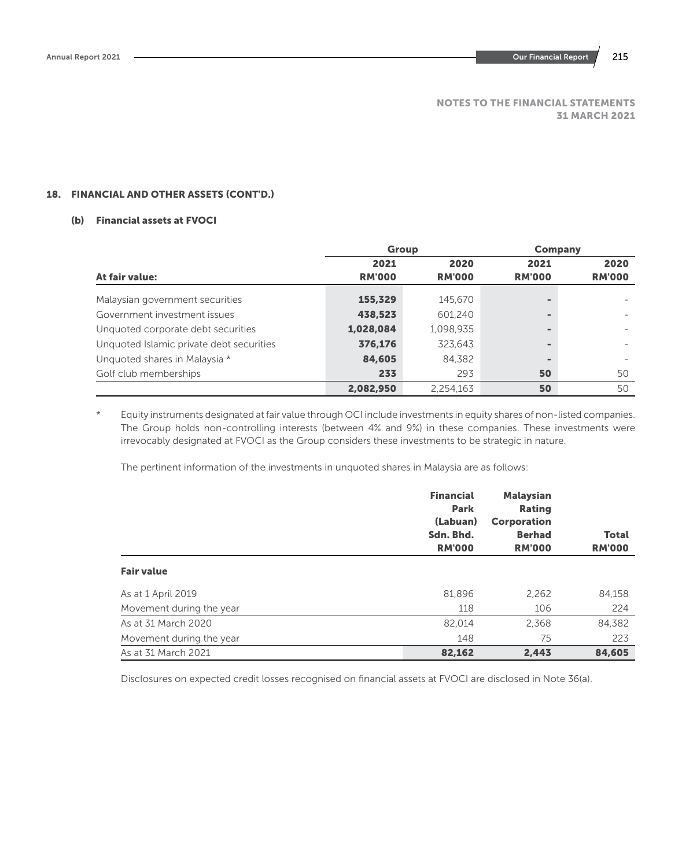## 18. FINANCIAL AND OTHER ASSETS (CONT'D.)

# (b) Financial assets at FVOCI

|                                          |                       | <b>Group</b>          |                       | Company               |
|------------------------------------------|-----------------------|-----------------------|-----------------------|-----------------------|
| At fair value:                           | 2021<br><b>RM'000</b> | 2020<br><b>RM'000</b> | 2021<br><b>RM'000</b> | 2020<br><b>RM'000</b> |
| Malaysian government securities          | 155,329               | 145,670               |                       |                       |
| Government investment issues             | 438,523               | 601.240               |                       |                       |
| Unquoted corporate debt securities       | 1,028,084             | 1,098,935             |                       |                       |
| Unquoted Islamic private debt securities | 376,176               | 323.643               |                       |                       |
| Unquoted shares in Malaysia *            | 84,605                | 84.382                |                       |                       |
| Golf club memberships                    | 233                   | 293                   | 50                    | 50                    |
|                                          | 2,082,950             | 2.254.163             | 50                    | 50                    |

Equity instruments designated at fair value through OCI include investments in equity shares of non-listed companies. The Group holds non-controlling interests (between 4% and 9%) in these companies. These investments were irrevocably designated at FVOCI as the Group considers these investments to be strategic in nature.

The pertinent information of the investments in unquoted shares in Malaysia are as follows:

|                          | <b>Financial</b><br><b>Park</b> | <b>Malaysian</b><br><b>Rating</b> |                               |
|--------------------------|---------------------------------|-----------------------------------|-------------------------------|
|                          | (Labuan)                        | Corporation                       |                               |
|                          | Sdn. Bhd.<br><b>RM'000</b>      | <b>Berhad</b><br><b>RM'000</b>    | <b>Total</b><br><b>RM'000</b> |
| <b>Fair value</b>        |                                 |                                   |                               |
| As at 1 April 2019       | 81,896                          | 2,262                             | 84,158                        |
| Movement during the year | 118                             | 106                               | 224                           |
| As at 31 March 2020      | 82.014                          | 2,368                             | 84,382                        |
| Movement during the year | 148                             | 75                                | 223                           |
| As at 31 March 2021      | 82,162                          | 2,443                             | 84,605                        |

Disclosures on expected credit losses recognised on financial assets at FVOCI are disclosed in Note 36(a).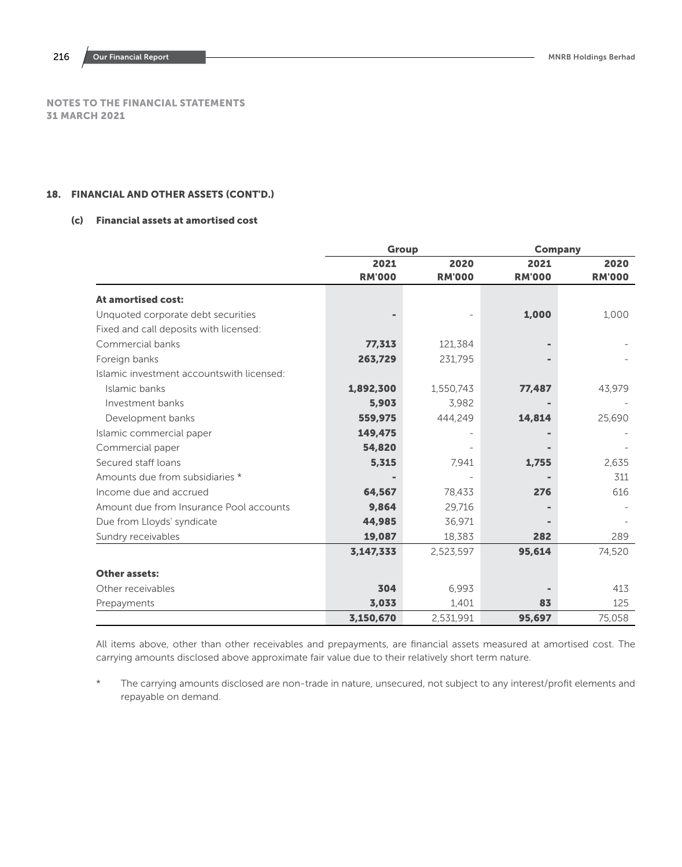#### 18. FINANCIAL AND OTHER ASSETS (CONT'D.)

# (c) Financial assets at amortised cost

|                                           |               | <b>Group</b>  |               | <b>Company</b> |
|-------------------------------------------|---------------|---------------|---------------|----------------|
|                                           | 2021          | 2020          | 2021          | 2020           |
|                                           | <b>RM'000</b> | <b>RM'000</b> | <b>RM'000</b> | <b>RM'000</b>  |
| At amortised cost:                        |               |               |               |                |
| Unquoted corporate debt securities        |               |               | 1,000         | 1,000          |
| Fixed and call deposits with licensed:    |               |               |               |                |
| Commercial banks                          | 77,313        | 121,384       |               |                |
| Foreign banks                             | 263,729       | 231,795       |               |                |
| Islamic investment accountswith licensed: |               |               |               |                |
| Islamic banks                             | 1,892,300     | 1,550,743     | 77,487        | 43,979         |
| Investment banks                          | 5,903         | 3.982         |               |                |
| Development banks                         | 559,975       | 444,249       | 14,814        | 25,690         |
| Islamic commercial paper                  | 149,475       |               |               |                |
| Commercial paper                          | 54,820        |               |               |                |
| Secured staff loans                       | 5,315         | 7,941         | 1,755         | 2,635          |
| Amounts due from subsidiaries *           |               |               |               | 311            |
| Income due and accrued                    | 64,567        | 78,433        | 276           | 616            |
| Amount due from Insurance Pool accounts   | 9,864         | 29.716        |               |                |
| Due from Lloyds' syndicate                | 44,985        | 36,971        |               |                |
| Sundry receivables                        | 19,087        | 18,383        | 282           | 289            |
|                                           | 3,147,333     | 2,523,597     | 95,614        | 74,520         |
| <b>Other assets:</b>                      |               |               |               |                |
| Other receivables                         | 304           | 6,993         |               | 413            |
|                                           |               |               | 83            | 125            |
| Prepayments                               | 3,033         | 1,401         |               |                |
|                                           | 3,150,670     | 2,531,991     | 95,697        | 75,058         |

All items above, other than other receivables and prepayments, are financial assets measured at amortised cost. The carrying amounts disclosed above approximate fair value due to their relatively short term nature.

\* The carrying amounts disclosed are non-trade in nature, unsecured, not subject to any interest/profit elements and repayable on demand.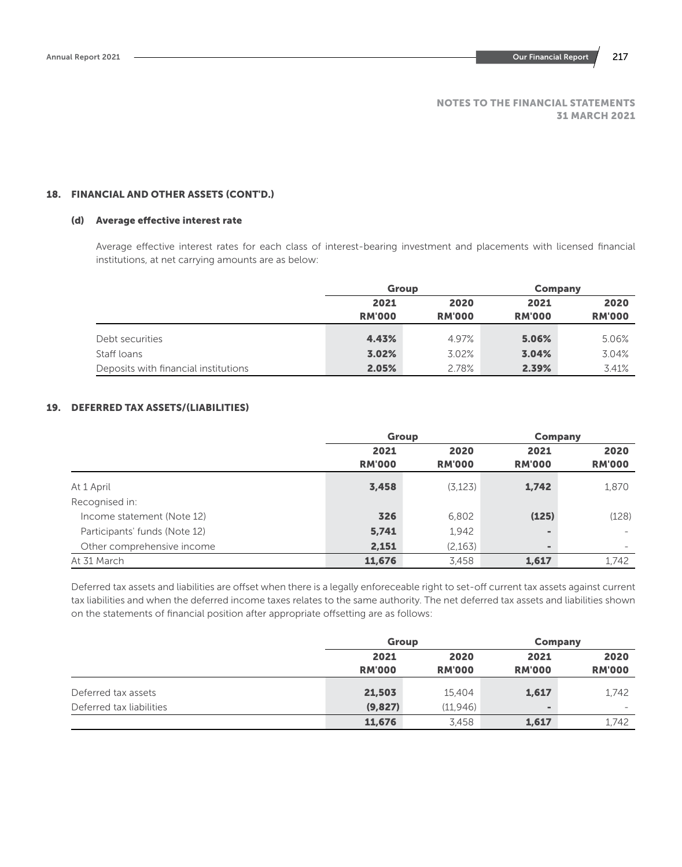#### 18. FINANCIAL AND OTHER ASSETS (CONT'D.)

# (d) Average effective interest rate

Average effective interest rates for each class of interest-bearing investment and placements with licensed financial institutions, at net carrying amounts are as below:

|                                      | <b>Group</b>  |               | Company       |               |
|--------------------------------------|---------------|---------------|---------------|---------------|
|                                      | 2021          | 2020          | 2021          | 2020          |
|                                      | <b>RM'000</b> | <b>RM'000</b> | <b>RM'000</b> | <b>RM'000</b> |
| Debt securities                      | 4.43%         | 4.97%         | 5.06%         | 5.06%         |
| Staff loans                          | 3.02%         | 3.02%         | 3.04%         | 3.04%         |
| Deposits with financial institutions | 2.05%         | 2.78%         | 2.39%         | 3.41%         |

#### 19. DEFERRED TAX ASSETS/(LIABILITIES)

|                               |               | <b>Group</b>  |                | <b>Company</b>               |
|-------------------------------|---------------|---------------|----------------|------------------------------|
|                               | 2021          | 2020          | 2021           | 2020                         |
|                               | <b>RM'000</b> | <b>RM'000</b> | <b>RM'000</b>  | <b>RM'000</b>                |
| At 1 April                    | 3,458         | (3, 123)      | 1,742          | 1,870                        |
| Recognised in:                |               |               |                |                              |
| Income statement (Note 12)    | 326           | 6,802         | (125)          | (128)                        |
| Participants' funds (Note 12) | 5,741         | 1,942         | $\blacksquare$ | -                            |
| Other comprehensive income    | 2,151         | (2, 163)      | $\blacksquare$ | $\qquad \qquad \blacksquare$ |
| At 31 March                   | 11,676        | 3.458         | 1,617          | 1.742                        |

Deferred tax assets and liabilities are offset when there is a legally enforeceable right to set-off current tax assets against current tax liabilities and when the deferred income taxes relates to the same authority. The net deferred tax assets and liabilities shown on the statements of financial position after appropriate offsetting are as follows:

|                          |                       | Group                 |                       | Company                      |
|--------------------------|-----------------------|-----------------------|-----------------------|------------------------------|
|                          | 2021<br><b>RM'000</b> | 2020<br><b>RM'000</b> | 2021<br><b>RM'000</b> | 2020<br><b>RM'000</b>        |
| Deferred tax assets      | 21,503                | 15,404                | 1,617                 | 1,742                        |
| Deferred tax liabilities | (9,827)               | (11,946)              | $\blacksquare$        | $\qquad \qquad \blacksquare$ |
|                          | 11,676                | 3,458                 | 1,617                 | 1.742                        |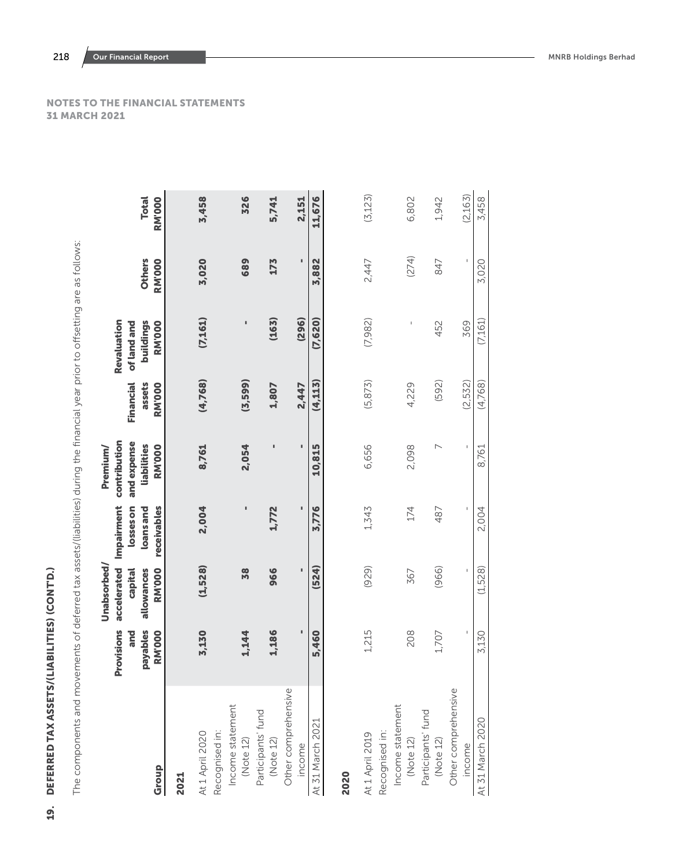# 19. DEFERRED TAX ASSETS/(LIABILITIES) (CONT'D.)

The components and movements of deferred tax assets/(liabilities) during the financial year prior to offsetting are as follows: 19. DEFERRED TAX ASSETS/(LIABILITIES) (CONT'D.)<br>The components and movements of deferred tax assets/(liabilities) during the financial year prior to offsetting are as follows:

|                               |               | Unabsorbed/    |             | Premium/                 |               |               |               |               |  |
|-------------------------------|---------------|----------------|-------------|--------------------------|---------------|---------------|---------------|---------------|--|
|                               | Provisions    | accelerated    | Impairment  | contribution             |               | Revaluation   |               |               |  |
|                               | and           | <b>capital</b> | losses on   | and expense              | Financial     | of land and   |               |               |  |
|                               | payables      | allowances     | loans and   | <b>Liabilities</b>       | assets        | buildings     | <b>Others</b> | <b>Total</b>  |  |
| Group                         | <b>RM'000</b> | <b>RM'000</b>  | receivables | <b>RM'000</b>            | <b>RM'000</b> | <b>RM'000</b> | <b>RM'000</b> | <b>RM'000</b> |  |
| 2021                          |               |                |             |                          |               |               |               |               |  |
| At 1 April 2020               | 3,130         | (1,528)        | 2,004       | 8,761                    | (4,768)       | (7, 161)      | 3,020         | 3,458         |  |
| Recognised in:                |               |                |             |                          |               |               |               |               |  |
| Income statement<br>(Note 12) | 1,144         | $\frac{8}{5}$  | ı           | 2,054                    | (3,599)       | п             | 689           | 326           |  |
| Participants' fund            |               |                |             |                          |               |               |               |               |  |
| (Note 12)                     | 1,186         | 966            | 1,772       |                          | 1,807         | (163)         | 173           | 5,741         |  |
| Other comprehensive           |               |                |             |                          |               |               |               |               |  |
| income                        | I.            | ı              | ı           | I,                       | 2,447         | (296)         | ı             | 2,151         |  |
| At 31 March 2021              | 5,460         | (524)          | 3,776       | 10,815                   | (4, 113)      | (7,620)       | 3,882         | 11,676        |  |
| 2020                          |               |                |             |                          |               |               |               |               |  |
| At 1 April 2019               | 1,215         | (929)          | 1,343       | 6,656                    | (5, 873)      | (7, 982)      | 2,447         | (3, 123)      |  |
| Recognised in:                |               |                |             |                          |               |               |               |               |  |
|                               |               |                |             |                          |               |               |               |               |  |
| Income statement<br>(Note 12) | 208           | 367            | 174         | 2,098                    | 4,229         | I             | (274)         | 6,802         |  |
| Participants' fund            |               |                |             |                          |               |               |               |               |  |
| (Note 12)                     | 1,707         | (966)          | 487         | $\overline{\phantom{1}}$ | (592)         | 452           | 847           | 1,942         |  |
| Other comprehensive           |               |                |             |                          |               |               |               |               |  |
| income                        | I             | I              |             |                          | (2,532)       | 369           |               | (2,163)       |  |

NOTES TO THE FINANCIAL STATEMENTS 31 MARCH 2021

At 31 March 2020 3,130 (1,528) 2,004 8,761 (4,768) (7,161) 3,020 3,458

2,004

 $(1,528)$ 

3,130

At 31 March 2020

8,761

3,458

3,020

 $(7,161)$ 

 $(4,768)$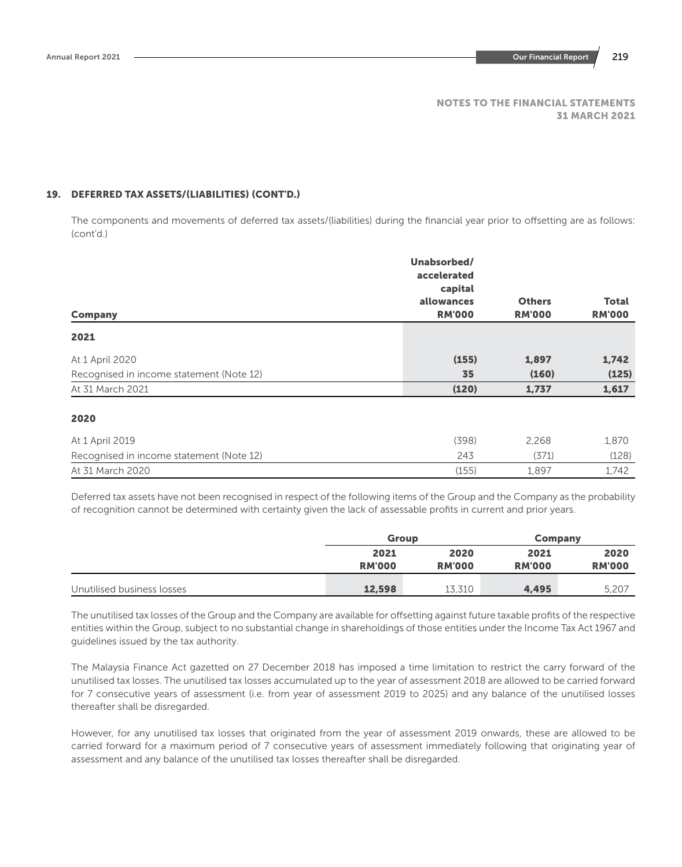# 19. DEFERRED TAX ASSETS/(LIABILITIES) (CONT'D.)

The components and movements of deferred tax assets/(liabilities) during the financial year prior to offsetting are as follows: (cont'd.)

|                                          | Unabsorbed/<br>accelerated             |                                |                               |
|------------------------------------------|----------------------------------------|--------------------------------|-------------------------------|
|                                          | capital<br>allowances<br><b>RM'000</b> | <b>Others</b><br><b>RM'000</b> | <b>Total</b><br><b>RM'000</b> |
| <b>Company</b><br>2021                   |                                        |                                |                               |
| At 1 April 2020                          | (155)                                  | 1,897                          | 1,742                         |
| Recognised in income statement (Note 12) | 35                                     | (160)                          | (125)                         |
| At 31 March 2021                         | (120)                                  | 1,737                          | 1,617                         |
| 2020                                     |                                        |                                |                               |
| At 1 April 2019                          | (398)                                  | 2,268                          | 1,870                         |
| Recognised in income statement (Note 12) | 243                                    | (371)                          | (128)                         |
| At 31 March 2020                         | (155)                                  | 1,897                          | 1,742                         |

Deferred tax assets have not been recognised in respect of the following items of the Group and the Company as the probability of recognition cannot be determined with certainty given the lack of assessable profits in current and prior years.

|                            |                       | Group                 | Company               |                       |
|----------------------------|-----------------------|-----------------------|-----------------------|-----------------------|
|                            | 2021<br><b>RM'000</b> | 2020<br><b>RM'000</b> | 2021<br><b>RM'000</b> | 2020<br><b>RM'000</b> |
| Unutilised business losses | 12,598                | 13,310                | 4,495                 | 5,207                 |

The unutilised tax losses of the Group and the Company are available for offsetting against future taxable profits of the respective entities within the Group, subject to no substantial change in shareholdings of those entities under the Income Tax Act 1967 and guidelines issued by the tax authority.

The Malaysia Finance Act gazetted on 27 December 2018 has imposed a time limitation to restrict the carry forward of the unutilised tax losses. The unutilised tax losses accumulated up to the year of assessment 2018 are allowed to be carried forward for 7 consecutive years of assessment (i.e. from year of assessment 2019 to 2025) and any balance of the unutilised losses thereafter shall be disregarded.

However, for any unutilised tax losses that originated from the year of assessment 2019 onwards, these are allowed to be carried forward for a maximum period of 7 consecutive years of assessment immediately following that originating year of assessment and any balance of the unutilised tax losses thereafter shall be disregarded.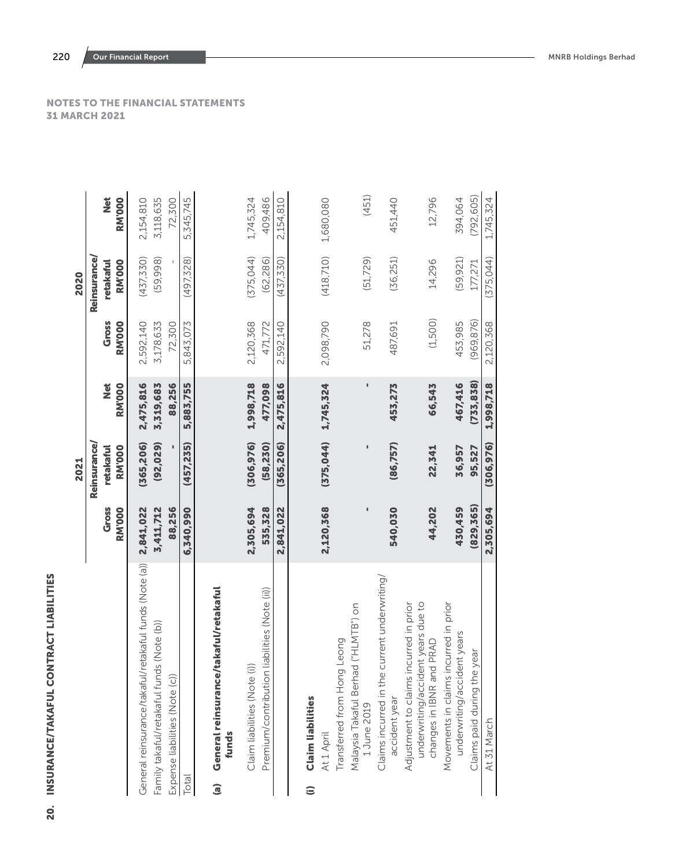| l<br>I<br>I<br>I<br>I |
|-----------------------|
|                       |
|                       |
| l                     |
| ı                     |
| l<br>I<br>l<br>I      |
| ı                     |
| I<br>ı<br>ı           |
| l<br>í<br>l           |

| 20. INSURANCE/TAKAFUL CONTRACT LIABILITIES                                                                  |                        |                            |                             |                        |                            |                      |
|-------------------------------------------------------------------------------------------------------------|------------------------|----------------------------|-----------------------------|------------------------|----------------------------|----------------------|
|                                                                                                             |                        | 2021                       |                             |                        | 2020                       |                      |
|                                                                                                             |                        | Reinsurance                |                             |                        | Reinsurance                |                      |
|                                                                                                             | Gross<br><b>RM'000</b> | retakaful<br><b>RM'000</b> | <b>RM'000</b><br><b>Net</b> | Gross<br><b>RM'000</b> | retakaful<br><b>RM'000</b> | Net<br><b>RM'000</b> |
| General reinsurance/takaful/retakaful funds (Note (a))                                                      | 2,841,022              | (365, 206)                 | 2,475,816                   | 2,592,140              | (437, 330)                 | 2,154,810            |
| Family takaful/retakaful funds (Note (b))                                                                   | 3,411,712              | (92, 029)                  | 3,319,683                   | 3,178,633              | (59, 998)                  | 3,118,635            |
| Expense liabilities (Note (c))                                                                              | 88,256                 |                            | 88,256                      | 72,300                 |                            | 72,300               |
| Total                                                                                                       | 6,340,990              | (457, 235)                 | 5,883,755                   | 5,843,073              | (497,328)                  | 5,345,745            |
| General reinsurance/takaful/retakaful<br>funds<br>$\widehat{a}$                                             |                        |                            |                             |                        |                            |                      |
| Premium/contribution liabilities (Note (ii))<br>(i)<br>Claim liabilities (Note                              | 535,328<br>2,305,694   | (306, 976)<br>(58, 230)    | 1,998,718<br>477,098        | 471,772<br>2,120,368   | (375, 044)<br>(62, 286)    | 1,745,324<br>409,486 |
|                                                                                                             | 2,841,022              | (365, 206)                 | 2,475,816                   | 2,592,140              | (437, 330)                 | 2,154,810            |
| <b>Claim liabilities</b><br>$\widehat{=}$                                                                   |                        |                            |                             |                        |                            |                      |
| At 1 April                                                                                                  | 2,120,368              | (375, 044)                 | 1,745,324                   | 2,098,790              | (418, 710)                 | 1,680,080            |
| Malaysia Takaful Berhad ("HLMTB") on<br>Transferred from Hong Leong<br>1 June 2019                          | ı                      | ı                          | I,                          | 51,278                 | (51, 729)                  | (451)                |
| current underwriting/<br>Claims incurred in the<br>accident year                                            | 540,030                | (86,757)                   | 453,273                     | 487,691                | (36,251)                   | 451,440              |
| underwriting/accident years due to<br>incurred in prior<br>changes in IBNR and PRAD<br>Adjustment to claims | 44,202                 | 22,341                     | 66,543                      | (1,500)                | 14,296                     | 12,796               |
| incurred in prior<br>underwriting/accident years<br>Movements in claims                                     | 430,459                | 36,957                     | 467,416                     | 453,985                | (59, 921)                  | 394,064              |
| Claims paid during the year                                                                                 | (829, 365)             | 95,527                     | (733, 838)                  | (969,876)              | 177.271                    | (792, 605)           |
| At 31 March                                                                                                 | 2,305,694              | (306, 976)                 | 1,998,718                   | 2,120,368              | (375, 044)                 | 1,745,324            |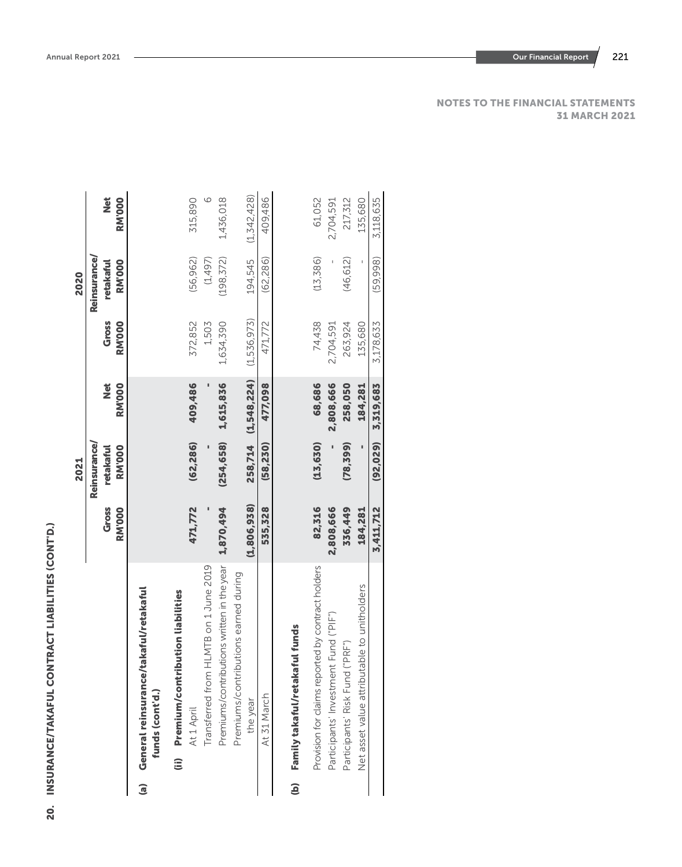|              |                                                          |               | 2021          |                         |               | 2020                |               |
|--------------|----------------------------------------------------------|---------------|---------------|-------------------------|---------------|---------------------|---------------|
|              |                                                          |               | Reinsurance/  |                         |               | <b>Reinsurance/</b> |               |
|              |                                                          | Gross         | retakaful     | <b>Net</b>              | <b>Gross</b>  | retakaful           | <b>Net</b>    |
|              |                                                          | <b>RM'000</b> | <b>RM'000</b> | <b>RM'000</b>           | <b>RM'000</b> | <b>RM'000</b>       | <b>RM'000</b> |
| $\mathbf{a}$ | General reinsurance/takaful/retakaful<br>funds (cont'd.) |               |               |                         |               |                     |               |
|              |                                                          |               |               |                         |               |                     |               |
|              | Premium/contribution liabilities<br>(ii)                 |               |               |                         |               |                     |               |
|              | At 1 April                                               | 471,772       | (62, 286)     | 409,486                 | 372,852       | (56, 962)           | 315,890       |
|              | Transferred from HLMTB on 1 June 2019                    |               |               |                         | 1,503         | (1,497)             | 6             |
|              | Premiums/contributions written in the year               | 1,870,494     | (254, 658)    | 1,615,836               | 1,634,390     | (198, 372)          | 1,436,018     |
|              | Premiums/contributions earned during                     |               |               |                         |               |                     |               |
|              | the year                                                 | (1,806,938)   |               | $258,714$ $(1,548,224)$ | (1,536,973)   | 194,545             | (1, 342, 428) |
|              | At 31 March                                              | 535,328       | (58, 230)     | 477,098                 | 471,772       | (62,286)            | 409,486       |
|              |                                                          |               |               |                         |               |                     |               |
|              | (b) Family takaful/retakaful funds                       |               |               |                         |               |                     |               |
|              | Provision for claims reported by contract holders        | 82,316        | (13, 630)     | 68,686                  | 74,438        | (13, 386)           | 61,052        |
|              | Participants' Investment Fund ("PIF")                    | 2,808,666     |               | 2,808,666               | 2,704,591     |                     | 2,704,591     |
|              | Participants' Risk Fund ("PRF")                          | 336,449       | (78, 399)     | 258,050                 | 263,924       | (46, 612)           | 217,312       |
|              | Net asset value attributable to unitholders              | 184,281       |               | 184,281                 | 135,680       |                     | 135,680       |

3,411,712 (92,029) 3,319,683 3,178,633 (59,998) 3,118,635

 $(92,029)$  3,319,683

3,411,712

3,178,633

3,118,635

 $(59,998)$ 

## NOTES TO THE FINANCIAL STATEMENTS 31 MARCH 2021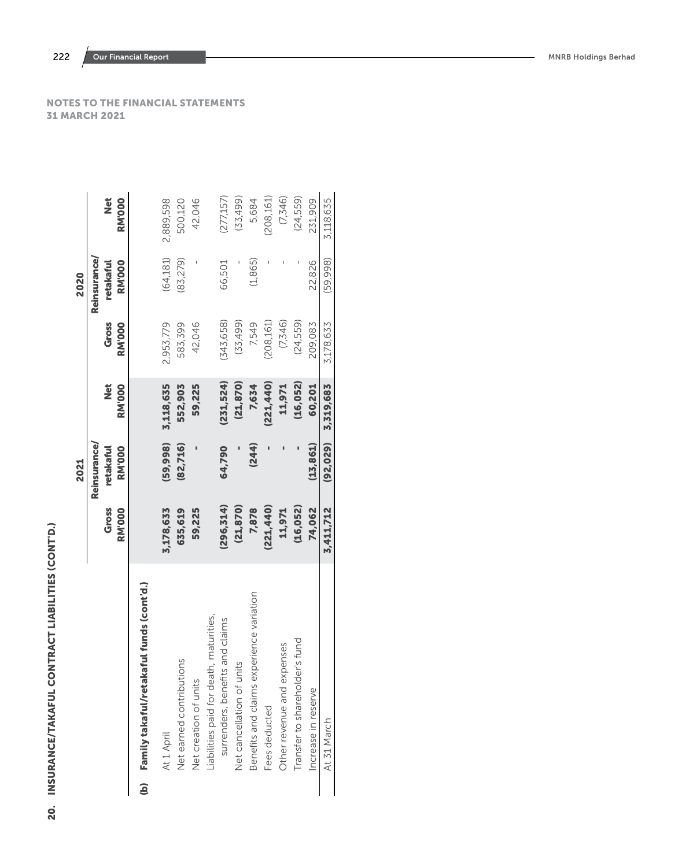| j<br>Ì<br>i                                                         |  |
|---------------------------------------------------------------------|--|
| i<br>.<br>l                                                         |  |
| į<br>;<br>(                                                         |  |
| j<br>医血管血管 医血管血管炎                                                   |  |
| I<br>֖֧ׅ֧ׅׅ֧ׅ֧ׅ֧ׅ֧֧֧ׅ֧֚֚֚֚֚֚֚֚֚֚֚֚֚֚֚֚֚֚֚֚֚֚֚֚֚֚֚֚֚֚֚֬֝֓֓֝֜֓֝֬֝֓֝֬֝ |  |
| <u>ีลี</u><br>Ś                                                     |  |

|                                                 |                        | 2021                       |                             |                               | 2020                       |                             |
|-------------------------------------------------|------------------------|----------------------------|-----------------------------|-------------------------------|----------------------------|-----------------------------|
|                                                 |                        | <b>Reinsurance/</b>        |                             |                               | <b>Reinsurance/</b>        |                             |
|                                                 | Gross<br><b>RM'000</b> | <b>RM'000</b><br>retakaful | <u>o</u> t<br><b>RM'000</b> | <b>Gross</b><br><b>RM'000</b> | <b>RM'000</b><br>retakaful | <b>Net</b><br><b>RM'000</b> |
| funds (cont'd.)<br>(b) Family takaful/retakaful |                        |                            |                             |                               |                            |                             |
| At 1 April                                      | 3,178,633              | (59, 998)                  | 3,118,635                   | 2,953,779                     | (64, 181)                  | 2,889,598                   |
| Net earned contributions                        | 635,619                | (82, 716)                  | 552,903                     | 583,399                       | (83, 279)                  | 500,120                     |
| Net creation of units                           | 59,225                 |                            | 59,225                      | 42,046                        |                            | 42,046                      |
| Liabilities paid for death, maturities,         |                        |                            |                             |                               |                            |                             |
| surrenders, benefits and claims                 | (296, 314)             | 64,790                     | (231, 524)                  | (343, 658)                    | 66,501                     | (277, 157)                  |
| Net cancellation of units                       | (21, 870)              |                            | (21, 870)                   | (33, 499)                     |                            | (33,499)                    |
| Benefits and claims experience variation        | 7,878                  | (244)                      | 7,634                       | 7,549                         | (1, 865)                   | 5,684                       |
| Fees deducted                                   | (221, 440)             |                            | (221, 440)                  | (208, 161)                    |                            | (208, 161)                  |
| Other revenue and expenses                      | 11,971                 |                            | 11,971                      | (7,346)                       |                            | (7,346)                     |
| Transfer to shareholder's fund                  | (16, 052)              |                            | (16, 052)                   | (24,559)                      |                            | (24, 559)                   |
| Increase in reserve                             | 74,062                 | (13, 861)                  | 60,201                      | 209,083                       | 22,826                     | 231,909                     |
| At 31 March                                     | 3,411,712              | (92, 029)                  | 3,319,683                   | 3,178,633                     | (59,998)                   | 3,118,635                   |

31 MARCH 2021

NOTES TO THE FINANCIAL STATEMENTS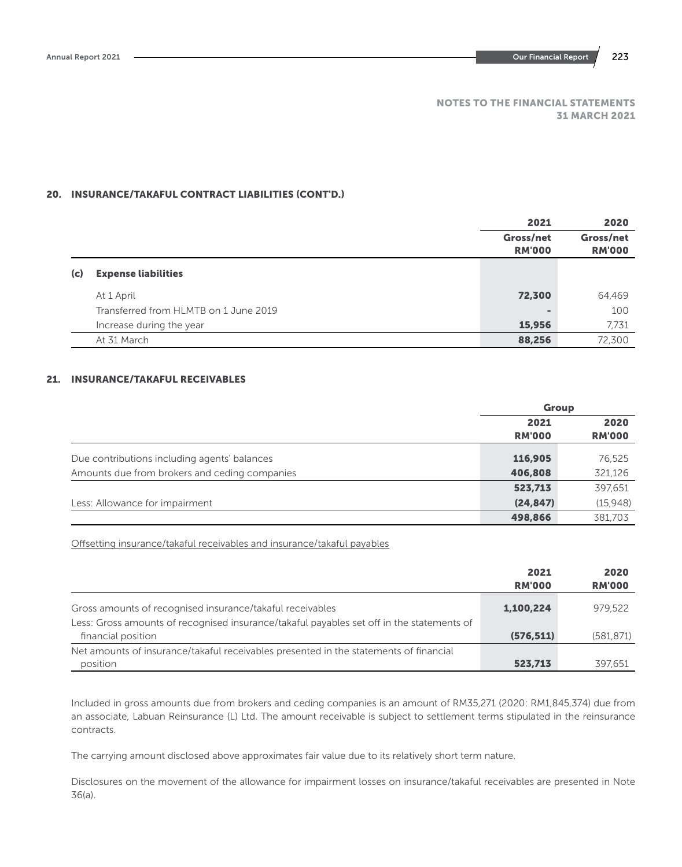## 20. INSURANCE/TAKAFUL CONTRACT LIABILITIES (CONT'D.)

|     |                                       | 2021                       | 2020                       |
|-----|---------------------------------------|----------------------------|----------------------------|
|     |                                       | Gross/net<br><b>RM'000</b> | Gross/net<br><b>RM'000</b> |
|     |                                       |                            |                            |
| (c) | <b>Expense liabilities</b>            |                            |                            |
|     | At 1 April                            | 72,300                     | 64,469                     |
|     | Transferred from HLMTB on 1 June 2019 | ۰                          | 100                        |
|     | Increase during the year              | 15,956                     | 7.731                      |
|     | At 31 March                           | 88,256                     | 72.300                     |

#### 21. INSURANCE/TAKAFUL RECEIVABLES

|                                               |                       | <b>Group</b>          |
|-----------------------------------------------|-----------------------|-----------------------|
|                                               | 2021<br><b>RM'000</b> | 2020<br><b>RM'000</b> |
| Due contributions including agents' balances  | 116,905               | 76,525                |
| Amounts due from brokers and ceding companies | 406,808               | 321,126               |
|                                               | 523,713               | 397,651               |
| Less: Allowance for impairment                | (24, 847)             | (15,948)              |
|                                               | 498,866               | 381,703               |

Offsetting insurance/takaful receivables and insurance/takaful payables

|                                                                                                                 | 2021<br><b>RM'000</b> | 2020<br><b>RM'000</b> |
|-----------------------------------------------------------------------------------------------------------------|-----------------------|-----------------------|
| Gross amounts of recognised insurance/takaful receivables                                                       | 1,100,224             | 979.522               |
| Less: Gross amounts of recognised insurance/takaful payables set off in the statements of<br>financial position | (576, 511)            | (581, 871)            |
| Net amounts of insurance/takaful receivables presented in the statements of financial<br>position               | 523,713               | 397,651               |

Included in gross amounts due from brokers and ceding companies is an amount of RM35,271 (2020: RM1,845,374) due from an associate, Labuan Reinsurance (L) Ltd. The amount receivable is subject to settlement terms stipulated in the reinsurance contracts.

The carrying amount disclosed above approximates fair value due to its relatively short term nature.

Disclosures on the movement of the allowance for impairment losses on insurance/takaful receivables are presented in Note 36(a).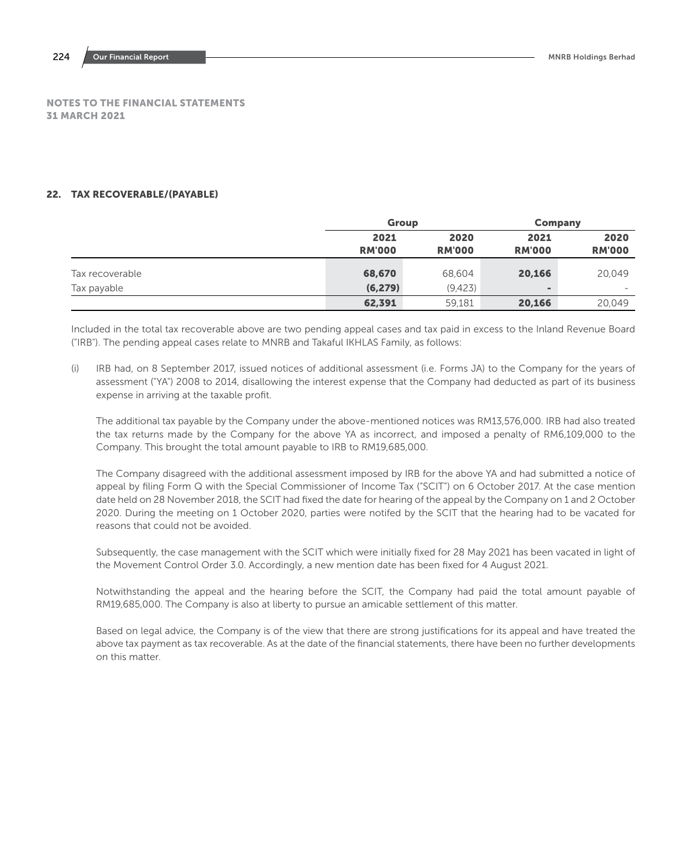#### 22. TAX RECOVERABLE/(PAYABLE)

|                 |               | <b>Group</b>  |                | Company                  |
|-----------------|---------------|---------------|----------------|--------------------------|
|                 | 2021          | 2020          | 2021           | 2020                     |
|                 | <b>RM'000</b> | <b>RM'000</b> | <b>RM'000</b>  | <b>RM'000</b>            |
| Tax recoverable | 68,670        | 68,604        | 20,166         | 20,049                   |
| Tax payable     | (6, 279)      | (9,423)       | $\blacksquare$ | $\overline{\phantom{m}}$ |
|                 | 62,391        | 59,181        | 20,166         | 20.049                   |

Included in the total tax recoverable above are two pending appeal cases and tax paid in excess to the Inland Revenue Board ("IRB"). The pending appeal cases relate to MNRB and Takaful IKHLAS Family, as follows:

(i) IRB had, on 8 September 2017, issued notices of additional assessment (i.e. Forms JA) to the Company for the years of assessment ("YA") 2008 to 2014, disallowing the interest expense that the Company had deducted as part of its business expense in arriving at the taxable profit.

The additional tax payable by the Company under the above-mentioned notices was RM13,576,000. IRB had also treated the tax returns made by the Company for the above YA as incorrect, and imposed a penalty of RM6,109,000 to the Company. This brought the total amount payable to IRB to RM19,685,000.

The Company disagreed with the additional assessment imposed by IRB for the above YA and had submitted a notice of appeal by filing Form Q with the Special Commissioner of Income Tax ("SCIT") on 6 October 2017. At the case mention date held on 28 November 2018, the SCIT had fixed the date for hearing of the appeal by the Company on 1 and 2 October 2020. During the meeting on 1 October 2020, parties were notifed by the SCIT that the hearing had to be vacated for reasons that could not be avoided.

Subsequently, the case management with the SCIT which were initially fixed for 28 May 2021 has been vacated in light of the Movement Control Order 3.0. Accordingly, a new mention date has been fixed for 4 August 2021.

Notwithstanding the appeal and the hearing before the SCIT, the Company had paid the total amount payable of RM19,685,000. The Company is also at liberty to pursue an amicable settlement of this matter.

Based on legal advice, the Company is of the view that there are strong justifications for its appeal and have treated the above tax payment as tax recoverable. As at the date of the financial statements, there have been no further developments on this matter.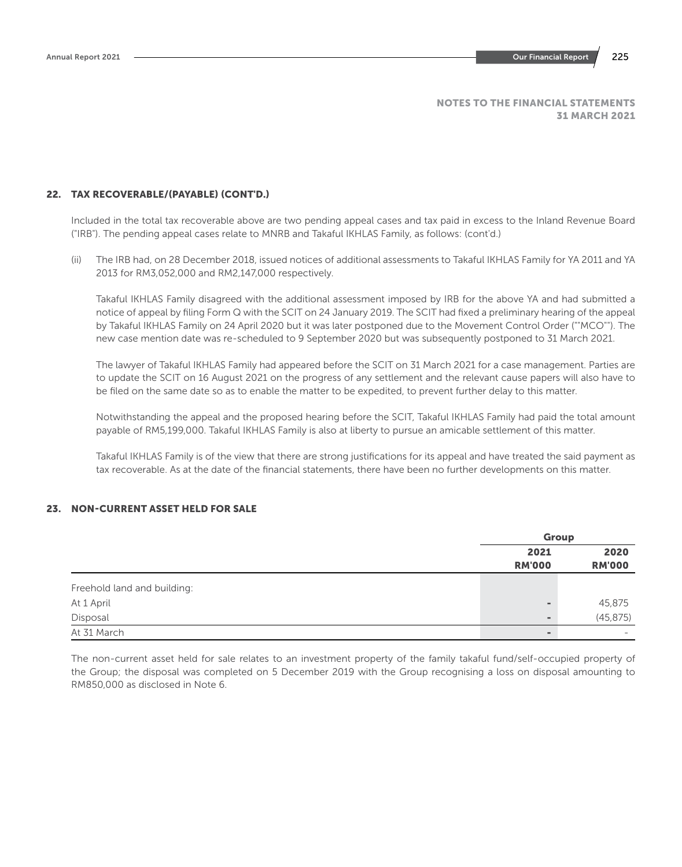#### 22. TAX RECOVERABLE/(PAYABLE) (CONT'D.)

Included in the total tax recoverable above are two pending appeal cases and tax paid in excess to the Inland Revenue Board ("IRB"). The pending appeal cases relate to MNRB and Takaful IKHLAS Family, as follows: (cont'd.)

(ii) The IRB had, on 28 December 2018, issued notices of additional assessments to Takaful IKHLAS Family for YA 2011 and YA 2013 for RM3,052,000 and RM2,147,000 respectively.

Takaful IKHLAS Family disagreed with the additional assessment imposed by IRB for the above YA and had submitted a notice of appeal by filing Form Q with the SCIT on 24 January 2019. The SCIT had fixed a preliminary hearing of the appeal by Takaful IKHLAS Family on 24 April 2020 but it was later postponed due to the Movement Control Order (""MCO""). The new case mention date was re-scheduled to 9 September 2020 but was subsequently postponed to 31 March 2021.

The lawyer of Takaful IKHLAS Family had appeared before the SCIT on 31 March 2021 for a case management. Parties are to update the SCIT on 16 August 2021 on the progress of any settlement and the relevant cause papers will also have to be filed on the same date so as to enable the matter to be expedited, to prevent further delay to this matter.

Notwithstanding the appeal and the proposed hearing before the SCIT, Takaful IKHLAS Family had paid the total amount payable of RM5,199,000. Takaful IKHLAS Family is also at liberty to pursue an amicable settlement of this matter.

Takaful IKHLAS Family is of the view that there are strong justifications for its appeal and have treated the said payment as tax recoverable. As at the date of the financial statements, there have been no further developments on this matter.

## 23. NON-CURRENT ASSET HELD FOR SALE

|                             |                       | Group                    |
|-----------------------------|-----------------------|--------------------------|
|                             | 2021<br><b>RM'000</b> | 2020<br><b>RM'000</b>    |
| Freehold land and building: |                       |                          |
| At 1 April                  |                       | 45,875                   |
| Disposal                    | $\blacksquare$        | (45, 875)                |
| At 31 March                 |                       | $\overline{\phantom{a}}$ |

The non-current asset held for sale relates to an investment property of the family takaful fund/self-occupied property of the Group; the disposal was completed on 5 December 2019 with the Group recognising a loss on disposal amounting to RM850,000 as disclosed in Note 6.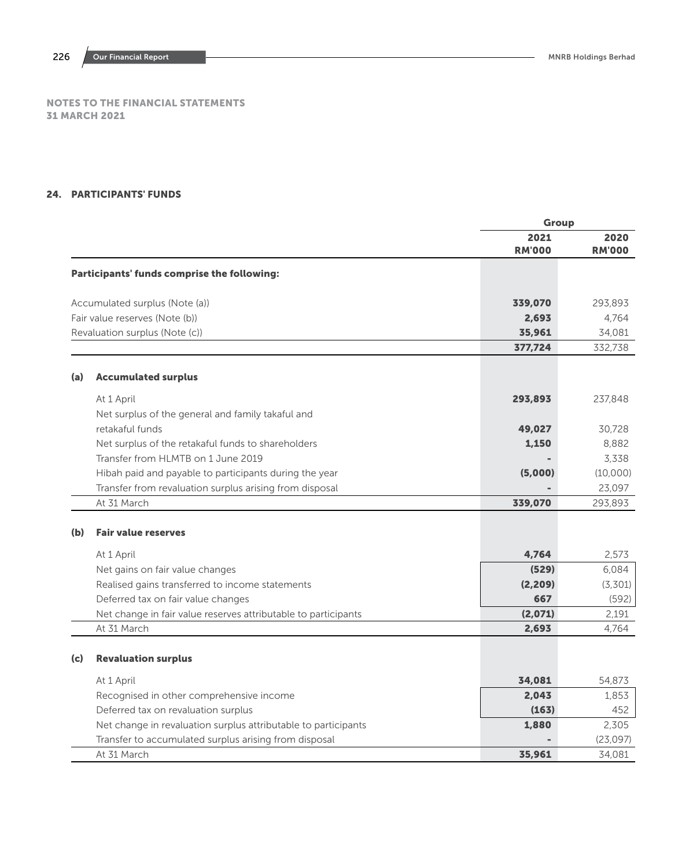## 24. PARTICIPANTS' FUNDS

|     |                                                                | Group         |                   |
|-----|----------------------------------------------------------------|---------------|-------------------|
|     |                                                                | 2021          | 2020              |
|     |                                                                | <b>RM'000</b> | <b>RM'000</b>     |
|     | Participants' funds comprise the following:                    |               |                   |
|     | Accumulated surplus (Note (a))                                 | 339,070       | 293,893           |
|     | Fair value reserves (Note (b))                                 | 2,693         | 4,764             |
|     | Revaluation surplus (Note (c))                                 | 35,961        | 34,081            |
|     |                                                                | 377,724       | 332,738           |
| (a) | <b>Accumulated surplus</b>                                     |               |                   |
|     | At 1 April                                                     | 293,893       | 237,848           |
|     | Net surplus of the general and family takaful and              |               |                   |
|     | retakaful funds                                                | 49,027        | 30,728            |
|     | Net surplus of the retakaful funds to shareholders             | 1,150         | 8,882             |
|     | Transfer from HLMTB on 1 June 2019                             |               | 3,338             |
|     | Hibah paid and payable to participants during the year         | (5,000)       | (10,000)          |
|     | Transfer from revaluation surplus arising from disposal        |               | 23,097            |
|     | At 31 March                                                    | 339,070       | 293,893           |
|     |                                                                |               |                   |
| (b) | <b>Fair value reserves</b>                                     |               |                   |
|     | At 1 April                                                     | 4,764         | 2.573             |
|     | Net gains on fair value changes                                | (529)         | 6,084             |
|     | Realised gains transferred to income statements                | (2, 209)      | (3, 301)          |
|     | Deferred tax on fair value changes                             | 667           | (592)             |
|     | Net change in fair value reserves attributable to participants | (2,071)       | 2,191             |
|     | At 31 March                                                    | 2,693         | 4.764             |
| (c) | <b>Revaluation surplus</b>                                     |               |                   |
|     |                                                                |               |                   |
|     | At 1 April                                                     | 34,081        | 54,873            |
|     | Recognised in other comprehensive income                       | 2,043         | 1,853             |
|     | Deferred tax on revaluation surplus                            | (163)         | 452               |
|     | Net change in revaluation surplus attributable to participants | 1,880         | 2,305<br>(23,097) |
|     | Transfer to accumulated surplus arising from disposal          |               |                   |
|     | At 31 March                                                    | 35,961        | 34,081            |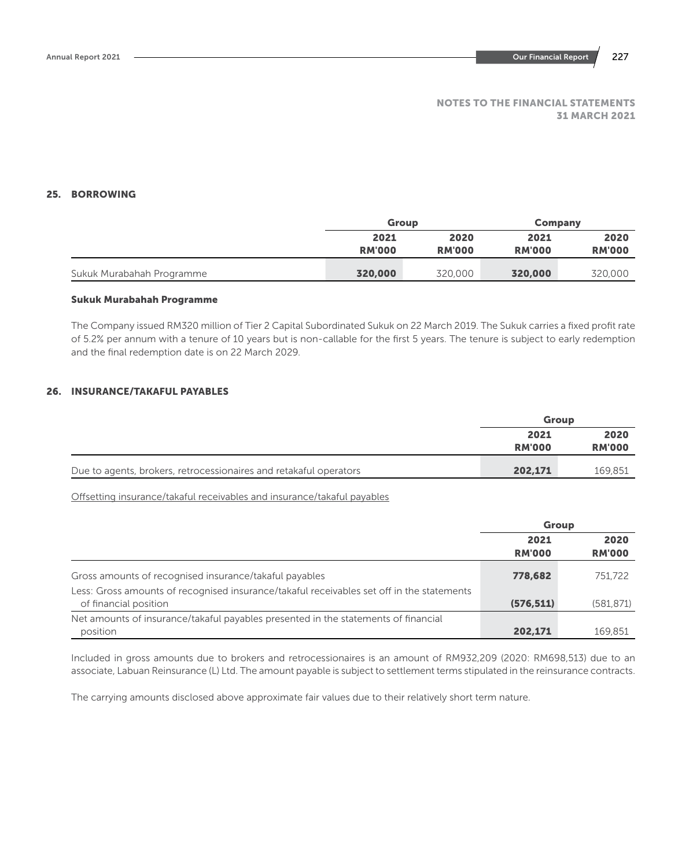#### 25. BORROWING

|                           |               | Group         |               | Company       |
|---------------------------|---------------|---------------|---------------|---------------|
|                           | 2021          | 2020          | 2021          | 2020          |
|                           | <b>RM'000</b> | <b>RM'000</b> | <b>RM'000</b> | <b>RM'000</b> |
| Sukuk Murabahah Programme | 320,000       | 320,000       | 320,000       | 320,000       |

#### Sukuk Murabahah Programme

The Company issued RM320 million of Tier 2 Capital Subordinated Sukuk on 22 March 2019. The Sukuk carries a fixed profit rate of 5.2% per annum with a tenure of 10 years but is non-callable for the first 5 years. The tenure is subject to early redemption and the final redemption date is on 22 March 2029.

#### 26. INSURANCE/TAKAFUL PAYABLES

|                                                                   | Group                 |                       |
|-------------------------------------------------------------------|-----------------------|-----------------------|
|                                                                   | 2021<br><b>RM'000</b> | 2020<br><b>RM'000</b> |
| Due to agents, brokers, retrocessionaires and retakaful operators | 202,171               | 169,851               |

Offsetting insurance/takaful receivables and insurance/takaful payables

|                                                                                                                                                     |                       | <b>Group</b>          |
|-----------------------------------------------------------------------------------------------------------------------------------------------------|-----------------------|-----------------------|
|                                                                                                                                                     | 2021<br><b>RM'000</b> | 2020<br><b>RM'000</b> |
| Gross amounts of recognised insurance/takaful payables<br>Less: Gross amounts of recognised insurance/takaful receivables set off in the statements | 778,682               | 751.722               |
| of financial position                                                                                                                               | (576, 511)            | (581, 871)            |
| Net amounts of insurance/takaful payables presented in the statements of financial                                                                  |                       |                       |
| position                                                                                                                                            | 202,171               | 169.851               |

Included in gross amounts due to brokers and retrocessionaires is an amount of RM932,209 (2020: RM698,513) due to an associate, Labuan Reinsurance (L) Ltd. The amount payable is subject to settlement terms stipulated in the reinsurance contracts.

The carrying amounts disclosed above approximate fair values due to their relatively short term nature.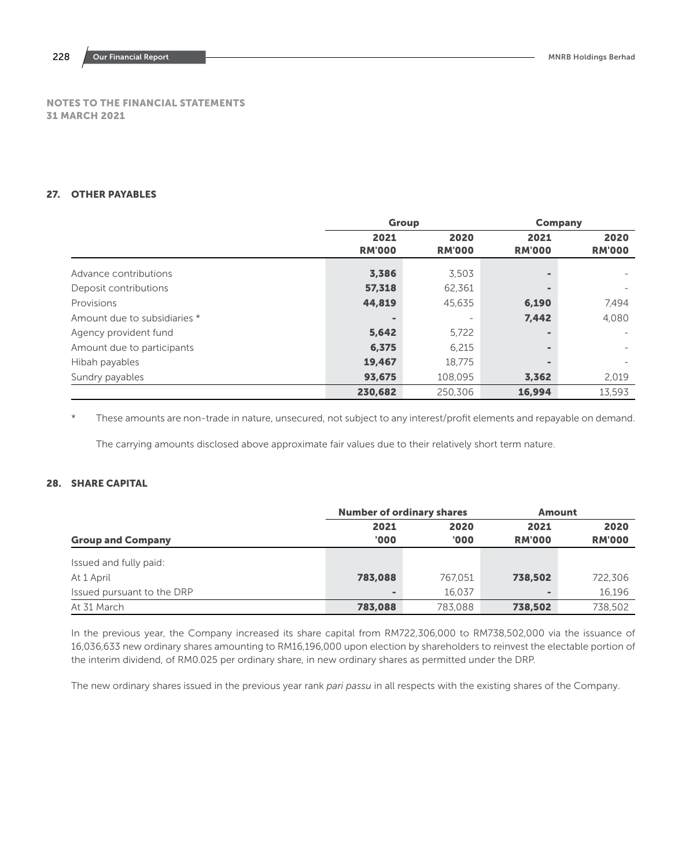#### 27. OTHER PAYABLES

|                              |               | <b>Group</b>             |               | <b>Company</b> |
|------------------------------|---------------|--------------------------|---------------|----------------|
|                              | 2021          | 2020                     | 2021          | 2020           |
|                              | <b>RM'000</b> | <b>RM'000</b>            | <b>RM'000</b> | <b>RM'000</b>  |
| Advance contributions        | 3,386         | 3,503                    |               |                |
| Deposit contributions        | 57,318        | 62,361                   |               |                |
| Provisions                   | 44,819        | 45,635                   | 6,190         | 7,494          |
| Amount due to subsidiaries * |               | $\overline{\phantom{a}}$ | 7,442         | 4,080          |
| Agency provident fund        | 5,642         | 5,722                    |               |                |
| Amount due to participants   | 6,375         | 6,215                    | -             |                |
| Hibah payables               | 19,467        | 18,775                   |               |                |
| Sundry payables              | 93,675        | 108,095                  | 3,362         | 2,019          |
|                              | 230,682       | 250.306                  | 16,994        | 13,593         |

These amounts are non-trade in nature, unsecured, not subject to any interest/profit elements and repayable on demand.

The carrying amounts disclosed above approximate fair values due to their relatively short term nature.

#### 28. SHARE CAPITAL

|                            |         | <b>Number of ordinary shares</b> |               | <b>Amount</b> |
|----------------------------|---------|----------------------------------|---------------|---------------|
|                            | 2021    | 2020                             | 2021          | 2020          |
| <b>Group and Company</b>   | '000'   | '000'                            | <b>RM'000</b> | <b>RM'000</b> |
| Issued and fully paid:     |         |                                  |               |               |
| At 1 April                 | 783,088 | 767.051                          | 738,502       | 722,306       |
| Issued pursuant to the DRP |         | 16.037                           |               | 16,196        |
| At 31 March                | 783,088 | 783.088                          | 738,502       | 738.502       |

In the previous year, the Company increased its share capital from RM722,306,000 to RM738,502,000 via the issuance of 16,036,633 new ordinary shares amounting to RM16,196,000 upon election by shareholders to reinvest the electable portion of the interim dividend, of RM0.025 per ordinary share, in new ordinary shares as permitted under the DRP.

The new ordinary shares issued in the previous year rank *pari passu* in all respects with the existing shares of the Company.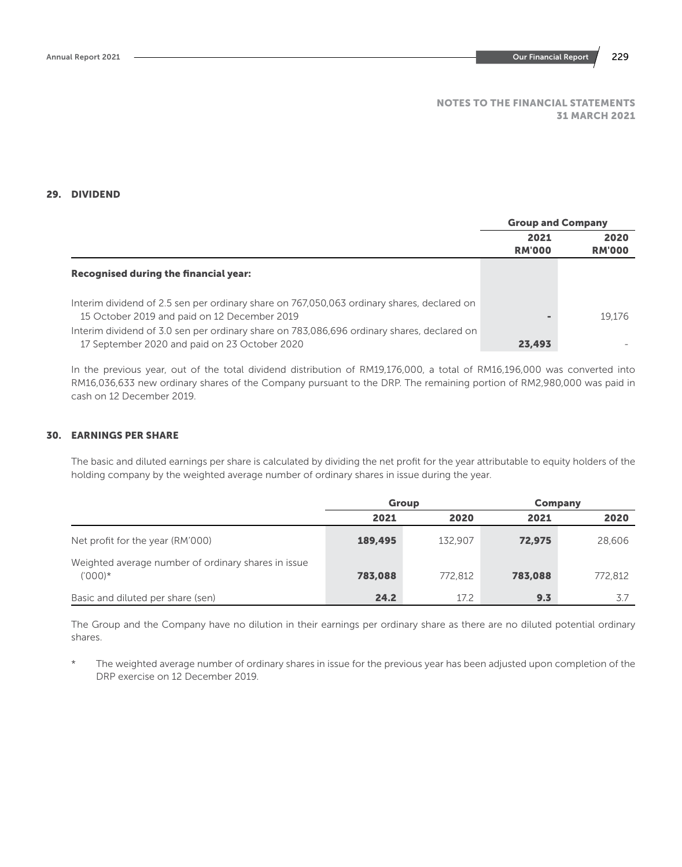#### 29. DIVIDEND

|                                                                                                                                             | <b>Group and Company</b> |                       |
|---------------------------------------------------------------------------------------------------------------------------------------------|--------------------------|-----------------------|
|                                                                                                                                             | 2021<br><b>RM'000</b>    | 2020<br><b>RM'000</b> |
| Recognised during the financial year:                                                                                                       |                          |                       |
| Interim dividend of 2.5 sen per ordinary share on 767,050,063 ordinary shares, declared on<br>15 October 2019 and paid on 12 December 2019  |                          | 19.176                |
| Interim dividend of 3.0 sen per ordinary share on 783,086,696 ordinary shares, declared on<br>17 September 2020 and paid on 23 October 2020 | 23,493                   |                       |

In the previous year, out of the total dividend distribution of RM19,176,000, a total of RM16,196,000 was converted into RM16,036,633 new ordinary shares of the Company pursuant to the DRP. The remaining portion of RM2,980,000 was paid in cash on 12 December 2019.

# 30. EARNINGS PER SHARE

The basic and diluted earnings per share is calculated by dividing the net profit for the year attributable to equity holders of the holding company by the weighted average number of ordinary shares in issue during the year.

|                                                                 |         | <b>Group</b> |         | Company |
|-----------------------------------------------------------------|---------|--------------|---------|---------|
|                                                                 | 2021    | 2020         | 2021    | 2020    |
| Net profit for the year (RM'000)                                | 189,495 | 132.907      | 72,975  | 28,606  |
| Weighted average number of ordinary shares in issue<br>$(000)*$ | 783,088 | 772.812      | 783,088 | 772,812 |
| Basic and diluted per share (sen)                               | 24.2    | 17.2         | 9.3     | 3.7     |

The Group and the Company have no dilution in their earnings per ordinary share as there are no diluted potential ordinary shares.

\* The weighted average number of ordinary shares in issue for the previous year has been adjusted upon completion of the DRP exercise on 12 December 2019.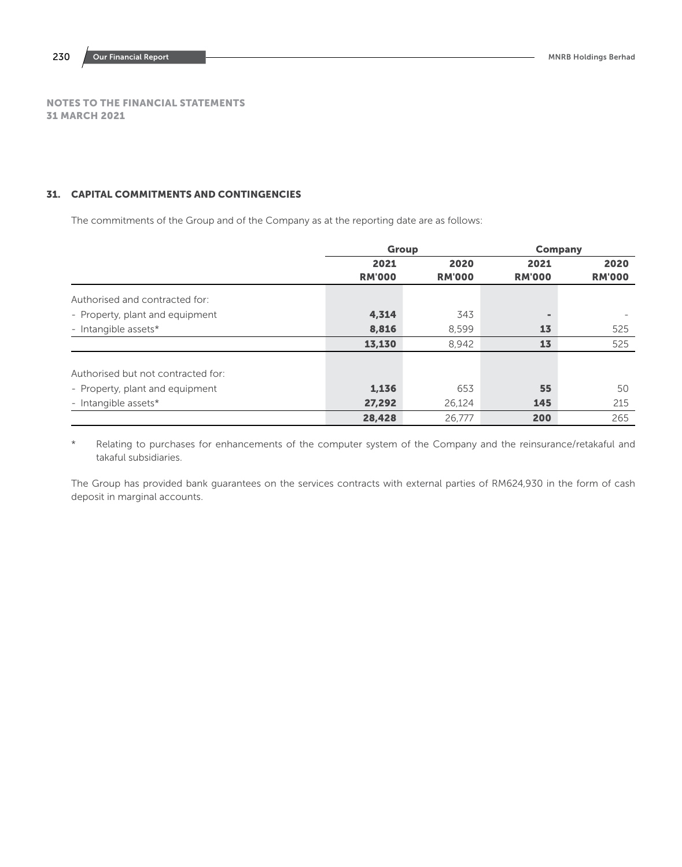#### 31. CAPITAL COMMITMENTS AND CONTINGENCIES

The commitments of the Group and of the Company as at the reporting date are as follows:

|                                    |               | <b>Group</b>  |               | <b>Company</b> |
|------------------------------------|---------------|---------------|---------------|----------------|
|                                    | 2021          | 2020          | 2021          | 2020           |
|                                    | <b>RM'000</b> | <b>RM'000</b> | <b>RM'000</b> | <b>RM'000</b>  |
| Authorised and contracted for:     |               |               |               |                |
| - Property, plant and equipment    | 4,314         | 343           |               |                |
| - Intangible assets*               | 8,816         | 8,599         | 13            | 525            |
|                                    | 13,130        | 8,942         | 13            | 525            |
|                                    |               |               |               |                |
| Authorised but not contracted for: |               |               |               |                |
| - Property, plant and equipment    | 1,136         | 653           | 55            | 50             |
| - Intangible assets*               | 27,292        | 26,124        | 145           | 215            |
|                                    | 28,428        | 26.777        | 200           | 265            |

Relating to purchases for enhancements of the computer system of the Company and the reinsurance/retakaful and takaful subsidiaries.

The Group has provided bank guarantees on the services contracts with external parties of RM624,930 in the form of cash deposit in marginal accounts.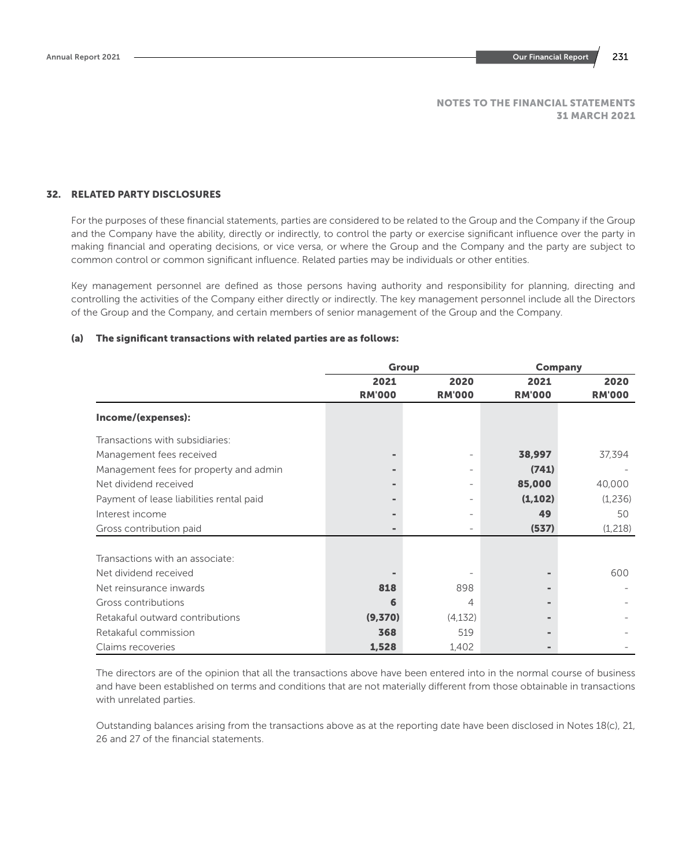## 32. RELATED PARTY DISCLOSURES

For the purposes of these financial statements, parties are considered to be related to the Group and the Company if the Group and the Company have the ability, directly or indirectly, to control the party or exercise significant influence over the party in making financial and operating decisions, or vice versa, or where the Group and the Company and the party are subject to common control or common significant influence. Related parties may be individuals or other entities.

Key management personnel are defined as those persons having authority and responsibility for planning, directing and controlling the activities of the Company either directly or indirectly. The key management personnel include all the Directors of the Group and the Company, and certain members of senior management of the Group and the Company.

## (a) The significant transactions with related parties are as follows:

|                                          | Group         |                          |               | <b>Company</b> |
|------------------------------------------|---------------|--------------------------|---------------|----------------|
|                                          | 2021          | 2020                     | 2021          | 2020           |
|                                          | <b>RM'000</b> | <b>RM'000</b>            | <b>RM'000</b> | <b>RM'000</b>  |
| Income/(expenses):                       |               |                          |               |                |
| Transactions with subsidiaries:          |               |                          |               |                |
| Management fees received                 |               |                          | 38,997        | 37,394         |
| Management fees for property and admin   |               | -                        | (741)         |                |
| Net dividend received                    |               | $\overline{\phantom{a}}$ | 85,000        | 40,000         |
| Payment of lease liabilities rental paid |               | $\overline{\phantom{a}}$ | (1, 102)      | (1,236)        |
| Interest income                          |               | $\overline{\phantom{a}}$ | 49            | 50             |
| Gross contribution paid                  |               | -                        | (537)         | (1,218)        |
|                                          |               |                          |               |                |
| Transactions with an associate:          |               |                          |               |                |
| Net dividend received                    |               |                          |               | 600            |
| Net reinsurance inwards                  | 818           | 898                      |               |                |
| Gross contributions                      | 6             | 4                        |               |                |
| Retakaful outward contributions          | (9,370)       | (4,132)                  |               |                |
| Retakaful commission                     | 368           | 519                      |               |                |
| Claims recoveries                        | 1,528         | 1,402                    |               |                |

The directors are of the opinion that all the transactions above have been entered into in the normal course of business and have been established on terms and conditions that are not materially different from those obtainable in transactions with unrelated parties.

Outstanding balances arising from the transactions above as at the reporting date have been disclosed in Notes 18(c), 21, 26 and 27 of the financial statements.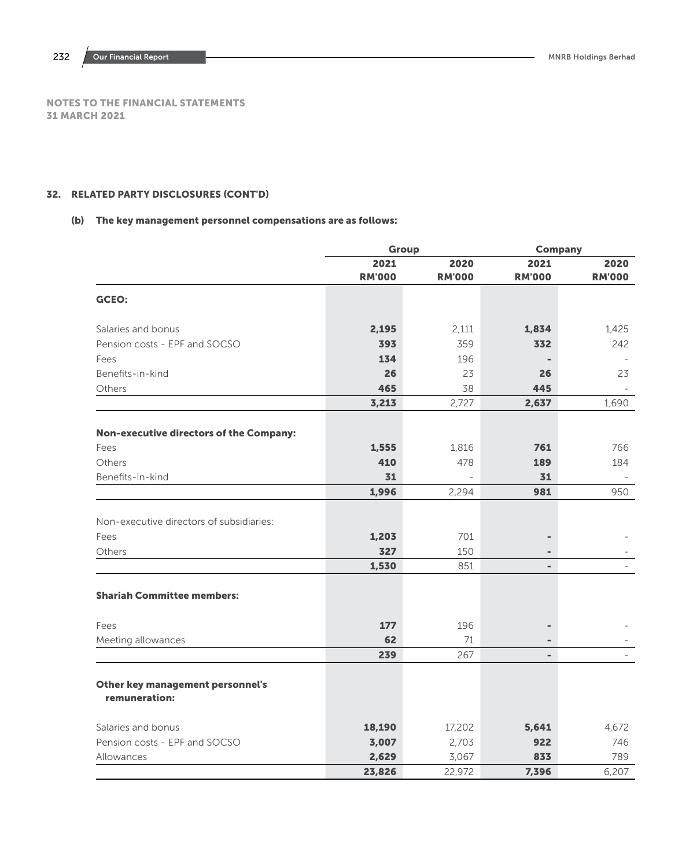# 32. RELATED PARTY DISCLOSURES (CONT'D)

# (b) The key management personnel compensations are as follows:

|                                          |               | Group         |                | <b>Company</b> |
|------------------------------------------|---------------|---------------|----------------|----------------|
|                                          | 2021          | 2020          | 2021           | 2020           |
|                                          | <b>RM'000</b> | <b>RM'000</b> | <b>RM'000</b>  | <b>RM'000</b>  |
| <b>GCEO:</b>                             |               |               |                |                |
|                                          |               |               |                |                |
| Salaries and bonus                       | 2,195         | 2,111         | 1,834          | 1,425          |
| Pension costs - EPF and SOCSO            | 393           | 359           | 332            | 242            |
| Fees                                     | 134           | 196           |                |                |
| Benefits-in-kind                         | 26            | 23            | 26             | 23             |
| Others                                   | 465           | 38            | 445            |                |
|                                          | 3,213         | 2,727         | 2,637          | 1,690          |
|                                          |               |               |                |                |
| Non-executive directors of the Company:  |               |               |                |                |
| Fees                                     | 1,555         | 1,816         | 761            | 766            |
| Others                                   | 410           | 478           | 189            | 184            |
| Benefits-in-kind                         | 31            |               | 31             | $\sim$         |
|                                          | 1,996         | 2,294         | 981            | 950            |
|                                          |               |               |                |                |
| Non-executive directors of subsidiaries: |               |               |                |                |
| Fees                                     | 1,203         | 701           |                |                |
| Others                                   | 327           | 150           |                |                |
|                                          | 1,530         | 851           | ÷              |                |
|                                          |               |               |                |                |
| <b>Shariah Committee members:</b>        |               |               |                |                |
| Fees                                     | 177           | 196           |                |                |
| Meeting allowances                       | 62            | 71            |                |                |
|                                          | 239           | 267           | $\blacksquare$ |                |
|                                          |               |               |                |                |
| Other key management personnel's         |               |               |                |                |
| remuneration:                            |               |               |                |                |
|                                          |               |               |                |                |
| Salaries and bonus                       | 18,190        | 17,202        | 5,641          | 4,672          |
| Pension costs - EPF and SOCSO            | 3,007         | 2,703         | 922            | 746            |
| Allowances                               | 2,629         | 3,067         | 833            | 789            |
|                                          | 23,826        | 22,972        | 7,396          | 6,207          |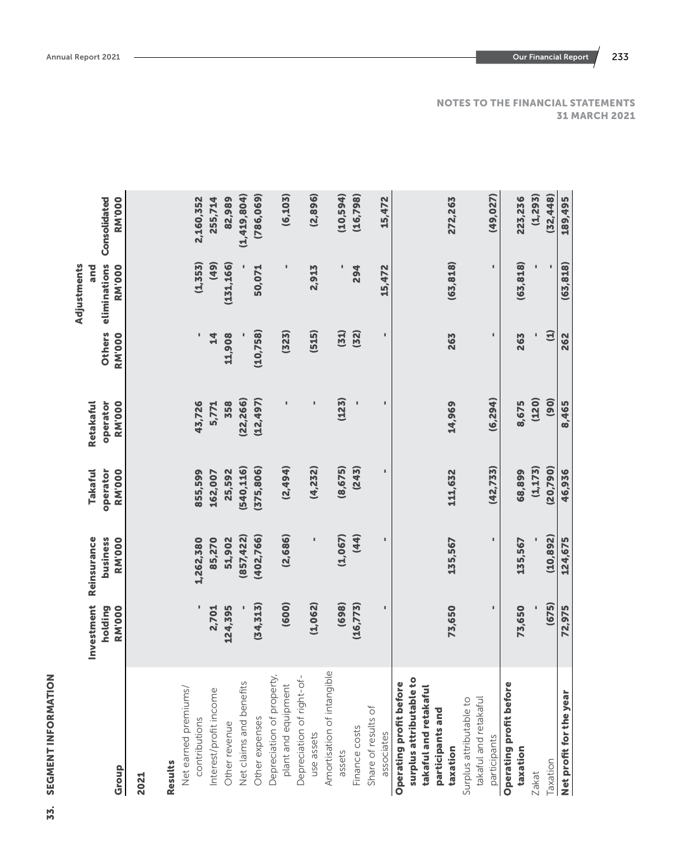| Group                      | Investment<br>holding<br><b>RM'000</b> | Reinsurance<br>business<br><b>RM'000</b> | Takaful<br>operator<br><b>RM'000</b> | operator<br>Retakaful<br><b>RM'000</b> | <b>Others</b><br><b>RM'000</b> | eliminations<br>Adjustments<br><b>RM'000</b><br>and | Consolidated<br><b>RM'000</b> |
|----------------------------|----------------------------------------|------------------------------------------|--------------------------------------|----------------------------------------|--------------------------------|-----------------------------------------------------|-------------------------------|
| 2021                       |                                        |                                          |                                      |                                        |                                |                                                     |                               |
| Results                    |                                        |                                          |                                      |                                        |                                |                                                     |                               |
| Net earned premiums/       |                                        |                                          |                                      |                                        |                                |                                                     |                               |
| contributions              |                                        | 1,262,380                                | 855,599                              | 43,726                                 |                                | (1, 353)                                            | 2,160,352                     |
| Interest/profit income     | 2,701                                  | 85,270                                   | 162,007                              | 5,771                                  | $\frac{4}{1}$                  | (49)                                                | 255,714                       |
| Other revenue              | 124,395                                | 51,902                                   | 25,592                               | 358                                    | 11,908                         | (131, 166)                                          | 82,989                        |
| Net claims and benefits    |                                        | (857,422)                                | [540,116]                            | (22, 266)                              |                                |                                                     | (1, 419, 804)                 |
| Other expenses             | (34, 313)                              | (402, 766)                               | (375, 806)                           | (12, 497)                              | (10, 758)                      | 50,071                                              | (786,069)                     |
| Depreciation of property,  |                                        |                                          |                                      |                                        |                                |                                                     |                               |
| plant and equipment        | (600)                                  | (2, 686)                                 | (2, 494)                             | I                                      | (323)                          | ı                                                   | (6, 103)                      |
| Depreciation of right-of-  |                                        |                                          |                                      |                                        |                                |                                                     |                               |
| use assets                 | (1,062)                                | п                                        | (4,232)                              | ı                                      | (515)                          | 2,913                                               | (2, 896)                      |
| Amortisation of intangible |                                        |                                          |                                      |                                        |                                |                                                     |                               |
| assets                     | (698)                                  | (1,067)                                  | (8,675)                              | (123)                                  | (31)                           |                                                     | (10, 594)                     |
| Finance costs              | (16, 773)                              | (44)                                     | (243)                                |                                        | (32)                           | 294                                                 | (16, 798)                     |
| Share of results of        |                                        |                                          |                                      |                                        |                                |                                                     |                               |
| associates                 |                                        | ٠                                        | ٠                                    | п                                      | ı                              | 15,472                                              | 15,472                        |
| Operating profit before    |                                        |                                          |                                      |                                        |                                |                                                     |                               |
| surplus attributable to    |                                        |                                          |                                      |                                        |                                |                                                     |                               |
| takaful and retakaful      |                                        |                                          |                                      |                                        |                                |                                                     |                               |
| participants and           |                                        |                                          |                                      |                                        |                                |                                                     |                               |
| taxation                   | 73,650                                 | 135,567                                  | 111,632                              | 14,969                                 | 263                            | (63, 818)                                           | 272,263                       |
| Surplus attributable to    |                                        |                                          |                                      |                                        |                                |                                                     |                               |
| takaful and retakaful      |                                        |                                          |                                      |                                        |                                |                                                     |                               |
| participants               | ٠                                      | ٠                                        | (42, 733)                            | (6, 294)                               | ı                              | ٠                                                   | (49, 027)                     |
| Operating profit before    |                                        |                                          |                                      |                                        |                                |                                                     |                               |
| taxation                   | 73,650                                 | 135,567                                  | 68,899                               | 8,675                                  | 263                            | (63, 818)                                           | 223,236                       |
| <b>Zakat</b>               |                                        |                                          | (1, 173)                             | (120)                                  |                                | п                                                   | (1, 293)                      |
| Taxation                   | (675)                                  | (10, 892)                                | (20, 790)                            | (90)                                   | $\overline{E}$                 | ٠                                                   | (32, 448)                     |
| Net profit for the year    | 72,975                                 | 124,675                                  | 46,936                               | 8,465                                  | 262                            | (63, 818)                                           | 189,495                       |
|                            |                                        |                                          |                                      |                                        |                                |                                                     |                               |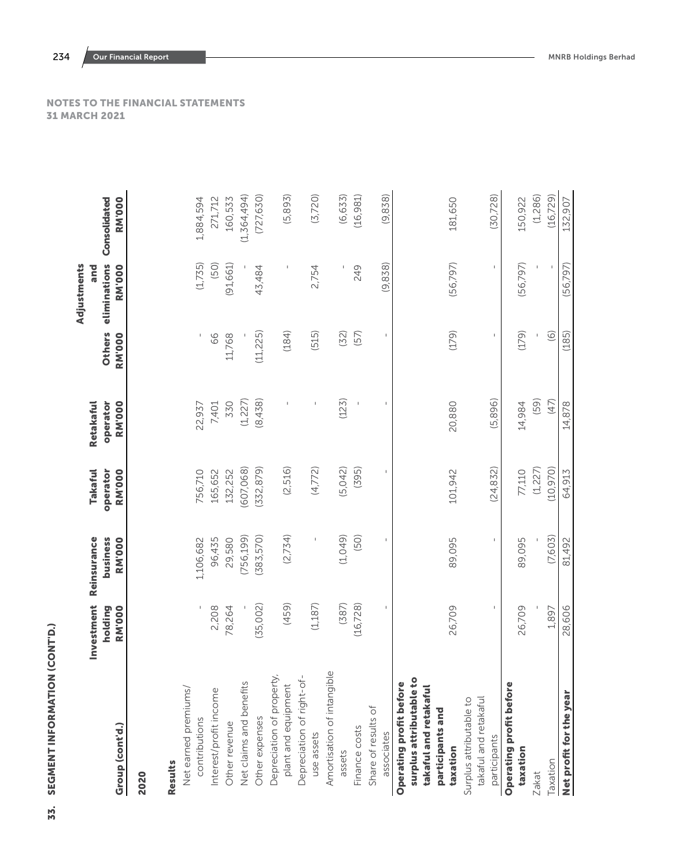|                                                                             | Investment               | Reinsurance               | Takaful                   | Retakaful                                                                                                                                                                                                                                                                                                                                            |                                                        | Adjustments<br>and            |                               |
|-----------------------------------------------------------------------------|--------------------------|---------------------------|---------------------------|------------------------------------------------------------------------------------------------------------------------------------------------------------------------------------------------------------------------------------------------------------------------------------------------------------------------------------------------------|--------------------------------------------------------|-------------------------------|-------------------------------|
| Group (cont'd.)                                                             | holding<br><b>RM'000</b> | business<br><b>RM'000</b> | operator<br><b>RM'000</b> | operator<br><b>RM'000</b>                                                                                                                                                                                                                                                                                                                            | <b>Others</b><br><b>RM'000</b>                         | eliminations<br><b>RM'000</b> | Consolidated<br><b>RM'000</b> |
| 2020                                                                        |                          |                           |                           |                                                                                                                                                                                                                                                                                                                                                      |                                                        |                               |                               |
| Results                                                                     |                          |                           |                           |                                                                                                                                                                                                                                                                                                                                                      |                                                        |                               |                               |
| Net earned premiums/                                                        |                          |                           |                           |                                                                                                                                                                                                                                                                                                                                                      |                                                        |                               |                               |
| contributions                                                               |                          | 1,106,682                 | 756,710                   | 22,937                                                                                                                                                                                                                                                                                                                                               |                                                        | (1,735)                       | 1,884,594                     |
| Interest/profit income                                                      | 2,208                    | 96,435                    | 165,652                   | 7,401                                                                                                                                                                                                                                                                                                                                                | 89                                                     | (50)                          | 271,712                       |
| Other revenue                                                               | 78,264                   | 29,580                    | 132,252                   | 330                                                                                                                                                                                                                                                                                                                                                  | 11,768                                                 | (91, 661)                     | 160,533                       |
| Net claims and benefits                                                     |                          | (756, 199)                | (607,068)                 | (1, 227)                                                                                                                                                                                                                                                                                                                                             |                                                        |                               | (1,364,494)                   |
| Other expenses                                                              | (35,002)                 | (383, 570)                | (332, 879)                | (8,438)                                                                                                                                                                                                                                                                                                                                              | (11, 225)                                              | 43,484                        | (727, 630)                    |
| Depreciation of property,                                                   |                          |                           |                           |                                                                                                                                                                                                                                                                                                                                                      |                                                        |                               |                               |
| plant and equipment                                                         | (459)                    | (2,734)                   | (2,516)                   |                                                                                                                                                                                                                                                                                                                                                      | (184)                                                  |                               | (5, 893)                      |
| Depreciation of right-of-                                                   | (1, 187)                 |                           |                           |                                                                                                                                                                                                                                                                                                                                                      | (515)                                                  | 2,754                         |                               |
| use assets                                                                  |                          |                           | (4,772)                   | $\begin{array}{c} \rule{0.2cm}{0.15cm} \rule{0.2cm}{0.15cm} \rule{0.2cm}{0.15cm} \rule{0.2cm}{0.15cm} \rule{0.2cm}{0.15cm} \rule{0.2cm}{0.15cm} \rule{0.2cm}{0.15cm} \rule{0.2cm}{0.15cm} \rule{0.2cm}{0.15cm} \rule{0.2cm}{0.15cm} \rule{0.2cm}{0.15cm} \rule{0.2cm}{0.15cm} \rule{0.2cm}{0.15cm} \rule{0.2cm}{0.15cm} \rule{0.2cm}{0.15cm} \rule{$ |                                                        |                               | (3, 720)                      |
| Amortisation of intangible                                                  |                          |                           |                           |                                                                                                                                                                                                                                                                                                                                                      |                                                        |                               |                               |
| assets                                                                      | (387)                    | (1,049)                   | (5,042)                   | (123)                                                                                                                                                                                                                                                                                                                                                | (32)                                                   |                               | (6, 633)                      |
| Finance costs                                                               | (16, 728)                | (50)                      | (395)                     |                                                                                                                                                                                                                                                                                                                                                      | (57)                                                   | 249                           | (16, 981)                     |
| Share of results of                                                         |                          |                           |                           |                                                                                                                                                                                                                                                                                                                                                      |                                                        |                               |                               |
| associates                                                                  |                          | I,                        |                           |                                                                                                                                                                                                                                                                                                                                                      |                                                        | (9, 838)                      | (9, 838)                      |
| surplus attributable to<br>Operating profit before<br>takaful and retakaful |                          |                           |                           |                                                                                                                                                                                                                                                                                                                                                      |                                                        |                               |                               |
| participants and                                                            |                          |                           |                           |                                                                                                                                                                                                                                                                                                                                                      |                                                        |                               |                               |
| taxation                                                                    | 26,709                   | 89,095                    | 101,942                   | 20,880                                                                                                                                                                                                                                                                                                                                               | (179)                                                  | (56, 797)                     | 181,650                       |
| Surplus attributable to                                                     |                          |                           |                           |                                                                                                                                                                                                                                                                                                                                                      |                                                        |                               |                               |
| takaful and retakaful                                                       |                          |                           |                           |                                                                                                                                                                                                                                                                                                                                                      |                                                        |                               |                               |
| participants                                                                |                          | $\mathbf{I}$              | (24, 832)                 | (5,896)                                                                                                                                                                                                                                                                                                                                              |                                                        | $\mathbf{I}$                  | (30, 728)                     |
| Operating profit before                                                     |                          |                           |                           |                                                                                                                                                                                                                                                                                                                                                      |                                                        |                               |                               |
| taxation                                                                    | 26,709                   | 89,095                    | 77,110                    | 14,984                                                                                                                                                                                                                                                                                                                                               | (179)                                                  | (56, 797)                     | 150,922                       |
| <b>Zakat</b>                                                                |                          |                           | (1, 227)                  | (59)                                                                                                                                                                                                                                                                                                                                                 |                                                        |                               | (1, 286)                      |
| Taxation                                                                    | 1,897                    | (7,603)                   | (10, 970)                 | (47)                                                                                                                                                                                                                                                                                                                                                 | $\begin{array}{c} \textcircled{\small{6}} \end{array}$ |                               | (16, 729)                     |
| Net profit for the year                                                     | 28,606                   | 81,492                    | 64,913                    | 14,878                                                                                                                                                                                                                                                                                                                                               | (185)                                                  | (56, 797)                     | 132,907                       |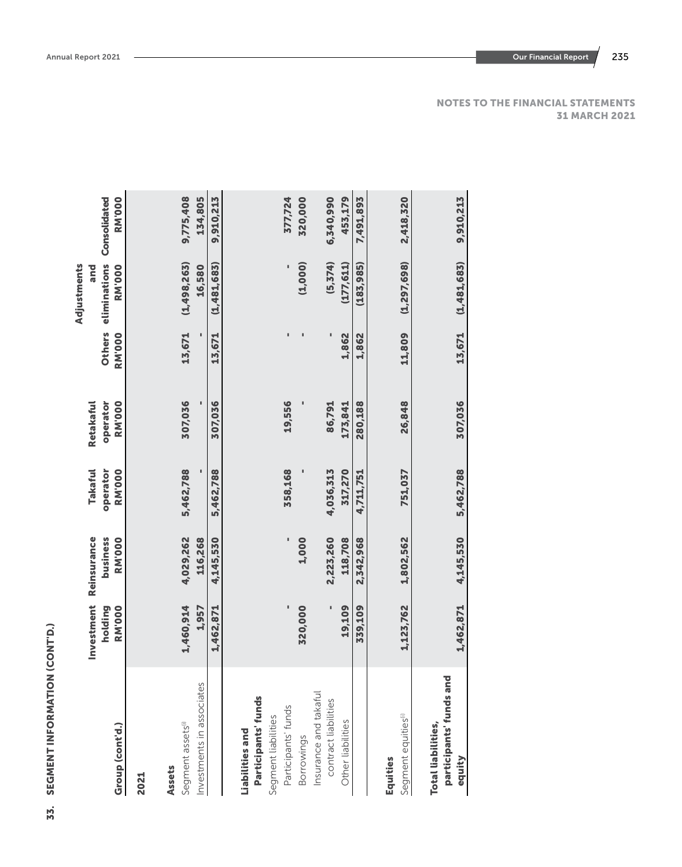33. SEGMENT INFORMATION (CONT'D.) 33. SEGMENT INFORMATION (CONT'D.)

| Group (cont'd.)                                                | Investment<br><b>RM'000</b><br>holding | Reinsurance<br>business<br><b>RM'000</b> | Takaful<br>operator<br><b>RM'000</b> | operator<br>Retakaful<br><b>RM'000</b> | <b>Others</b><br><b>RM'000</b> | eliminations<br>Adjustments<br>and<br><b>RM'000</b> | Consolidated<br><b>RM'000</b> |
|----------------------------------------------------------------|----------------------------------------|------------------------------------------|--------------------------------------|----------------------------------------|--------------------------------|-----------------------------------------------------|-------------------------------|
| Assets<br>2021                                                 |                                        |                                          |                                      |                                        |                                |                                                     |                               |
| Investments in associates<br>Segment assets <sup>(i)</sup>     | 1,460,914<br>1,957                     | 4,029,262<br>116,268                     | 5,462,788                            | 307,036                                | 13,671                         | (1,498,263)<br>16,580                               | 9,775,408<br>134,805          |
|                                                                | 1,462,871                              | 4,145,530                                | 5,462,788                            | 307,036                                | 13,671                         | (1, 481, 683)                                       | 9,910,213                     |
| Participants' funds<br>Liabilities and                         |                                        |                                          |                                      |                                        |                                |                                                     |                               |
| Participants' funds<br>Segment liabilities                     |                                        |                                          | 358,168                              | 19,556                                 |                                |                                                     | 377,724                       |
| Borrowings                                                     | 320,000                                | 1,000                                    |                                      |                                        |                                | (1,000)                                             | 320,000                       |
| Insurance and takaful<br>contract liabilities                  |                                        | 2,223,260                                | 4,036,313                            | 86,791                                 |                                | (5, 374)                                            | 6,340,990                     |
| Other liabilities                                              | 19,109                                 | 118,708                                  | 317,270                              | 173,841                                | 1,862                          | (177, 611)                                          | 453,179                       |
|                                                                | 339,109                                | 2,342,968                                | 4,711,751                            | 280,188                                | 1,862                          | (183, 985)                                          | 7,491,893                     |
| Equities                                                       |                                        |                                          |                                      |                                        |                                |                                                     |                               |
| Segment equities <sup>(i)</sup>                                | 1,123,762                              | 1,802,562                                | 751,037                              | 26,848                                 | 11,809                         | (1, 297, 698)                                       | 2,418,320                     |
| participants' funds and<br><b>Total liabilities,</b><br>equity | 1,462,871                              | 4,145,530                                | 5,462,788                            | 307,036                                | 13,671                         | (1, 481, 683)                                       | 9,910,213                     |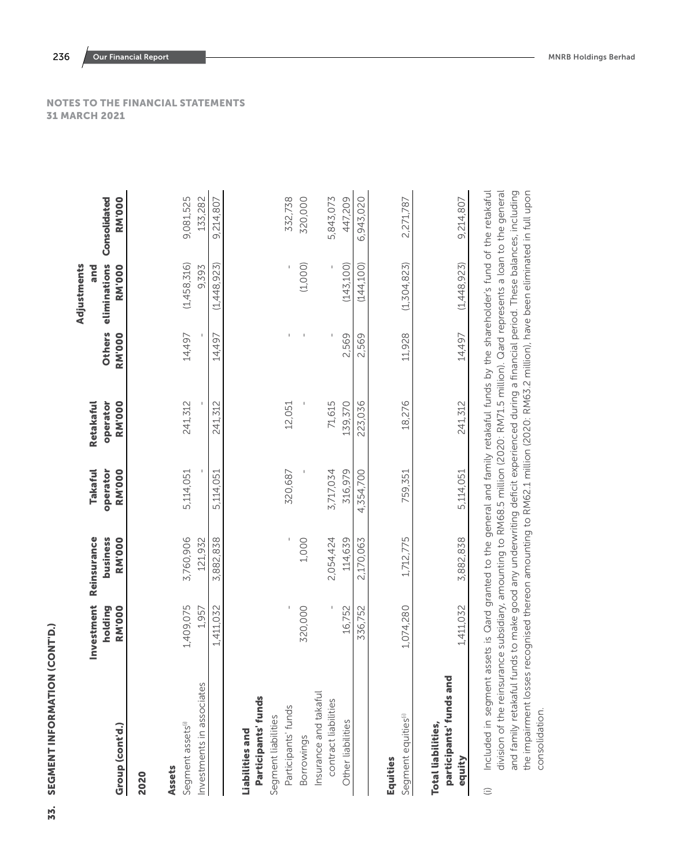| т.<br>М  | <b>SEGMENT INFORMATIO</b>                                      | <b>CONTID.)</b>                        |                                          |                                      |                                        |                                |                                                     |                               |
|----------|----------------------------------------------------------------|----------------------------------------|------------------------------------------|--------------------------------------|----------------------------------------|--------------------------------|-----------------------------------------------------|-------------------------------|
|          | Group (cont'd.)                                                | Investment<br><b>RM'000</b><br>holding | Reinsurance<br>business<br><b>RM'000</b> | Takaful<br>operator<br><b>RM'000</b> | operator<br>Retakaful<br><b>RM'000</b> | <b>Others</b><br><b>RM'000</b> | Adjustments<br>eliminations<br>and<br><b>RM'000</b> | Consolidated<br><b>RM'000</b> |
| 2020     |                                                                |                                        |                                          |                                      |                                        |                                |                                                     |                               |
| Assets   |                                                                |                                        |                                          |                                      |                                        |                                |                                                     |                               |
|          | Segment assets <sup>(i)</sup>                                  | 1,409,075                              | 3,760,906                                | 5,114,051                            | 241,312                                | 14,497                         | (1,458,316)                                         | 9,081,525                     |
|          | Investments in associates                                      | 1,957                                  | 121,932                                  |                                      |                                        |                                | 9,393                                               | 133,282                       |
|          |                                                                | 1,411,032                              | 3,882,838                                | 5,114,051                            | 241,312                                | 14,497                         | (1,448,923)                                         | 9,214,807                     |
|          | Participants' funds<br>Liabilities and                         |                                        |                                          |                                      |                                        |                                |                                                     |                               |
|          | Participants' funds<br>Segment liabilities                     |                                        |                                          | 320,687                              | 12,051                                 |                                |                                                     | 332,738                       |
|          | Borrowings                                                     | 320,000                                | 1,000                                    |                                      |                                        |                                | (1,000)                                             | 320,000                       |
|          | Insurance and takaful                                          |                                        |                                          |                                      |                                        |                                |                                                     |                               |
|          | contract liabilities                                           |                                        | 2,054,424                                | 3,717,034                            | 71,615                                 |                                |                                                     | 5,843,073                     |
|          | Other liabilities                                              | 16,752                                 | 114,639                                  | 316,979                              | 139,370                                | 2,569                          | (143, 100)                                          | 447,209                       |
|          |                                                                | 336,752                                | 2,170,063                                | 4,354,700                            | 223,036                                | 2,569                          | (144, 100)                                          | 6,943,020                     |
| Equities |                                                                |                                        |                                          |                                      |                                        |                                |                                                     |                               |
|          | Segment equities <sup>®</sup>                                  | 1,074,280                              | 1,712,775                                | 759,351                              | 18,276                                 | 11,928                         | (1,304,823)                                         | 2,271,787                     |
|          | participants' funds and<br><b>Total liabilities,</b><br>equity | 1,411,032                              | 3,882,838                                | 5,114,051                            | 241,312                                | 14,497                         | (1,448,923)                                         | 9,214,807                     |

(i) Included in segment assets is Qard granted to the general and family retakaful funds by the shareholder's fund of the retakaful division of the reinsurance subsidiary, amounting to RM68.5 million (2020: RM71.5 million). Qard represents a loan to the general and family retakaful funds to make good any underwriting deficit experienced during a financial period. These balances, including the impairment losses recognised thereon amounting to RM62.1 million (2020: RM63.2 million), have been eliminated in full upon Included in segment assets is Qard granted to the general and family retakaful funds by the shareholder's fund of the retakaful division of the reinsurance subsidiary, amounting to RM68.5 million (2020: RM71.5 million). Qard represents a loan to the general and family retakaful funds to make good any underwriting deficit experienced during a financial period. These balances, including the impairment losses recognised thereon amounting to RM62.1 million (2020: RM63.2 million), have been eliminated in full upon consolidation. consolidation.

 $\oplus$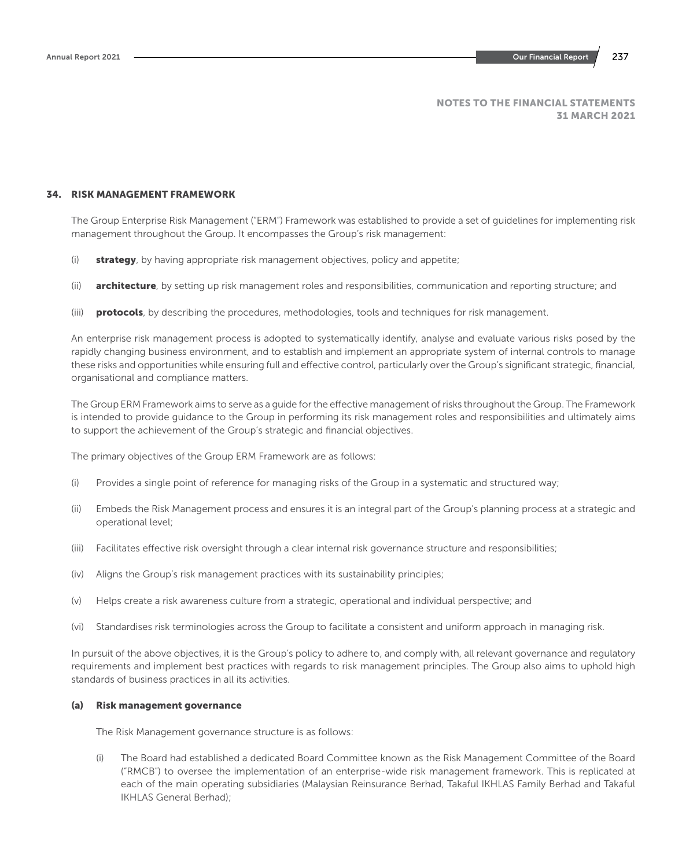### 34. RISK MANAGEMENT FRAMEWORK

The Group Enterprise Risk Management ("ERM") Framework was established to provide a set of guidelines for implementing risk management throughout the Group. It encompasses the Group's risk management:

- (i) strategy, by having appropriate risk management objectives, policy and appetite;
- (ii) **architecture**, by setting up risk management roles and responsibilities, communication and reporting structure; and
- (iii) **protocols**, by describing the procedures, methodologies, tools and techniques for risk management.

An enterprise risk management process is adopted to systematically identify, analyse and evaluate various risks posed by the rapidly changing business environment, and to establish and implement an appropriate system of internal controls to manage these risks and opportunities while ensuring full and effective control, particularly over the Group's significant strategic, financial, organisational and compliance matters.

The Group ERM Framework aims to serve as a guide for the effective management of risks throughout the Group. The Framework is intended to provide guidance to the Group in performing its risk management roles and responsibilities and ultimately aims to support the achievement of the Group's strategic and financial objectives.

The primary objectives of the Group ERM Framework are as follows:

- (i) Provides a single point of reference for managing risks of the Group in a systematic and structured way;
- (ii) Embeds the Risk Management process and ensures it is an integral part of the Group's planning process at a strategic and operational level;
- (iii) Facilitates effective risk oversight through a clear internal risk governance structure and responsibilities;
- (iv) Aligns the Group's risk management practices with its sustainability principles;
- (v) Helps create a risk awareness culture from a strategic, operational and individual perspective; and
- (vi) Standardises risk terminologies across the Group to facilitate a consistent and uniform approach in managing risk.

In pursuit of the above objectives, it is the Group's policy to adhere to, and comply with, all relevant governance and regulatory requirements and implement best practices with regards to risk management principles. The Group also aims to uphold high standards of business practices in all its activities.

### (a) Risk management governance

The Risk Management governance structure is as follows:

(i) The Board had established a dedicated Board Committee known as the Risk Management Committee of the Board ("RMCB") to oversee the implementation of an enterprise-wide risk management framework. This is replicated at each of the main operating subsidiaries (Malaysian Reinsurance Berhad, Takaful IKHLAS Family Berhad and Takaful IKHLAS General Berhad);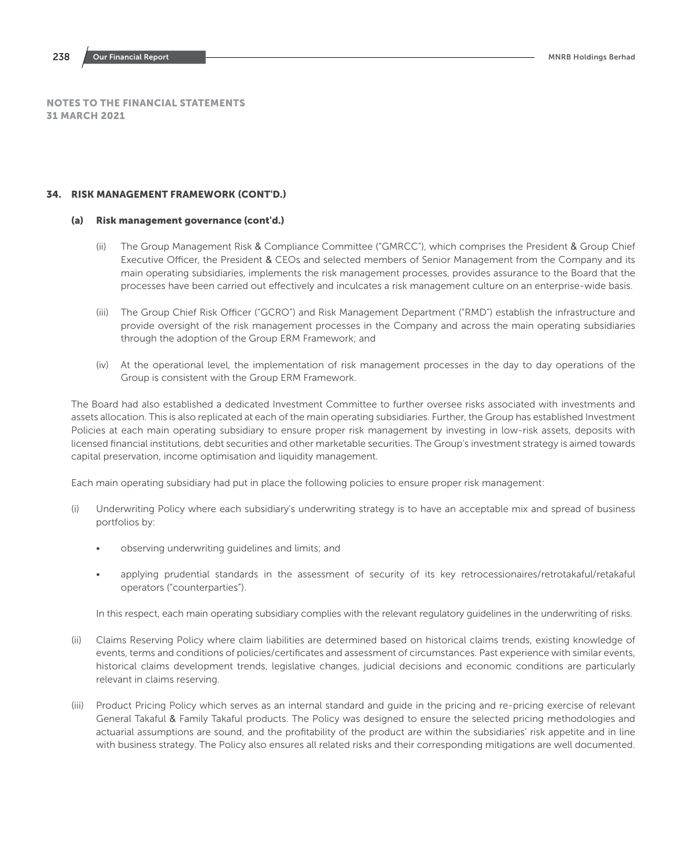### 34. RISK MANAGEMENT FRAMEWORK (CONT'D.)

### (a) Risk management governance (cont'd.)

- (ii) The Group Management Risk & Compliance Committee ("GMRCC"), which comprises the President & Group Chief Executive Officer, the President & CEOs and selected members of Senior Management from the Company and its main operating subsidiaries, implements the risk management processes, provides assurance to the Board that the processes have been carried out effectively and inculcates a risk management culture on an enterprise-wide basis.
- (iii) The Group Chief Risk Officer ("GCRO") and Risk Management Department ("RMD") establish the infrastructure and provide oversight of the risk management processes in the Company and across the main operating subsidiaries through the adoption of the Group ERM Framework; and
- (iv) At the operational level, the implementation of risk management processes in the day to day operations of the Group is consistent with the Group ERM Framework.

The Board had also established a dedicated Investment Committee to further oversee risks associated with investments and assets allocation. This is also replicated at each of the main operating subsidiaries. Further, the Group has established Investment Policies at each main operating subsidiary to ensure proper risk management by investing in low-risk assets, deposits with licensed financial institutions, debt securities and other marketable securities. The Group's investment strategy is aimed towards capital preservation, income optimisation and liquidity management.

Each main operating subsidiary had put in place the following policies to ensure proper risk management:

- (i) Underwriting Policy where each subsidiary's underwriting strategy is to have an acceptable mix and spread of business portfolios by:
	- observing underwriting guidelines and limits; and
	- applying prudential standards in the assessment of security of its key retrocessionaires/retrotakaful/retakaful operators ("counterparties").

In this respect, each main operating subsidiary complies with the relevant regulatory guidelines in the underwriting of risks.

- (ii) Claims Reserving Policy where claim liabilities are determined based on historical claims trends, existing knowledge of events, terms and conditions of policies/certificates and assessment of circumstances. Past experience with similar events, historical claims development trends, legislative changes, judicial decisions and economic conditions are particularly relevant in claims reserving.
- (iii) Product Pricing Policy which serves as an internal standard and guide in the pricing and re-pricing exercise of relevant General Takaful & Family Takaful products. The Policy was designed to ensure the selected pricing methodologies and actuarial assumptions are sound, and the profitability of the product are within the subsidiaries' risk appetite and in line with business strategy. The Policy also ensures all related risks and their corresponding mitigations are well documented.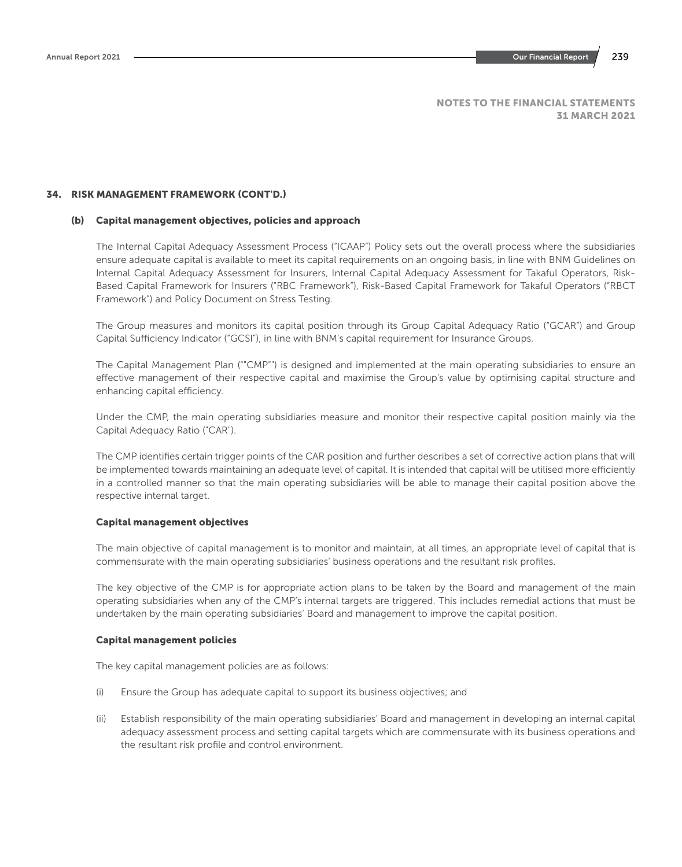### 34. RISK MANAGEMENT FRAMEWORK (CONT'D.)

### (b) Capital management objectives, policies and approach

The Internal Capital Adequacy Assessment Process ("ICAAP") Policy sets out the overall process where the subsidiaries ensure adequate capital is available to meet its capital requirements on an ongoing basis, in line with BNM Guidelines on Internal Capital Adequacy Assessment for Insurers, Internal Capital Adequacy Assessment for Takaful Operators, Risk-Based Capital Framework for Insurers ("RBC Framework"), Risk-Based Capital Framework for Takaful Operators ("RBCT Framework") and Policy Document on Stress Testing.

The Group measures and monitors its capital position through its Group Capital Adequacy Ratio ("GCAR") and Group Capital Sufficiency Indicator ("GCSI"), in line with BNM's capital requirement for Insurance Groups.

The Capital Management Plan (""CMP"") is designed and implemented at the main operating subsidiaries to ensure an effective management of their respective capital and maximise the Group's value by optimising capital structure and enhancing capital efficiency.

Under the CMP, the main operating subsidiaries measure and monitor their respective capital position mainly via the Capital Adequacy Ratio ("CAR").

The CMP identifies certain trigger points of the CAR position and further describes a set of corrective action plans that will be implemented towards maintaining an adequate level of capital. It is intended that capital will be utilised more efficiently in a controlled manner so that the main operating subsidiaries will be able to manage their capital position above the respective internal target.

### Capital management objectives

The main objective of capital management is to monitor and maintain, at all times, an appropriate level of capital that is commensurate with the main operating subsidiaries' business operations and the resultant risk profiles.

The key objective of the CMP is for appropriate action plans to be taken by the Board and management of the main operating subsidiaries when any of the CMP's internal targets are triggered. This includes remedial actions that must be undertaken by the main operating subsidiaries' Board and management to improve the capital position.

### Capital management policies

The key capital management policies are as follows:

- (i) Ensure the Group has adequate capital to support its business objectives; and
- (ii) Establish responsibility of the main operating subsidiaries' Board and management in developing an internal capital adequacy assessment process and setting capital targets which are commensurate with its business operations and the resultant risk profile and control environment.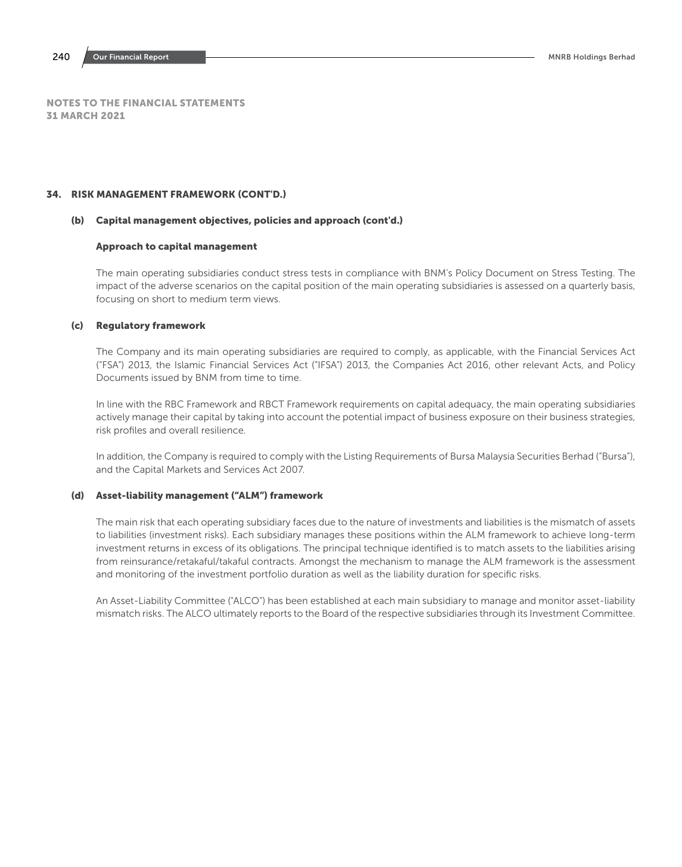### 34. RISK MANAGEMENT FRAMEWORK (CONT'D.)

### (b) Capital management objectives, policies and approach (cont'd.)

### Approach to capital management

The main operating subsidiaries conduct stress tests in compliance with BNM's Policy Document on Stress Testing. The impact of the adverse scenarios on the capital position of the main operating subsidiaries is assessed on a quarterly basis, focusing on short to medium term views.

### (c) Regulatory framework

The Company and its main operating subsidiaries are required to comply, as applicable, with the Financial Services Act ("FSA") 2013, the Islamic Financial Services Act ("IFSA") 2013, the Companies Act 2016, other relevant Acts, and Policy Documents issued by BNM from time to time.

In line with the RBC Framework and RBCT Framework requirements on capital adequacy, the main operating subsidiaries actively manage their capital by taking into account the potential impact of business exposure on their business strategies, risk profiles and overall resilience.

In addition, the Company is required to comply with the Listing Requirements of Bursa Malaysia Securities Berhad ("Bursa"), and the Capital Markets and Services Act 2007.

### (d) Asset-liability management ("ALM") framework

The main risk that each operating subsidiary faces due to the nature of investments and liabilities is the mismatch of assets to liabilities (investment risks). Each subsidiary manages these positions within the ALM framework to achieve long-term investment returns in excess of its obligations. The principal technique identified is to match assets to the liabilities arising from reinsurance/retakaful/takaful contracts. Amongst the mechanism to manage the ALM framework is the assessment and monitoring of the investment portfolio duration as well as the liability duration for specific risks.

An Asset-Liability Committee ("ALCO") has been established at each main subsidiary to manage and monitor asset-liability mismatch risks. The ALCO ultimately reports to the Board of the respective subsidiaries through its Investment Committee.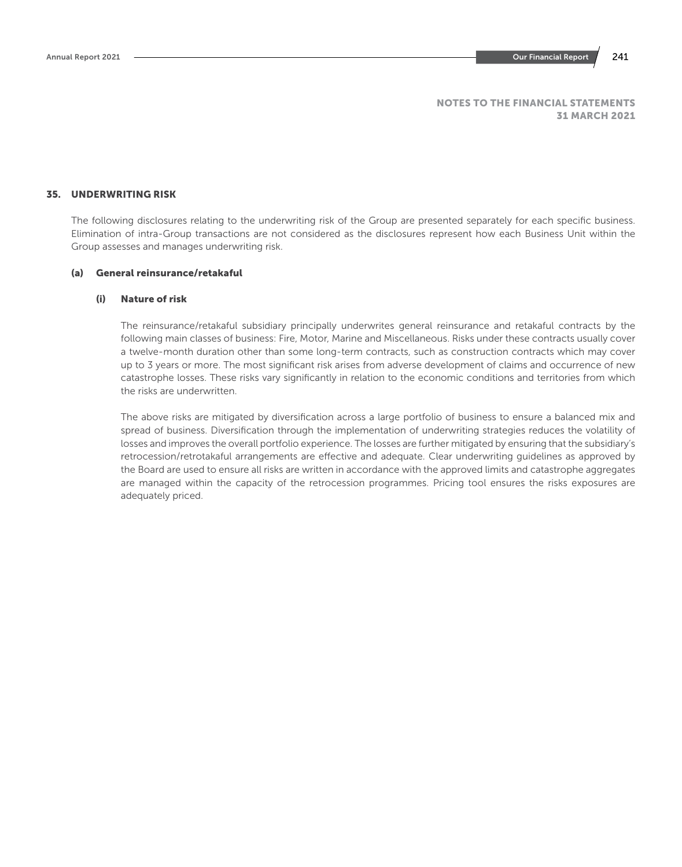### 35. UNDERWRITING RISK

The following disclosures relating to the underwriting risk of the Group are presented separately for each specific business. Elimination of intra-Group transactions are not considered as the disclosures represent how each Business Unit within the Group assesses and manages underwriting risk.

### (a) General reinsurance/retakaful

### (i) Nature of risk

The reinsurance/retakaful subsidiary principally underwrites general reinsurance and retakaful contracts by the following main classes of business: Fire, Motor, Marine and Miscellaneous. Risks under these contracts usually cover a twelve-month duration other than some long-term contracts, such as construction contracts which may cover up to 3 years or more. The most significant risk arises from adverse development of claims and occurrence of new catastrophe losses. These risks vary significantly in relation to the economic conditions and territories from which the risks are underwritten.

The above risks are mitigated by diversification across a large portfolio of business to ensure a balanced mix and spread of business. Diversification through the implementation of underwriting strategies reduces the volatility of losses and improves the overall portfolio experience. The losses are further mitigated by ensuring that the subsidiary's retrocession/retrotakaful arrangements are effective and adequate. Clear underwriting guidelines as approved by the Board are used to ensure all risks are written in accordance with the approved limits and catastrophe aggregates are managed within the capacity of the retrocession programmes. Pricing tool ensures the risks exposures are adequately priced.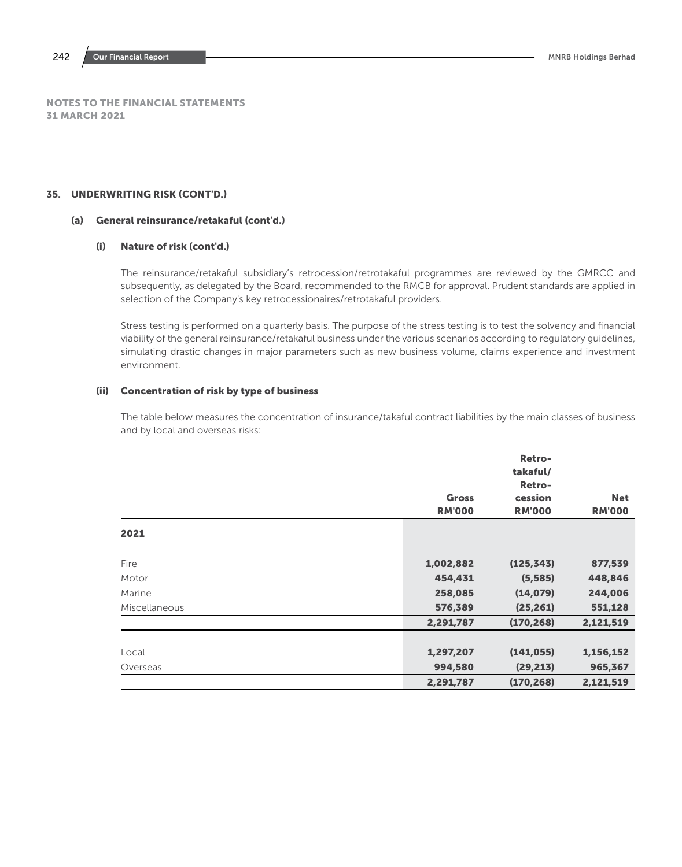### 35. UNDERWRITING RISK (CONT'D.)

### (a) General reinsurance/retakaful (cont'd.)

### (i) Nature of risk (cont'd.)

The reinsurance/retakaful subsidiary's retrocession/retrotakaful programmes are reviewed by the GMRCC and subsequently, as delegated by the Board, recommended to the RMCB for approval. Prudent standards are applied in selection of the Company's key retrocessionaires/retrotakaful providers.

Stress testing is performed on a quarterly basis. The purpose of the stress testing is to test the solvency and financial viability of the general reinsurance/retakaful business under the various scenarios according to regulatory guidelines, simulating drastic changes in major parameters such as new business volume, claims experience and investment environment.

### (ii) Concentration of risk by type of business

The table below measures the concentration of insurance/takaful contract liabilities by the main classes of business and by local and overseas risks:

|               |               | Retro-        |               |
|---------------|---------------|---------------|---------------|
|               |               | takaful/      |               |
|               |               | Retro-        |               |
|               | <b>Gross</b>  | cession       | <b>Net</b>    |
|               | <b>RM'000</b> | <b>RM'000</b> | <b>RM'000</b> |
| 2021          |               |               |               |
| Fire          | 1,002,882     | (125, 343)    | 877,539       |
| Motor         | 454,431       | (5,585)       | 448,846       |
| Marine        | 258,085       | (14, 079)     | 244,006       |
| Miscellaneous | 576,389       | (25, 261)     | 551,128       |
|               | 2,291,787     | (170, 268)    | 2,121,519     |
|               |               |               |               |
| Local         | 1,297,207     | (141, 055)    | 1,156,152     |
| Overseas      | 994,580       | (29, 213)     | 965,367       |
|               | 2,291,787     | (170, 268)    | 2,121,519     |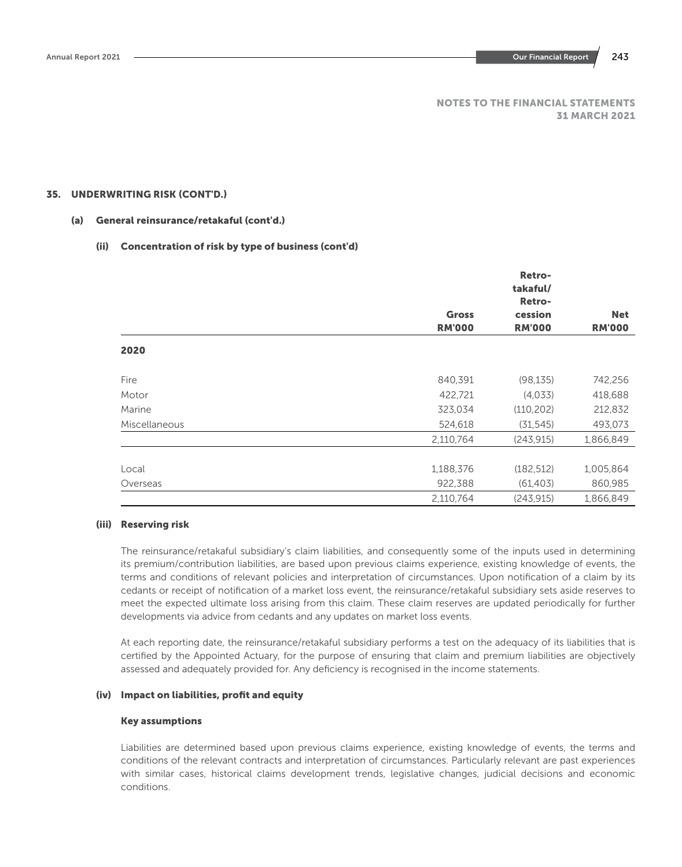### 35. UNDERWRITING RISK (CONT'D.)

### (a) General reinsurance/retakaful (cont'd.)

### (ii) Concentration of risk by type of business (cont'd)

|               |               | Retro-<br>takaful/ |               |
|---------------|---------------|--------------------|---------------|
|               |               | Retro-             |               |
|               | <b>Gross</b>  | cession            | <b>Net</b>    |
|               | <b>RM'000</b> | <b>RM'000</b>      | <b>RM'000</b> |
| 2020          |               |                    |               |
| Fire          | 840,391       | (98, 135)          | 742,256       |
| Motor         | 422,721       | (4.033)            | 418,688       |
| Marine        | 323,034       | (110, 202)         | 212,832       |
| Miscellaneous | 524,618       | (31, 545)          | 493,073       |
|               | 2,110,764     | (243, 915)         | 1,866,849     |
|               |               |                    |               |
| Local         | 1,188,376     | (182, 512)         | 1,005,864     |
| Overseas      | 922,388       | (61, 403)          | 860,985       |
|               | 2,110,764     | (243, 915)         | 1,866,849     |

### (iii) Reserving risk

The reinsurance/retakaful subsidiary's claim liabilities, and consequently some of the inputs used in determining its premium/contribution liabilities, are based upon previous claims experience, existing knowledge of events, the terms and conditions of relevant policies and interpretation of circumstances. Upon notification of a claim by its cedants or receipt of notification of a market loss event, the reinsurance/retakaful subsidiary sets aside reserves to meet the expected ultimate loss arising from this claim. These claim reserves are updated periodically for further developments via advice from cedants and any updates on market loss events.

At each reporting date, the reinsurance/retakaful subsidiary performs a test on the adequacy of its liabilities that is certified by the Appointed Actuary, for the purpose of ensuring that claim and premium liabilities are objectively assessed and adequately provided for. Any deficiency is recognised in the income statements.

### (iv) Impact on liabilities, profit and equity

### Key assumptions

Liabilities are determined based upon previous claims experience, existing knowledge of events, the terms and conditions of the relevant contracts and interpretation of circumstances. Particularly relevant are past experiences with similar cases, historical claims development trends, legislative changes, judicial decisions and economic conditions.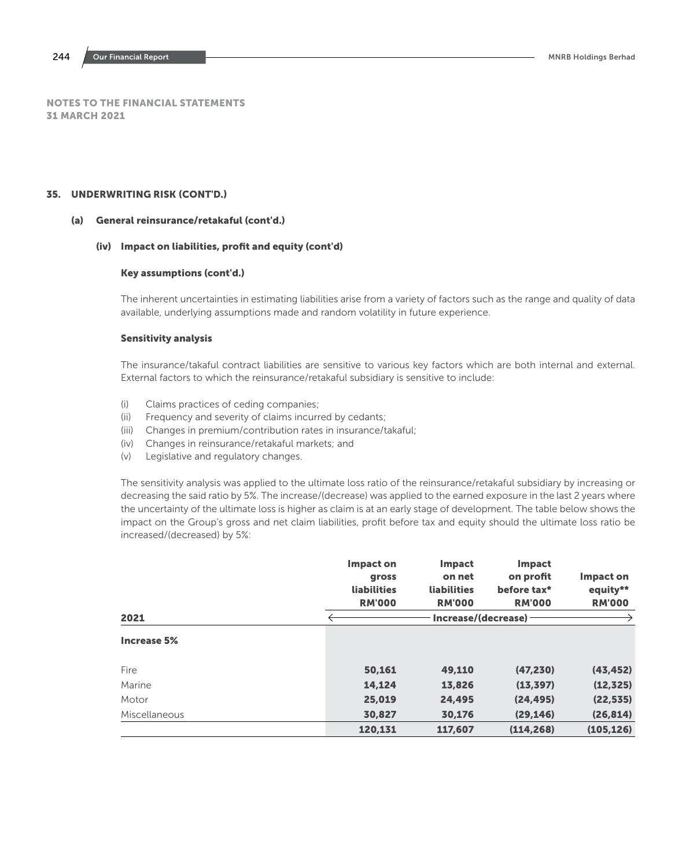### 35. UNDERWRITING RISK (CONT'D.)

### (a) General reinsurance/retakaful (cont'd.)

### (iv) Impact on liabilities, profit and equity (cont'd)

### Key assumptions (cont'd.)

The inherent uncertainties in estimating liabilities arise from a variety of factors such as the range and quality of data available, underlying assumptions made and random volatility in future experience.

### Sensitivity analysis

The insurance/takaful contract liabilities are sensitive to various key factors which are both internal and external. External factors to which the reinsurance/retakaful subsidiary is sensitive to include:

- (i) Claims practices of ceding companies;
- (ii) Frequency and severity of claims incurred by cedants;
- (iii) Changes in premium/contribution rates in insurance/takaful;
- (iv) Changes in reinsurance/retakaful markets; and
- (v) Legislative and regulatory changes.

The sensitivity analysis was applied to the ultimate loss ratio of the reinsurance/retakaful subsidiary by increasing or decreasing the said ratio by 5%. The increase/(decrease) was applied to the earned exposure in the last 2 years where the uncertainty of the ultimate loss is higher as claim is at an early stage of development. The table below shows the impact on the Group's gross and net claim liabilities, profit before tax and equity should the ultimate loss ratio be increased/(decreased) by 5%:

|                    | Impact on<br>gross<br><b>liabilities</b><br><b>RM'000</b> | <b>Impact</b><br>on net<br><b>liabilities</b><br><b>RM'000</b> | <b>Impact</b><br>on profit<br>before tax*<br><b>RM'000</b> | Impact on<br>equity**<br><b>RM'000</b> |
|--------------------|-----------------------------------------------------------|----------------------------------------------------------------|------------------------------------------------------------|----------------------------------------|
| 2021               |                                                           | Increase/(decrease) -                                          |                                                            |                                        |
| <b>Increase 5%</b> |                                                           |                                                                |                                                            |                                        |
| Fire               | 50,161                                                    | 49,110                                                         | (47, 230)                                                  | (43, 452)                              |
| Marine             | 14,124                                                    | 13,826                                                         | (13, 397)                                                  | (12, 325)                              |
| Motor              | 25,019                                                    | 24,495                                                         | (24, 495)                                                  | (22, 535)                              |
| Miscellaneous      | 30,827                                                    | 30,176                                                         | (29, 146)                                                  | (26, 814)                              |
|                    | 120,131                                                   | 117,607                                                        | (114, 268)                                                 | (105, 126)                             |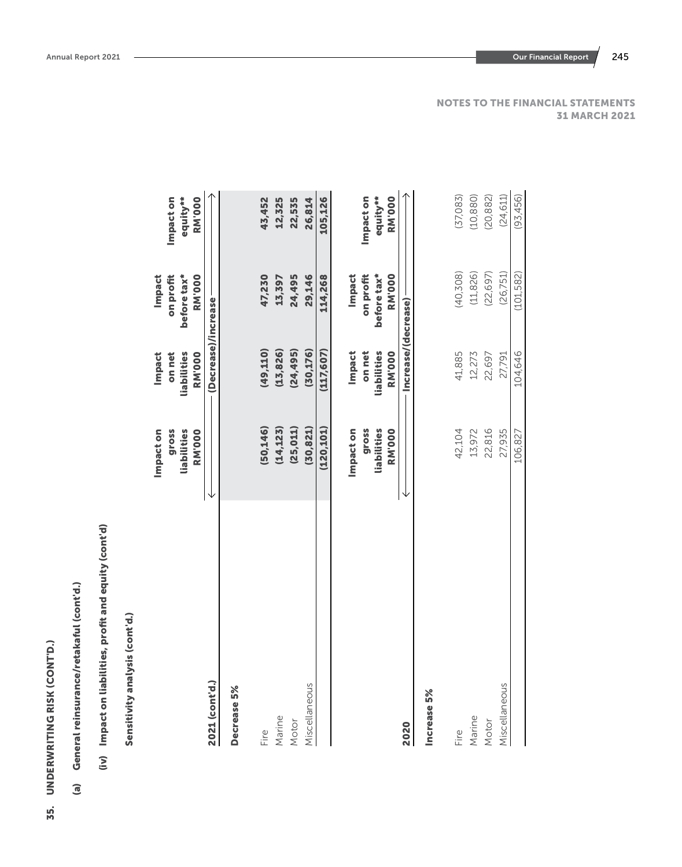- (a) General reinsurance/retakaful (cont'd.) (a) General reinsurance/retakaful (cont'd.)
- (iv) Impact on liabilities, profit and equity (cont'd) (iv) Impact on liabilities, profit and equity (cont'd)

Sensitivity analysis (cont'd.) Sensitivity analysis (cont'd.)

|                | Impact on                                         | Impact                                           | Impact                                              |                                        |
|----------------|---------------------------------------------------|--------------------------------------------------|-----------------------------------------------------|----------------------------------------|
|                | gross<br>liabilities                              | on net<br>liabilities                            | before tax*<br>on profit                            | Impact on<br>equity**                  |
|                | <b>RM'000</b>                                     | <b>RM'000</b>                                    | <b>RM'000</b>                                       | <b>RM'000</b>                          |
| 2021 (cont'd.) |                                                   | - (Decrease)/increase                            |                                                     |                                        |
| Decrease 5%    |                                                   |                                                  |                                                     |                                        |
| Fire           | (50, 146)                                         | (49, 110)                                        | 47,230                                              | 43,452                                 |
| Marine         | (14, 123)                                         | (13, 826)                                        | 13,397                                              | 12,325                                 |
| Motor          | (25, 011)                                         | (24, 495)                                        | 24,495                                              | 22,535                                 |
| Miscellaneous  | (30, 821)                                         | (30, 176)                                        | 29,146                                              | 26,814                                 |
|                | (120, 101)                                        | (117, 607)                                       | 114,268                                             | 105,126                                |
|                | gross<br>liabilities<br>Impacton<br><b>RM'000</b> | liabilities<br>Impact<br>on net<br><b>RM'000</b> | on profit<br>before tax*<br>Impact<br><b>RM'000</b> | Impact on<br>equity**<br><b>RM'000</b> |
| 2020           |                                                   | - Increase/(decrease)                            |                                                     |                                        |
| Increase 5%    |                                                   |                                                  |                                                     |                                        |
| Fire           | 42,104                                            | 41,885                                           | (40, 308)                                           | (37, 083)                              |
| Marine         | 13,972                                            | 12,273                                           | (11, 826)                                           | (10, 880)                              |
| Motor          | 22,816                                            | 22,697                                           | (22, 697)                                           | (20, 882)                              |

Miscellaneous 27,935 27,791 (26,751) (24,611)

Miscellaneous

27,935 106,827

106,827 104,646 (101,582) (93,456)

 $(24, 611)$  $(93,456)$ 

 $(26,751)$  $(101, 582)$ 

27,791 104,646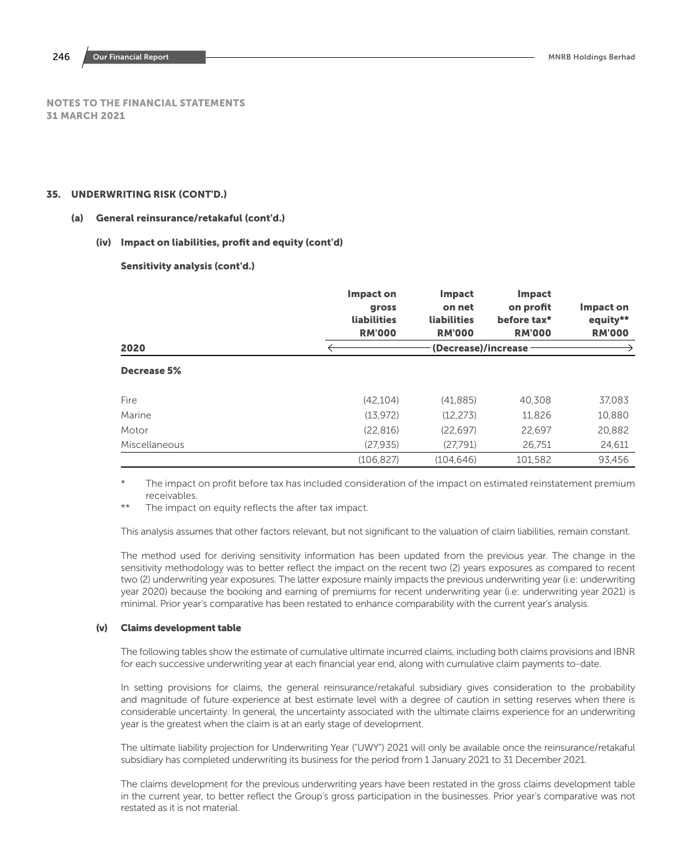### 35. UNDERWRITING RISK (CONT'D.)

### (a) General reinsurance/retakaful (cont'd.)

### (iv) Impact on liabilities, profit and equity (cont'd)

### Sensitivity analysis (cont'd.)

|                    | Impact on<br>gross<br><b>liabilities</b><br><b>RM'000</b> | <b>Impact</b><br>on net<br><b>liabilities</b><br><b>RM'000</b> | <b>Impact</b><br>on profit<br>before tax*<br><b>RM'000</b> | Impact on<br>equity**<br><b>RM'000</b> |
|--------------------|-----------------------------------------------------------|----------------------------------------------------------------|------------------------------------------------------------|----------------------------------------|
| 2020               |                                                           | (Decrease)/increase                                            |                                                            |                                        |
| <b>Decrease 5%</b> |                                                           |                                                                |                                                            |                                        |
| Fire               | (42.104)                                                  | (41,885)                                                       | 40,308                                                     | 37,083                                 |
| Marine             | (13, 972)                                                 | (12, 273)                                                      | 11,826                                                     | 10,880                                 |
| Motor              | (22, 816)                                                 | (22, 697)                                                      | 22,697                                                     | 20,882                                 |
| Miscellaneous      | (27, 935)                                                 | (27,791)                                                       | 26,751                                                     | 24,611                                 |
|                    | (106, 827)                                                | (104.646)                                                      | 101,582                                                    | 93,456                                 |

The impact on profit before tax has included consideration of the impact on estimated reinstatement premium receivables.

The impact on equity reflects the after tax impact.

This analysis assumes that other factors relevant, but not significant to the valuation of claim liabilities, remain constant.

The method used for deriving sensitivity information has been updated from the previous year. The change in the sensitivity methodology was to better reflect the impact on the recent two (2) years exposures as compared to recent two (2) underwriting year exposures. The latter exposure mainly impacts the previous underwriting year (i.e: underwriting year 2020) because the booking and earning of premiums for recent underwriting year (i.e: underwriting year 2021) is minimal. Prior year's comparative has been restated to enhance comparability with the current year's analysis.

### (v) Claims development table

The following tables show the estimate of cumulative ultimate incurred claims, including both claims provisions and IBNR for each successive underwriting year at each financial year end, along with cumulative claim payments to-date.

In setting provisions for claims, the general reinsurance/retakaful subsidiary gives consideration to the probability and magnitude of future experience at best estimate level with a degree of caution in setting reserves when there is considerable uncertainty. In general, the uncertainty associated with the ultimate claims experience for an underwriting year is the greatest when the claim is at an early stage of development.

The ultimate liability projection for Underwriting Year ("UWY") 2021 will only be available once the reinsurance/retakaful subsidiary has completed underwriting its business for the period from 1 January 2021 to 31 December 2021.

The claims development for the previous underwriting years have been restated in the gross claims development table in the current year, to better reflect the Group's gross participation in the businesses. Prior year's comparative was not restated as it is not material.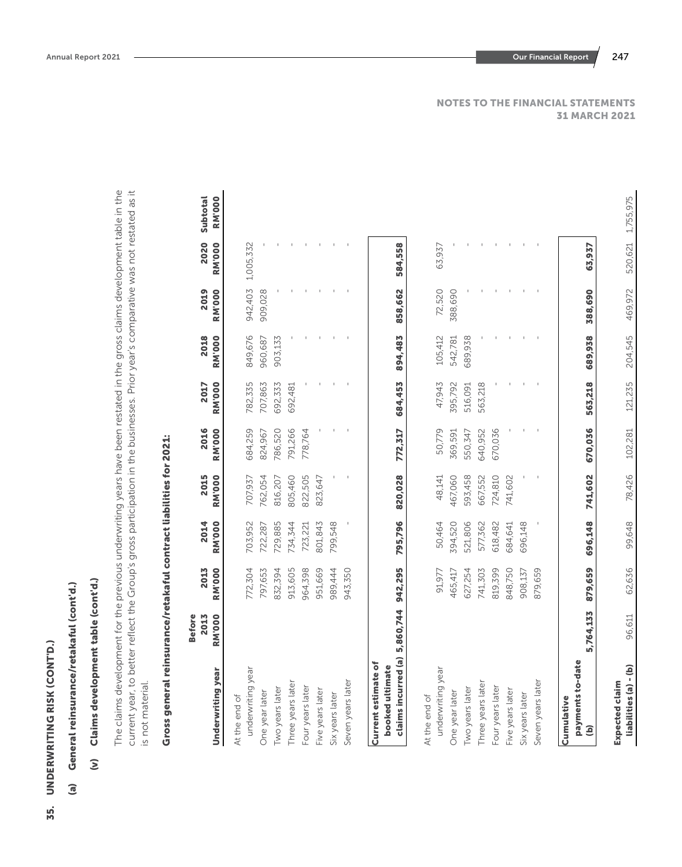| ŧ<br>Ï      |
|-------------|
| I<br>ļ      |
|             |
|             |
|             |
| ı           |
| I<br>ı      |
|             |
|             |
|             |
|             |
| ı           |
| ï<br>l      |
|             |
| I<br>ı      |
|             |
|             |
| I<br>ı      |
| ı           |
| ı           |
|             |
| ı<br>Í      |
|             |
| í,<br>ı     |
| f<br>٠      |
| I<br>ı      |
| O.          |
|             |
| I<br>٠      |
| ۱<br>ı      |
| I           |
| ı<br>i<br>I |
|             |
|             |
| ı           |
|             |
|             |
|             |
|             |
| I           |
| f<br>ı      |
| r<br>١      |
| Ė           |
|             |
|             |
|             |
| I           |
|             |
| ı<br>ı      |
|             |

## General reinsurance/retakaful (cont'd.) (a) General reinsurance/retakaful (cont'd.)  $\mathbf{a}$

## Claims development table (cont'd.) (v) Claims development table (cont'd.)  $\tilde{\mathbf{z}}$

The claims development for the previous underwriting years have been restated in the gross claims development table in the The claims development for the previous underwriting years have been restated in the gross claims development table in the current year, to better reflect the Group's gross participation in the businesses. Prior year's comparative was not restated as it current year, to better reflect the Group's gross participation in the businesses. Prior year's comparative was not restated as it is not material. is not material.

# Gross general reinsurance/retakaful contract liabilities for 2021: Gross general reinsurance/retakaful contract liabilities for 2021:

|                                       | <b>Before</b>         |                       |                       |                       |                       |                       |                       |                       |                       |                           |
|---------------------------------------|-----------------------|-----------------------|-----------------------|-----------------------|-----------------------|-----------------------|-----------------------|-----------------------|-----------------------|---------------------------|
| Underwriting year                     | <b>RM'000</b><br>2013 | 2013<br><b>RM'000</b> | 2014<br><b>RM'000</b> | 2015<br><b>RM'000</b> | 2016<br><b>RM'000</b> | 2017<br><b>RM'000</b> | 2018<br><b>RM'000</b> | 2019<br><b>RM'000</b> | 2020<br><b>RM'000</b> | Subtotal<br><b>RM'000</b> |
| At the end of                         |                       |                       |                       |                       |                       |                       |                       |                       |                       |                           |
| underwriting year                     |                       | 772,304               | 703,952               | 707,937               | 684,259               | 782,335               | 849,676               |                       | 942,403 1,005,332     |                           |
| One year later                        |                       | 797,653               | 722,287               | 762,054               | 824,967               | 707,863               | 960,687               | 909,028               |                       |                           |
| Two years later                       |                       | 832,394               | 729,885               | 816,207               | 786,520               | 692,333               | 903,133               |                       |                       |                           |
| Three years later                     |                       | 913,605               | 734,344               | 805,460               | 791,266               | 592,481               |                       |                       |                       |                           |
| Four years later                      |                       | 964,398               | 723,221               | 822,505               | 778,764               |                       |                       |                       |                       |                           |
| Five years later                      |                       | 951,669               | 801,843               | 823,647               |                       |                       |                       |                       |                       |                           |
| Six years later                       |                       | 989,444               | 799,548               |                       |                       |                       |                       |                       |                       |                           |
| Seven years later                     |                       | 943,350               |                       |                       |                       |                       |                       |                       |                       |                           |
| Current estimate of                   |                       |                       |                       |                       |                       |                       |                       |                       |                       |                           |
| booked ultimate                       |                       |                       |                       |                       |                       |                       |                       |                       |                       |                           |
| claims incurred (a) 5,860,744 942,295 |                       |                       | 795,796               | 820,028               | 772,317               | 684,453               | 894,483               | 858,662               | 584,558               |                           |
| At the end of                         |                       |                       |                       |                       |                       |                       |                       |                       |                       |                           |
| underwriting year                     |                       | 91,977                | 50,464                | 48,141                | 50,779                | 47,943                | 105,412               | 72,520                | 63,937                |                           |
| One year later                        |                       | 465,417               | 394,520               | 467,060               | 369,591               | 395,792               | 542,781               | 388,690               |                       |                           |
| Two years later                       |                       | 627,254               | 521,806               | 593,458               | 550,347               | 516,091               | 689,938               |                       |                       |                           |
| Three years later                     |                       | 741,303               | 577,362               | 667,552               | 640,952               | 563,218               |                       |                       |                       |                           |
| Four years later                      |                       | 819,399               | 618,482               | 724,810               | 670,036               |                       |                       |                       |                       |                           |
| Five years later                      |                       | 848,750               | 584,641               | 741,602               |                       |                       |                       |                       |                       |                           |
| Six years later                       |                       | 908,137               | 596,148               |                       |                       |                       |                       |                       |                       |                           |
| Seven years later                     |                       | 879,659               |                       |                       |                       |                       |                       |                       |                       |                           |
|                                       |                       |                       |                       |                       |                       |                       |                       |                       |                       |                           |
| Cumulative                            |                       |                       |                       |                       |                       |                       |                       |                       |                       |                           |
| payments to-date<br>(a)               | 5,764,133             | 879,659               | 696,148               | 741,602               | 670,036               | 563,218               | 689,938               | 388,690               | 63,937                |                           |
|                                       |                       |                       |                       |                       |                       |                       |                       |                       |                       |                           |

520,621 1,755,975 liabilities (a) - (b) 96,611 62,636 99,648 78,426 102,281 121,235 204,545 469,972 520,621 1,755,975469,972 204,545 121,235 102,281 78,426 99,648 62,636 96,611 liabilities (a) - (b)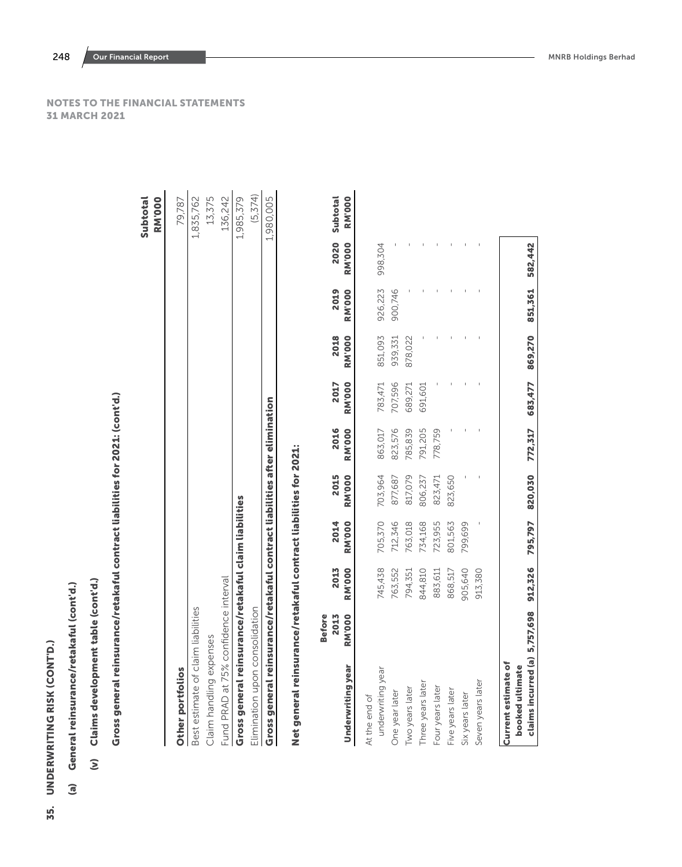35. UNDERWRITING RISK (CONT'D.)

- General reinsurance/retakaful (cont'd.)  $\overline{\mathbf{a}}$
- Claims development table (cont'd.)  $\mathfrak{D}$

Gross general reinsurance/retakaful contract liabilities for 2021: (cont'd.) 35. UNDERWRITING RISK (CONT'D.) (a) General reinsurance/retakaful (cont'd.) (v) Claims development table (cont'd.) Gross general reinsurance/retakaful contract liabilities for 2021: (cont'd.)

|                                                                            | <b>RM'000</b><br>Subtotal |
|----------------------------------------------------------------------------|---------------------------|
| Other portfolios                                                           | 79,787                    |
| Best estimate of claim liabilities                                         | 1,835,762                 |
| Claim handling expenses                                                    | 13,375                    |
| Fund PRAD at 75% confidence interval                                       | 136,242                   |
| Gross general reinsurance/retakaful claim liabilities                      | 1,985,379                 |
| Elimination upon consolidation                                             | (5, 374)                  |
| Gross general reinsurance/retakaful contract liabilities after elimination | 1,980,005                 |

Net general reinsurance/retakaful contract liabilities for 2021: Net general reinsurance/retakaful contract liabilities for 2021:

|                                                                                               | <b>Before</b>         |                       |                       |                       |                       |                       |                       |                       |               |                                |
|-----------------------------------------------------------------------------------------------|-----------------------|-----------------------|-----------------------|-----------------------|-----------------------|-----------------------|-----------------------|-----------------------|---------------|--------------------------------|
| Underwriting year                                                                             | <b>RM'000</b><br>2013 | <b>RM'000</b><br>2013 | <b>RM'000</b><br>2014 | <b>RM'000</b><br>2015 | <b>RM'000</b><br>2016 | <b>RM'000</b><br>2017 | <b>RM'000</b><br>2018 | <b>RM'000</b><br>2019 | <b>RM'000</b> | 2020 Subtotal<br><b>RM'000</b> |
|                                                                                               |                       |                       |                       |                       |                       |                       |                       |                       |               |                                |
| At the end of                                                                                 |                       |                       |                       |                       |                       |                       |                       |                       |               |                                |
| underwriting year                                                                             |                       | 745,438               | 705,370               | 703,964               | 863,017               | 783,471               | 851,093               | 926,223               | 998,304       |                                |
| One year later                                                                                |                       | 763,552               | 712,346               | 877,687               | 823,576               | 707,596               | 939,331               | 900,746               |               |                                |
| Two years later                                                                               |                       | 794,351               | 763,018               | 817,079               | 785,839               | 689,271               | 878,022               |                       |               |                                |
| Three years later                                                                             |                       | 844,810               | 734,168               | 806,237               | 791,205               | 691,601               |                       |                       |               |                                |
| Four years later                                                                              |                       | 883,611               | 723,955               | 823,471               | 778,759               |                       |                       |                       |               |                                |
| Five years later                                                                              |                       | 868,517               | 801,563               | 823,650               |                       |                       |                       |                       |               |                                |
| Six years later                                                                               |                       | 905,640               | 799,699               |                       |                       |                       |                       |                       |               |                                |
| Seven years later                                                                             |                       | 913,380               |                       |                       |                       |                       |                       |                       |               |                                |
|                                                                                               |                       |                       |                       |                       |                       |                       |                       |                       |               |                                |
| Current estimate of                                                                           |                       |                       |                       |                       |                       |                       |                       |                       |               |                                |
| booked ultimate                                                                               |                       |                       |                       |                       |                       |                       |                       |                       |               |                                |
| claims incurred (a) 5,757,698 912,326 795,797 820,030 772,317 683,477 869,270 851,361 582,442 |                       |                       |                       |                       |                       |                       |                       |                       |               |                                |

NOTES TO THE FINANCIAL STATEMENTS 31 MARCH 2021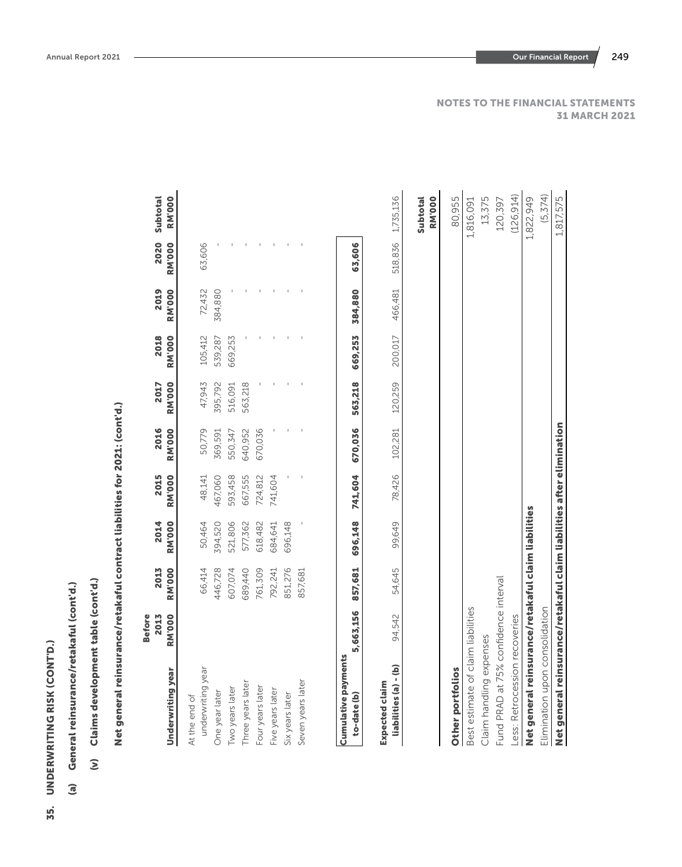| f<br>í<br>I<br>ı |
|------------------|
|                  |
| í<br>ı           |
| ı                |
| I<br>ı<br>I      |
| ı                |
|                  |
| ١                |
| í<br>ï           |
| ١<br>ı<br>I      |
|                  |
| f<br>÷<br>ı      |
| ۱<br>ı           |
| ı                |
| l                |
| ı<br>ı           |
| I<br>٠           |
|                  |
| Ï                |
|                  |
| I<br>I           |
|                  |
| ı                |
|                  |
|                  |
| I                |
| f<br>ı<br>r      |
| í<br>-           |
|                  |
|                  |
| I<br>ı           |
|                  |
|                  |

- General reinsurance/retakaful (cont'd.) (a) General reinsurance/retakaful (cont'd.)  $\overline{\mathbf{a}}$
- Claims development table (cont'd.) (v) Claims development table (cont'd.)  $\begin{bmatrix} 5 \\ 1 \end{bmatrix}$

Net general reinsurance/retakaful contract liabilities for 2021: (cont'd.) Net general reinsurance/retakaful contract liabilities for 2021: (cont'd.)

|                          | <b>Before</b> |               |               |               |               |               |               |               |               |               |
|--------------------------|---------------|---------------|---------------|---------------|---------------|---------------|---------------|---------------|---------------|---------------|
|                          | 2013          | 2013          | 2014          | 2015          | 2016          | 2017          | 2018          | 2019          |               | 2020 Subtotal |
| <b>Underwriting year</b> | <b>RM'000</b> | <b>RM'000</b> | <b>RM'000</b> | <b>RM'000</b> | <b>RM'000</b> | <b>RM'000</b> | <b>RM'000</b> | <b>RM'000</b> | <b>RM'000</b> | <b>RM'000</b> |
| At the end of            |               |               |               |               |               |               |               |               |               |               |
| underwriting year        |               | 66,414        | 50,464        | 48,141        | 50,779        | 47,943        | 105,412       | 72,432        | 63,606        |               |
| One year later           |               | 446,728       | 394,520       | 467,060       | 369,591       | 395,792       | 539,287       | 384,880       |               |               |
| Two years later          |               | 607,074       | 521,806       | 593,458       | 550,347       | 516,091       | 669,253       |               |               |               |
| Three years later        |               | 689,440       | 577,362       | 667,555       | 640,952       | 563,218       |               |               |               |               |
| Four years later         |               | 761,309       | 618,482       | 724,812       | 670,036       |               |               |               |               |               |
| Five years later         |               | 792,241       | 684,641       | 741,604       |               |               |               |               |               |               |
| Six years later          |               | 851,276       | 696,148       |               |               |               |               |               |               |               |
| Seven years later        |               | 857,681       |               |               |               |               |               |               |               |               |
|                          |               |               |               |               |               |               |               |               |               |               |
|                          |               |               |               |               |               |               |               |               |               |               |
|                          |               |               |               |               |               |               |               |               |               |               |

|  | 663,156 857,681 696,148 | 41,604 | 670,036 | 563,218 | 669,253 | 384,880 | 13,604 |
|--|-------------------------|--------|---------|---------|---------|---------|--------|
|  |                         |        |         |         |         |         |        |

| ・・・・・・<br>18,836             |  |
|------------------------------|--|
| 166,481                      |  |
| 200,017                      |  |
| 20,259                       |  |
| 02,281                       |  |
| 78,426                       |  |
| 99,649                       |  |
| 54,645                       |  |
| 4,542                        |  |
| $\mathbf{e}$<br>bilities (a) |  |

|                                                                       | <b>RM'000</b><br>Subtotal |
|-----------------------------------------------------------------------|---------------------------|
|                                                                       |                           |
| Other portfolios                                                      | 80,955                    |
| Best estimate of claim liabilities                                    | 1,816,091                 |
| Claim handling expenses                                               | 13,375                    |
| Fund PRAD at 75% confidence interval                                  | 120,397                   |
| Less: Retrocession recoveries                                         | (126, 914)                |
| Net general reinsurance/retakaful claim liabilities                   | ,822,949                  |
| Elimination upon consolidation                                        | (5, 374)                  |
| Net general reinsurance/retakaful claim liabilities after elimination | 1,817,575                 |

NOTES TO THE FINANCIAL STATEMENTS

31 MARCH 2021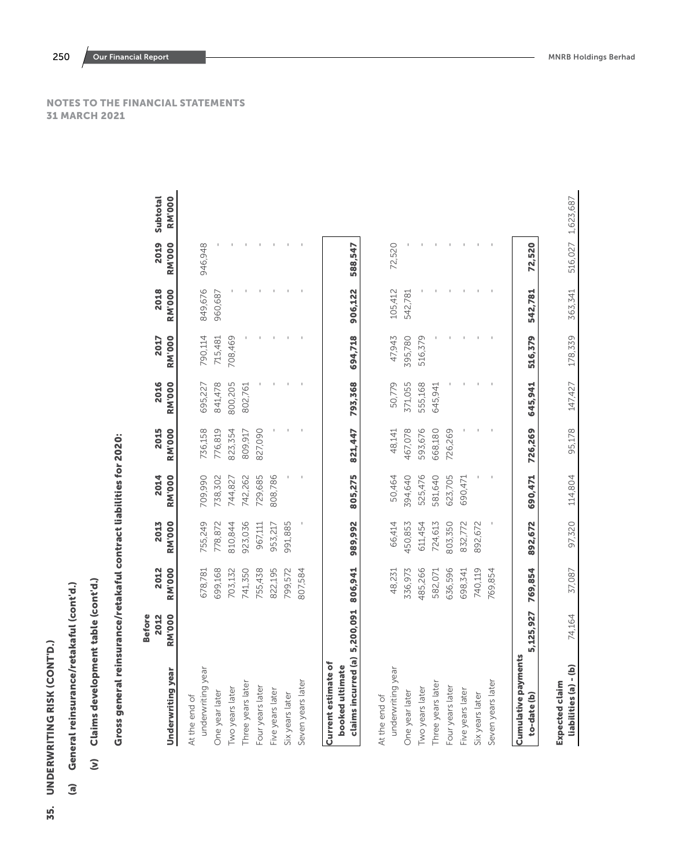35. UNDERWRITING RISK (CONT'D.)

- General reinsurance/retakaful (cont'd.)  $\overline{\mathbf{a}}$
- Claims development table (cont'd.)  $\tilde{\epsilon}$

35. UNDERWRITING RISK (CONT'D.)<br>(a) General reinsurance/retakaful (cont'd.)<br>(v) Claims development table (cont'd.)<br>Gross general reinsurance/retakaful contract liabilities for 2020: Gross general reinsurance/retakaful contract liabilities for 2020:

|                                        | <b>Before</b><br>2012 | 2012          | 2013          | 2014          | 2015            | 2016          | 2017          | 2018          | 2019          | Subtotal      |
|----------------------------------------|-----------------------|---------------|---------------|---------------|-----------------|---------------|---------------|---------------|---------------|---------------|
| Underwriting year                      | <b>RM'000</b>         | <b>RM'000</b> | <b>RM'000</b> | <b>RM'000</b> | <b>RM'000</b>   | <b>RM'000</b> | <b>RM'000</b> | <b>RM'000</b> | <b>RM'000</b> | <b>RM'000</b> |
| At the end of                          |                       |               |               |               |                 |               |               |               |               |               |
| underwriting year                      |                       | 678,781       | 755,249       | 709,990       | 736,158         | 695,227       | 790,114       | 849,676       | 946,948       |               |
| One year later                         |                       | 699,168       | 778,872       | 738,302       | 776,819         | 841,478       | 715,481       | 960,687       |               |               |
| Two years later                        |                       | 703,132       | 810,844       | 744,827       | 323,354         | 800,205       | 708,469       |               |               |               |
| Three years later                      |                       | 741,350       | 923,036       | 742,262       | 809,917         | 802,761       |               |               |               |               |
| Four years later                       |                       | 755,438       | 967,111       | 729,685       | 827,090         |               |               |               |               |               |
| Five years later                       |                       | 822,195       | 953,217       | 808,786       |                 |               |               |               |               |               |
| Six years later                        |                       | 799,572       | 991,885       |               |                 |               |               |               |               |               |
| Seven years later                      |                       | 807,584       |               |               |                 |               |               |               |               |               |
|                                        |                       |               |               |               |                 |               |               |               |               |               |
| Current estimate of<br>booked ultimate |                       |               |               |               |                 |               |               |               |               |               |
| claims incurred (a) 5,200,091          |                       | 806,941       | 989,992       | 805,275       | 821,447         | 793,368       | 694,718       | 906,122       | 588,547       |               |
|                                        |                       |               |               |               |                 |               |               |               |               |               |
| underwriting year<br>At the end of     |                       | 48,231        | 66,414        | 50,464        | 48,141          | 50,779        | 47,943        | 105,412       | 72,520        |               |
|                                        |                       |               |               |               |                 |               |               |               |               |               |
| One year later                         |                       | 336,973       | 450,853       | 394,640       | 467,078         | 371,055       | 395,780       | 542,781       |               |               |
| Two years later                        |                       | 485,266       | 611,454       | 525,476       | 593,676         | 555,168       | 516,379       |               |               |               |
| Three years later                      |                       | 582,071       | 724,613       | 581,640       | 668,180         | 645,941       |               |               |               |               |
| Four years later                       |                       | 636,596       | 803,350       | 623,705       | 726,269         |               |               |               |               |               |
| Five years later                       |                       | 698,341       | 832,772       | 690,471       |                 |               |               |               |               |               |
| Six years later                        |                       | 740,119       | 892,672       |               |                 |               |               |               |               |               |
| Seven years later                      |                       | 769,854       |               |               |                 |               |               |               |               |               |
|                                        |                       |               |               |               |                 |               |               |               |               |               |
| Cumulative payments                    |                       |               |               |               |                 |               |               |               |               |               |
| to-date (b)                            | 5,125,927 769,854     |               | 892,672       |               | 690,471 726,269 | 645,941       | 516,379       | 542,781       | 72,520        |               |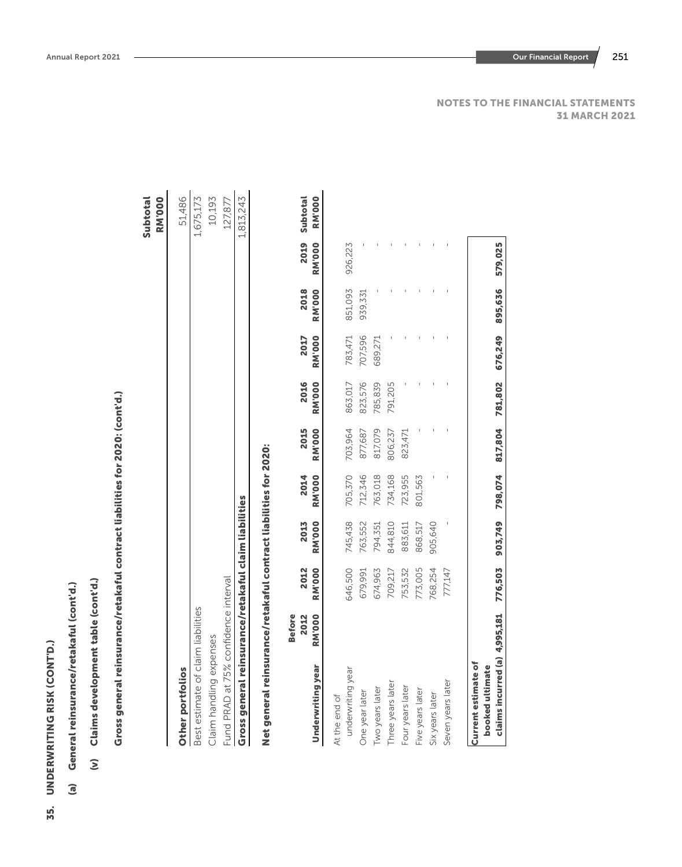- General reinsurance/retakaful (cont'd.) (a) General reinsurance/retakaful (cont'd.)  $\overline{\mathbf{a}}$
- Claims development table (cont'd.) (v) Claims development table (cont'd.)  $\hat{z}$

Gross general reinsurance/retakaful contract liabilities for 2020: (cont'd.) Gross general reinsurance/retakaful contract liabilities for 2020: (cont'd.)

|                                                       | <b>RM'000</b><br>Subtotal |
|-------------------------------------------------------|---------------------------|
| Other portfolios                                      | 51,486                    |
| Best estimate of claim liabilities                    | 1,675,173                 |
| Claim handling expenses                               | 10,193                    |
| Fund PRAD at 75% confidence interval                  | 127,877                   |
| Gross general reinsurance/retakaful claim liabilities | 1,813,243                 |
|                                                       |                           |

Net general reinsurance/retakaful contract liabilities for 2020: Net general reinsurance/retakaful contract liabilities for 2020:

| Underwriting year                                                                             | <b>RM'000</b><br>2012<br><b>Before</b> | <b>RM'000</b><br>2012 | <b>RM'000</b><br>2013 | <b>RM'000</b><br>2014 | <b>RM'000</b><br>2015 | <b>RM'000</b><br>2016 | <b>RM'000</b><br>2017 | 2018<br><b>RM'000</b> | <b>RM'000</b> | 2019 Subtotal<br><b>RM'000</b> |
|-----------------------------------------------------------------------------------------------|----------------------------------------|-----------------------|-----------------------|-----------------------|-----------------------|-----------------------|-----------------------|-----------------------|---------------|--------------------------------|
| At the end of                                                                                 |                                        |                       |                       |                       |                       |                       |                       |                       |               |                                |
| underwriting year                                                                             |                                        | 646,500               | 745,438               | 705,370               | 703,964               | 863,017               | 783,471               | 851,093               | 926,223       |                                |
| One year later                                                                                |                                        | 679,991               | 763,552               | 712,346               | 877,687               | 823,576               | 707,596               | 939,331               |               |                                |
| Two years later                                                                               |                                        | 574,963               | 794,351               | 763,018               | 817,079               | 785,839               | 689,271               |                       |               |                                |
| Three years later                                                                             |                                        | 709,217               | 844,810               | 734,168               | 806,237               | 791,205               |                       |                       |               |                                |
| Four years later                                                                              |                                        | 753,532               | 883,611               | 723,955               | 823,471               |                       |                       |                       |               |                                |
| Five years later                                                                              |                                        | 773,005               | 868,517               | 801,563               |                       |                       |                       |                       |               |                                |
| Six years later                                                                               |                                        | 768,254               | 905,640               |                       |                       |                       |                       |                       |               |                                |
| Seven years later                                                                             |                                        | 777,147               |                       |                       |                       |                       |                       |                       |               |                                |
|                                                                                               |                                        |                       |                       |                       |                       |                       |                       |                       |               |                                |
| Current estimate of                                                                           |                                        |                       |                       |                       |                       |                       |                       |                       |               |                                |
| booked ultimate                                                                               |                                        |                       |                       |                       |                       |                       |                       |                       |               |                                |
| claims incurred (a) 4,995,181 776,503 903,749 798,074 817,804 781,802 676,249 895,636 579,025 |                                        |                       |                       |                       |                       |                       |                       |                       |               |                                |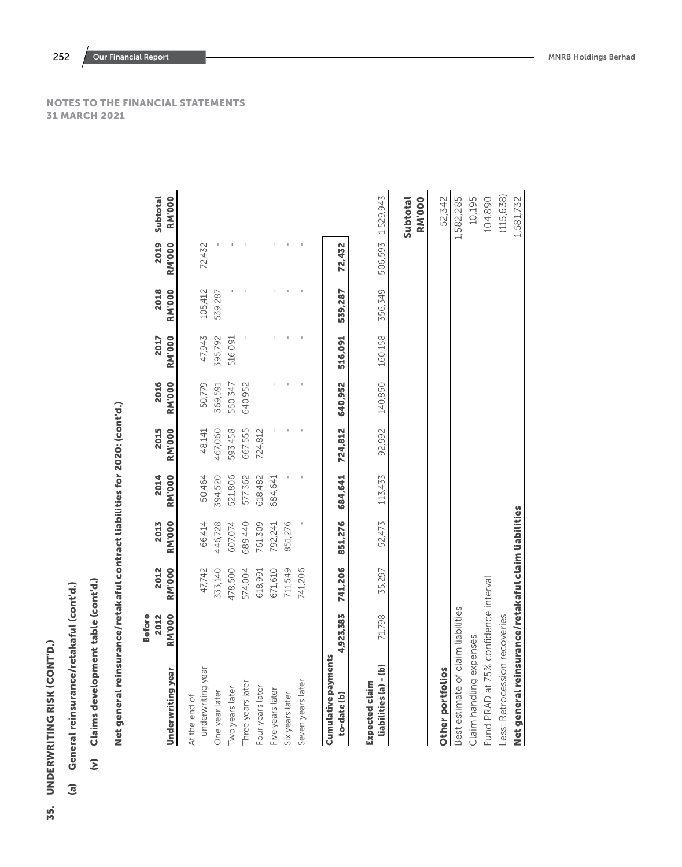35. UNDERWRITING RISK (CONT'D.)

- General reinsurance/retakaful (cont'd.)  $\overline{\mathbf{a}}$
- Claims development table (cont'd.)  $\mathfrak{D}$

Net general reinsurance/retakaful contract liabilities for 2020: (cont'd.) 35. UNDERWRITING RISK (CONT'D.) (a) General reinsurance/retakaful (cont'd.) (v) Claims development table (cont'd.) Net general reinsurance/retakaful contract liabilities for 2020: (cont'd.)

|                                                | <b>Before</b>                                     |               |               |               |               |               |               |                                                                 |               |               |
|------------------------------------------------|---------------------------------------------------|---------------|---------------|---------------|---------------|---------------|---------------|-----------------------------------------------------------------|---------------|---------------|
|                                                | 2012                                              | 2012          | 2013          | 2014          | 2015          | 2016          | 2017          | 2018                                                            |               | 2019 Subtotal |
| Underwriting year                              | <b>RM'000</b>                                     | <b>RM'000</b> | <b>RM'000</b> | <b>RM'000</b> | <b>RM'000</b> | <b>RM'000</b> | <b>RM'000</b> | <b>RM'000</b>                                                   | <b>RM'000</b> | <b>RM'000</b> |
| At the end of                                  |                                                   |               |               |               |               |               |               |                                                                 |               |               |
| underwriting year                              |                                                   | 47,742        | 66,414        | 50,464        | 48,141        | 50,779        | 47,943        | 105,412                                                         | 72,432        |               |
| One year later                                 |                                                   | 333,140       | 446,728       | 394,520       | 467,060       | 369,591       | 395,792       | 539,287                                                         |               |               |
| Two years later                                |                                                   | 478,500       | 607,074       | 521,806       | 593,458       | 550,347       | 516,091       |                                                                 |               |               |
| Three years later                              |                                                   | 574,004       | 689,440       | 577,362       | 667,555       | 640,952       |               |                                                                 |               |               |
| Four years later                               |                                                   | 618,991       | 761,309       | 618,482       | 724,812       |               |               |                                                                 |               |               |
| Five years later                               |                                                   | 671,610       | 792,241       | 684,641       |               |               |               |                                                                 |               |               |
| Six years later                                |                                                   | 711,549       | 851,276       |               |               |               |               |                                                                 |               |               |
| Seven years later                              |                                                   | 741,206       |               |               |               |               |               |                                                                 |               |               |
| <b>Cumulative payments</b>                     |                                                   |               |               |               |               |               |               |                                                                 |               |               |
| to-date (b)                                    | 4,923,383 741,206 851,276 684,641 724,812 640,952 |               |               |               |               |               | 516,091       | 539,287                                                         | 72,432        |               |
|                                                |                                                   |               |               |               |               |               |               |                                                                 |               |               |
| liabilities (a) - (b)<br><b>Expected claim</b> | 71,798                                            | 35,297        |               |               |               |               |               | 52,473 113,433 92,992 140,850 160,158 356,349 506,593 1,529,943 |               |               |
|                                                |                                                   |               |               |               |               |               |               |                                                                 |               |               |

 Subtotal Subtotal<br>RM'000 52,342

1,582,285

 $(115, 638)$ 

1,581,732

Net general reinsurance/retakaful claim liabilities

Fund PRAD at 75% confidence interval

Less: Retrocession recoveries

Best estimate of claim liabilities

Other portfolios

Claim handling expenses

10,195 104,890

Other portfolios  $\overline{52.342}$ Best estimate of claim liabilities 1,582,285 Claim handling expenses 10,195 Fund PRAD at 75% confidence interval 104,890 Less: Retrocession recoveries (115,638) Net general reinsurance/retakaful claim liabilities  $1,581,732$ 

31 MARCH 2021

NOTES TO THE FINANCIAL STATEMENTS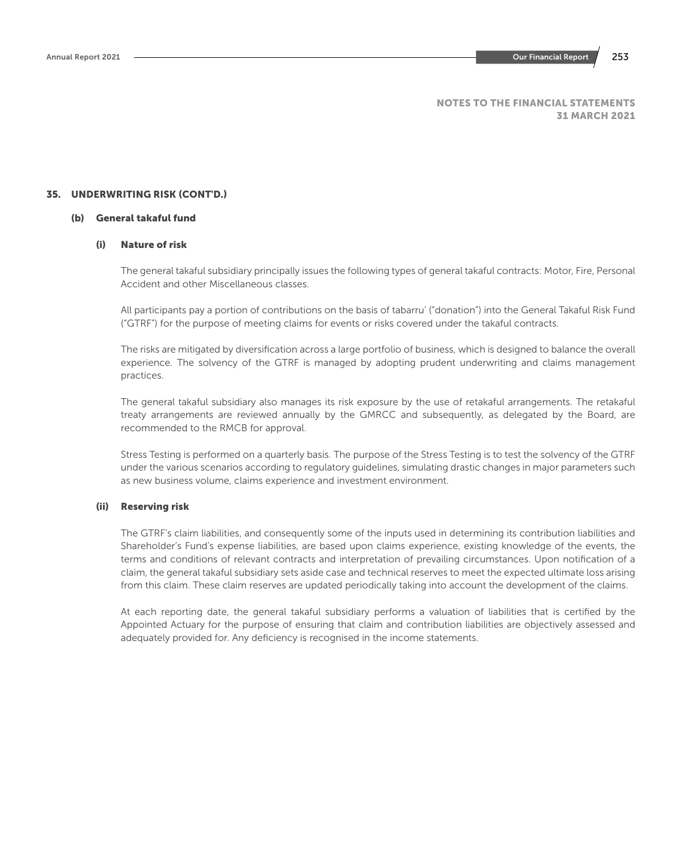### 35. UNDERWRITING RISK (CONT'D.)

### (b) General takaful fund

### (i) Nature of risk

The general takaful subsidiary principally issues the following types of general takaful contracts: Motor, Fire, Personal Accident and other Miscellaneous classes.

All participants pay a portion of contributions on the basis of tabarru' ("donation") into the General Takaful Risk Fund ("GTRF") for the purpose of meeting claims for events or risks covered under the takaful contracts.

The risks are mitigated by diversification across a large portfolio of business, which is designed to balance the overall experience. The solvency of the GTRF is managed by adopting prudent underwriting and claims management practices.

The general takaful subsidiary also manages its risk exposure by the use of retakaful arrangements. The retakaful treaty arrangements are reviewed annually by the GMRCC and subsequently, as delegated by the Board, are recommended to the RMCB for approval.

Stress Testing is performed on a quarterly basis. The purpose of the Stress Testing is to test the solvency of the GTRF under the various scenarios according to regulatory guidelines, simulating drastic changes in major parameters such as new business volume, claims experience and investment environment.

### (ii) Reserving risk

The GTRF's claim liabilities, and consequently some of the inputs used in determining its contribution liabilities and Shareholder's Fund's expense liabilities, are based upon claims experience, existing knowledge of the events, the terms and conditions of relevant contracts and interpretation of prevailing circumstances. Upon notification of a claim, the general takaful subsidiary sets aside case and technical reserves to meet the expected ultimate loss arising from this claim. These claim reserves are updated periodically taking into account the development of the claims.

At each reporting date, the general takaful subsidiary performs a valuation of liabilities that is certified by the Appointed Actuary for the purpose of ensuring that claim and contribution liabilities are objectively assessed and adequately provided for. Any deficiency is recognised in the income statements.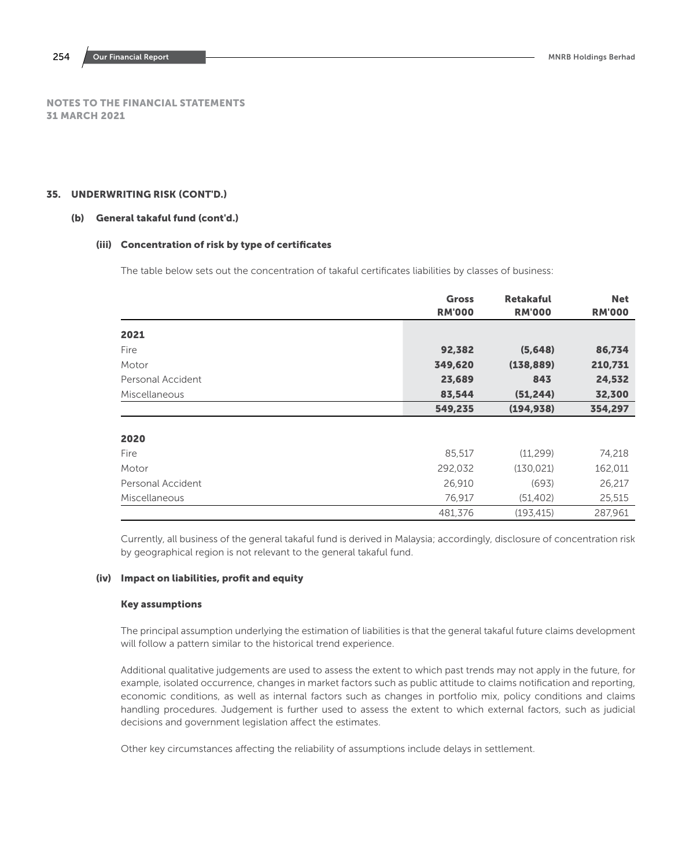### 35. UNDERWRITING RISK (CONT'D.)

### (b) General takaful fund (cont'd.)

### (iii) Concentration of risk by type of certificates

The table below sets out the concentration of takaful certificates liabilities by classes of business:

| <b>Gross</b>  | <b>Retakaful</b> | <b>Net</b>    |
|---------------|------------------|---------------|
| <b>RM'000</b> | <b>RM'000</b>    | <b>RM'000</b> |
|               |                  |               |
| 92,382        | (5,648)          | 86,734        |
| 349,620       | (138, 889)       | 210,731       |
| 23,689        | 843              | 24,532        |
| 83,544        | (51, 244)        | 32,300        |
| 549,235       | (194, 938)       | 354,297       |
|               |                  |               |
|               |                  |               |
| 85,517        | (11, 299)        | 74,218        |
| 292,032       | (130, 021)       | 162,011       |
| 26,910        | (693)            | 26,217        |
| 76,917        | (51, 402)        | 25,515        |
| 481,376       | (193, 415)       | 287,961       |
|               |                  |               |

Currently, all business of the general takaful fund is derived in Malaysia; accordingly, disclosure of concentration risk by geographical region is not relevant to the general takaful fund.

### (iv) Impact on liabilities, profit and equity

### Key assumptions

The principal assumption underlying the estimation of liabilities is that the general takaful future claims development will follow a pattern similar to the historical trend experience.

Additional qualitative judgements are used to assess the extent to which past trends may not apply in the future, for example, isolated occurrence, changes in market factors such as public attitude to claims notification and reporting, economic conditions, as well as internal factors such as changes in portfolio mix, policy conditions and claims handling procedures. Judgement is further used to assess the extent to which external factors, such as judicial decisions and government legislation affect the estimates.

Other key circumstances affecting the reliability of assumptions include delays in settlement.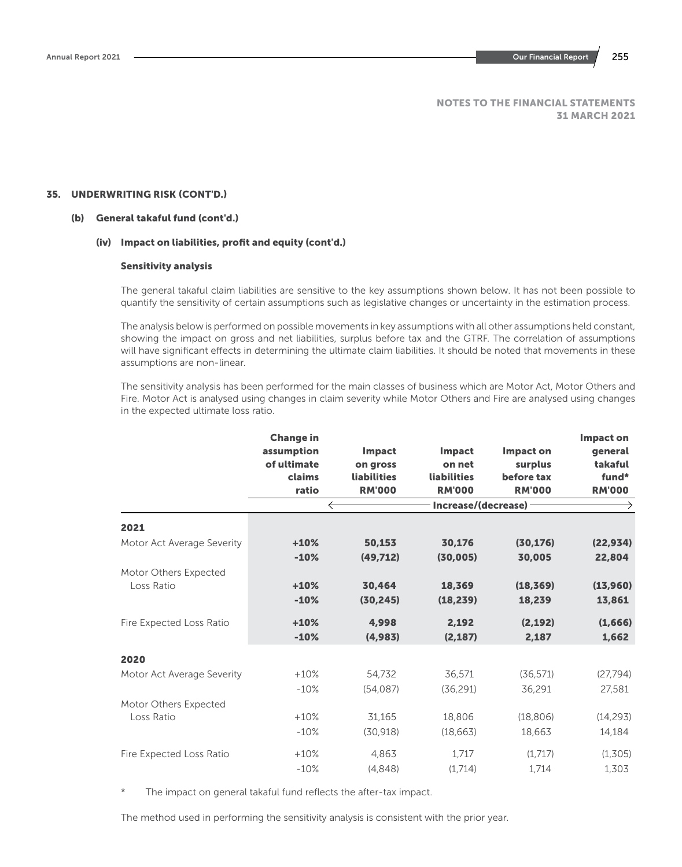### 35. UNDERWRITING RISK (CONT'D.)

### (b) General takaful fund (cont'd.)

### (iv) Impact on liabilities, profit and equity (cont'd.)

### Sensitivity analysis

The general takaful claim liabilities are sensitive to the key assumptions shown below. It has not been possible to quantify the sensitivity of certain assumptions such as legislative changes or uncertainty in the estimation process.

The analysis below is performed on possible movements in key assumptions with all other assumptions held constant, showing the impact on gross and net liabilities, surplus before tax and the GTRF. The correlation of assumptions will have significant effects in determining the ultimate claim liabilities. It should be noted that movements in these assumptions are non-linear.

The sensitivity analysis has been performed for the main classes of business which are Motor Act, Motor Others and Fire. Motor Act is analysed using changes in claim severity while Motor Others and Fire are analysed using changes in the expected ultimate loss ratio.

|                            | <b>Change in</b> |                    |                       |               | <b>Impact on</b> |
|----------------------------|------------------|--------------------|-----------------------|---------------|------------------|
|                            | assumption       | <b>Impact</b>      | <b>Impact</b>         | Impact on     | general          |
|                            | of ultimate      | on gross           | on net                | surplus       | takaful          |
|                            | claims           | <b>liabilities</b> | <b>liabilities</b>    | before tax    | fund*            |
|                            | ratio            | <b>RM'000</b>      | <b>RM'000</b>         | <b>RM'000</b> | <b>RM'000</b>    |
|                            | $\leftarrow$     |                    | Increase/(decrease) - |               |                  |
| 2021                       |                  |                    |                       |               |                  |
| Motor Act Average Severity | $+10%$           | 50,153             | 30,176                | (30, 176)     | (22, 934)        |
|                            | $-10%$           | (49, 712)          | (30,005)              | 30,005        | 22,804           |
| Motor Others Expected      |                  |                    |                       |               |                  |
| Loss Ratio                 | $+10%$           | 30,464             | 18,369                | (18, 369)     | (13,960)         |
|                            | $-10%$           | (30, 245)          | (18, 239)             | 18,239        | 13,861           |
| Fire Expected Loss Ratio   | $+10%$           | 4,998              | 2,192                 | (2, 192)      | (1,666)          |
|                            | $-10%$           | (4,983)            | (2, 187)              | 2,187         | 1,662            |
| 2020                       |                  |                    |                       |               |                  |
| Motor Act Average Severity | $+10%$           | 54,732             | 36,571                | (36, 571)     | (27, 794)        |
|                            | $-10%$           | (54,087)           | (36, 291)             | 36,291        | 27,581           |
| Motor Others Expected      |                  |                    |                       |               |                  |
| Loss Ratio                 | $+10%$           | 31,165             | 18,806                | (18,806)      | (14, 293)        |
|                            | $-10%$           | (30, 918)          | (18, 663)             | 18,663        | 14,184           |
| Fire Expected Loss Ratio   | $+10%$           | 4,863              | 1,717                 | (1,717)       | (1, 305)         |
|                            | $-10%$           | (4,848)            | (1,714)               | 1,714         | 1,303            |

The impact on general takaful fund reflects the after-tax impact.

The method used in performing the sensitivity analysis is consistent with the prior year.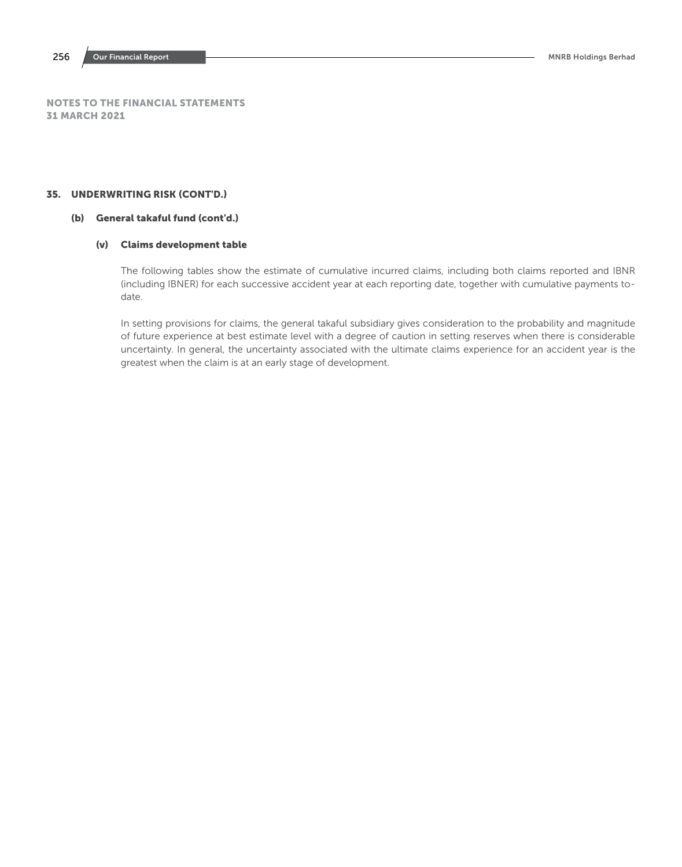### 35. UNDERWRITING RISK (CONT'D.)

### (b) General takaful fund (cont'd.)

### (v) Claims development table

The following tables show the estimate of cumulative incurred claims, including both claims reported and IBNR (including IBNER) for each successive accident year at each reporting date, together with cumulative payments todate.

In setting provisions for claims, the general takaful subsidiary gives consideration to the probability and magnitude of future experience at best estimate level with a degree of caution in setting reserves when there is considerable uncertainty. In general, the uncertainty associated with the ultimate claims experience for an accident year is the greatest when the claim is at an early stage of development.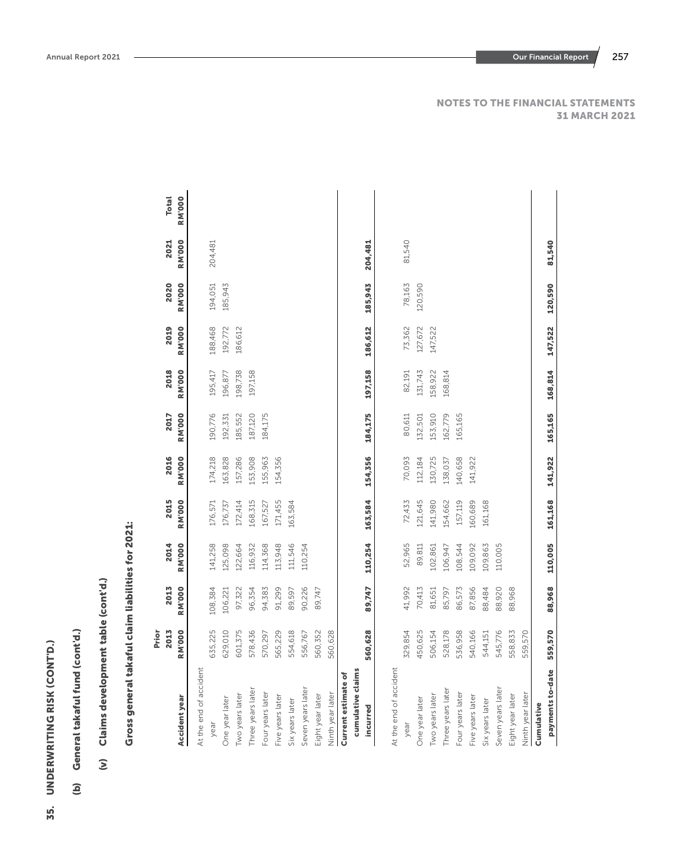| ı<br>J      |
|-------------|
| I<br>ı      |
|             |
|             |
| ı           |
| I<br>ı      |
| I<br>ı      |
|             |
|             |
|             |
|             |
| ï<br>l      |
|             |
| ١<br>ı<br>ı |
| f           |
|             |
| I           |
| í           |
| ı           |
|             |
| l           |
| ı<br>ı      |
| Ï           |
| I           |
| ı           |
| I<br>۱      |
| ı           |
| ı           |
| I           |
| Ï<br>ı      |
|             |
| ı           |
|             |
|             |
|             |
| ٠<br>ı      |
| d<br>ı      |
| ۰           |
| ١<br>Ė      |
|             |
|             |
|             |
| ı           |
| í           |
| í           |
|             |

### General takaful fund (cont'd.) (b) General takaful fund (cont'd.)  $\overline{e}$

## Claims development table (cont'd.) (v) Claims development table (cont'd.)  $\tilde{\mathcal{L}}$

# Gross general takaful claim liabilities for 2021: Gross general takaful claim liabilities for 2021:

|                        | Prior                 |                       |                       |                       |                       |                       |                       |                       |                       |                       |                               |
|------------------------|-----------------------|-----------------------|-----------------------|-----------------------|-----------------------|-----------------------|-----------------------|-----------------------|-----------------------|-----------------------|-------------------------------|
| Accident year          | 2013<br><b>RM'000</b> | 2013<br><b>RM'000</b> | 2014<br><b>RM'000</b> | 2015<br><b>RM'000</b> | 2016<br><b>RM'000</b> | 2017<br><b>RM'000</b> | 2018<br><b>RM'000</b> | 2019<br><b>RM'000</b> | 2020<br><b>RM'000</b> | 2021<br><b>RM'000</b> | <b>Total</b><br><b>RM'000</b> |
|                        |                       |                       |                       |                       |                       |                       |                       |                       |                       |                       |                               |
| At the end of accident |                       |                       |                       |                       |                       |                       |                       |                       |                       |                       |                               |
| year                   | 535,225               | 108,384               | 141,258               | 176,571               | 174,218               | 190,776               | 195,417               | 188,468               | 194,051               | 204,481               |                               |
| One year later         | 629,010               | 106,221               | 125,098               | 176,737               | 163,828               | 192,331               | 196,877               | 192,772               | 185,943               |                       |                               |
| Two years later        | 601,375               | 97,322                | 122,664               | 172,414               | 157,286               | 185,552               | 198,738               | 186,612               |                       |                       |                               |
| Three years later      | 578,436               | 96,354                | 116,932               | 168,315               | 153,908               | 187,120               | 197,158               |                       |                       |                       |                               |
| Four years later       | 570,297               | 94,383                | 114,368               | 167,527               | .55,963               | 184,175               |                       |                       |                       |                       |                               |
| Five years later       | 565,229               | 91,299                | 113,948               | 171,455               | 154,356               |                       |                       |                       |                       |                       |                               |
| Six years later        | 554,618               | 89,597                | 111,546               | 163,584               |                       |                       |                       |                       |                       |                       |                               |
| Seven years later      | 556,767               | 90,226                | 110,254               |                       |                       |                       |                       |                       |                       |                       |                               |
| Eight year later       | 560,352               | 89,747                |                       |                       |                       |                       |                       |                       |                       |                       |                               |
| Ninth year later       | 560,628               |                       |                       |                       |                       |                       |                       |                       |                       |                       |                               |
| Current estimate of    |                       |                       |                       |                       |                       |                       |                       |                       |                       |                       |                               |
| cumulative claims      |                       |                       |                       |                       |                       |                       |                       |                       |                       |                       |                               |
| incurred               | 560,628               | 89,747                | 110,254               | 163,584               | 154,356               | 184,175               | 197,158               | 186,612               | 185,943               | 204,481               |                               |
| At the end of accident |                       |                       |                       |                       |                       |                       |                       |                       |                       |                       |                               |
|                        | 329,854               | 41,992                | 52,965                | 72,433                | 70,093                | 80,611                | 82,191                | 73,362                | 78,163                | 81,540                |                               |
| One year later<br>year | 450,625               | 70,413                | 89,811                | 121,645               | 112,184               | 132,501               | 131,743               | 127,672               | 120,590               |                       |                               |
| Two years later        | 506,154               | 81,651                | 102,861               | 141,980               | 130,725               | 153,910               | 158,922               | 147,522               |                       |                       |                               |
| Three years later      | 528,178               | 85,797                | 106,947               | 154,662               | 138,037               | 162,779               | 168,814               |                       |                       |                       |                               |
| Four years later       | 536,958               | 86,573                | 108,544               | 157,119               | 40,658                | 165,165               |                       |                       |                       |                       |                               |
| Five years later       | 540,166               | 87,856                | 109,092               | 160,689               | 141,922               |                       |                       |                       |                       |                       |                               |
| Six years later        | 544,151               | 88,484                | 109,863               | 161,168               |                       |                       |                       |                       |                       |                       |                               |
| Seven years later      | 545,776               | 88,920                | 110,005               |                       |                       |                       |                       |                       |                       |                       |                               |
| Eight year later       | 558,833               | 88,968                |                       |                       |                       |                       |                       |                       |                       |                       |                               |
| Ninth year later       | 559,570               |                       |                       |                       |                       |                       |                       |                       |                       |                       |                               |

81,540

120,590

147,522

168,814

165,165

Cumulative

Cumulative

payments to-date 559,570 88,968 110,005 161,168 141,922 165,165 168,814 147,522 120,590 81,540

161,168

110,005

88,968

payments to-date 559,570

141,922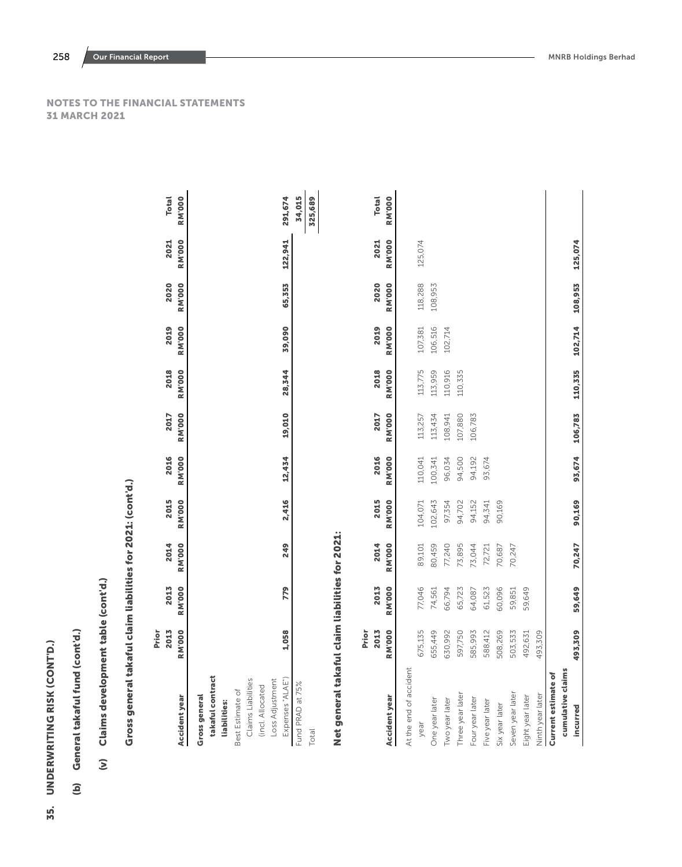- 
- 35. UNDERWRITING RISK (CONT'D.) (b) General takaful fund (cont'd.) (v) Claims development table (cont'd.)

Gross general takaful claim liabilities for 2021: (cont'd.) Gross general takaful claim liabilities for 2021: (cont'd.)

|                      | Prior         |               |               |               |               |               |               |               |               |               |               |
|----------------------|---------------|---------------|---------------|---------------|---------------|---------------|---------------|---------------|---------------|---------------|---------------|
|                      | 2013          | 2013          | 2014          | 2015          | 2016          | 2017          | 2018          | 2019          | 2020          | 2021          | <b>Total</b>  |
| Accident year        | <b>RM'000</b> | <b>RM'000</b> | <b>RM'000</b> | <b>RM'000</b> | <b>RM'000</b> | <b>RM'000</b> | <b>RM'000</b> | <b>RM'000</b> | <b>RM'000</b> | <b>RM'000</b> | <b>RM'000</b> |
| <b>Gross general</b> |               |               |               |               |               |               |               |               |               |               |               |
| takaful contract     |               |               |               |               |               |               |               |               |               |               |               |
| <b>Liabilities:</b>  |               |               |               |               |               |               |               |               |               |               |               |
| Best Estimate of     |               |               |               |               |               |               |               |               |               |               |               |
| Claims Liabilities   |               |               |               |               |               |               |               |               |               |               |               |
| (incl. Allocated     |               |               |               |               |               |               |               |               |               |               |               |
| Loss Adjustment      |               |               |               |               |               |               |               |               |               |               |               |
| Expenses "ALAE")     | 1,058         | 779           | 249           | 2,416         | 12,434        | 19,010        | 28,344        | 39,090        | 65,353        | 122,941       | 291,674       |
| Fund PRAD at 75%     |               |               |               |               |               |               |               |               |               |               | 34,015        |
| Total                |               |               |               |               |               |               |               |               |               |               | 325,689       |

## Net general takaful claim liabilities for 2021: Net general takaful claim liabilities for 2021:

| Accident year          | <b>RM'000</b><br>Prior<br>2013 | <b>RM'000</b><br>2013 | 2014<br><b>RM'000</b> | 2015<br><b>RM'000</b> | <b>RM'000</b><br>2016 | <b>RM'000</b><br>2017 | 2018<br><b>RM'000</b> | 2019<br><b>RM'000</b> | 2020<br><b>RM'000</b> | <b>RM'000</b><br>2021 | <b>Total</b><br><b>RM'000</b> |
|------------------------|--------------------------------|-----------------------|-----------------------|-----------------------|-----------------------|-----------------------|-----------------------|-----------------------|-----------------------|-----------------------|-------------------------------|
| At the end of accident |                                |                       |                       |                       |                       |                       |                       |                       |                       |                       |                               |
| year                   | 675,135                        | 77,046                | 89,101                | 104,071               | 110,041               | 113,257               | 113,775               | 107,381               | 118,288               | 125,074               |                               |
| One year later         | 655,449                        | 74,561                | 80,459                | 102,643               | 100,341               | 113,434               | 113,959               | 106,516               | 108,953               |                       |                               |
| Two year later         | 630,992                        | 66,794                | 77,240                | 97,354                | 96,034                | 108,941               | 110,916               | 102,714               |                       |                       |                               |
| Three year later       | 597,750                        | 65,723                | 73,895                | 94,702                | 94,500                | 107,880               | 110,335               |                       |                       |                       |                               |
| Four year later        | 585,993                        | 64,087                | 73,044                | 94,152                | 94,192                | 106,783               |                       |                       |                       |                       |                               |
| Five year later        | 588,412                        | 61,523                | 72,721                | 94,341                | 93,674                |                       |                       |                       |                       |                       |                               |
| Six year later         | 508,269                        | 60,096                | 70,687                | 90,169                |                       |                       |                       |                       |                       |                       |                               |
| Seven year later       | 503,533                        | 59,851                | 70,247                |                       |                       |                       |                       |                       |                       |                       |                               |
| Eight year later       | 492,631                        | 59,649                |                       |                       |                       |                       |                       |                       |                       |                       |                               |
| Ninth year later       | 493,309                        |                       |                       |                       |                       |                       |                       |                       |                       |                       |                               |
| Current estimate of    |                                |                       |                       |                       |                       |                       |                       |                       |                       |                       |                               |
| cumulative claims      |                                |                       |                       |                       |                       |                       |                       |                       |                       |                       |                               |
| incurred               | 493,309                        | 59,649                | 70,247                | 90,169                | 93,674                | 106,783               | 110,335               | 102,714               | 108,953               | 125,074               |                               |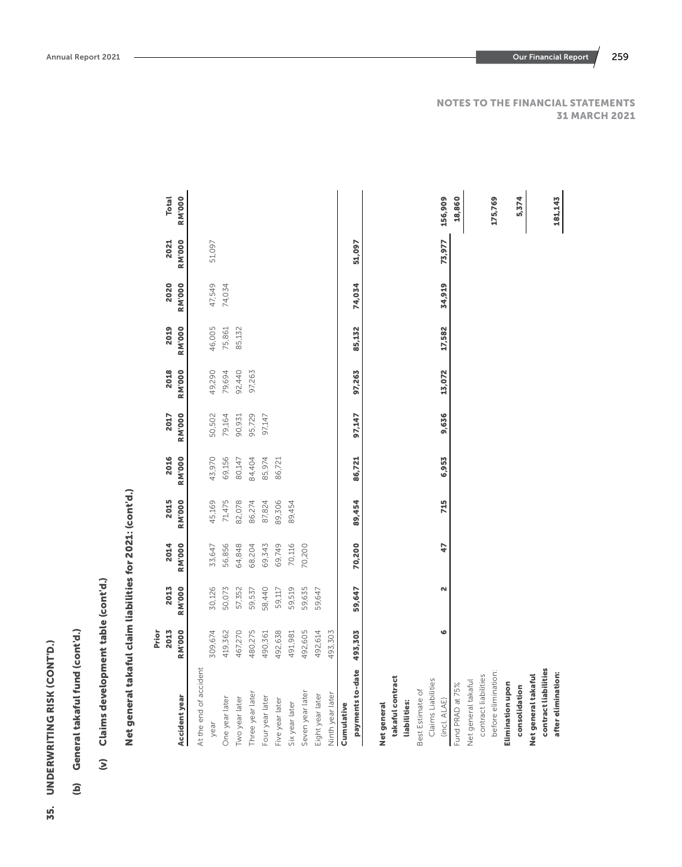## (b) General takaful fund (cont'd.) (b) General takaful fund (cont'd.)

## Claims development table (cont'd.) (v) Claims development table (cont'd.)  $\mathfrak{D}$

# Net general takaful claim liabilities for 2021: (cont'd.) Net general takaful claim liabilities for 2021: (cont'd.)

|                       | Prior                 |                       |                       |                       |                       |                       |                       |                       |                       |                       |                               |
|-----------------------|-----------------------|-----------------------|-----------------------|-----------------------|-----------------------|-----------------------|-----------------------|-----------------------|-----------------------|-----------------------|-------------------------------|
| Accident year         | 2013<br><b>RM'000</b> | 2013<br><b>RM'000</b> | 2014<br><b>RM'000</b> | 2015<br><b>RM'000</b> | 2016<br><b>RM'000</b> | 2017<br><b>RM'000</b> | 2018<br><b>RM'000</b> | 2019<br><b>RM'000</b> | 2020<br><b>RM'000</b> | <b>RM'000</b><br>2021 | <b>Total</b><br><b>RM'000</b> |
| At the end of acciden |                       |                       |                       |                       |                       |                       |                       |                       |                       |                       |                               |
| year                  | 309,674               | 30,126                | 33,647                | 45,169                | 43,970                | 50,502                | 49,290                | 46,005                | 47,549                | 51,097                |                               |
| One year later        | 419,362               | 50,073                | 56,856                | 71,475                | 69,156                | 79,164                | 79,694                | 75,861                | 74,034                |                       |                               |
| Two year later        | 467,270               | 57,352                | 64,848                | 82,078                | 80,147                | 90,931                | 92,440                | 85,132                |                       |                       |                               |
| Three year later      | 480,275               | 59,537                | 68,204                | 86,274                | 84,404                | 95,729                | 97,263                |                       |                       |                       |                               |
| Four year later       | 490,361               | 58,440                | 69,343                | 87,824                | 85,974                | 97,147                |                       |                       |                       |                       |                               |
| Five year later       | 492,638               | 59,117                | 69,749                | 89,306                | 86,721                |                       |                       |                       |                       |                       |                               |
| Six year later        | 491,981               | 59,519                | 70,116                | 89,454                |                       |                       |                       |                       |                       |                       |                               |
| Seven year later      | 492,605               | 59,635                | 70,200                |                       |                       |                       |                       |                       |                       |                       |                               |
| Eight year later      | 492,614               | 59,647                |                       |                       |                       |                       |                       |                       |                       |                       |                               |
| Ninth year later      | 493,303               |                       |                       |                       |                       |                       |                       |                       |                       |                       |                               |
| Cumulative            |                       |                       |                       |                       |                       |                       |                       |                       |                       |                       |                               |
| payments to-date      | 493,303               | 59,647                | 70,200                | 89,454                | 86,721                | 97,147                | 97,263                | 85,132                | 74,034                | 51,097                |                               |
| Net general           |                       |                       |                       |                       |                       |                       |                       |                       |                       |                       |                               |
|                       |                       |                       |                       |                       |                       |                       |                       |                       |                       |                       |                               |
| takaful contract      |                       |                       |                       |                       |                       |                       |                       |                       |                       |                       |                               |
| <b>Liabilities:</b>   |                       |                       |                       |                       |                       |                       |                       |                       |                       |                       |                               |
| Best Estimate of      |                       |                       |                       |                       |                       |                       |                       |                       |                       |                       |                               |
| Claims Liabilities    |                       |                       |                       |                       |                       |                       |                       |                       |                       |                       |                               |
| (incl. ALAE)          | G                     | Ν                     | 47                    | 715                   | 6,953                 | 9,636                 | 13,072                | 17,582                | 34,919                | 73,977                | 156,909                       |
| Fund PRAD at 75%      |                       |                       |                       |                       |                       |                       |                       |                       |                       |                       | 18,860                        |
| Net general takaful   |                       |                       |                       |                       |                       |                       |                       |                       |                       |                       |                               |
| contract liabilities  |                       |                       |                       |                       |                       |                       |                       |                       |                       |                       |                               |
| before elimination:   |                       |                       |                       |                       |                       |                       |                       |                       |                       |                       | 175,769                       |
| Elimination upon      |                       |                       |                       |                       |                       |                       |                       |                       |                       |                       |                               |
| consolidation         |                       |                       |                       |                       |                       |                       |                       |                       |                       |                       | 5,374                         |
| Net general takaful   |                       |                       |                       |                       |                       |                       |                       |                       |                       |                       |                               |
| contract liabilities  |                       |                       |                       |                       |                       |                       |                       |                       |                       |                       |                               |
| after elimination:    |                       |                       |                       |                       |                       |                       |                       |                       |                       |                       | 181,143                       |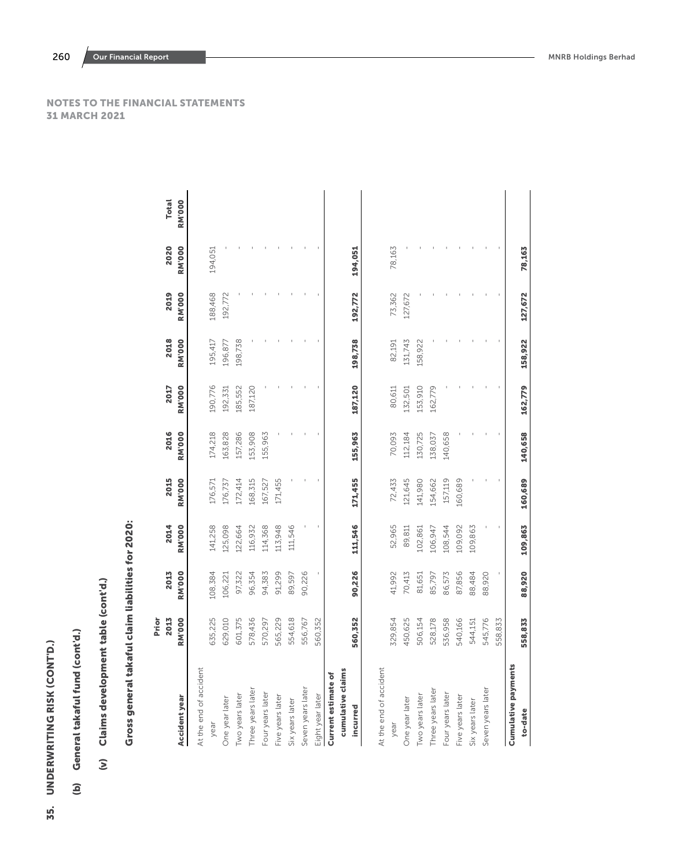- 
- 35. UNDERWRITING RISK (CONT'D.) (b) General takaful fund (cont'd.) (v) Claims development table (cont'd.)

# Gross general takaful claim liabilities for 2020: Gross general takaful claim liabilities for 2020:

|                        | Prior         |               |               |               |               |               |               |               |               |               |
|------------------------|---------------|---------------|---------------|---------------|---------------|---------------|---------------|---------------|---------------|---------------|
|                        | 2013          | 2013          | 2014          | 2015          | 2016          | <b>2017</b>   | 2018          | 2019          | 2020          | <b>Total</b>  |
| Accident year          | <b>RM'000</b> | <b>RM'000</b> | <b>RM'000</b> | <b>RM'000</b> | <b>RM'000</b> | <b>RM'000</b> | <b>RM'000</b> | <b>RM'000</b> | <b>RM'000</b> | <b>RM'000</b> |
| At the end of accident |               |               |               |               |               |               |               |               |               |               |
| year                   | 635,225       | 108,384       | 141,258       | 176,571       | 174,218       | 190,776       | 195,417       | 188,468       | 194,051       |               |
| One year later         | 629,010       | 106,221       | 125,098       | 176,737       | 163,828       | 192,331       | 196,877       | 192,772       |               |               |
| Two years later        | 601,375       | 97,322        | 122,664       | 172,414       | 157,286       | 185,552       | 198,738       |               |               |               |
| Three years later      | 578,436       | 96,354        | 116,932       | 168,315       | 153,908       | 187,120       |               |               |               |               |
| Four years later       | 570,297       | 94,383        | 114,368       | 167,527       | 155,963       |               |               |               |               |               |
| Five years later       | 565,229       | 91,299        | 113,948       | 171,455       |               |               |               |               |               |               |
| Six years later        | 554,618       | 89,597        | 111,546       |               |               |               |               |               |               |               |
| Seven years later      | 556,767       | 90,226        |               |               |               |               |               |               |               |               |
| Eight year later       | 560,352       |               |               |               |               |               |               |               |               |               |
| Current estimate of    |               |               |               |               |               |               |               |               |               |               |
| cumulative claims      |               |               |               |               |               |               |               |               |               |               |
| incurred               | 560,352       | 90,226        | 111,546       | 171,455       | 155,963       | 187,120       | 198,738       | 192,772       | 194,051       |               |
| At the end of accident |               |               |               |               |               |               |               |               |               |               |
| year                   | 329,854       | 41,992        | 52,965        | 72,433        | 70,093        | 80,611        | 82,191        | 73,362        | 78,163        |               |
| One year later         | 450,625       | 70,413        | 89,811        | 121,645       | 112,184       | 132,501       | 131,743       | 127,672       |               |               |
|                        |               |               |               |               |               |               |               |               |               |               |
| Two years later        | 506,154       | 81,651        | 102,861       | 141,980       | 130,725       | 153,910       | 158,922       |               |               |               |
| Three years later      | 528,178       | 85,797        | 106,947       | 154,662       | 138,037       | 162,779       |               |               |               |               |
| Four years later       | 536,958       | 86,573        | 108,544       | 157,119       | 140,658       |               |               |               |               |               |
| Five years later       | 540,166       | 87,856        | 109,092       | 160,689       |               |               |               |               |               |               |
| Six years later        | 544,151       | 88,484        | 109,863       |               |               |               |               |               |               |               |
| Seven years later      | 545,776       | 88,920        |               |               |               |               |               |               |               |               |
|                        | 558,833       |               |               |               |               |               |               |               |               |               |
| Cumulative payments    |               |               |               |               |               |               |               |               |               |               |
| to-date                | 558,833       | 88,920        | 109,863       | 160,689       | 140,658       | 162,779       | 158,922       | 127,672       | 78,163        |               |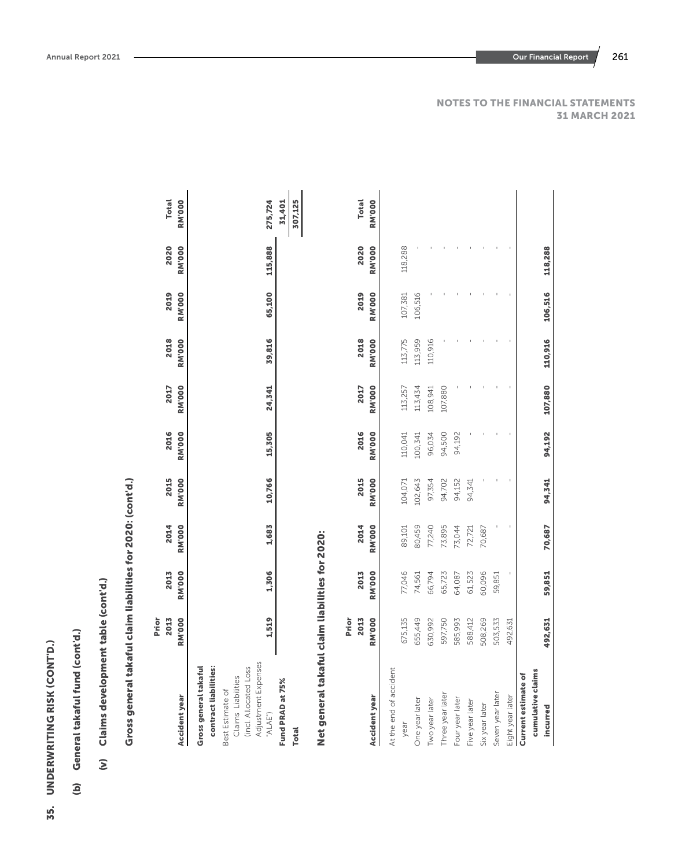35. UNDERWRITING RISK (CONT'D.) 35. UNDERWRITING RISK (CONT'D.)

- (b) General takaful fund (cont'd.) (b) General takaful fund (cont'd.)
- (v) Claims development table (cont'd.) (v) Claims development table (cont'd.)

Gross general takaful claim liabilities for 2020: (cont'd.) Gross general takaful claim liabilities for 2020: (cont'd.)

|                                                                 | Prior         |               |               |               |               |               |               |               |               |                   |  |
|-----------------------------------------------------------------|---------------|---------------|---------------|---------------|---------------|---------------|---------------|---------------|---------------|-------------------|--|
|                                                                 | 2013          | 2013          | 2014          | 2015          | 2016          | 2017          | 2018          | 2019          | 2020          | <b>Total</b>      |  |
| Accident year                                                   | <b>RM'000</b> | <b>RM'000</b> | <b>RM'000</b> | <b>RM'000</b> | <b>RM'000</b> | <b>RM'000</b> | <b>RM'000</b> | <b>RM'000</b> | <b>RM'000</b> | <b>RM'000</b>     |  |
| contract liabilities:<br>Gross general takaful                  |               |               |               |               |               |               |               |               |               |                   |  |
| (incl. Allocated Loss<br>Claims Liabilities<br>Best Estimate of |               |               |               |               |               |               |               |               |               |                   |  |
| Adjustment Expenses<br>"ALAE")                                  | 1,519         | 1,306         | 1,683         | 10,766        | 15,305        | 24,341        | 39,816        | 65,100        | 115,888       | 275,724           |  |
| Fund PRAD at 75%<br><b>Total</b>                                |               |               |               |               |               |               |               |               |               | 307,125<br>31,401 |  |
| Net general takaful claim liabilities for 2020:                 |               |               |               |               |               |               |               |               |               |                   |  |
|                                                                 | Prior<br>2013 | 2013          | 2014          | 2015          | 2016          | 2017          | 2018          | 2019          | 2020          | <b>Total</b>      |  |
| Accident year                                                   | <b>RM'000</b> | <b>RM'000</b> | <b>RM'000</b> | <b>RM'000</b> | <b>RM'000</b> | <b>RM'000</b> | <b>RM'000</b> | <b>RM'000</b> | <b>RM'000</b> | <b>RM'000</b>     |  |
| At the end of accident                                          |               |               |               |               |               |               |               |               |               |                   |  |
| year                                                            | 675,135       | 77,046        | 89,101        | 104,071       | 110,041       | 113,257       | 113,775       | 107,381       | 118,288       |                   |  |
| One year later                                                  | 655,449       | 74,561        | 80,459        | 102,643       | 100,341       | 113,434       | 113,959       | 106,516       |               |                   |  |

|                        | Prior         |               |               |               |               |               |               |               |               |              |
|------------------------|---------------|---------------|---------------|---------------|---------------|---------------|---------------|---------------|---------------|--------------|
|                        | 2013          | 2013          | 2014          | 2015          | 2016          | 2017          | 2018          | 2019          | 2020          | ě            |
| Accident year          | <b>RM'000</b> | <b>RM'000</b> | <b>RM'000</b> | <b>RM'000</b> | <b>RM'000</b> | <b>RM'000</b> | <b>RM'000</b> | <b>RM'000</b> | <b>RM'000</b> | <b>RM'00</b> |
| At the end of accident |               |               |               |               |               |               |               |               |               |              |
| year                   | 675,135       | 77,046        | 89,101        | 104,071       | 110,041       | 113,257       | 113,775       | 107,381       | 118,288       |              |
| One year later         | 655,449       | 74,561        | 80,459        | 102,643       | 100,341       | 13,434        | 113,959       | 106,516       |               |              |
| Two year later         | 630,992       | 66,794        | 77,240        | 97,354        | 96,034        | .08,941       | 110,916       |               |               |              |
| Three year later       | 597,750       | 65,723        | 73,895        | 94,702        | 94,500        | 107,880       |               |               |               |              |
| Four year later        | 585,993       | 64,087        | 73,044        | 94,152        | 94,192        |               |               |               |               |              |
| Five year later        | 588,412       | 61,523        | 72,721        | 94,341        |               |               |               |               |               |              |
| Six year later         | 508,269       | 50,096        | 70,687        |               |               |               |               |               |               |              |
| Seven year later       | 503,533       | 59,851        |               |               |               |               |               |               |               |              |
| Eight year later       | 492,631       |               |               |               |               |               |               |               |               |              |
| Current estimate of    |               |               |               |               |               |               |               |               |               |              |
| cumulative claims      |               |               |               |               |               |               |               |               |               |              |
| incurred               | 492,631       | 59,851        | 70,687        | 94,341        | 94,192        | 107,880       | 110,916       | 106,516       | 118,288       |              |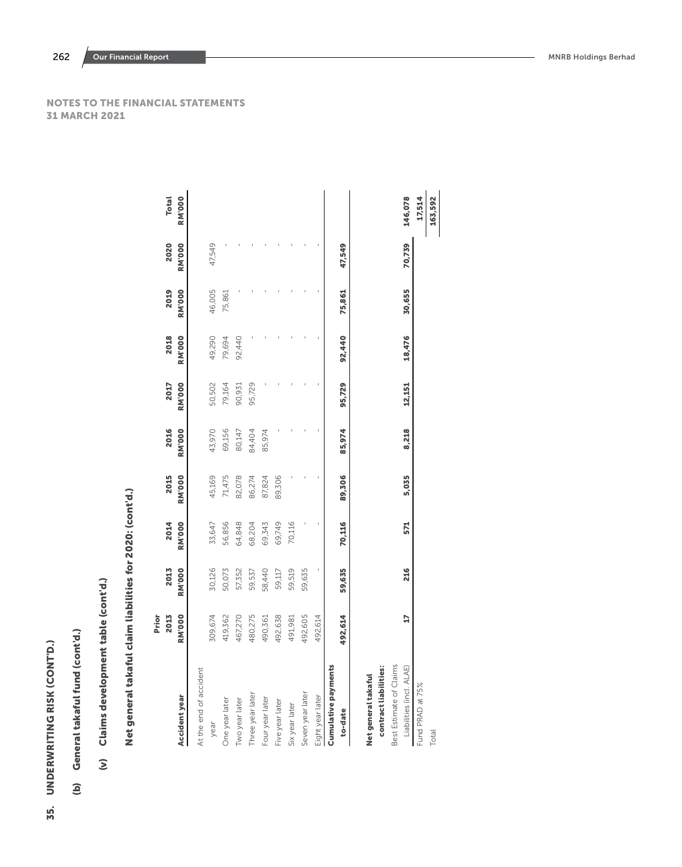- 
- 35. UNDERWRITING RISK (CONT'D.) (b) General takaful fund (cont'd.) (v) Claims development table (cont'd.)

# Net general takaful claim liabilities for 2020: (cont'd.) Net general takaful claim liabilities for 2020: (cont'd.)

|                                                                         | Prior         |               |               |               |               |               |               |               |               |               |
|-------------------------------------------------------------------------|---------------|---------------|---------------|---------------|---------------|---------------|---------------|---------------|---------------|---------------|
|                                                                         | 2013          | 2013          | 2014          | 2015          | 2016          | 2017          | 2018          | 2019          | 2020          | <b>Total</b>  |
| Accident year                                                           | <b>RM'000</b> | <b>RM'000</b> | <b>RM'000</b> | <b>RM'000</b> | <b>RM'000</b> | <b>RM'000</b> | <b>RM'000</b> | <b>RM'000</b> | <b>RM'000</b> | <b>RM'000</b> |
| At the end of accident                                                  |               |               |               |               |               |               |               |               |               |               |
| year                                                                    | 309,674       | 30,126        | 33,647        | 45,169        | 43,970        | 50,502        | 49,290        | 46,005        | 47,549        |               |
| One year later                                                          | 419,362       | 50,073        | 56,856        | 71,475        | 69,156        | 79,164        | 79,694        | 75,861        |               |               |
| Two year later                                                          | 467,270       | 57,352        | 54,848        | 82,078        | 80,147        | 90,931        | 92,440        |               |               |               |
| Three year later                                                        | 480,275       | 59,537        | 68,204        | 86,274        | 84,404        | 95,729        |               |               |               |               |
| Four year later                                                         | 490,361       | 58,440        | 69,343        | 87,824        | 85,974        |               |               |               |               |               |
| Five year later                                                         | 492,638       | 59,117        | 69,749        | 89,306        |               |               |               |               |               |               |
| Six year later                                                          | 491,981       | 59,519        | 70,116        |               |               |               |               |               |               |               |
| Seven year later                                                        | 492,605       | 59,635        |               |               |               |               |               |               |               |               |
| Eight year later                                                        | 492,614       |               |               |               |               |               |               |               |               |               |
| Cumulative payments                                                     |               |               |               |               |               |               |               |               |               |               |
| to-date                                                                 | 492,614       | 59,635        | 70,116        | 89,306        | 85,974        | 95,729        | 92,440        | 75,861        | 47,549        |               |
| <b>CONTRACTOR</b> CONTRACTOR IN THE RESIDENCE OF<br>Net general takaful |               |               |               |               |               |               |               |               |               |               |

contract liabilities: contract liabilities:

| stimate o     |  |       |       |        |        |        |        |                   |
|---------------|--|-------|-------|--------|--------|--------|--------|-------------------|
|               |  | 5,035 | 8,218 | 12,151 | 18,476 | 30,655 | 70,739 | 146,078           |
|               |  |       |       |        |        |        |        |                   |
| $\frac{1}{2}$ |  |       |       |        |        |        |        | 17,514<br>163,592 |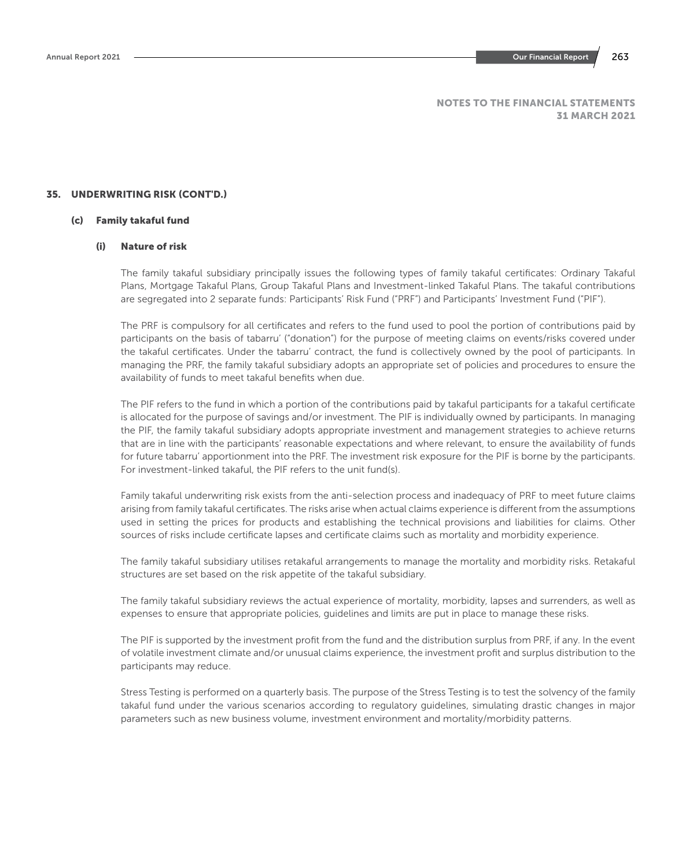### 35. UNDERWRITING RISK (CONT'D.)

### (c) Family takaful fund

### (i) Nature of risk

The family takaful subsidiary principally issues the following types of family takaful certificates: Ordinary Takaful Plans, Mortgage Takaful Plans, Group Takaful Plans and Investment-linked Takaful Plans. The takaful contributions are segregated into 2 separate funds: Participants' Risk Fund ("PRF") and Participants' Investment Fund ("PIF").

The PRF is compulsory for all certificates and refers to the fund used to pool the portion of contributions paid by participants on the basis of tabarru' ("donation") for the purpose of meeting claims on events/risks covered under the takaful certificates. Under the tabarru' contract, the fund is collectively owned by the pool of participants. In managing the PRF, the family takaful subsidiary adopts an appropriate set of policies and procedures to ensure the availability of funds to meet takaful benefits when due.

The PIF refers to the fund in which a portion of the contributions paid by takaful participants for a takaful certificate is allocated for the purpose of savings and/or investment. The PIF is individually owned by participants. In managing the PIF, the family takaful subsidiary adopts appropriate investment and management strategies to achieve returns that are in line with the participants' reasonable expectations and where relevant, to ensure the availability of funds for future tabarru' apportionment into the PRF. The investment risk exposure for the PIF is borne by the participants. For investment-linked takaful, the PIF refers to the unit fund(s).

Family takaful underwriting risk exists from the anti-selection process and inadequacy of PRF to meet future claims arising from family takaful certificates. The risks arise when actual claims experience is different from the assumptions used in setting the prices for products and establishing the technical provisions and liabilities for claims. Other sources of risks include certificate lapses and certificate claims such as mortality and morbidity experience.

The family takaful subsidiary utilises retakaful arrangements to manage the mortality and morbidity risks. Retakaful structures are set based on the risk appetite of the takaful subsidiary.

The family takaful subsidiary reviews the actual experience of mortality, morbidity, lapses and surrenders, as well as expenses to ensure that appropriate policies, guidelines and limits are put in place to manage these risks.

The PIF is supported by the investment profit from the fund and the distribution surplus from PRF, if any. In the event of volatile investment climate and/or unusual claims experience, the investment profit and surplus distribution to the participants may reduce.

Stress Testing is performed on a quarterly basis. The purpose of the Stress Testing is to test the solvency of the family takaful fund under the various scenarios according to regulatory guidelines, simulating drastic changes in major parameters such as new business volume, investment environment and mortality/morbidity patterns.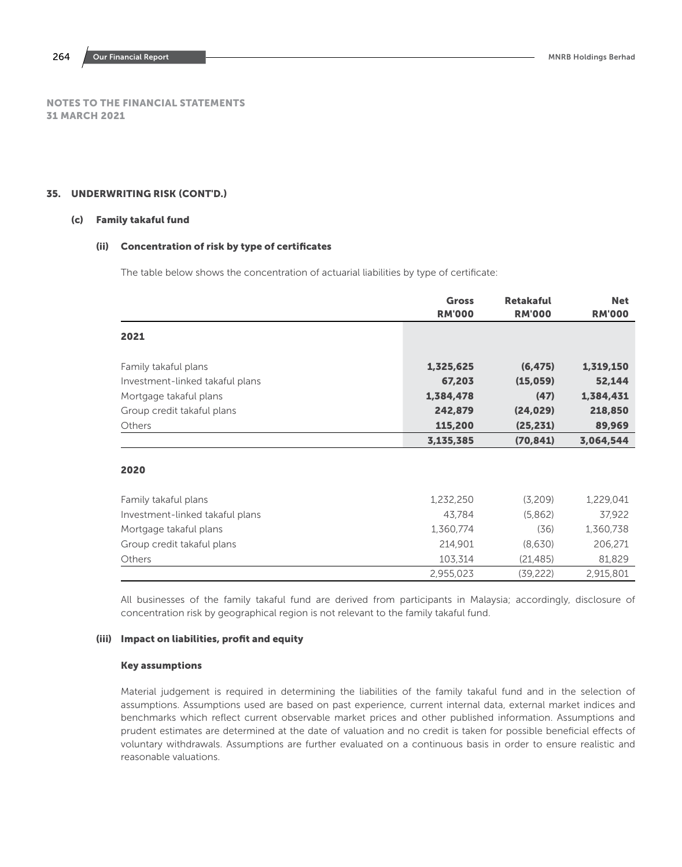### 35. UNDERWRITING RISK (CONT'D.)

### (c) Family takaful fund

### (ii) Concentration of risk by type of certificates

The table below shows the concentration of actuarial liabilities by type of certificate:

|                                 | <b>Gross</b>  | <b>Retakaful</b> | <b>Net</b>    |
|---------------------------------|---------------|------------------|---------------|
|                                 | <b>RM'000</b> | <b>RM'000</b>    | <b>RM'000</b> |
| 2021                            |               |                  |               |
| Family takaful plans            | 1,325,625     | (6, 475)         | 1,319,150     |
| Investment-linked takaful plans | 67,203        | (15,059)         | 52,144        |
| Mortgage takaful plans          | 1,384,478     | (47)             | 1,384,431     |
| Group credit takaful plans      | 242,879       | (24, 029)        | 218,850       |
| Others                          | 115,200       | (25, 231)        | 89,969        |
|                                 | 3,135,385     | (70, 841)        | 3,064,544     |
| 2020                            |               |                  |               |
| Family takaful plans            | 1,232,250     | (3,209)          | 1,229,041     |
| Investment-linked takaful plans | 43,784        | (5,862)          | 37,922        |
| Mortgage takaful plans          | 1,360,774     | (36)             | 1,360,738     |
| Group credit takaful plans      | 214,901       | (8,630)          | 206,271       |
| Others                          | 103,314       | (21, 485)        | 81,829        |
|                                 | 2,955,023     | (39, 222)        | 2,915,801     |

All businesses of the family takaful fund are derived from participants in Malaysia; accordingly, disclosure of concentration risk by geographical region is not relevant to the family takaful fund.

### (iii) Impact on liabilities, profit and equity

### Key assumptions

Material judgement is required in determining the liabilities of the family takaful fund and in the selection of assumptions. Assumptions used are based on past experience, current internal data, external market indices and benchmarks which reflect current observable market prices and other published information. Assumptions and prudent estimates are determined at the date of valuation and no credit is taken for possible beneficial effects of voluntary withdrawals. Assumptions are further evaluated on a continuous basis in order to ensure realistic and reasonable valuations.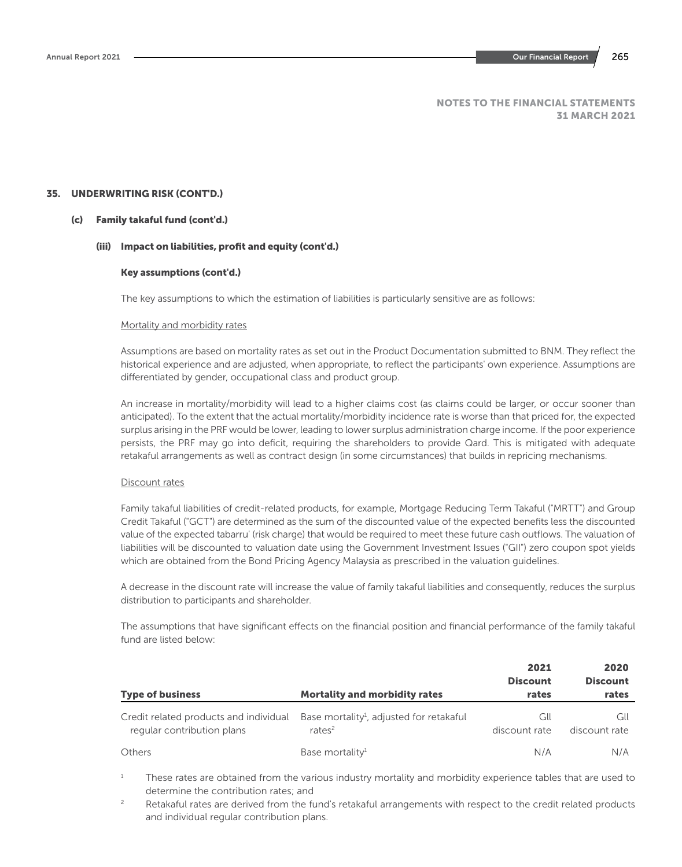### 35. UNDERWRITING RISK (CONT'D.)

### (c) Family takaful fund (cont'd.)

### (iii) Impact on liabilities, profit and equity (cont'd.)

### Key assumptions (cont'd.)

The key assumptions to which the estimation of liabilities is particularly sensitive are as follows:

### Mortality and morbidity rates

Assumptions are based on mortality rates as set out in the Product Documentation submitted to BNM. They reflect the historical experience and are adjusted, when appropriate, to reflect the participants' own experience. Assumptions are differentiated by gender, occupational class and product group.

An increase in mortality/morbidity will lead to a higher claims cost (as claims could be larger, or occur sooner than anticipated). To the extent that the actual mortality/morbidity incidence rate is worse than that priced for, the expected surplus arising in the PRF would be lower, leading to lower surplus administration charge income. If the poor experience persists, the PRF may go into deficit, requiring the shareholders to provide Qard. This is mitigated with adequate retakaful arrangements as well as contract design (in some circumstances) that builds in repricing mechanisms.

### Discount rates

Family takaful liabilities of credit-related products, for example, Mortgage Reducing Term Takaful ("MRTT") and Group Credit Takaful ("GCT") are determined as the sum of the discounted value of the expected benefits less the discounted value of the expected tabarru' (risk charge) that would be required to meet these future cash outflows. The valuation of liabilities will be discounted to valuation date using the Government Investment Issues ("GII") zero coupon spot yields which are obtained from the Bond Pricing Agency Malaysia as prescribed in the valuation guidelines.

A decrease in the discount rate will increase the value of family takaful liabilities and consequently, reduces the surplus distribution to participants and shareholder.

The assumptions that have significant effects on the financial position and financial performance of the family takaful fund are listed below:

| <b>Type of business</b>                                              | <b>Mortality and morbidity rates</b>                              | 2021<br><b>Discount</b><br>rates | 2020<br><b>Discount</b><br>rates |
|----------------------------------------------------------------------|-------------------------------------------------------------------|----------------------------------|----------------------------------|
| Credit related products and individual<br>regular contribution plans | Base mortality <sup>1</sup> , adjusted for retakaful<br>rates $2$ | Gll<br>discount rate             | Gll<br>discount rate             |
| Others                                                               | Base mortality <sup>1</sup>                                       | N/A                              | N/A                              |

 $1$  These rates are obtained from the various industry mortality and morbidity experience tables that are used to determine the contribution rates; and

<sup>2</sup> Retakaful rates are derived from the fund's retakaful arrangements with respect to the credit related products and individual regular contribution plans.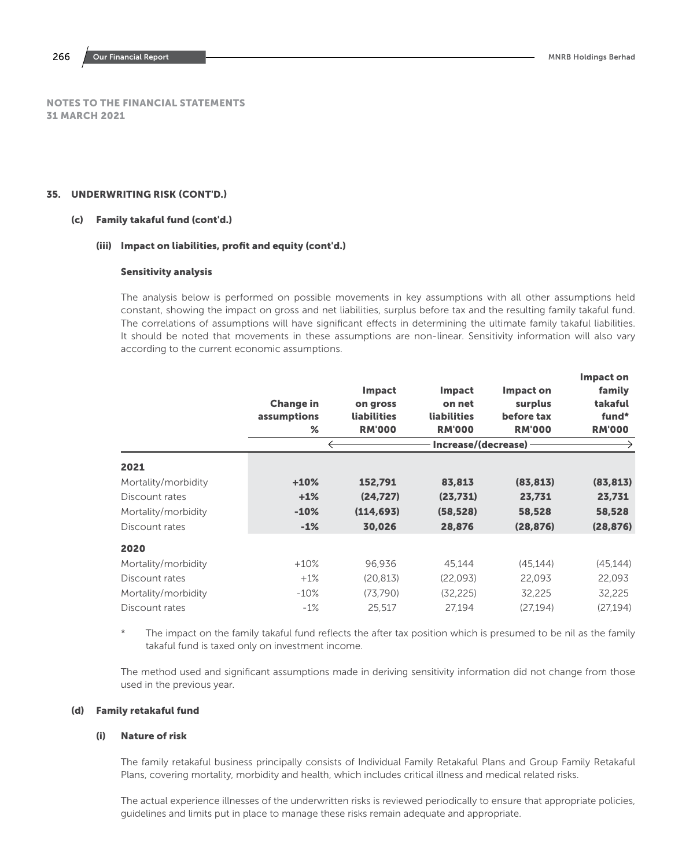### 35. UNDERWRITING RISK (CONT'D.)

### (c) Family takaful fund (cont'd.)

### (iii) Impact on liabilities, profit and equity (cont'd.)

### Sensitivity analysis

The analysis below is performed on possible movements in key assumptions with all other assumptions held constant, showing the impact on gross and net liabilities, surplus before tax and the resulting family takaful fund. The correlations of assumptions will have significant effects in determining the ultimate family takaful liabilities. It should be noted that movements in these assumptions are non-linear. Sensitivity information will also vary according to the current economic assumptions.

|                     |                     |               |                    |               | Impact on     |
|---------------------|---------------------|---------------|--------------------|---------------|---------------|
|                     |                     | <b>Impact</b> | <b>Impact</b>      | Impact on     | family        |
|                     | <b>Change in</b>    | on gross      | on net             | surplus       | takaful       |
|                     | assumptions         | liabilities   | <b>liabilities</b> | before tax    | fund*         |
|                     | ℅                   | <b>RM'000</b> | <b>RM'000</b>      | <b>RM'000</b> | <b>RM'000</b> |
|                     | Increase/(decrease) |               |                    |               |               |
| 2021                |                     |               |                    |               |               |
| Mortality/morbidity | $+10%$              | 152,791       | 83,813             | (83, 813)     | (83, 813)     |
| Discount rates      | $+1%$               | (24, 727)     | (23,731)           | 23,731        | 23,731        |
| Mortality/morbidity | $-10%$              | (114, 693)    | (58, 528)          | 58,528        | 58,528        |
| Discount rates      | $-1%$               | 30,026        | 28,876             | (28, 876)     | (28, 876)     |
| 2020                |                     |               |                    |               |               |
| Mortality/morbidity | $+10\%$             | 96,936        | 45,144             | (45, 144)     | (45, 144)     |
| Discount rates      | $+1%$               | (20, 813)     | (22,093)           | 22,093        | 22,093        |
| Mortality/morbidity | $-10%$              | (73.790)      | (32, 225)          | 32,225        | 32,225        |
| Discount rates      | $-1%$               | 25,517        | 27,194             | (27, 194)     | (27, 194)     |

\* The impact on the family takaful fund reflects the after tax position which is presumed to be nil as the family takaful fund is taxed only on investment income.

The method used and significant assumptions made in deriving sensitivity information did not change from those used in the previous year.

### (d) Family retakaful fund

### (i) Nature of risk

The family retakaful business principally consists of Individual Family Retakaful Plans and Group Family Retakaful Plans, covering mortality, morbidity and health, which includes critical illness and medical related risks.

The actual experience illnesses of the underwritten risks is reviewed periodically to ensure that appropriate policies, guidelines and limits put in place to manage these risks remain adequate and appropriate.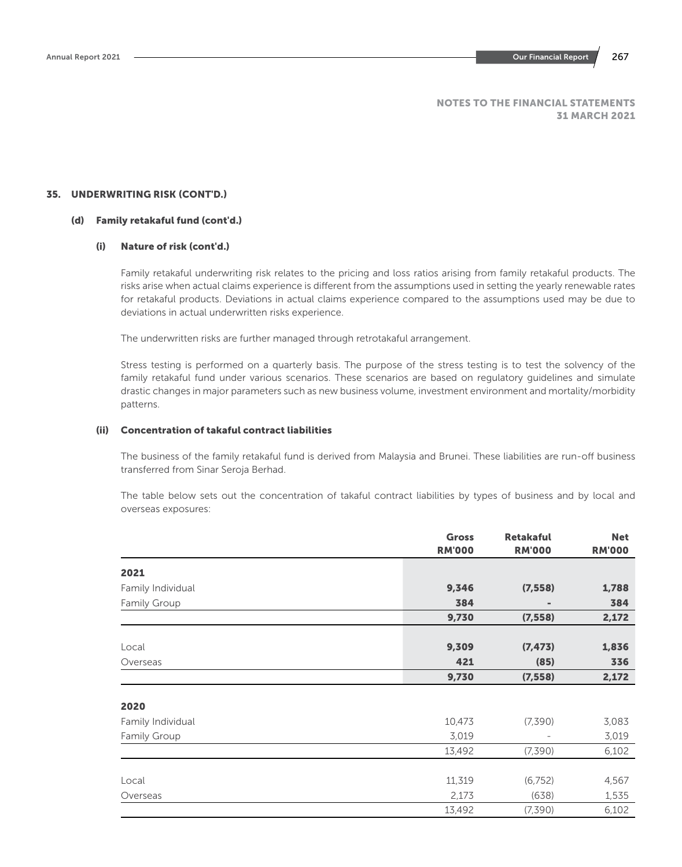### 35. UNDERWRITING RISK (CONT'D.)

### (d) Family retakaful fund (cont'd.)

### (i) Nature of risk (cont'd.)

Family retakaful underwriting risk relates to the pricing and loss ratios arising from family retakaful products. The risks arise when actual claims experience is different from the assumptions used in setting the yearly renewable rates for retakaful products. Deviations in actual claims experience compared to the assumptions used may be due to deviations in actual underwritten risks experience.

The underwritten risks are further managed through retrotakaful arrangement.

Stress testing is performed on a quarterly basis. The purpose of the stress testing is to test the solvency of the family retakaful fund under various scenarios. These scenarios are based on regulatory guidelines and simulate drastic changes in major parameters such as new business volume, investment environment and mortality/morbidity patterns.

### (ii) Concentration of takaful contract liabilities

The business of the family retakaful fund is derived from Malaysia and Brunei. These liabilities are run-off business transferred from Sinar Seroja Berhad.

The table below sets out the concentration of takaful contract liabilities by types of business and by local and overseas exposures:

|                   | <b>Gross</b>  | <b>Retakaful</b> | <b>Net</b>    |
|-------------------|---------------|------------------|---------------|
|                   | <b>RM'000</b> | <b>RM'000</b>    | <b>RM'000</b> |
| 2021              |               |                  |               |
| Family Individual | 9,346         | (7, 558)         | 1,788         |
| Family Group      | 384           | ۰                | 384           |
|                   | 9,730         | (7, 558)         | 2,172         |
|                   |               |                  |               |
| Local             | 9,309         | (7, 473)         | 1,836         |
| Overseas          | 421           | (85)             | 336           |
|                   | 9,730         | (7, 558)         | 2,172         |
|                   |               |                  |               |
| 2020              |               |                  |               |
| Family Individual | 10,473        | (7,390)          | 3,083         |
| Family Group      | 3,019         |                  | 3,019         |
|                   | 13,492        | (7,390)          | 6,102         |
|                   |               |                  |               |
| Local             | 11,319        | (6, 752)         | 4,567         |
| Overseas          | 2,173         | (638)            | 1,535         |
|                   | 13,492        | (7,390)          | 6,102         |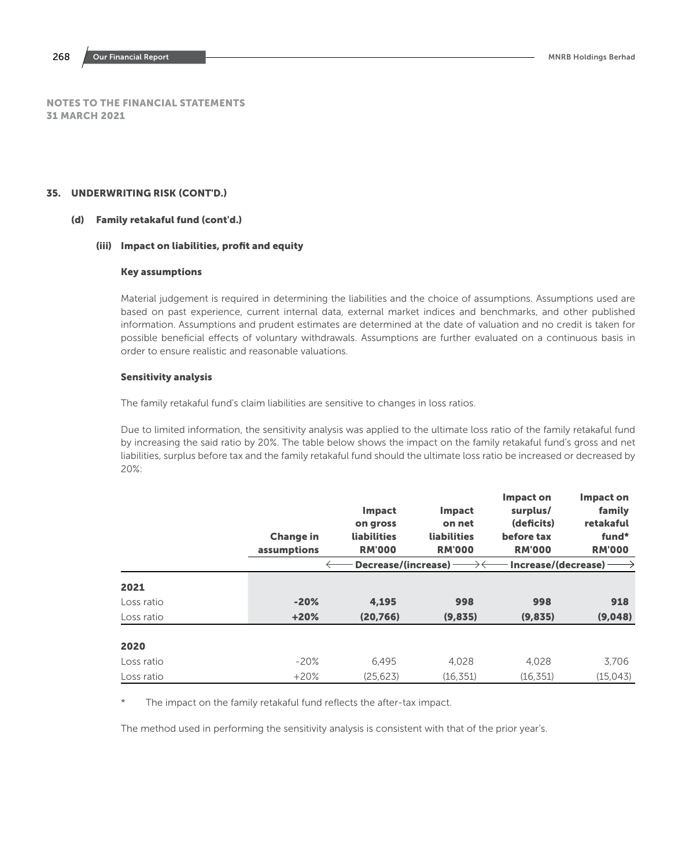### 35. UNDERWRITING RISK (CONT'D.)

### (d) Family retakaful fund (cont'd.)

### (iii) Impact on liabilities, profit and equity

### Key assumptions

Material judgement is required in determining the liabilities and the choice of assumptions. Assumptions used are based on past experience, current internal data, external market indices and benchmarks, and other published information. Assumptions and prudent estimates are determined at the date of valuation and no credit is taken for possible beneficial effects of voluntary withdrawals. Assumptions are further evaluated on a continuous basis in order to ensure realistic and reasonable valuations.

### Sensitivity analysis

The family retakaful fund's claim liabilities are sensitive to changes in loss ratios.

Due to limited information, the sensitivity analysis was applied to the ultimate loss ratio of the family retakaful fund by increasing the said ratio by 20%. The table below shows the impact on the family retakaful fund's gross and net liabilities, surplus before tax and the family retakaful fund should the ultimate loss ratio be increased or decreased by 20%:

|            |                  |                       |                              | Impact on           | Impact on     |  |
|------------|------------------|-----------------------|------------------------------|---------------------|---------------|--|
|            |                  | <b>Impact</b>         | <b>Impact</b>                | surplus/            | family        |  |
|            |                  | on gross              | on net                       | (deficits)          | retakaful     |  |
|            | <b>Change in</b> | <b>liabilities</b>    | <b>liabilities</b>           | before tax          | fund*         |  |
|            | assumptions      | <b>RM'000</b>         | <b>RM'000</b>                | <b>RM'000</b>       | <b>RM'000</b> |  |
|            |                  | Decrease/(increase) - | $\longrightarrow \leftarrow$ | Increase/(decrease) |               |  |
| 2021       |                  |                       |                              |                     |               |  |
| Loss ratio | $-20%$           | 4,195                 | 998                          | 998                 | 918           |  |
| Loss ratio | $+20%$           | (20, 766)             | (9,835)                      | (9,835)             | (9,048)       |  |
| 2020       |                  |                       |                              |                     |               |  |
| Loss ratio | $-20%$           | 6.495                 | 4.028                        | 4.028               | 3,706         |  |
| Loss ratio | $+20%$           | (25, 623)             | (16, 351)                    | (16, 351)           | (15,043)      |  |

The impact on the family retakaful fund reflects the after-tax impact.

The method used in performing the sensitivity analysis is consistent with that of the prior year's.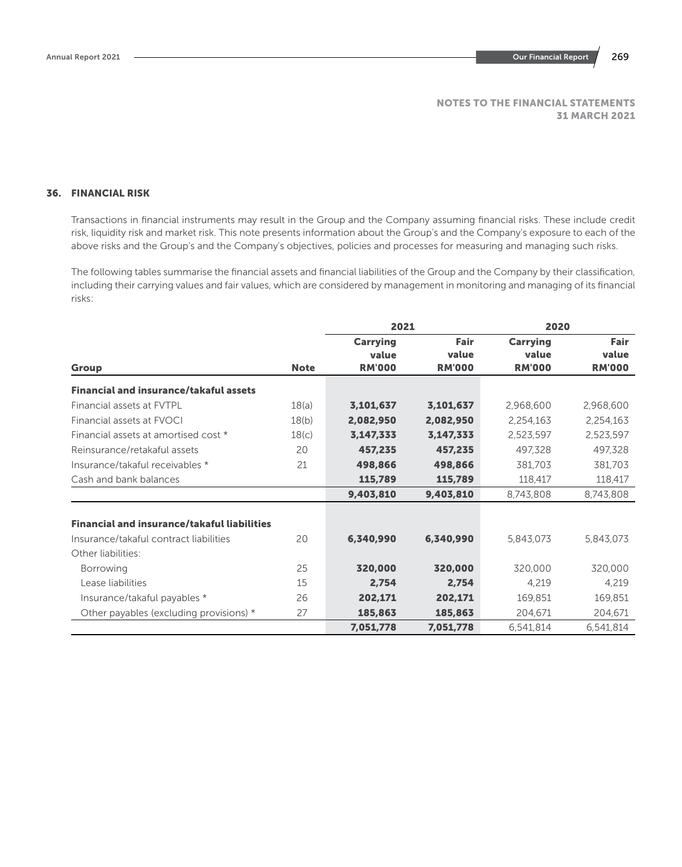### 36. FINANCIAL RISK

Transactions in financial instruments may result in the Group and the Company assuming financial risks. These include credit risk, liquidity risk and market risk. This note presents information about the Group's and the Company's exposure to each of the above risks and the Group's and the Company's objectives, policies and processes for measuring and managing such risks.

The following tables summarise the financial assets and financial liabilities of the Group and the Company by their classification, including their carrying values and fair values, which are considered by management in monitoring and managing of its financial risks:

|                                                    |             | 2021                                      |                                | 2020                                      |                                |
|----------------------------------------------------|-------------|-------------------------------------------|--------------------------------|-------------------------------------------|--------------------------------|
| Group                                              | <b>Note</b> | <b>Carrying</b><br>value<br><b>RM'000</b> | Fair<br>value<br><b>RM'000</b> | <b>Carrying</b><br>value<br><b>RM'000</b> | Fair<br>value<br><b>RM'000</b> |
| <b>Financial and insurance/takaful assets</b>      |             |                                           |                                |                                           |                                |
| Financial assets at FVTPL                          | 18(a)       | 3,101,637                                 | 3,101,637                      | 2,968,600                                 | 2,968,600                      |
| Financial assets at FVOCI                          | 18(b)       | 2,082,950                                 | 2,082,950                      | 2,254,163                                 | 2,254,163                      |
| Financial assets at amortised cost *               | 18(c)       | 3,147,333                                 | 3,147,333                      | 2,523,597                                 | 2,523,597                      |
| Reinsurance/retakaful assets                       | 20          | 457,235                                   | 457,235                        | 497,328                                   | 497,328                        |
| Insurance/takaful receivables *                    | 21          | 498,866                                   | 498,866                        | 381,703                                   | 381,703                        |
| Cash and bank balances                             |             | 115,789                                   | 115,789                        | 118,417                                   | 118,417                        |
|                                                    |             | 9,403,810                                 | 9,403,810                      | 8,743,808                                 | 8,743,808                      |
| <b>Financial and insurance/takaful liabilities</b> |             |                                           |                                |                                           |                                |
| Insurance/takaful contract liabilities             | 20          | 6,340,990                                 | 6,340,990                      | 5,843,073                                 | 5,843,073                      |
| Other liabilities:                                 |             |                                           |                                |                                           |                                |
| <b>Borrowing</b>                                   | 25          | 320,000                                   | 320,000                        | 320,000                                   | 320,000                        |
| Lease liabilities                                  | 15          | 2.754                                     | 2.754                          | 4,219                                     | 4,219                          |
| Insurance/takaful payables *                       | 26          | 202,171                                   | 202,171                        | 169,851                                   | 169,851                        |
| Other payables (excluding provisions) *            | 27          | 185,863                                   | 185,863                        | 204,671                                   | 204,671                        |
|                                                    |             | 7,051,778                                 | 7,051,778                      | 6,541,814                                 | 6,541,814                      |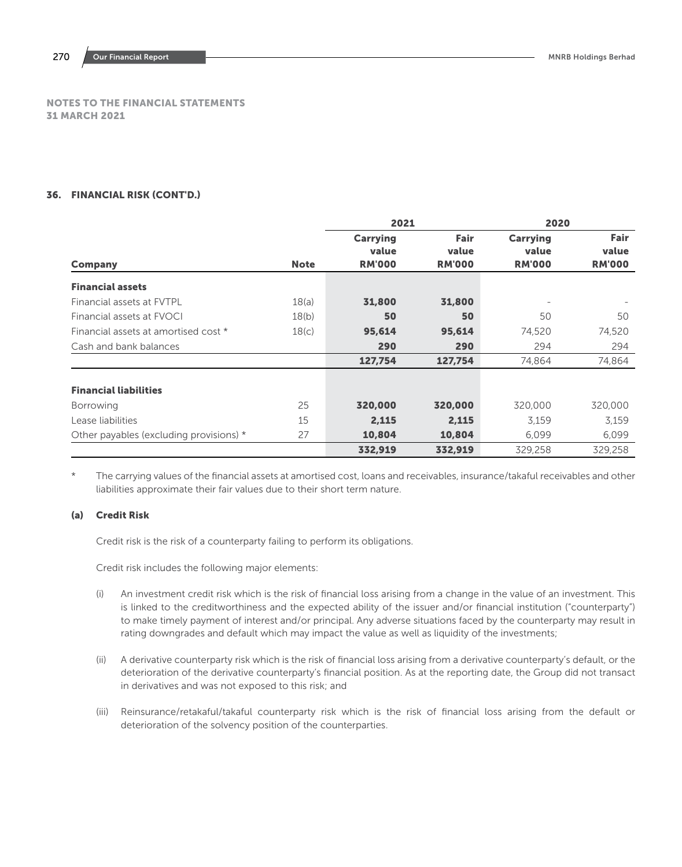#### 36. FINANCIAL RISK (CONT'D.)

|                                         |             | 2021            |               | 2020                     |               |
|-----------------------------------------|-------------|-----------------|---------------|--------------------------|---------------|
|                                         |             | <b>Carrying</b> | Fair          | <b>Carrying</b>          | Fair          |
|                                         |             | value           | value         | value                    | value         |
| <b>Company</b>                          | <b>Note</b> | <b>RM'000</b>   | <b>RM'000</b> | <b>RM'000</b>            | <b>RM'000</b> |
| <b>Financial assets</b>                 |             |                 |               |                          |               |
| Financial assets at FVTPL               | 18(a)       | 31,800          | 31,800        | $\overline{\phantom{0}}$ |               |
| Financial assets at FVOCI               | 18(b)       | 50              | 50            | 50                       | 50            |
| Financial assets at amortised cost *    | 18(c)       | 95,614          | 95,614        | 74,520                   | 74,520        |
| Cash and bank balances                  |             | 290             | 290           | 294                      | 294           |
|                                         |             | 127,754         | 127,754       | 74,864                   | 74.864        |
|                                         |             |                 |               |                          |               |
| <b>Financial liabilities</b>            |             |                 |               |                          |               |
| <b>Borrowing</b>                        | 25          | 320,000         | 320,000       | 320,000                  | 320,000       |
| Lease liabilities                       | 15          | 2,115           | 2,115         | 3,159                    | 3,159         |
| Other payables (excluding provisions) * | 27          | 10,804          | 10,804        | 6,099                    | 6,099         |
|                                         |             | 332,919         | 332,919       | 329.258                  | 329.258       |

The carrying values of the financial assets at amortised cost, loans and receivables, insurance/takaful receivables and other liabilities approximate their fair values due to their short term nature.

# (a) Credit Risk

Credit risk is the risk of a counterparty failing to perform its obligations.

Credit risk includes the following major elements:

- (i) An investment credit risk which is the risk of financial loss arising from a change in the value of an investment. This is linked to the creditworthiness and the expected ability of the issuer and/or financial institution ("counterparty") to make timely payment of interest and/or principal. Any adverse situations faced by the counterparty may result in rating downgrades and default which may impact the value as well as liquidity of the investments;
- (ii) A derivative counterparty risk which is the risk of financial loss arising from a derivative counterparty's default, or the deterioration of the derivative counterparty's financial position. As at the reporting date, the Group did not transact in derivatives and was not exposed to this risk; and
- (iii) Reinsurance/retakaful/takaful counterparty risk which is the risk of financial loss arising from the default or deterioration of the solvency position of the counterparties.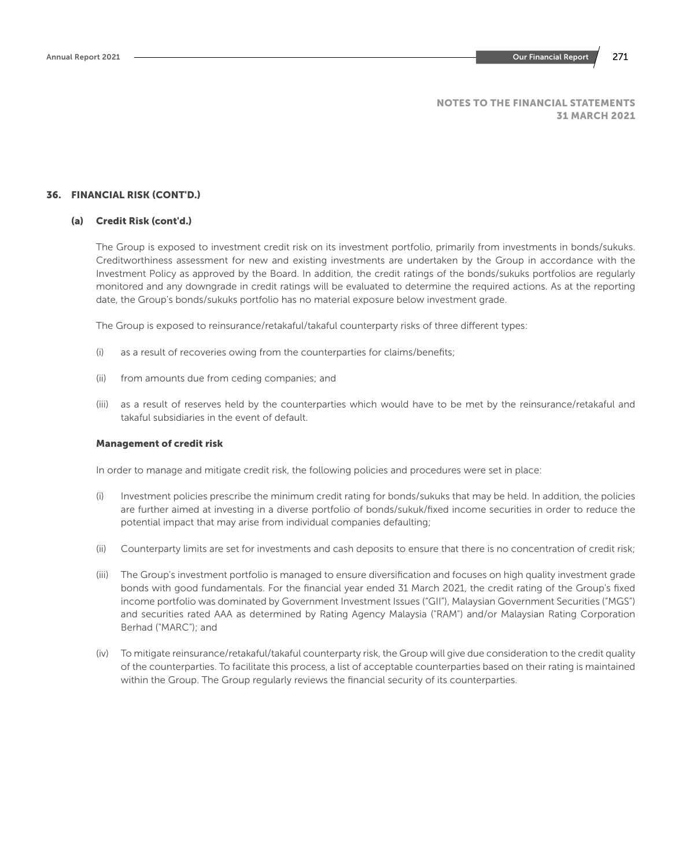#### 36. FINANCIAL RISK (CONT'D.)

## (a) Credit Risk (cont'd.)

The Group is exposed to investment credit risk on its investment portfolio, primarily from investments in bonds/sukuks. Creditworthiness assessment for new and existing investments are undertaken by the Group in accordance with the Investment Policy as approved by the Board. In addition, the credit ratings of the bonds/sukuks portfolios are regularly monitored and any downgrade in credit ratings will be evaluated to determine the required actions. As at the reporting date, the Group's bonds/sukuks portfolio has no material exposure below investment grade.

The Group is exposed to reinsurance/retakaful/takaful counterparty risks of three different types:

- (i) as a result of recoveries owing from the counterparties for claims/benefits;
- (ii) from amounts due from ceding companies; and
- (iii) as a result of reserves held by the counterparties which would have to be met by the reinsurance/retakaful and takaful subsidiaries in the event of default.

#### Management of credit risk

In order to manage and mitigate credit risk, the following policies and procedures were set in place:

- (i) Investment policies prescribe the minimum credit rating for bonds/sukuks that may be held. In addition, the policies are further aimed at investing in a diverse portfolio of bonds/sukuk/fixed income securities in order to reduce the potential impact that may arise from individual companies defaulting;
- (ii) Counterparty limits are set for investments and cash deposits to ensure that there is no concentration of credit risk;
- (iii) The Group's investment portfolio is managed to ensure diversification and focuses on high quality investment grade bonds with good fundamentals. For the financial year ended 31 March 2021, the credit rating of the Group's fixed income portfolio was dominated by Government Investment Issues ("GII"), Malaysian Government Securities ("MGS") and securities rated AAA as determined by Rating Agency Malaysia ("RAM") and/or Malaysian Rating Corporation Berhad ("MARC"); and
- (iv) To mitigate reinsurance/retakaful/takaful counterparty risk, the Group will give due consideration to the credit quality of the counterparties. To facilitate this process, a list of acceptable counterparties based on their rating is maintained within the Group. The Group regularly reviews the financial security of its counterparties.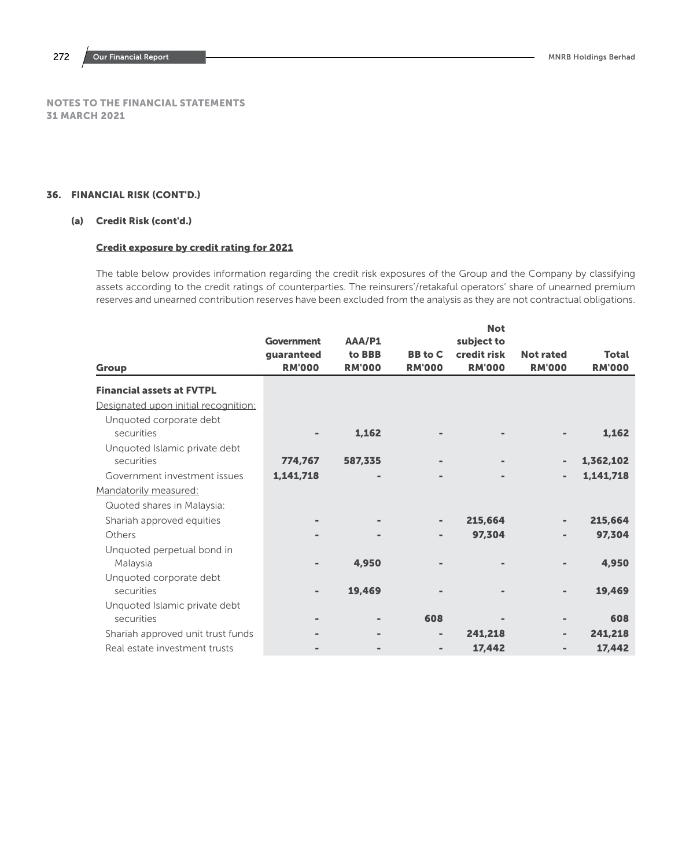### 36. FINANCIAL RISK (CONT'D.)

# (a) Credit Risk (cont'd.)

### Credit exposure by credit rating for 2021

The table below provides information regarding the credit risk exposures of the Group and the Company by classifying assets according to the credit ratings of counterparties. The reinsurers'/retakaful operators' share of unearned premium reserves and unearned contribution reserves have been excluded from the analysis as they are not contractual obligations.

|                                      |                   |               |                   | <b>Not</b>    |                   |               |
|--------------------------------------|-------------------|---------------|-------------------|---------------|-------------------|---------------|
|                                      | <b>Government</b> | AAA/P1        |                   | subject to    |                   |               |
|                                      | quaranteed        | to BBB        | <b>BB</b> to C    | credit risk   | <b>Not rated</b>  | <b>Total</b>  |
| Group                                | <b>RM'000</b>     | <b>RM'000</b> | <b>RM'000</b>     | <b>RM'000</b> | <b>RM'000</b>     | <b>RM'000</b> |
| <b>Financial assets at FVTPL</b>     |                   |               |                   |               |                   |               |
| Designated upon initial recognition: |                   |               |                   |               |                   |               |
| Unquoted corporate debt              |                   |               |                   |               |                   |               |
| securities                           |                   | 1,162         |                   |               |                   | 1,162         |
| Unquoted Islamic private debt        |                   |               |                   |               |                   |               |
| securities                           | 774,767           | 587,335       |                   |               | $\sim$            | 1,362,102     |
| Government investment issues         | 1,141,718         |               |                   |               | $\blacksquare$    | 1,141,718     |
| Mandatorily measured:                |                   |               |                   |               |                   |               |
| Quoted shares in Malaysia:           |                   |               |                   |               |                   |               |
| Shariah approved equities            |                   |               | $\qquad \qquad =$ | 215,664       | $\blacksquare$    | 215,664       |
| Others                               |                   |               |                   | 97,304        |                   | 97,304        |
| Unquoted perpetual bond in           |                   |               |                   |               |                   |               |
| Malaysia                             |                   | 4,950         |                   |               |                   | 4,950         |
| Unquoted corporate debt              |                   |               |                   |               |                   |               |
| securities                           |                   | 19,469        |                   | ۰             | ٠                 | 19,469        |
| Unquoted Islamic private debt        |                   |               |                   |               |                   |               |
| securities                           |                   |               | 608               |               |                   | 608           |
| Shariah approved unit trust funds    |                   |               | ۰                 | 241,218       | ۰                 | 241,218       |
| Real estate investment trusts        |                   |               | ۰                 | 17,442        | $\qquad \qquad =$ | 17,442        |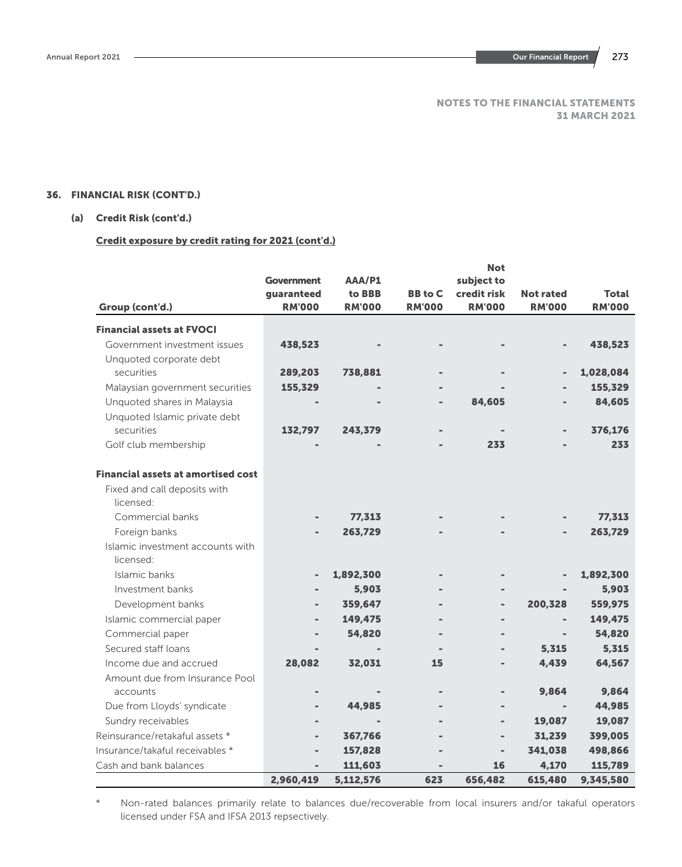## 36. FINANCIAL RISK (CONT'D.)

## (a) Credit Risk (cont'd.)

# Credit exposure by credit rating for 2021 (cont'd.)

|                                           |                   |               |                | <b>Not</b>    |                   |               |
|-------------------------------------------|-------------------|---------------|----------------|---------------|-------------------|---------------|
|                                           | <b>Government</b> | AAA/P1        |                | subject to    |                   |               |
|                                           | guaranteed        | to BBB        | <b>BB</b> to C | credit risk   | <b>Not rated</b>  | Total         |
| Group (cont'd.)                           | <b>RM'000</b>     | <b>RM'000</b> | <b>RM'000</b>  | <b>RM'000</b> | <b>RM'000</b>     | <b>RM'000</b> |
| <b>Financial assets at FVOCI</b>          |                   |               |                |               |                   |               |
| Government investment issues              | 438,523           |               |                |               |                   | 438,523       |
| Unquoted corporate debt                   |                   |               |                |               |                   |               |
| securities                                | 289,203           | 738,881       |                |               | $\qquad \qquad =$ | 1,028,084     |
| Malaysian government securities           | 155,329           |               |                |               |                   | 155,329       |
| Unquoted shares in Malaysia               |                   |               |                | 84,605        |                   | 84,605        |
| Unquoted Islamic private debt             |                   |               |                |               |                   |               |
| securities                                | 132,797           | 243,379       |                |               |                   | 376,176       |
| Golf club membership                      |                   |               |                | 233           |                   | 233           |
|                                           |                   |               |                |               |                   |               |
| <b>Financial assets at amortised cost</b> |                   |               |                |               |                   |               |
| Fixed and call deposits with              |                   |               |                |               |                   |               |
| licensed:                                 |                   |               |                |               |                   |               |
| Commercial banks                          |                   | 77,313        |                |               |                   | 77,313        |
| Foreign banks                             |                   | 263,729       |                |               |                   | 263,729       |
| Islamic investment accounts with          |                   |               |                |               |                   |               |
| licensed:                                 |                   |               |                |               |                   |               |
| Islamic banks                             |                   | 1,892,300     |                |               |                   | 1,892,300     |
| Investment banks                          |                   | 5,903         |                |               |                   | 5,903         |
| Development banks                         |                   | 359,647       |                |               | 200,328           | 559,975       |
| Islamic commercial paper                  |                   | 149,475       |                |               |                   | 149,475       |
| Commercial paper                          |                   | 54,820        |                |               |                   | 54,820        |
| Secured staff loans                       |                   |               |                |               | 5,315             | 5,315         |
| Income due and accrued                    | 28,082            | 32,031        | 15             |               | 4,439             | 64,567        |
| Amount due from Insurance Pool            |                   |               |                |               |                   |               |
| accounts                                  |                   |               |                |               | 9,864             | 9,864         |
| Due from Lloyds' syndicate                |                   | 44,985        |                |               |                   | 44,985        |
| Sundry receivables                        |                   |               |                |               | 19,087            | 19,087        |
| Reinsurance/retakaful assets *            |                   | 367,766       |                | $\sim$        | 31,239            | 399,005       |
| Insurance/takaful receivables *           |                   | 157,828       |                |               | 341,038           | 498,866       |
| Cash and bank balances                    |                   | 111,603       |                | 16            | 4,170             | 115,789       |
|                                           | 2,960,419         | 5,112,576     | 623            | 656,482       | 615,480           | 9,345,580     |

\* Non-rated balances primarily relate to balances due/recoverable from local insurers and/or takaful operators licensed under FSA and IFSA 2013 repsectively.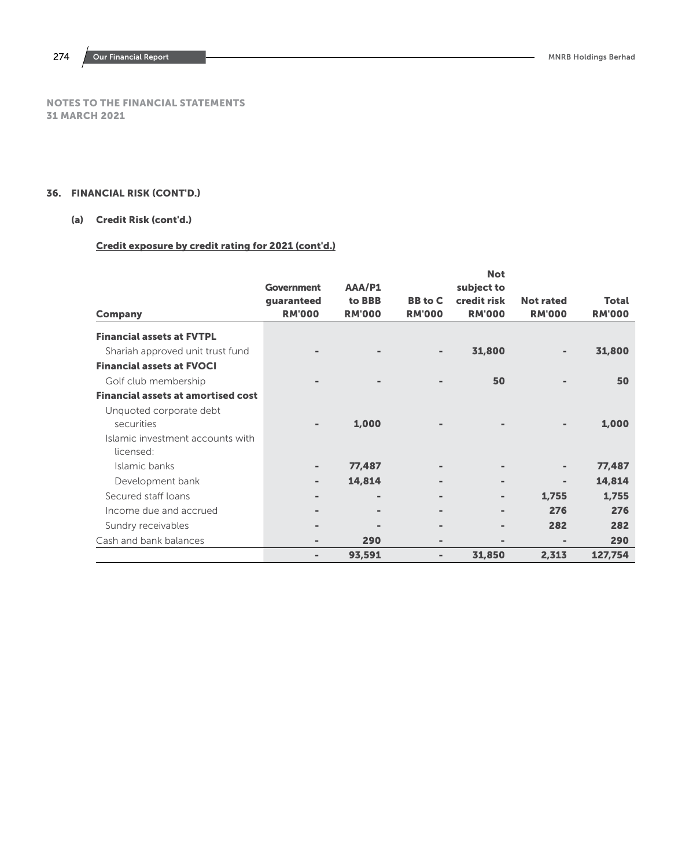### 36. FINANCIAL RISK (CONT'D.)

## (a) Credit Risk (cont'd.)

# Credit exposure by credit rating for 2021 (cont'd.)

|                                           |                   |               |                   | <b>Not</b>     |                  |               |
|-------------------------------------------|-------------------|---------------|-------------------|----------------|------------------|---------------|
|                                           | <b>Government</b> | AAA/P1        |                   | subject to     |                  |               |
|                                           | guaranteed        | to BBB        | <b>BB</b> to C    | credit risk    | <b>Not rated</b> | <b>Total</b>  |
| <b>Company</b>                            | <b>RM'000</b>     | <b>RM'000</b> | <b>RM'000</b>     | <b>RM'000</b>  | <b>RM'000</b>    | <b>RM'000</b> |
| <b>Financial assets at FVTPL</b>          |                   |               |                   |                |                  |               |
| Shariah approved unit trust fund          |                   |               | $\blacksquare$    | 31,800         | $\blacksquare$   | 31,800        |
| <b>Financial assets at FVOCI</b>          |                   |               |                   |                |                  |               |
| Golf club membership                      |                   |               | $\blacksquare$    | 50             |                  | 50            |
| <b>Financial assets at amortised cost</b> |                   |               |                   |                |                  |               |
| Unquoted corporate debt                   |                   |               |                   |                |                  |               |
| securities                                |                   | 1,000         |                   |                |                  | 1,000         |
| Islamic investment accounts with          |                   |               |                   |                |                  |               |
| licensed:                                 |                   |               |                   |                |                  |               |
| Islamic banks                             | $\equiv$          | 77,487        |                   |                | $\blacksquare$   | 77,487        |
| Development bank                          | $\blacksquare$    | 14,814        | $\qquad \qquad =$ | $\blacksquare$ | $\blacksquare$   | 14,814        |
| Secured staff loans                       | $\blacksquare$    |               | $\blacksquare$    | $\blacksquare$ | 1,755            | 1,755         |
| Income due and accrued                    |                   |               | $\blacksquare$    | $\blacksquare$ | 276              | 276           |
| Sundry receivables                        | ۰                 |               | $\equiv$          | $\blacksquare$ | 282              | 282           |
| Cash and bank balances                    | $\blacksquare$    | 290           | $\blacksquare$    | $\blacksquare$ | $\blacksquare$   | 290           |
|                                           | $\blacksquare$    | 93,591        | $\blacksquare$    | 31,850         | 2,313            | 127,754       |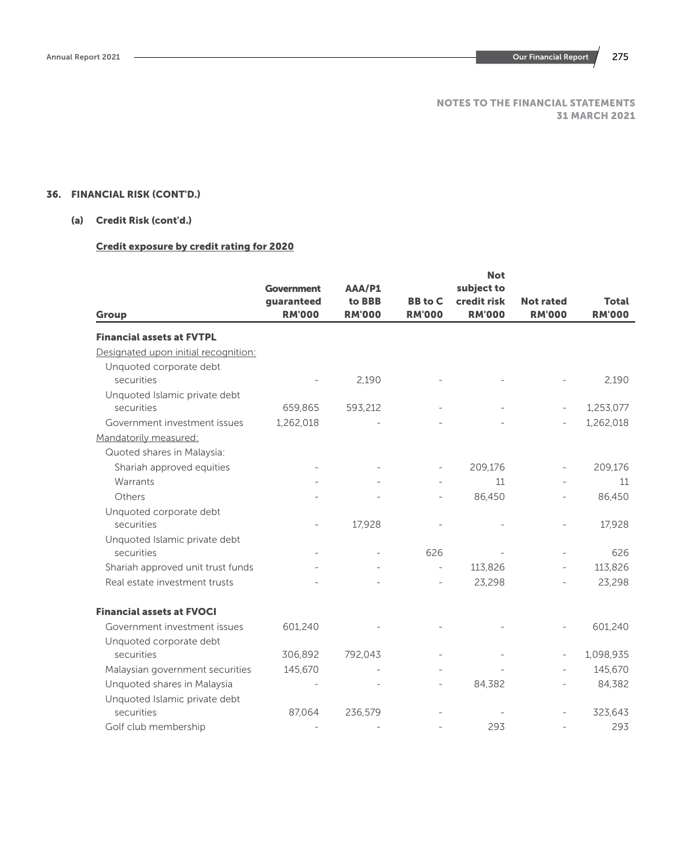# 36. FINANCIAL RISK (CONT'D.)

# (a) Credit Risk (cont'd.)

# Credit exposure by credit rating for 2020

|                                                         |               |               |                | <b>Not</b>    |                          |               |  |
|---------------------------------------------------------|---------------|---------------|----------------|---------------|--------------------------|---------------|--|
|                                                         | Government    | AAA/P1        |                | subject to    |                          |               |  |
|                                                         | guaranteed    | to BBB        | <b>BB</b> to C | credit risk   | <b>Not rated</b>         | <b>Total</b>  |  |
| Group                                                   | <b>RM'000</b> | <b>RM'000</b> | <b>RM'000</b>  | <b>RM'000</b> | <b>RM'000</b>            | <b>RM'000</b> |  |
| <b>Financial assets at FVTPL</b>                        |               |               |                |               |                          |               |  |
| Designated upon initial recognition:                    |               |               |                |               |                          |               |  |
| Unquoted corporate debt<br>securities                   |               | 2,190         |                |               |                          | 2,190         |  |
| Unquoted Islamic private debt<br>securities             | 659,865       | 593,212       |                |               |                          | 1,253,077     |  |
| Government investment issues                            | 1,262,018     |               |                |               |                          | 1,262,018     |  |
| Mandatorily measured:                                   |               |               |                |               |                          |               |  |
| Quoted shares in Malaysia:                              |               |               |                |               |                          |               |  |
| Shariah approved equities                               |               |               |                | 209,176       |                          | 209,176       |  |
| Warrants                                                |               |               |                | 11            |                          | 11            |  |
| Others                                                  |               |               |                | 86,450        |                          | 86,450        |  |
| Unquoted corporate debt<br>securities                   |               | 17,928        |                |               |                          | 17,928        |  |
| Unquoted Islamic private debt<br>securities             |               |               | 626            |               |                          | 626           |  |
| Shariah approved unit trust funds                       |               |               |                | 113,826       | $\bar{ }$                | 113,826       |  |
| Real estate investment trusts                           |               |               |                | 23.298        |                          | 23,298        |  |
| <b>Financial assets at FVOCI</b>                        |               |               |                |               |                          |               |  |
| Government investment issues<br>Unquoted corporate debt | 601,240       |               |                |               |                          | 601,240       |  |
| securities                                              | 306,892       | 792,043       |                |               | $\overline{\phantom{m}}$ | 1,098,935     |  |
| Malaysian government securities                         | 145,670       |               |                |               |                          | 145,670       |  |
| Unquoted shares in Malaysia                             |               |               |                | 84,382        |                          | 84,382        |  |
| Unquoted Islamic private debt<br>securities             | 87,064        | 236,579       |                |               |                          | 323,643       |  |
| Golf club membership                                    |               |               |                | 293           |                          | 293           |  |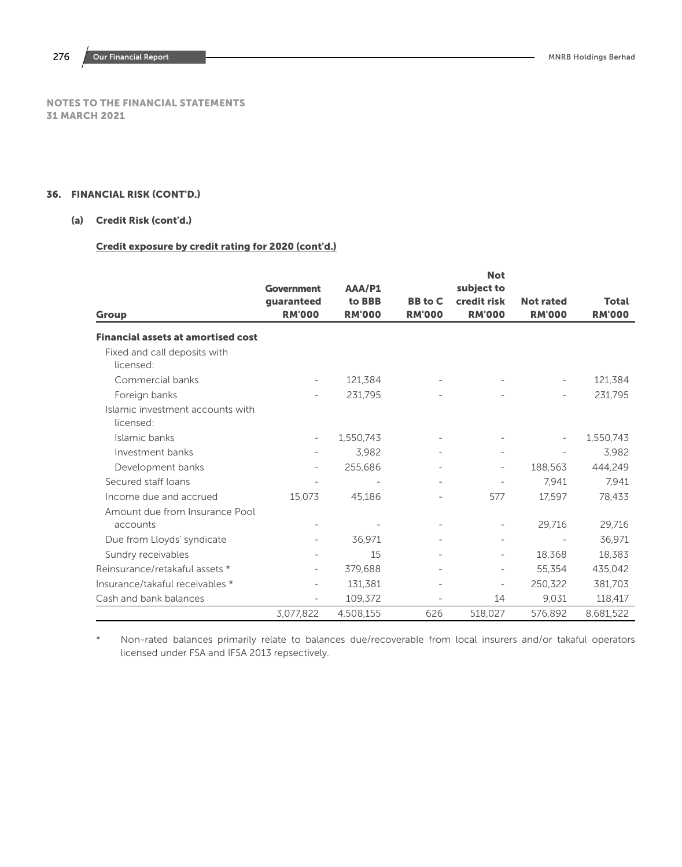### 36. FINANCIAL RISK (CONT'D.)

# (a) Credit Risk (cont'd.)

## Credit exposure by credit rating for 2020 (cont'd.)

|                                               |                          |               |                | <b>Not</b>               |                          |               |
|-----------------------------------------------|--------------------------|---------------|----------------|--------------------------|--------------------------|---------------|
|                                               | Government               | AAA/P1        |                | subject to               |                          |               |
|                                               | guaranteed               | to BBB        | <b>BB</b> to C | credit risk              | <b>Not rated</b>         | <b>Total</b>  |
| <b>Group</b>                                  | <b>RM'000</b>            | <b>RM'000</b> | <b>RM'000</b>  | <b>RM'000</b>            | <b>RM'000</b>            | <b>RM'000</b> |
| <b>Financial assets at amortised cost</b>     |                          |               |                |                          |                          |               |
| Fixed and call deposits with<br>licensed:     |                          |               |                |                          |                          |               |
| Commercial banks                              |                          | 121,384       |                |                          | $\overline{\phantom{a}}$ | 121,384       |
| Foreign banks                                 |                          | 231,795       |                |                          | $\overline{\phantom{a}}$ | 231,795       |
| Islamic investment accounts with<br>licensed: |                          |               |                |                          |                          |               |
| Islamic banks                                 | $\overline{\phantom{0}}$ | 1,550,743     |                |                          | $\overline{\phantom{a}}$ | 1,550,743     |
| Investment banks                              | $\overline{\phantom{a}}$ | 3,982         |                |                          | $\overline{\phantom{a}}$ | 3,982         |
| Development banks                             |                          | 255,686       |                |                          | 188,563                  | 444,249       |
| Secured staff loans                           | ٠                        |               |                |                          | 7.941                    | 7,941         |
| Income due and accrued                        | 15.073                   | 45.186        |                | 577                      | 17.597                   | 78.433        |
| Amount due from Insurance Pool                |                          |               |                |                          |                          |               |
| accounts                                      |                          |               |                | $\overline{\phantom{a}}$ | 29,716                   | 29,716        |
| Due from Lloyds' syndicate                    | $\qquad \qquad -$        | 36,971        |                |                          | $\overline{\phantom{a}}$ | 36,971        |
| Sundry receivables                            |                          | 15            |                |                          | 18,368                   | 18,383        |
| Reinsurance/retakaful assets *                | $\qquad \qquad -$        | 379,688       |                | $\overline{a}$           | 55,354                   | 435,042       |
| Insurance/takaful receivables *               |                          | 131,381       |                |                          | 250,322                  | 381,703       |
| Cash and bank balances                        | $\overline{\phantom{a}}$ | 109,372       |                | 14                       | 9,031                    | 118,417       |
|                                               | 3,077,822                | 4,508,155     | 626            | 518,027                  | 576.892                  | 8,681,522     |

\* Non-rated balances primarily relate to balances due/recoverable from local insurers and/or takaful operators licensed under FSA and IFSA 2013 repsectively.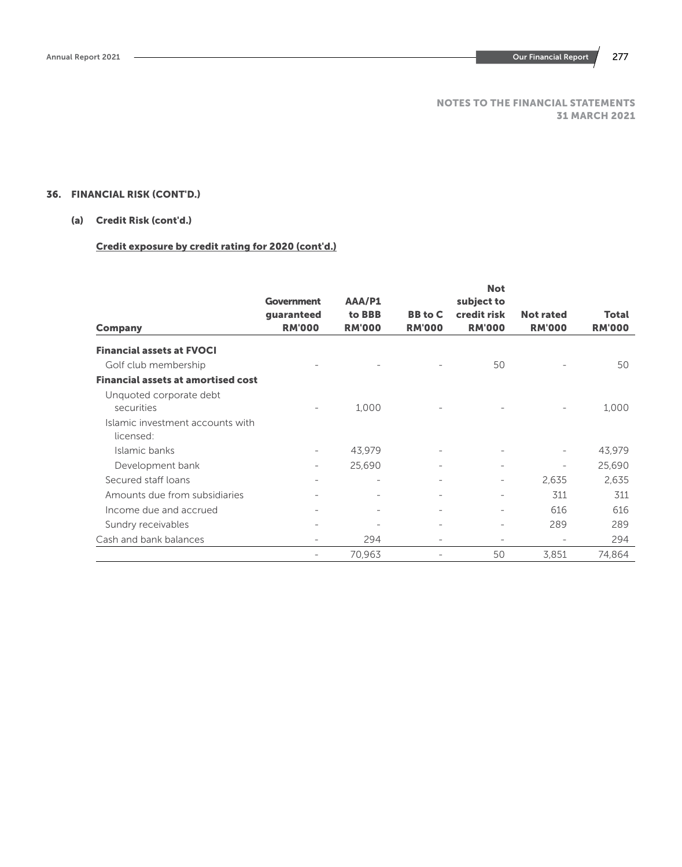# 36. FINANCIAL RISK (CONT'D.)

# (a) Credit Risk (cont'd.)

# Credit exposure by credit rating for 2020 (cont'd.)

|                                           |                          |                          |                | <b>Not</b>               |                          |               |
|-------------------------------------------|--------------------------|--------------------------|----------------|--------------------------|--------------------------|---------------|
|                                           | Government               | AAA/P1                   |                | subject to               |                          |               |
|                                           | guaranteed               | to BBB                   | <b>BB</b> to C | credit risk              | <b>Not rated</b>         | <b>Total</b>  |
| <b>Company</b>                            | <b>RM'000</b>            | <b>RM'000</b>            | <b>RM'000</b>  | <b>RM'000</b>            | <b>RM'000</b>            | <b>RM'000</b> |
| <b>Financial assets at FVOCI</b>          |                          |                          |                |                          |                          |               |
| Golf club membership                      |                          |                          |                | 50                       |                          | 50            |
| <b>Financial assets at amortised cost</b> |                          |                          |                |                          |                          |               |
| Unquoted corporate debt                   |                          |                          |                |                          |                          |               |
| securities                                |                          | 1,000                    |                |                          |                          | 1,000         |
| Islamic investment accounts with          |                          |                          |                |                          |                          |               |
| licensed:                                 |                          |                          |                |                          |                          |               |
| Islamic banks                             |                          | 43,979                   |                |                          |                          | 43,979        |
| Development bank                          | $\overline{\phantom{a}}$ | 25,690                   |                | $\overline{\phantom{0}}$ | ۰                        | 25,690        |
| Secured staff loans                       |                          | $\overline{\phantom{a}}$ |                | $\overline{\phantom{a}}$ | 2.635                    | 2,635         |
| Amounts due from subsidiaries             |                          | $\overline{\phantom{a}}$ |                | $\overline{\phantom{0}}$ | 311                      | 311           |
| Income due and accrued                    |                          | $\overline{\phantom{a}}$ |                | $\overline{\phantom{0}}$ | 616                      | 616           |
| Sundry receivables                        |                          | $\overline{\phantom{a}}$ | Ξ.             | $\overline{\phantom{0}}$ | 289                      | 289           |
| Cash and bank balances                    |                          | 294                      |                | $\overline{\phantom{0}}$ | $\overline{\phantom{0}}$ | 294           |
|                                           |                          | 70,963                   |                | 50                       | 3,851                    | 74,864        |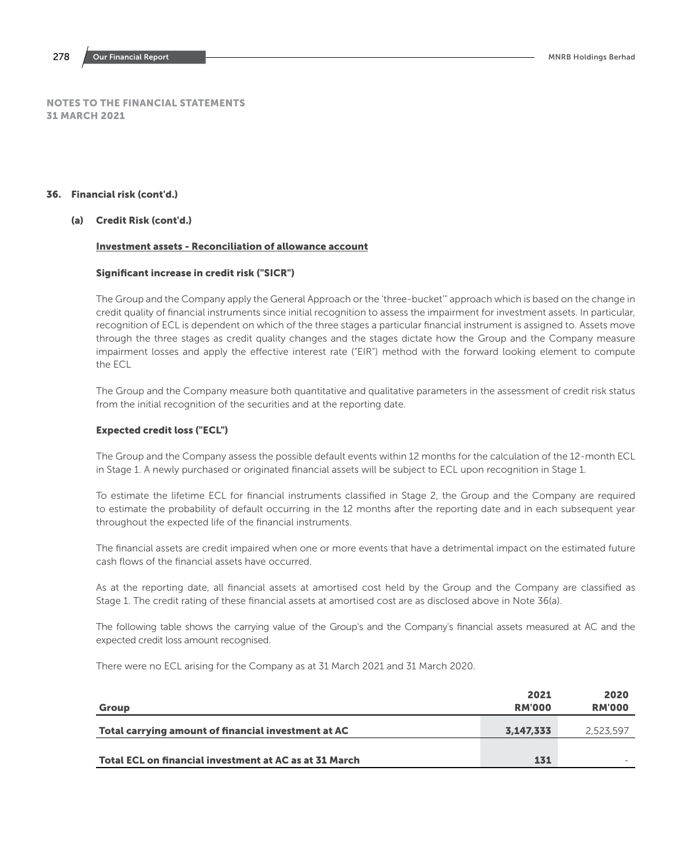#### 36. Financial risk (cont'd.)

(a) Credit Risk (cont'd.)

#### Investment assets - Reconciliation of allowance account

#### Significant increase in credit risk ("SICR")

The Group and the Company apply the General Approach or the 'three-bucket'" approach which is based on the change in credit quality of financial instruments since initial recognition to assess the impairment for investment assets. In particular, recognition of ECL is dependent on which of the three stages a particular financial instrument is assigned to. Assets move through the three stages as credit quality changes and the stages dictate how the Group and the Company measure impairment losses and apply the effective interest rate ("EIR") method with the forward looking element to compute the ECL

The Group and the Company measure both quantitative and qualitative parameters in the assessment of credit risk status from the initial recognition of the securities and at the reporting date.

#### Expected credit loss ("ECL")

The Group and the Company assess the possible default events within 12 months for the calculation of the 12-month ECL in Stage 1. A newly purchased or originated financial assets will be subject to ECL upon recognition in Stage 1.

To estimate the lifetime ECL for financial instruments classified in Stage 2, the Group and the Company are required to estimate the probability of default occurring in the 12 months after the reporting date and in each subsequent year throughout the expected life of the financial instruments.

The financial assets are credit impaired when one or more events that have a detrimental impact on the estimated future cash flows of the financial assets have occurred.

As at the reporting date, all financial assets at amortised cost held by the Group and the Company are classified as Stage 1. The credit rating of these financial assets at amortised cost are as disclosed above in Note 36(a).

The following table shows the carrying value of the Group's and the Company's financial assets measured at AC and the expected credit loss amount recognised.

There were no ECL arising for the Company as at 31 March 2021 and 31 March 2020.

| Group                                                  | 2021<br><b>RM'000</b> | 2020<br><b>RM'000</b> |
|--------------------------------------------------------|-----------------------|-----------------------|
| Total carrying amount of financial investment at AC    | 3.147.333             | 2.523.597             |
| Total ECL on financial investment at AC as at 31 March | 131                   | $\,$                  |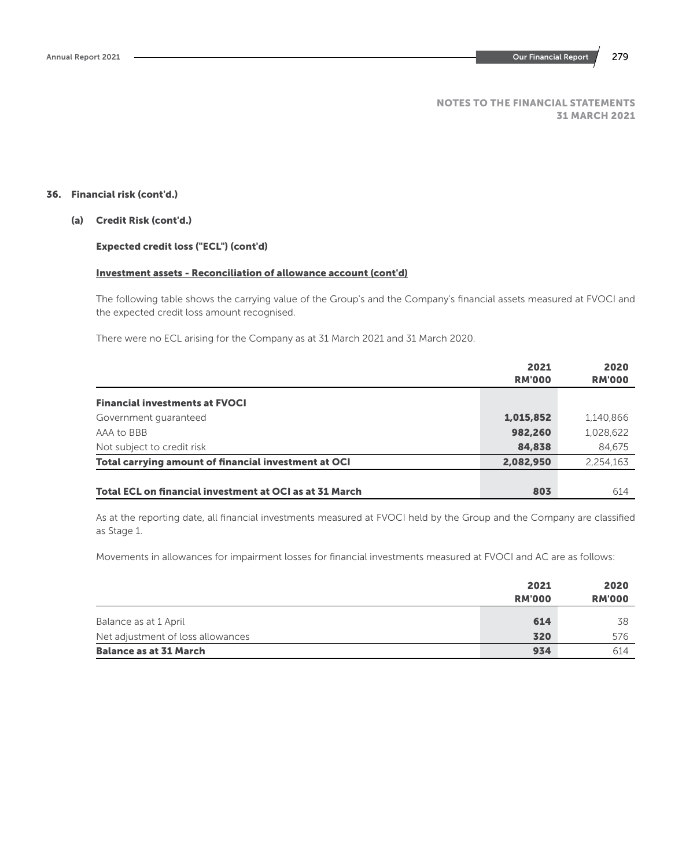### 36. Financial risk (cont'd.)

(a) Credit Risk (cont'd.)

### Expected credit loss ("ECL") (cont'd)

## Investment assets - Reconciliation of allowance account (cont'd)

The following table shows the carrying value of the Group's and the Company's financial assets measured at FVOCI and the expected credit loss amount recognised.

There were no ECL arising for the Company as at 31 March 2021 and 31 March 2020.

|                                                         | 2021          | 2020          |
|---------------------------------------------------------|---------------|---------------|
|                                                         | <b>RM'000</b> | <b>RM'000</b> |
| <b>Financial investments at FVOCI</b>                   |               |               |
| Government quaranteed                                   | 1,015,852     | 1,140,866     |
| AAA to BBB                                              | 982,260       | 1,028,622     |
| Not subject to credit risk                              | 84,838        | 84,675        |
| Total carrying amount of financial investment at OCI    | 2,082,950     | 2.254.163     |
|                                                         |               |               |
| Total ECL on financial investment at OCI as at 31 March | 803           | 614           |

As at the reporting date, all financial investments measured at FVOCI held by the Group and the Company are classified as Stage 1.

Movements in allowances for impairment losses for financial investments measured at FVOCI and AC are as follows:

|                                   | 2021          | 2020          |
|-----------------------------------|---------------|---------------|
|                                   | <b>RM'000</b> | <b>RM'000</b> |
| Balance as at 1 April             | 614           | 38            |
| Net adjustment of loss allowances | 320           | 576           |
| <b>Balance as at 31 March</b>     | 934           | 614           |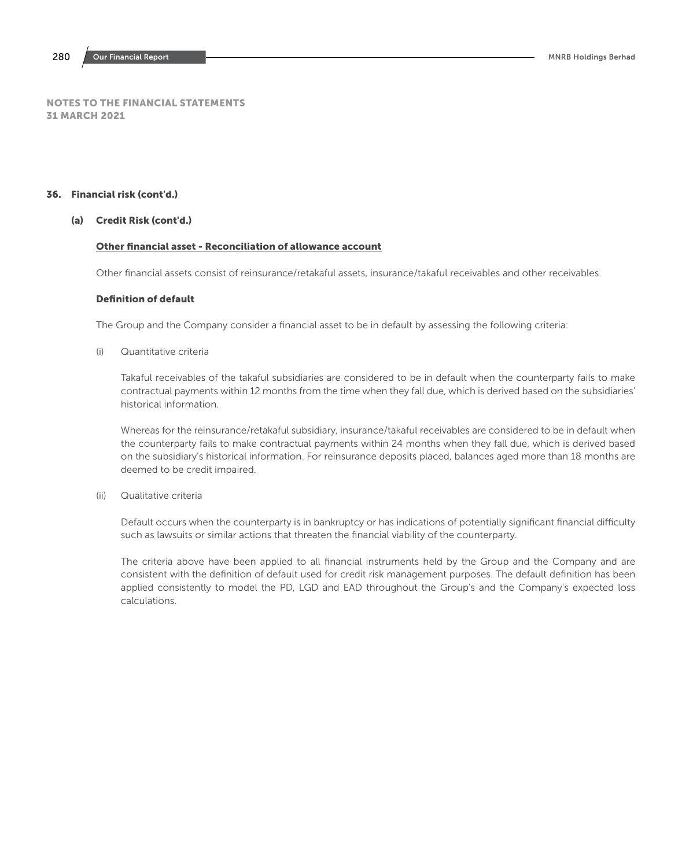#### 36. Financial risk (cont'd.)

(a) Credit Risk (cont'd.)

### Other financial asset - Reconciliation of allowance account

Other financial assets consist of reinsurance/retakaful assets, insurance/takaful receivables and other receivables.

#### Definition of default

The Group and the Company consider a financial asset to be in default by assessing the following criteria:

(i) Quantitative criteria

Takaful receivables of the takaful subsidiaries are considered to be in default when the counterparty fails to make contractual payments within 12 months from the time when they fall due, which is derived based on the subsidiaries' historical information.

Whereas for the reinsurance/retakaful subsidiary, insurance/takaful receivables are considered to be in default when the counterparty fails to make contractual payments within 24 months when they fall due, which is derived based on the subsidiary's historical information. For reinsurance deposits placed, balances aged more than 18 months are deemed to be credit impaired.

(ii) Qualitative criteria

Default occurs when the counterparty is in bankruptcy or has indications of potentially significant financial difficulty such as lawsuits or similar actions that threaten the financial viability of the counterparty.

The criteria above have been applied to all financial instruments held by the Group and the Company and are consistent with the definition of default used for credit risk management purposes. The default definition has been applied consistently to model the PD, LGD and EAD throughout the Group's and the Company's expected loss calculations.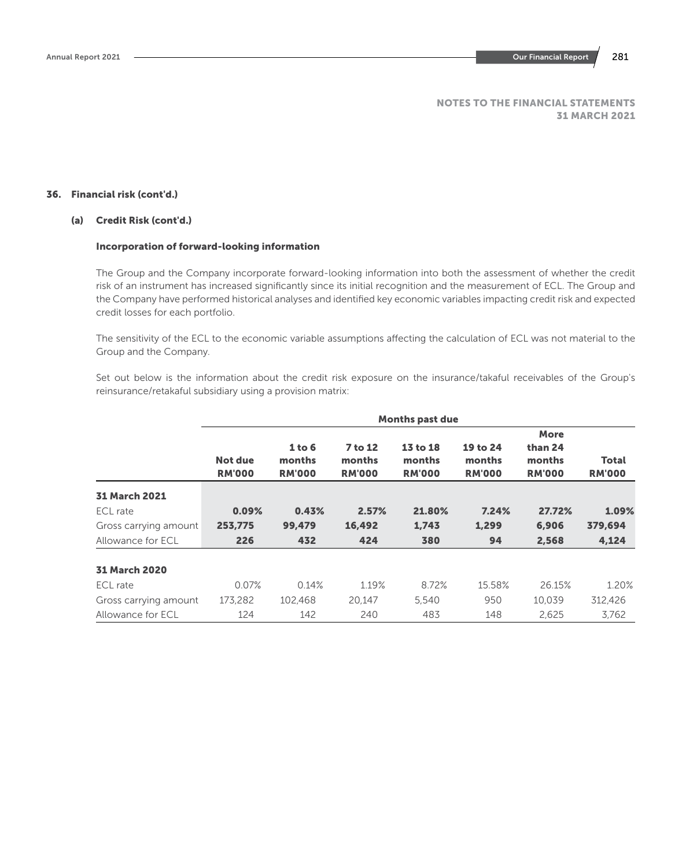### 36. Financial risk (cont'd.)

# (a) Credit Risk (cont'd.)

### Incorporation of forward-looking information

The Group and the Company incorporate forward-looking information into both the assessment of whether the credit risk of an instrument has increased significantly since its initial recognition and the measurement of ECL. The Group and the Company have performed historical analyses and identified key economic variables impacting credit risk and expected credit losses for each portfolio.

The sensitivity of the ECL to the economic variable assumptions affecting the calculation of ECL was not material to the Group and the Company.

Set out below is the information about the credit risk exposure on the insurance/takaful receivables of the Group's reinsurance/retakaful subsidiary using a provision matrix:

|                       | <b>Months past due</b>          |                                     |                                    |                                     |                                     |                                                   |                        |
|-----------------------|---------------------------------|-------------------------------------|------------------------------------|-------------------------------------|-------------------------------------|---------------------------------------------------|------------------------|
|                       | <b>Not due</b><br><b>RM'000</b> | $1$ to 6<br>months<br><b>RM'000</b> | 7 to 12<br>months<br><b>RM'000</b> | 13 to 18<br>months<br><b>RM'000</b> | 19 to 24<br>months<br><b>RM'000</b> | <b>More</b><br>than 24<br>months<br><b>RM'000</b> | Total<br><b>RM'000</b> |
| <b>31 March 2021</b>  |                                 |                                     |                                    |                                     |                                     |                                                   |                        |
| ECL rate              | 0.09%                           | 0.43%                               | 2.57%                              | 21.80%                              | 7.24%                               | 27.72%                                            | 1.09%                  |
| Gross carrying amount | 253,775                         | 99,479                              | 16,492                             | 1,743                               | 1,299                               | 6,906                                             | 379,694                |
| Allowance for ECL     | 226                             | 432                                 | 424                                | 380                                 | 94                                  | 2,568                                             | 4,124                  |
| <b>31 March 2020</b>  |                                 |                                     |                                    |                                     |                                     |                                                   |                        |
| ECL rate              | 0.07%                           | 0.14%                               | 1.19%                              | 8.72%                               | 15.58%                              | 26.15%                                            | 1.20%                  |
| Gross carrying amount | 173,282                         | 102,468                             | 20.147                             | 5,540                               | 950                                 | 10.039                                            | 312.426                |
| Allowance for ECL     | 124                             | 142                                 | 240                                | 483                                 | 148                                 | 2.625                                             | 3.762                  |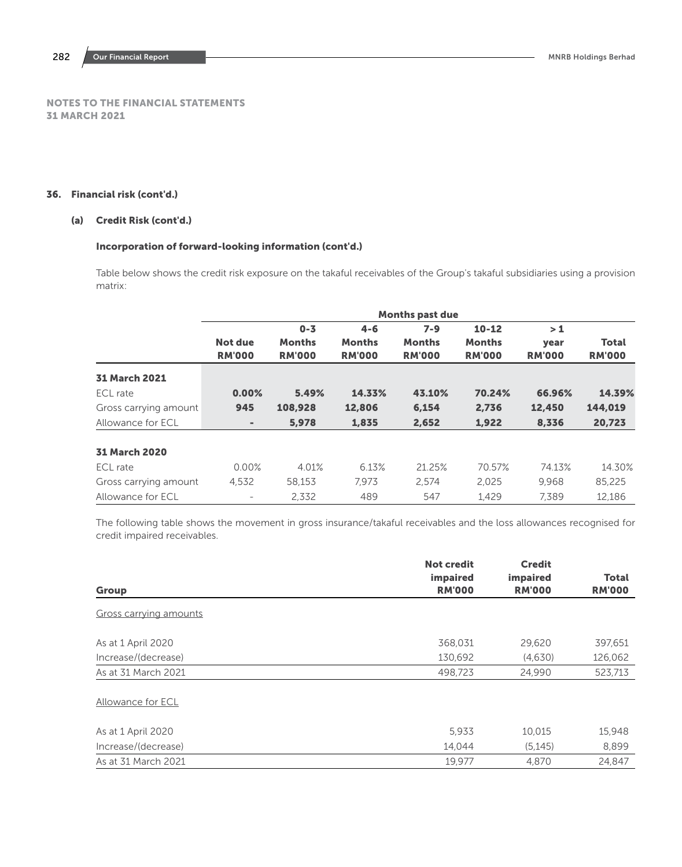## 36. Financial risk (cont'd.)

# (a) Credit Risk (cont'd.)

## Incorporation of forward-looking information (cont'd.)

Table below shows the credit risk exposure on the takaful receivables of the Group's takaful subsidiaries using a provision matrix:

|                       | <b>Months past due</b> |               |               |               |               |               |               |
|-----------------------|------------------------|---------------|---------------|---------------|---------------|---------------|---------------|
|                       |                        | $0 - 3$       | $4 - 6$       | $7 - 9$       | $10 - 12$     | >1            |               |
|                       | Not due                | <b>Months</b> | <b>Months</b> | <b>Months</b> | <b>Months</b> | year          | <b>Total</b>  |
|                       | <b>RM'000</b>          | <b>RM'000</b> | <b>RM'000</b> | <b>RM'000</b> | <b>RM'000</b> | <b>RM'000</b> | <b>RM'000</b> |
| <b>31 March 2021</b>  |                        |               |               |               |               |               |               |
| ECL rate              | 0.00%                  | 5.49%         | 14.33%        | 43.10%        | 70.24%        | 66.96%        | 14.39%        |
| Gross carrying amount | 945                    | 108,928       | 12,806        | 6,154         | 2.736         | 12,450        | 144,019       |
| Allowance for ECL     | $\blacksquare$         | 5,978         | 1,835         | 2,652         | 1,922         | 8,336         | 20,723        |
| <b>31 March 2020</b>  |                        |               |               |               |               |               |               |
| ECL rate              | 0.00%                  | 4.01%         | 6.13%         | 21.25%        | 70.57%        | 74.13%        | 14.30%        |
| Gross carrying amount | 4.532                  | 58.153        | 7.973         | 2.574         | 2.025         | 9.968         | 85,225        |
| Allowance for ECL     |                        | 2.332         | 489           | 547           | 1.429         | 7.389         | 12.186        |

The following table shows the movement in gross insurance/takaful receivables and the loss allowances recognised for credit impaired receivables.

|                        | <b>Not credit</b> | <b>Credit</b> |               |
|------------------------|-------------------|---------------|---------------|
|                        | impaired          | impaired      | <b>Total</b>  |
| Group                  | <b>RM'000</b>     | <b>RM'000</b> | <b>RM'000</b> |
| Gross carrying amounts |                   |               |               |
| As at 1 April 2020     | 368,031           | 29,620        | 397,651       |
| Increase/(decrease)    | 130,692           | (4,630)       | 126,062       |
| As at 31 March 2021    | 498,723           | 24,990        | 523,713       |
| Allowance for ECL      |                   |               |               |
| As at 1 April 2020     | 5,933             | 10,015        | 15,948        |
| Increase/(decrease)    | 14,044            | (5, 145)      | 8,899         |
| As at 31 March 2021    | 19,977            | 4,870         | 24,847        |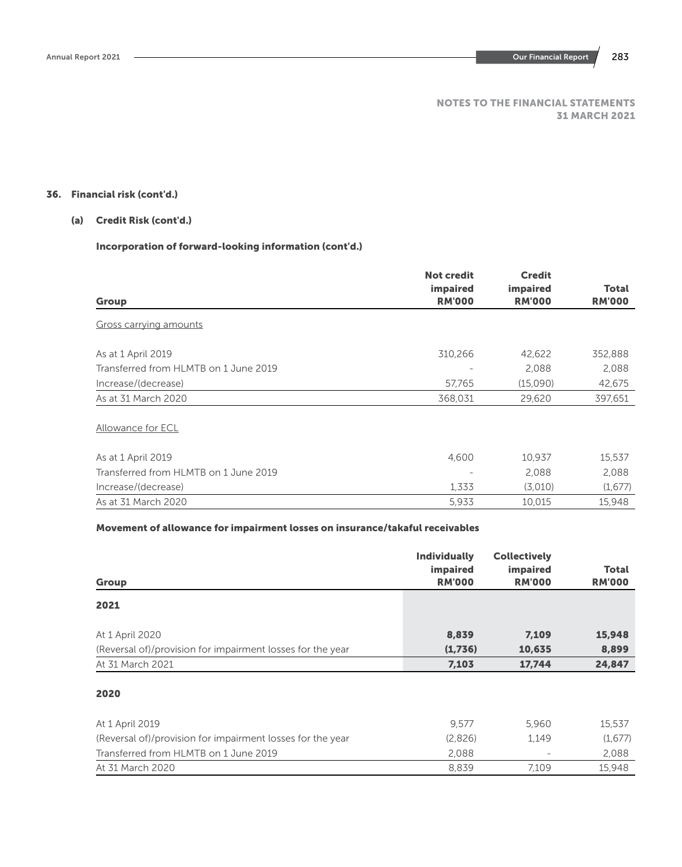## 36. Financial risk (cont'd.)

# (a) Credit Risk (cont'd.)

# Incorporation of forward-looking information (cont'd.)

|                                       | <b>Not credit</b>         | <b>Credit</b>             |                               |
|---------------------------------------|---------------------------|---------------------------|-------------------------------|
| Group                                 | impaired<br><b>RM'000</b> | impaired<br><b>RM'000</b> | <b>Total</b><br><b>RM'000</b> |
| <b>Gross carrying amounts</b>         |                           |                           |                               |
| As at 1 April 2019                    | 310,266                   | 42,622                    | 352,888                       |
| Transferred from HLMTB on 1 June 2019 |                           | 2,088                     | 2,088                         |
| Increase/(decrease)                   | 57,765                    | (15,090)                  | 42,675                        |
| As at 31 March 2020                   | 368,031                   | 29,620                    | 397,651                       |
| Allowance for ECL                     |                           |                           |                               |
| As at 1 April 2019                    | 4,600                     | 10,937                    | 15,537                        |
| Transferred from HLMTB on 1 June 2019 |                           | 2.088                     | 2,088                         |
| Increase/(decrease)                   | 1,333                     | (3,010)                   | (1,677)                       |
| As at 31 March 2020                   | 5,933                     | 10,015                    | 15,948                        |

## Movement of allowance for impairment losses on insurance/takaful receivables

| Group                                                      | <b>Individually</b><br>impaired<br><b>RM'000</b> | <b>Collectively</b><br>impaired<br><b>RM'000</b> | <b>Total</b><br><b>RM'000</b> |
|------------------------------------------------------------|--------------------------------------------------|--------------------------------------------------|-------------------------------|
| 2021                                                       |                                                  |                                                  |                               |
| At 1 April 2020                                            | 8,839                                            | 7,109                                            | 15,948                        |
| (Reversal of)/provision for impairment losses for the year | (1,736)                                          | 10,635                                           | 8,899                         |
| At 31 March 2021                                           | 7,103                                            | 17,744                                           | 24,847                        |
| 2020                                                       |                                                  |                                                  |                               |
| At 1 April 2019                                            | 9,577                                            | 5,960                                            | 15,537                        |
| (Reversal of)/provision for impairment losses for the year | (2,826)                                          | 1,149                                            | (1,677)                       |
| Transferred from HLMTB on 1 June 2019                      | 2,088                                            |                                                  | 2,088                         |
| At 31 March 2020                                           | 8.839                                            | 7.109                                            | 15.948                        |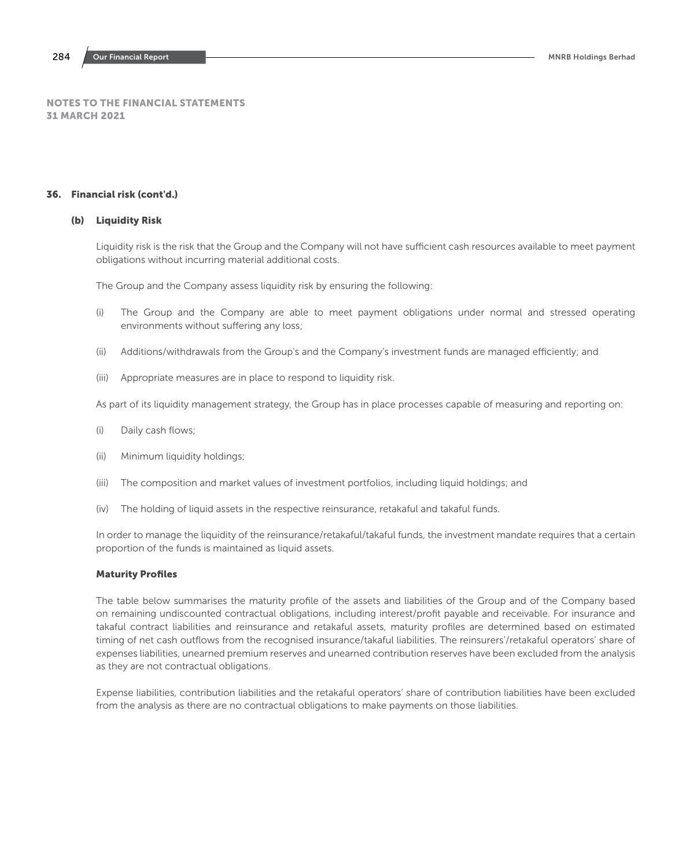#### 36. Financial risk (cont'd.)

#### (b) Liquidity Risk

Liquidity risk is the risk that the Group and the Company will not have sufficient cash resources available to meet payment obligations without incurring material additional costs.

The Group and the Company assess liquidity risk by ensuring the following:

- (i) The Group and the Company are able to meet payment obligations under normal and stressed operating environments without suffering any loss;
- (ii) Additions/withdrawals from the Group's and the Company's investment funds are managed efficiently; and
- (iii) Appropriate measures are in place to respond to liquidity risk.

As part of its liquidity management strategy, the Group has in place processes capable of measuring and reporting on:

- (i) Daily cash flows;
- (ii) Minimum liquidity holdings;
- (iii) The composition and market values of investment portfolios, including liquid holdings; and
- (iv) The holding of liquid assets in the respective reinsurance, retakaful and takaful funds.

In order to manage the liquidity of the reinsurance/retakaful/takaful funds, the investment mandate requires that a certain proportion of the funds is maintained as liquid assets.

#### Maturity Profiles

The table below summarises the maturity profile of the assets and liabilities of the Group and of the Company based on remaining undiscounted contractual obligations, including interest/profit payable and receivable. For insurance and takaful contract liabilities and reinsurance and retakaful assets, maturity profiles are determined based on estimated timing of net cash outflows from the recognised insurance/takaful liabilities. The reinsurers'/retakaful operators' share of expenses liabilities, unearned premium reserves and unearned contribution reserves have been excluded from the analysis as they are not contractual obligations.

Expense liabilities, contribution liabilities and the retakaful operators' share of contribution liabilities have been excluded from the analysis as there are no contractual obligations to make payments on those liabilities.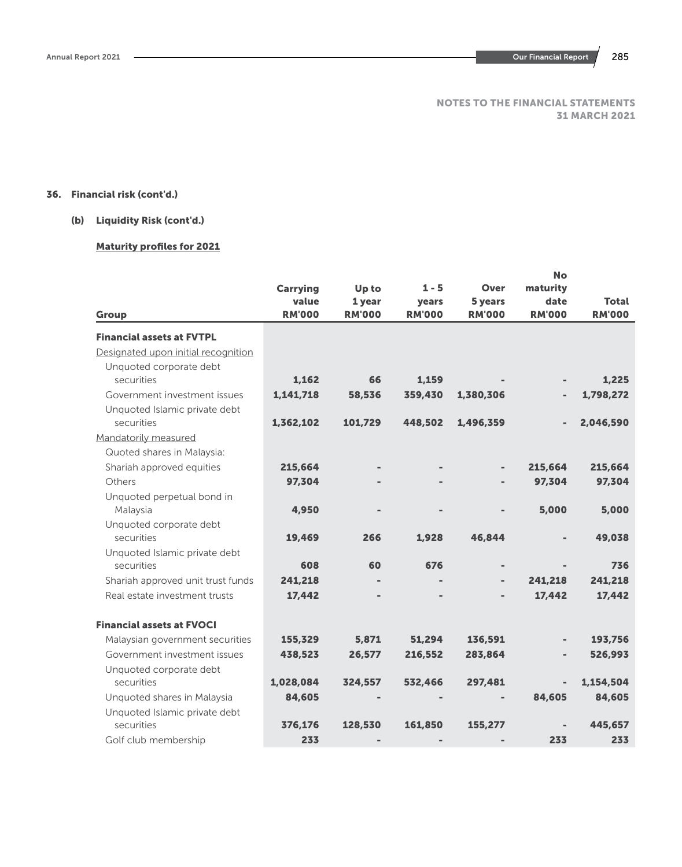## 36. Financial risk (cont'd.)

# (b) Liquidity Risk (cont'd.)

# Maturity profiles for 2021

|                                     |                        |                         |                        |                          | <b>No</b>             |                               |
|-------------------------------------|------------------------|-------------------------|------------------------|--------------------------|-----------------------|-------------------------------|
|                                     | <b>Carrying</b>        | Up to                   | $1 - 5$                | Over                     | maturity              |                               |
|                                     | value<br><b>RM'000</b> | 1 year<br><b>RM'000</b> | years<br><b>RM'000</b> | 5 years<br><b>RM'000</b> | date<br><b>RM'000</b> | <b>Total</b><br><b>RM'000</b> |
| Group                               |                        |                         |                        |                          |                       |                               |
| <b>Financial assets at FVTPL</b>    |                        |                         |                        |                          |                       |                               |
| Designated upon initial recognition |                        |                         |                        |                          |                       |                               |
| Unquoted corporate debt             |                        |                         |                        |                          |                       |                               |
| securities                          | 1.162                  | 66                      | 1,159                  |                          |                       | 1,225                         |
| Government investment issues        | 1,141,718              | 58,536                  | 359,430                | 1,380,306                |                       | 1,798,272                     |
| Unquoted Islamic private debt       |                        |                         |                        |                          |                       |                               |
| securities                          | 1,362,102              | 101,729                 | 448,502                | 1,496,359                |                       | 2,046,590                     |
| Mandatorily measured                |                        |                         |                        |                          |                       |                               |
| Quoted shares in Malaysia:          |                        |                         |                        |                          |                       |                               |
| Shariah approved equities           | 215,664                |                         |                        |                          | 215,664               | 215,664                       |
| Others                              | 97,304                 |                         |                        |                          | 97,304                | 97,304                        |
| Unquoted perpetual bond in          |                        |                         |                        |                          |                       |                               |
| Malaysia                            | 4,950                  |                         |                        |                          | 5,000                 | 5,000                         |
| Unquoted corporate debt             |                        |                         |                        |                          |                       |                               |
| securities                          | 19,469                 | 266                     | 1,928                  | 46,844                   |                       | 49,038                        |
| Unquoted Islamic private debt       |                        |                         |                        |                          |                       |                               |
| securities                          | 608                    | 60                      | 676                    |                          |                       | 736                           |
| Shariah approved unit trust funds   | 241,218                |                         |                        |                          | 241,218               | 241,218                       |
| Real estate investment trusts       | 17,442                 |                         |                        |                          | 17,442                | 17,442                        |
|                                     |                        |                         |                        |                          |                       |                               |
| <b>Financial assets at FVOCI</b>    |                        |                         |                        |                          |                       |                               |
| Malaysian government securities     | 155,329                | 5,871                   | 51,294                 | 136,591                  | $\blacksquare$        | 193,756                       |
| Government investment issues        | 438,523                | 26,577                  | 216,552                | 283,864                  | ÷.                    | 526,993                       |
| Unquoted corporate debt             |                        |                         |                        |                          |                       |                               |
| securities                          | 1,028,084              | 324,557                 | 532,466                | 297,481                  |                       | 1,154,504                     |
| Unquoted shares in Malaysia         | 84,605                 |                         |                        |                          | 84,605                | 84,605                        |
| Unquoted Islamic private debt       |                        |                         |                        |                          |                       |                               |
| securities                          | 376,176                | 128,530                 | 161,850                | 155,277                  |                       | 445,657                       |
| Golf club membership                | 233                    |                         |                        |                          | 233                   | 233                           |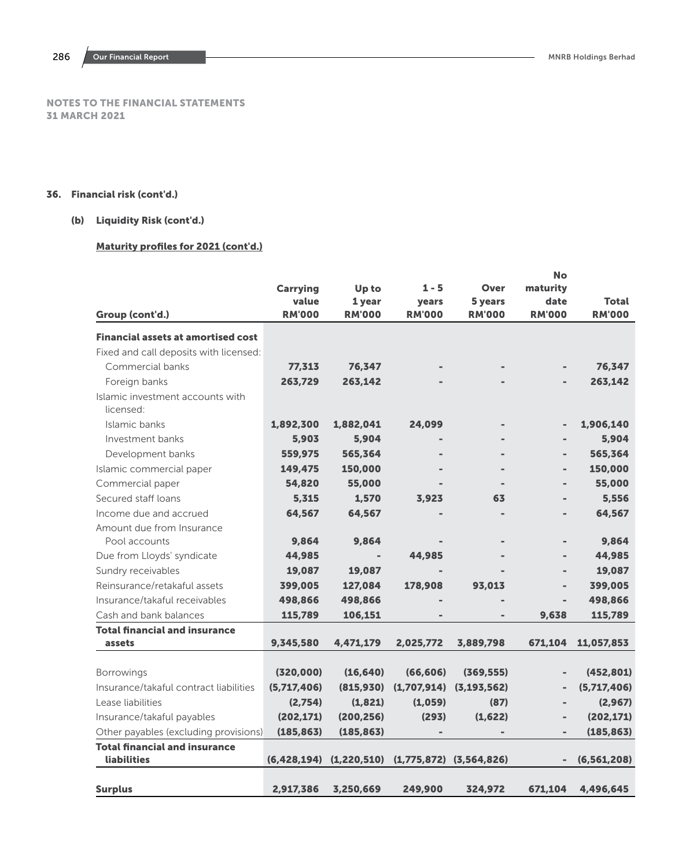## 36. Financial risk (cont'd.)

# (b) Liquidity Risk (cont'd.)

# Maturity profiles for 2021 (cont'd.)

|                                               |                 |                                           |                |                             | No             |               |
|-----------------------------------------------|-----------------|-------------------------------------------|----------------|-----------------------------|----------------|---------------|
|                                               | <b>Carrying</b> | Up to                                     | $1 - 5$        | Over                        | maturity       |               |
|                                               | value           | 1 year                                    | years          | 5 years                     | date           | <b>Total</b>  |
| Group (cont'd.)                               | <b>RM'000</b>   | <b>RM'000</b>                             | <b>RM'000</b>  | <b>RM'000</b>               | <b>RM'000</b>  | <b>RM'000</b> |
| <b>Financial assets at amortised cost</b>     |                 |                                           |                |                             |                |               |
| Fixed and call deposits with licensed:        |                 |                                           |                |                             |                |               |
| Commercial banks                              | 77,313          | 76,347                                    |                |                             |                | 76,347        |
| Foreign banks                                 | 263,729         | 263,142                                   |                |                             |                | 263,142       |
| Islamic investment accounts with<br>licensed: |                 |                                           |                |                             |                |               |
| Islamic banks                                 | 1,892,300       | 1,882,041                                 | 24,099         |                             |                | 1,906,140     |
| Investment banks                              | 5,903           | 5,904                                     |                |                             |                | 5,904         |
| Development banks                             | 559,975         | 565,364                                   |                |                             | ÷,             | 565,364       |
| Islamic commercial paper                      | 149,475         | 150,000                                   |                |                             | ä,             | 150,000       |
| Commercial paper                              | 54,820          | 55,000                                    |                |                             |                | 55,000        |
| Secured staff loans                           | 5,315           | 1,570                                     | 3,923          | 63                          |                | 5,556         |
| Income due and accrued                        | 64,567          | 64,567                                    |                | $\blacksquare$              |                | 64,567        |
| Amount due from Insurance                     |                 |                                           |                |                             |                |               |
| Pool accounts                                 | 9,864           | 9,864                                     |                |                             | ÷              | 9,864         |
| Due from Lloyds' syndicate                    | 44,985          | $\blacksquare$                            | 44,985         |                             | $\blacksquare$ | 44,985        |
| Sundry receivables                            | 19,087          | 19,087                                    |                |                             |                | 19,087        |
| Reinsurance/retakaful assets                  | 399,005         | 127,084                                   | 178,908        | 93,013                      | ÷              | 399,005       |
| Insurance/takaful receivables                 | 498,866         | 498,866                                   |                |                             |                | 498,866       |
| Cash and bank balances                        | 115,789         | 106,151                                   |                |                             | 9,638          | 115,789       |
| <b>Total financial and insurance</b>          |                 |                                           |                |                             |                |               |
| assets                                        | 9,345,580       | 4,471,179                                 | 2,025,772      | 3,889,798                   | 671,104        | 11,057,853    |
|                                               |                 |                                           |                |                             |                |               |
| Borrowings                                    | (320,000)       | (16, 640)                                 | (66, 606)      | (369, 555)                  |                | (452, 801)    |
| Insurance/takaful contract liabilities        | (5,717,406)     | (815,930)                                 |                | $(1,707,914)$ $(3,193,562)$ |                | (5,717,406)   |
| Lease liabilities                             | (2,754)         | (1,821)                                   | (1,059)        | (87)                        | $\blacksquare$ | (2,967)       |
| Insurance/takaful payables                    | (202, 171)      | (200, 256)                                | (293)          | (1,622)                     | $\overline{a}$ | (202, 171)    |
| Other payables (excluding provisions)         | (185, 863)      | (185, 863)                                | $\blacksquare$ |                             | $\blacksquare$ | (185, 863)    |
| <b>Total financial and insurance</b>          |                 |                                           |                |                             |                |               |
| <b>liabilities</b>                            | (6,428,194)     | $(1,220,510)$ $(1,775,872)$ $(3,564,826)$ |                |                             | $\blacksquare$ | (6, 561, 208) |
|                                               |                 |                                           |                |                             |                |               |
| <b>Surplus</b>                                | 2,917,386       | 3,250,669                                 | 249,900        | 324,972                     | 671,104        | 4,496,645     |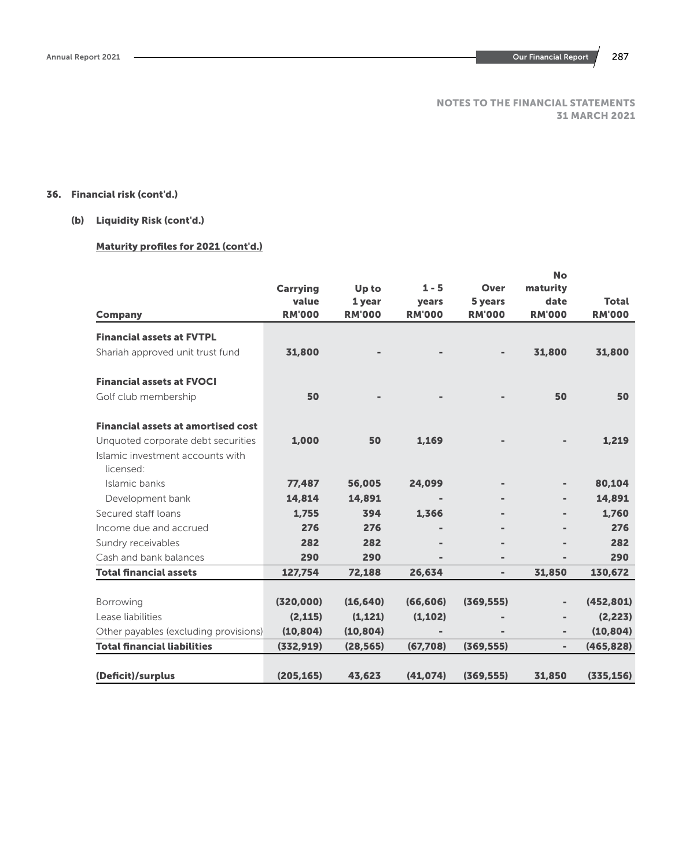## 36. Financial risk (cont'd.)

# (b) Liquidity Risk (cont'd.)

# Maturity profiles for 2021 (cont'd.)

|                                               | <b>Carrying</b> | Up to          | $1 - 5$       | Over           | <b>No</b><br>maturity    |               |
|-----------------------------------------------|-----------------|----------------|---------------|----------------|--------------------------|---------------|
|                                               | value           | 1 year         | years         | 5 years        | date                     | <b>Total</b>  |
| Company                                       | <b>RM'000</b>   | <b>RM'000</b>  | <b>RM'000</b> | <b>RM'000</b>  | <b>RM'000</b>            | <b>RM'000</b> |
| <b>Financial assets at FVTPL</b>              |                 |                |               |                |                          |               |
| Shariah approved unit trust fund              | 31,800          |                |               |                | 31,800                   | 31,800        |
| <b>Financial assets at FVOCI</b>              |                 |                |               |                |                          |               |
| Golf club membership                          | 50              | $\blacksquare$ |               |                | 50                       | 50            |
| <b>Financial assets at amortised cost</b>     |                 |                |               |                |                          |               |
| Unquoted corporate debt securities            | 1,000           | 50             | 1.169         |                |                          | 1,219         |
| Islamic investment accounts with<br>licensed: |                 |                |               |                |                          |               |
| Islamic banks                                 | 77.487          | 56,005         | 24,099        |                | $\qquad \qquad =$        | 80,104        |
| Development bank                              | 14,814          | 14,891         |               |                |                          | 14,891        |
| Secured staff loans                           | 1,755           | 394            | 1,366         |                |                          | 1,760         |
| Income due and accrued                        | 276             | 276            |               |                | $\blacksquare$           | 276           |
| Sundry receivables                            | 282             | 282            |               |                |                          | 282           |
| Cash and bank balances                        | 290             | 290            |               |                |                          | 290           |
| <b>Total financial assets</b>                 | 127,754         | 72,188         | 26,634        | $\blacksquare$ | 31,850                   | 130,672       |
|                                               |                 |                |               |                |                          |               |
| Borrowing                                     | (320,000)       | (16, 640)      | (66, 606)     | (369, 555)     | $\qquad \qquad =$        | (452,801)     |
| Lease liabilities                             | (2, 115)        | (1, 121)       | (1, 102)      |                | $\blacksquare$           | (2, 223)      |
| Other payables (excluding provisions)         | (10, 804)       | (10, 804)      |               |                | $\blacksquare$           | (10, 804)     |
| <b>Total financial liabilities</b>            | (332, 919)      | (28, 565)      | (67,708)      | (369, 555)     | $\overline{\phantom{0}}$ | (465, 828)    |
|                                               |                 |                |               |                |                          |               |
| (Deficit)/surplus                             | (205, 165)      | 43,623         | (41, 074)     | (369, 555)     | 31,850                   | (335, 156)    |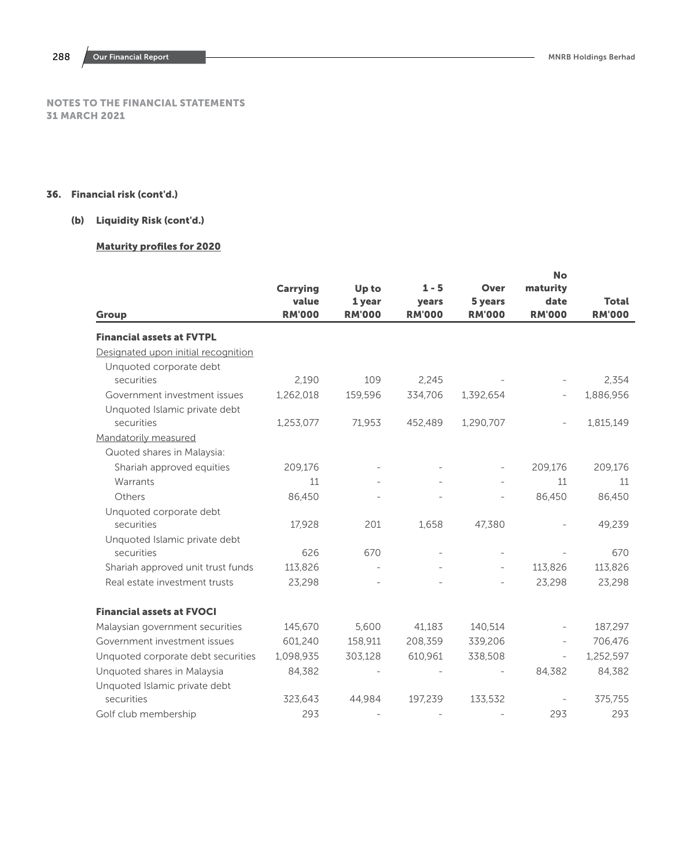## 36. Financial risk (cont'd.)

# (b) Liquidity Risk (cont'd.)

# Maturity profiles for 2020

| <b>Carrying</b><br>value<br><b>RM'000</b> | Up to<br>1 year<br><b>RM'000</b>                            | $1 - 5$<br>years<br><b>RM'000</b>     | Over<br>5 years<br><b>RM'000</b>        | <b>No</b><br>maturity<br>date<br><b>RM'000</b> | <b>Total</b><br><b>RM'000</b>                                         |
|-------------------------------------------|-------------------------------------------------------------|---------------------------------------|-----------------------------------------|------------------------------------------------|-----------------------------------------------------------------------|
|                                           |                                                             |                                       |                                         |                                                |                                                                       |
|                                           |                                                             |                                       |                                         |                                                |                                                                       |
|                                           |                                                             |                                       |                                         |                                                |                                                                       |
| 2,190                                     | 109                                                         | 2,245                                 |                                         |                                                | 2,354                                                                 |
| 1,262,018                                 | 159,596                                                     | 334,706                               | 1,392,654                               | $\overline{\phantom{a}}$                       | 1,886,956                                                             |
|                                           |                                                             |                                       |                                         |                                                |                                                                       |
| 1,253,077                                 | 71,953                                                      | 452,489                               | 1,290,707                               |                                                | 1,815,149                                                             |
|                                           |                                                             |                                       |                                         |                                                |                                                                       |
|                                           |                                                             |                                       |                                         |                                                |                                                                       |
| 209,176                                   |                                                             |                                       |                                         | 209,176                                        | 209,176                                                               |
| 11                                        |                                                             |                                       |                                         | 11                                             | 11                                                                    |
| 86,450                                    |                                                             |                                       |                                         | 86,450                                         | 86,450                                                                |
|                                           |                                                             |                                       |                                         |                                                |                                                                       |
| 17,928                                    | 201                                                         | 1,658                                 | 47,380                                  |                                                | 49,239                                                                |
|                                           |                                                             |                                       |                                         |                                                |                                                                       |
| 626                                       | 670                                                         |                                       |                                         |                                                | 670                                                                   |
| 113,826                                   |                                                             |                                       |                                         | 113,826                                        | 113,826                                                               |
| 23,298                                    |                                                             |                                       |                                         | 23,298                                         | 23,298                                                                |
|                                           |                                                             |                                       |                                         |                                                |                                                                       |
|                                           |                                                             |                                       |                                         |                                                | 187,297                                                               |
|                                           |                                                             |                                       |                                         |                                                | 706,476                                                               |
|                                           |                                                             |                                       |                                         |                                                | 1,252,597                                                             |
|                                           |                                                             |                                       |                                         |                                                |                                                                       |
|                                           |                                                             |                                       |                                         |                                                | 84,382                                                                |
|                                           |                                                             |                                       |                                         |                                                | 375,755                                                               |
|                                           |                                                             |                                       |                                         |                                                | 293                                                                   |
|                                           | 145,670<br>601,240<br>1,098,935<br>84,382<br>323,643<br>293 | 5,600<br>158,911<br>303,128<br>44,984 | 41,183<br>208,359<br>610,961<br>197,239 | 140,514<br>339,206<br>338,508<br>133,532       | $\overline{\phantom{a}}$<br>$\overline{\phantom{a}}$<br>84,382<br>293 |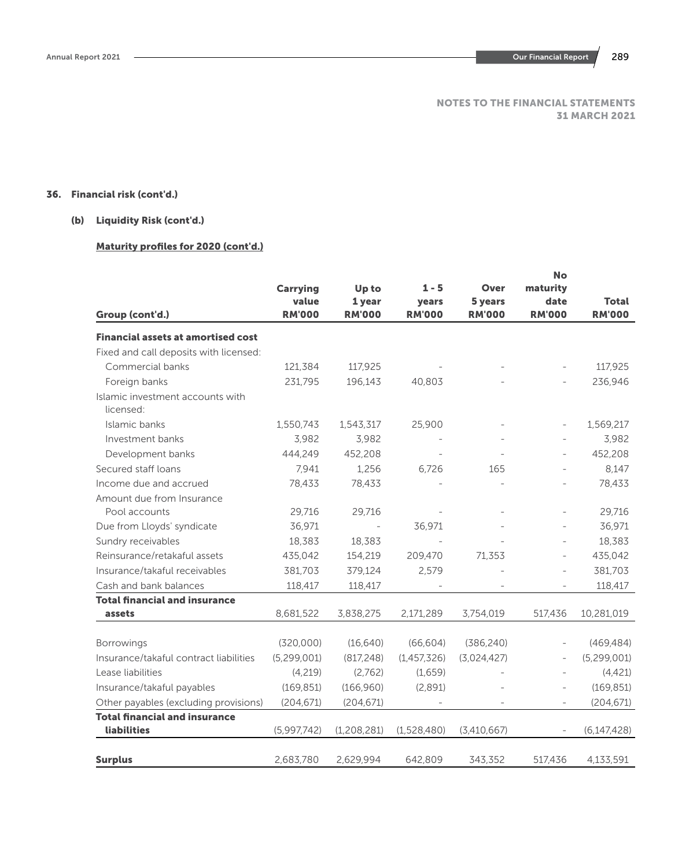## 36. Financial risk (cont'd.)

# (b) Liquidity Risk (cont'd.)

# Maturity profiles for 2020 (cont'd.)

|                                                                               |                         |                          |                        |               | No             |                        |
|-------------------------------------------------------------------------------|-------------------------|--------------------------|------------------------|---------------|----------------|------------------------|
|                                                                               | <b>Carrying</b>         | Up to                    | $1 - 5$                | Over          | maturity       |                        |
|                                                                               | value                   | 1 year                   | years                  | 5 years       | date           | <b>Total</b>           |
| Group (cont'd.)                                                               | <b>RM'000</b>           | <b>RM'000</b>            | <b>RM'000</b>          | <b>RM'000</b> | <b>RM'000</b>  | <b>RM'000</b>          |
| <b>Financial assets at amortised cost</b>                                     |                         |                          |                        |               |                |                        |
| Fixed and call deposits with licensed:                                        |                         |                          |                        |               |                |                        |
| Commercial banks                                                              | 121,384                 | 117,925                  |                        |               |                | 117,925                |
| Foreign banks                                                                 | 231,795                 | 196,143                  | 40,803                 |               |                | 236,946                |
| Islamic investment accounts with<br>licensed:                                 |                         |                          |                        |               |                |                        |
| Islamic banks                                                                 | 1,550,743               | 1,543,317                | 25,900                 |               |                | 1,569,217              |
| Investment banks                                                              | 3,982                   | 3,982                    |                        |               |                | 3,982                  |
| Development banks                                                             | 444,249                 | 452,208                  |                        |               |                | 452,208                |
| Secured staff loans                                                           | 7,941                   | 1,256                    | 6,726                  | 165           |                | 8,147                  |
| Income due and accrued                                                        | 78,433                  | 78,433                   |                        |               |                | 78,433                 |
| Amount due from Insurance                                                     |                         |                          |                        |               |                |                        |
| Pool accounts                                                                 | 29,716                  | 29,716                   |                        |               |                | 29,716                 |
| Due from Lloyds' syndicate                                                    | 36,971                  | $\overline{\phantom{a}}$ | 36,971                 |               |                | 36,971                 |
| Sundry receivables                                                            | 18,383                  | 18,383                   |                        |               |                | 18,383                 |
| Reinsurance/retakaful assets                                                  | 435,042                 | 154,219                  | 209,470                | 71.353        |                | 435,042                |
| Insurance/takaful receivables                                                 | 381,703                 | 379,124                  | 2,579                  |               |                | 381,703                |
| Cash and bank balances                                                        | 118,417                 | 118,417                  |                        |               |                | 118,417                |
| <b>Total financial and insurance</b>                                          |                         |                          |                        |               |                |                        |
| assets                                                                        | 8,681,522               | 3,838,275                | 2,171,289              | 3,754,019     | 517,436        | 10,281,019             |
|                                                                               |                         |                          |                        |               |                |                        |
| Borrowings<br>Insurance/takaful contract liabilities                          | (320,000)               | (16, 640)                | (66, 604)              | (386, 240)    | $\overline{a}$ | (469, 484)             |
| Lease liabilities                                                             | (5,299,001)<br>(4, 219) | (817, 248)<br>(2,762)    | (1,457,326)<br>(1,659) | (3,024,427)   |                | (5,299,001)<br>(4,421) |
| Insurance/takaful payables                                                    | (169, 851)              | (166, 960)               | (2,891)                |               |                | (169, 851)             |
|                                                                               |                         |                          |                        |               |                |                        |
| Other payables (excluding provisions)<br><b>Total financial and insurance</b> | (204, 671)              | (204, 671)               |                        |               |                | (204, 671)             |
| liabilities                                                                   | (5,997,742)             | (1,208,281)              | (1,528,480)            | (3,410,667)   |                | (6, 147, 428)          |
|                                                                               |                         |                          |                        |               |                |                        |
| <b>Surplus</b>                                                                | 2,683,780               | 2,629,994                | 642,809                | 343,352       | 517,436        | 4,133,591              |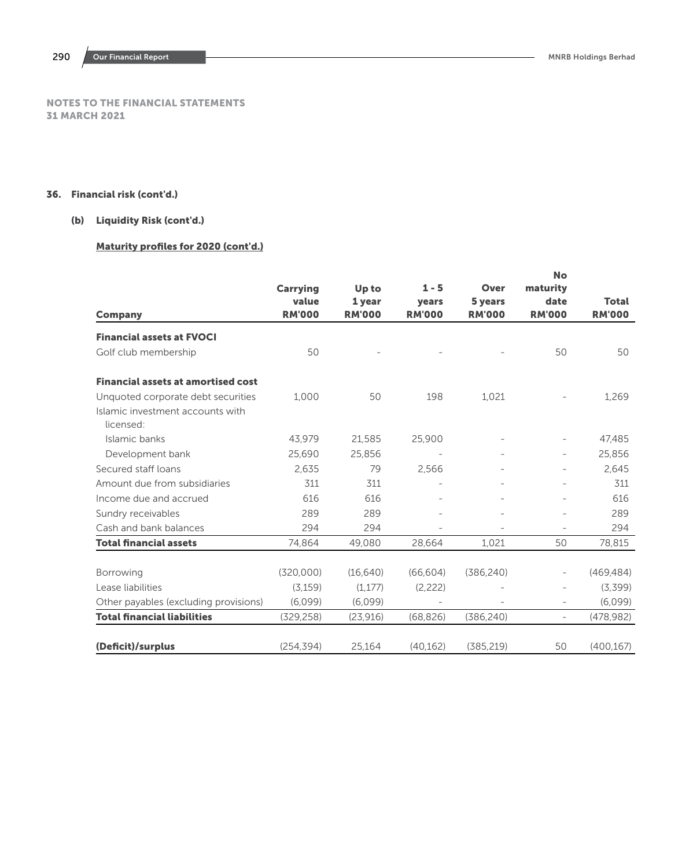## 36. Financial risk (cont'd.)

# (b) Liquidity Risk (cont'd.)

# Maturity profiles for 2020 (cont'd.)

|                                               |                        |                         |                          |                          | <b>No</b>                |                               |
|-----------------------------------------------|------------------------|-------------------------|--------------------------|--------------------------|--------------------------|-------------------------------|
|                                               | <b>Carrying</b>        | Up to                   | $1 - 5$                  | Over                     | maturity                 |                               |
| Company                                       | value<br><b>RM'000</b> | 1 year<br><b>RM'000</b> | years<br><b>RM'000</b>   | 5 years<br><b>RM'000</b> | date<br><b>RM'000</b>    | <b>Total</b><br><b>RM'000</b> |
| <b>Financial assets at FVOCI</b>              |                        |                         |                          |                          |                          |                               |
| Golf club membership                          | 50                     |                         |                          |                          | 50                       | 50                            |
| <b>Financial assets at amortised cost</b>     |                        |                         |                          |                          |                          |                               |
| Unquoted corporate debt securities            | 1,000                  | 50                      | 198                      | 1,021                    |                          | 1,269                         |
| Islamic investment accounts with<br>licensed: |                        |                         |                          |                          |                          |                               |
| Islamic banks                                 | 43.979                 | 21.585                  | 25,900                   |                          | $\overline{\phantom{a}}$ | 47,485                        |
| Development bank                              | 25,690                 | 25,856                  | $\overline{\phantom{a}}$ |                          | $\overline{\phantom{a}}$ | 25,856                        |
| Secured staff loans                           | 2.635                  | 79                      | 2,566                    |                          |                          | 2.645                         |
| Amount due from subsidiaries                  | 311                    | 311                     |                          |                          |                          | 311                           |
| Income due and accrued                        | 616                    | 616                     |                          |                          |                          | 616                           |
| Sundry receivables                            | 289                    | 289                     |                          |                          |                          | 289                           |
| Cash and bank balances                        | 294                    | 294                     |                          | $\overline{\phantom{a}}$ | $\overline{\phantom{m}}$ | 294                           |
| <b>Total financial assets</b>                 | 74,864                 | 49,080                  | 28,664                   | 1,021                    | 50                       | 78,815                        |
|                                               |                        |                         |                          |                          |                          |                               |
| Borrowing                                     | (320,000)              | (16, 640)               | (66, 604)                | (386, 240)               |                          | (469, 484)                    |
| Lease liabilities                             | (3, 159)               | (1, 177)                | (2,222)                  |                          |                          | (3,399)                       |
| Other payables (excluding provisions)         | (6.099)                | (6.099)                 |                          |                          |                          | (6,099)                       |
| <b>Total financial liabilities</b>            | (329, 258)             | (23, 916)               | (68, 826)                | (386, 240)               | $\overline{\phantom{a}}$ | (478, 982)                    |
| (Deficit)/surplus                             | (254.394)              | 25,164                  | (40.162)                 | (385, 219)               | 50                       | (400, 167)                    |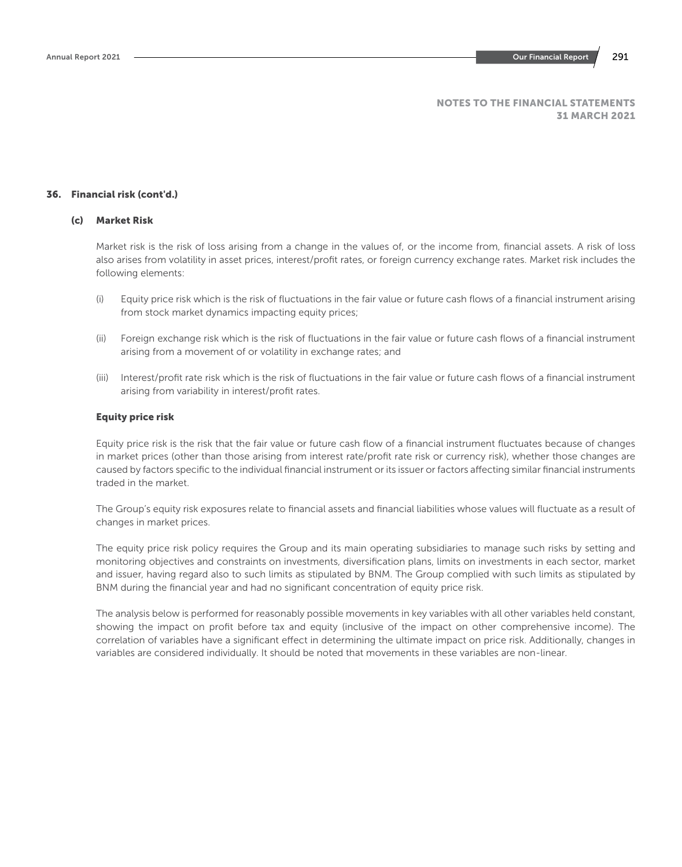#### 36. Financial risk (cont'd.)

## (c) Market Risk

Market risk is the risk of loss arising from a change in the values of, or the income from, financial assets. A risk of loss also arises from volatility in asset prices, interest/profit rates, or foreign currency exchange rates. Market risk includes the following elements:

- (i) Equity price risk which is the risk of fluctuations in the fair value or future cash flows of a financial instrument arising from stock market dynamics impacting equity prices;
- (ii) Foreign exchange risk which is the risk of fluctuations in the fair value or future cash flows of a financial instrument arising from a movement of or volatility in exchange rates; and
- (iii) Interest/profit rate risk which is the risk of fluctuations in the fair value or future cash flows of a financial instrument arising from variability in interest/profit rates.

#### Equity price risk

Equity price risk is the risk that the fair value or future cash flow of a financial instrument fluctuates because of changes in market prices (other than those arising from interest rate/profit rate risk or currency risk), whether those changes are caused by factors specific to the individual financial instrument or its issuer or factors affecting similar financial instruments traded in the market.

The Group's equity risk exposures relate to financial assets and financial liabilities whose values will fluctuate as a result of changes in market prices.

The equity price risk policy requires the Group and its main operating subsidiaries to manage such risks by setting and monitoring objectives and constraints on investments, diversification plans, limits on investments in each sector, market and issuer, having regard also to such limits as stipulated by BNM. The Group complied with such limits as stipulated by BNM during the financial year and had no significant concentration of equity price risk.

The analysis below is performed for reasonably possible movements in key variables with all other variables held constant, showing the impact on profit before tax and equity (inclusive of the impact on other comprehensive income). The correlation of variables have a significant effect in determining the ultimate impact on price risk. Additionally, changes in variables are considered individually. It should be noted that movements in these variables are non-linear.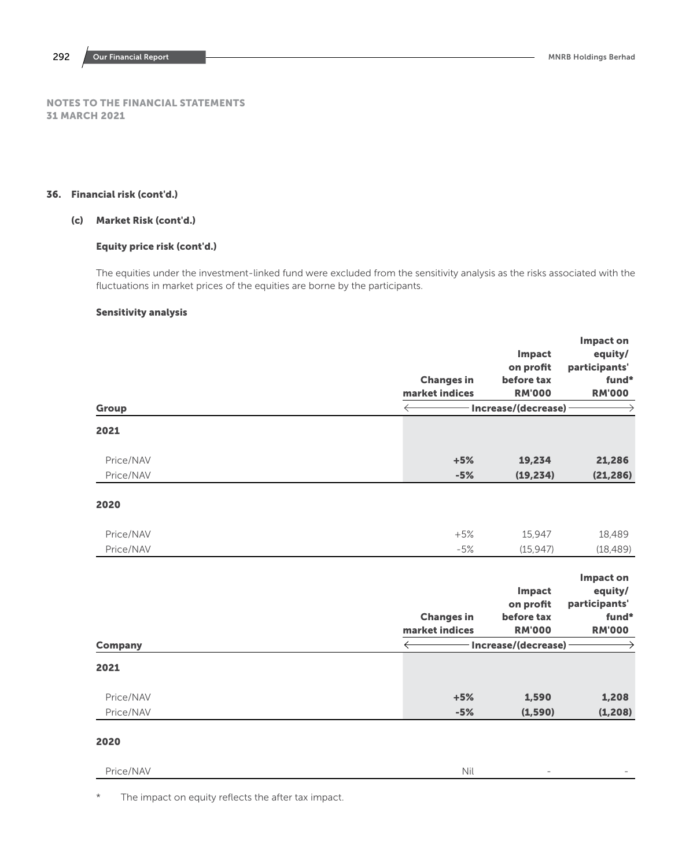### 36. Financial risk (cont'd.)

# (c) Market Risk (cont'd.)

## Equity price risk (cont'd.)

The equities under the investment-linked fund were excluded from the sensitivity analysis as the risks associated with the fluctuations in market prices of the equities are borne by the participants.

## Sensitivity analysis

|                |                   |                       | <b>Impact on</b> |
|----------------|-------------------|-----------------------|------------------|
|                |                   | Impact                | equity/          |
|                |                   | on profit             | participants'    |
|                | <b>Changes in</b> | before tax            | fund*            |
|                | market indices    | <b>RM'000</b>         | <b>RM'000</b>    |
| Group          | $\leftarrow$      | Increase/(decrease) - | →                |
| 2021           |                   |                       |                  |
| Price/NAV      | $+5%$             | 19,234                | 21,286           |
| Price/NAV      | $-5%$             | (19, 234)             | (21, 286)        |
| 2020           |                   |                       |                  |
| Price/NAV      | $+5%$             | 15,947                | 18,489           |
| Price/NAV      | $-5%$             | (15, 947)             | (18, 489)        |
|                |                   |                       | <b>Impact on</b> |
|                |                   | Impact                | equity/          |
|                |                   | on profit             | participants'    |
|                | <b>Changes in</b> | before tax            | fund*            |
|                | market indices    | <b>RM'000</b>         | <b>RM'000</b>    |
| <b>Company</b> | $\Leftarrow$      | Increase/(decrease)   |                  |
| 2021           |                   |                       |                  |
| Price/NAV      | $+5%$             | 1,590                 | 1,208            |
| Price/NAV      | $-5%$             | (1,590)               | (1, 208)         |
| 2020           |                   |                       |                  |

Price/NAV Nil - -

\* The impact on equity reflects the after tax impact.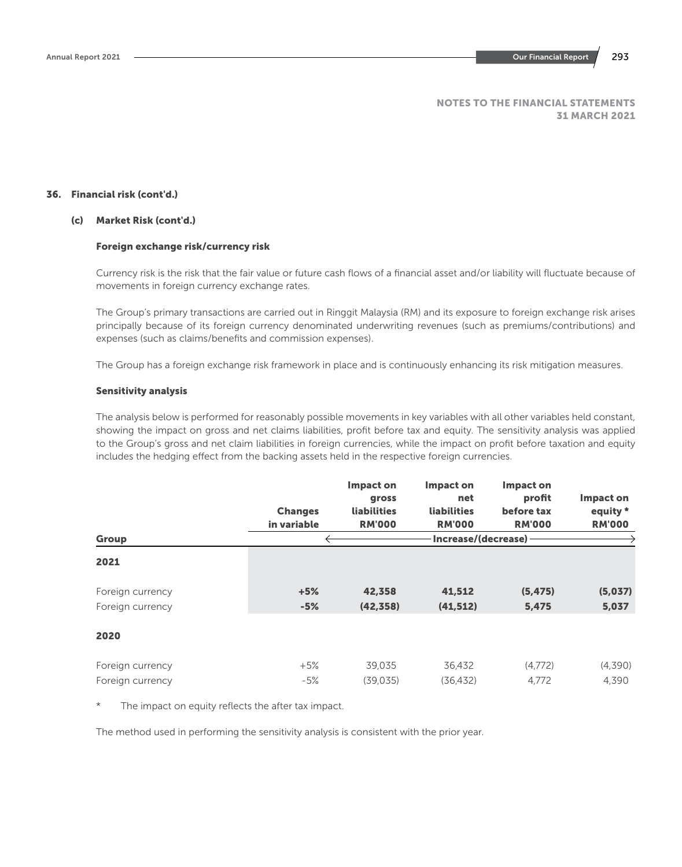#### 36. Financial risk (cont'd.)

## (c) Market Risk (cont'd.)

#### Foreign exchange risk/currency risk

Currency risk is the risk that the fair value or future cash flows of a financial asset and/or liability will fluctuate because of movements in foreign currency exchange rates.

The Group's primary transactions are carried out in Ringgit Malaysia (RM) and its exposure to foreign exchange risk arises principally because of its foreign currency denominated underwriting revenues (such as premiums/contributions) and expenses (such as claims/benefits and commission expenses).

The Group has a foreign exchange risk framework in place and is continuously enhancing its risk mitigation measures.

#### Sensitivity analysis

The analysis below is performed for reasonably possible movements in key variables with all other variables held constant, showing the impact on gross and net claims liabilities, profit before tax and equity. The sensitivity analysis was applied to the Group's gross and net claim liabilities in foreign currencies, while the impact on profit before taxation and equity includes the hedging effect from the backing assets held in the respective foreign currencies.

|                  |                | Impact on          | Impact on           | Impact on     |               |  |
|------------------|----------------|--------------------|---------------------|---------------|---------------|--|
|                  |                | gross              | net                 | profit        | Impact on     |  |
|                  | <b>Changes</b> | <b>liabilities</b> | <b>liabilities</b>  | before tax    | equity *      |  |
|                  | in variable    | <b>RM'000</b>      | <b>RM'000</b>       | <b>RM'000</b> | <b>RM'000</b> |  |
| Group            |                |                    | Increase/(decrease) |               |               |  |
| 2021             |                |                    |                     |               |               |  |
| Foreign currency | $+5%$          | 42,358             | 41,512              | (5, 475)      | (5,037)       |  |
| Foreign currency | $-5%$          | (42, 358)          | (41, 512)           | 5,475         | 5,037         |  |
| 2020             |                |                    |                     |               |               |  |
| Foreign currency | $+5%$          | 39,035             | 36,432              | (4,772)       | (4,390)       |  |
| Foreign currency | $-5%$          | (39.035)           | (36, 432)           | 4,772         | 4,390         |  |

The impact on equity reflects the after tax impact.

The method used in performing the sensitivity analysis is consistent with the prior year.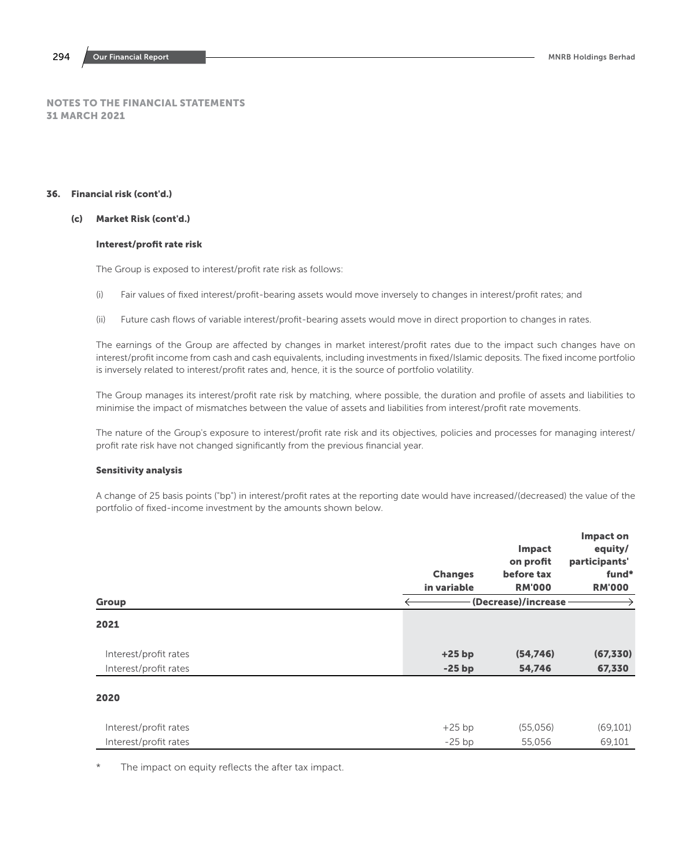#### 36. Financial risk (cont'd.)

(c) Market Risk (cont'd.)

#### Interest/profit rate risk

The Group is exposed to interest/profit rate risk as follows:

- (i) Fair values of fixed interest/profit-bearing assets would move inversely to changes in interest/profit rates; and
- (ii) Future cash flows of variable interest/profit-bearing assets would move in direct proportion to changes in rates.

The earnings of the Group are affected by changes in market interest/profit rates due to the impact such changes have on interest/profit income from cash and cash equivalents, including investments in fixed/Islamic deposits. The fixed income portfolio is inversely related to interest/profit rates and, hence, it is the source of portfolio volatility.

The Group manages its interest/profit rate risk by matching, where possible, the duration and profile of assets and liabilities to minimise the impact of mismatches between the value of assets and liabilities from interest/profit rate movements.

The nature of the Group's exposure to interest/profit rate risk and its objectives, policies and processes for managing interest/ profit rate risk have not changed significantly from the previous financial year.

#### Sensitivity analysis

A change of 25 basis points ("bp") in interest/profit rates at the reporting date would have increased/(decreased) the value of the portfolio of fixed-income investment by the amounts shown below.

|                       |                |                     | Impact on     |
|-----------------------|----------------|---------------------|---------------|
|                       |                | Impact              | equity/       |
|                       |                | on profit           | participants' |
|                       | <b>Changes</b> | before tax          | fund*         |
|                       | in variable    | <b>RM'000</b>       | <b>RM'000</b> |
| Group                 |                | (Decrease)/increase |               |
| 2021                  |                |                     |               |
| Interest/profit rates | $+25$ bp       | (54, 746)           | (67, 330)     |
| Interest/profit rates | $-25$ bp       | 54,746              | 67,330        |
| 2020                  |                |                     |               |
| Interest/profit rates | $+25$ bp       | (55,056)            | (69, 101)     |
| Interest/profit rates | $-25$ bp       | 55,056              | 69,101        |

The impact on equity reflects the after tax impact.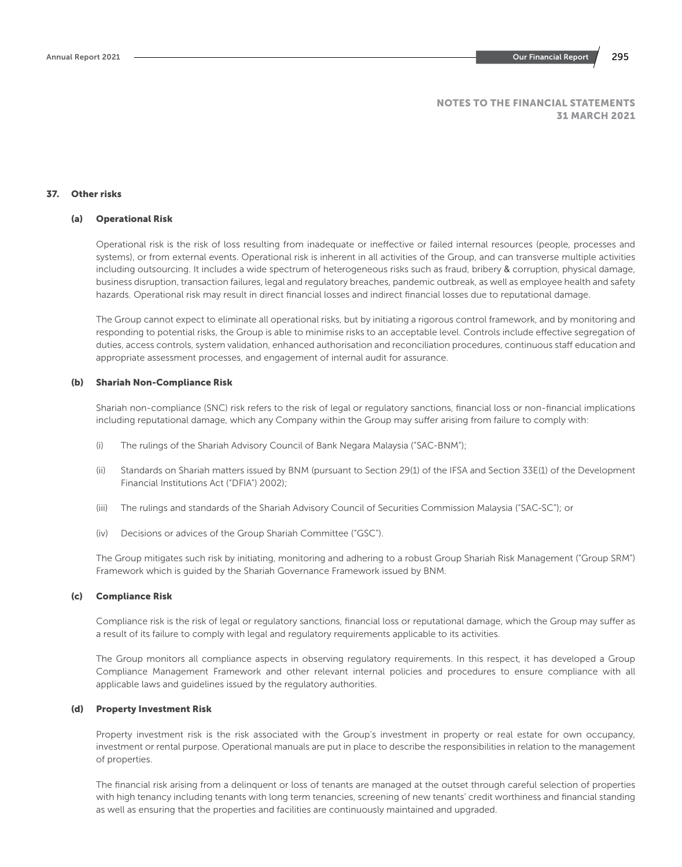#### 37. Other risks

#### (a) Operational Risk

Operational risk is the risk of loss resulting from inadequate or ineffective or failed internal resources (people, processes and systems), or from external events. Operational risk is inherent in all activities of the Group, and can transverse multiple activities including outsourcing. It includes a wide spectrum of heterogeneous risks such as fraud, bribery & corruption, physical damage, business disruption, transaction failures, legal and regulatory breaches, pandemic outbreak, as well as employee health and safety hazards. Operational risk may result in direct financial losses and indirect financial losses due to reputational damage.

The Group cannot expect to eliminate all operational risks, but by initiating a rigorous control framework, and by monitoring and responding to potential risks, the Group is able to minimise risks to an acceptable level. Controls include effective segregation of duties, access controls, system validation, enhanced authorisation and reconciliation procedures, continuous staff education and appropriate assessment processes, and engagement of internal audit for assurance.

#### (b) Shariah Non-Compliance Risk

Shariah non-compliance (SNC) risk refers to the risk of legal or regulatory sanctions, financial loss or non-financial implications including reputational damage, which any Company within the Group may suffer arising from failure to comply with:

- (i) The rulings of the Shariah Advisory Council of Bank Negara Malaysia ("SAC-BNM");
- (ii) Standards on Shariah matters issued by BNM (pursuant to Section 29(1) of the IFSA and Section 33E(1) of the Development Financial Institutions Act ("DFIA") 2002);
- (iii) The rulings and standards of the Shariah Advisory Council of Securities Commission Malaysia ("SAC-SC"); or
- (iv) Decisions or advices of the Group Shariah Committee ("GSC").

The Group mitigates such risk by initiating, monitoring and adhering to a robust Group Shariah Risk Management ("Group SRM") Framework which is guided by the Shariah Governance Framework issued by BNM.

#### (c) Compliance Risk

Compliance risk is the risk of legal or regulatory sanctions, financial loss or reputational damage, which the Group may suffer as a result of its failure to comply with legal and regulatory requirements applicable to its activities.

The Group monitors all compliance aspects in observing regulatory requirements. In this respect, it has developed a Group Compliance Management Framework and other relevant internal policies and procedures to ensure compliance with all applicable laws and guidelines issued by the regulatory authorities.

#### (d) Property Investment Risk

Property investment risk is the risk associated with the Group's investment in property or real estate for own occupancy, investment or rental purpose. Operational manuals are put in place to describe the responsibilities in relation to the management of properties.

The financial risk arising from a delinquent or loss of tenants are managed at the outset through careful selection of properties with high tenancy including tenants with long term tenancies, screening of new tenants' credit worthiness and financial standing as well as ensuring that the properties and facilities are continuously maintained and upgraded.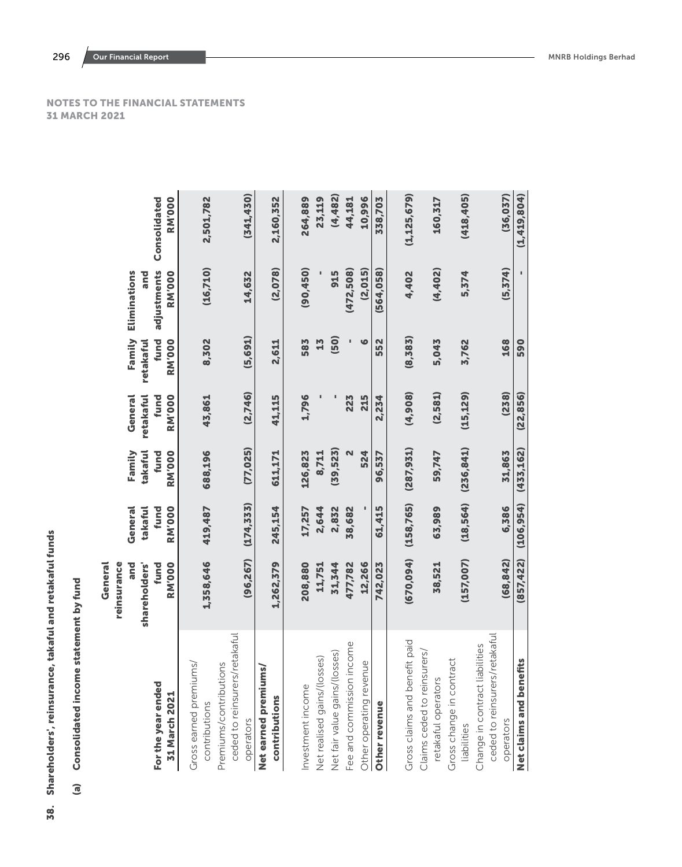(a) Consolidated income statement by fund

General

General

|                                | reinsurance   |               |               |               |                |               |               |
|--------------------------------|---------------|---------------|---------------|---------------|----------------|---------------|---------------|
|                                | and           | General       | Family        | General       | Family         | Eliminations  |               |
|                                | shareholders' | takaful       | takaful       | retakaful     | retakaful      | and           |               |
| For the year ended             | fund          | fund          | fund          | fund          | fund           | adjustments   | Consolidated  |
| 31 March 2021                  | <b>RM'000</b> | <b>RM'000</b> | <b>RM'000</b> | <b>RM'000</b> | <b>RM'000</b>  | <b>RM'000</b> | <b>RM'000</b> |
| Gross earned premiums/         |               |               |               |               |                |               |               |
| contributions                  | 1,358,646     | 419,487       | 688,196       | 43,861        | 8,302          | (16, 710)     | 2,501,782     |
| Premiums/contributions         |               |               |               |               |                |               |               |
| ceded to reinsurers/retakaful  |               |               |               |               |                |               |               |
| operators                      | (96, 267)     | (174, 333)    | (77, 025)     | (2,746)       | (5,691)        | 14,632        | (341, 430)    |
| \zu<br>Net earned premium      |               |               |               |               |                |               |               |
| contributions                  | 1,262,379     | 245,154       | 611,171       | 41,115        | 2,611          | (2,078)       | 2,160,352     |
|                                |               |               |               |               |                |               |               |
| Investment income              | 208,880       | 17,257        | 126,823       | 1,796         | 583            | (90, 450)     | 264,889       |
| Net realised gains/(losses)    | 11,751        | 2,644         | 8,711         |               | $\frac{15}{2}$ |               | 23,119        |
| Net fair value gains/(losses)  | 31,344        | 2,832         | (39, 523)     |               | $(50)$         | 915           | (4, 482)      |
| Fee and commission income      | 477,782       | 38,682        |               | 223           |                | (472,508)     | 44,181        |
| Other operating revenue        | 12,266        |               | 524           | 215           | O              | (2, 015)      | 10,996        |
| Other revenue                  | 742,023       | 61,415        | 96,537        | 2,234         | 552            | (564,058)     | 338,703       |
|                                |               |               |               |               |                |               |               |
| Gross claims and benefit paid  | (670, 094)    | (158, 765)    | (287, 931)    | (4,908)       | (8, 383)       | 4,402         | (1, 125, 679) |
| Claims ceded to reinsurers/    |               |               |               |               |                |               |               |
| retakaful operators            | 38,521        | 63,989        | 59,747        | (2,581)       | 5,043          | (4,402)       | 160,317       |
| Gross change in contract       |               |               |               |               |                |               |               |
| liabilities                    | (157,007)     | (18, 564)     | (236, 841)    | (15, 129)     | 3,762          | 5,374         | (418, 405)    |
| Change in contract liabilities |               |               |               |               |                |               |               |
| ceded to reinsurers/retakaful  |               |               |               |               |                |               |               |
| operators                      | (68, 842)     | 6,386         | 31,863        | (238)         | 168            | (5, 374)      | (36, 037)     |
| Net claims and benefits        | (857, 422)    | (106, 954)    | (433, 162)    | (22, 856)     | 590            |               | (1,419,804)   |

NOTES TO THE FINANCIAL STATEMENTS 31 MARCH 2021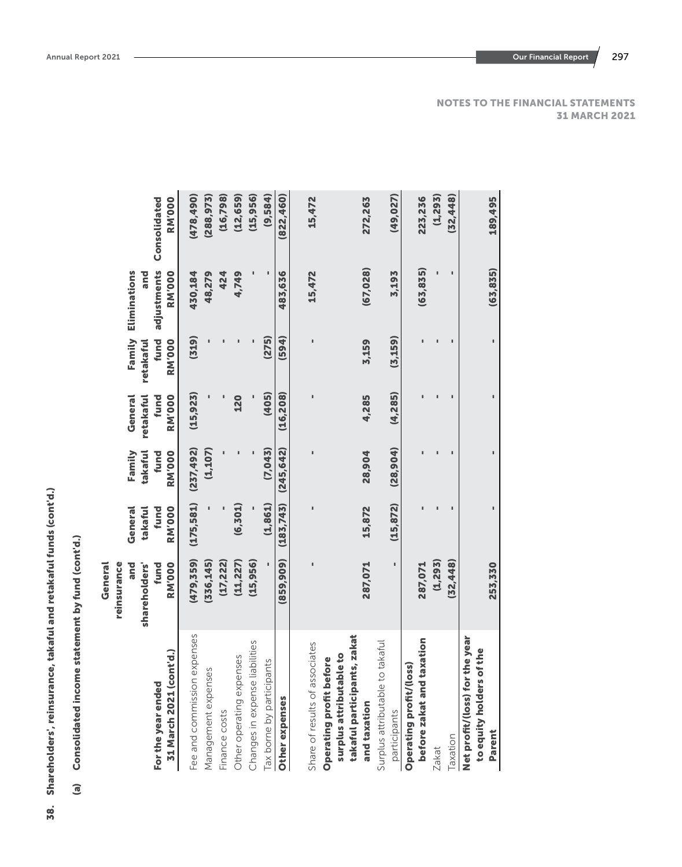38. Shareholders', reinsurance, takaful and retakaful funds (cont'd.) 38. Shareholders', reinsurance, takaful and retakaful funds (cont'd.)

(a) Consolidated income statement by fund (cont'd.) (a) Consolidated income statement by fund (cont'd.)

General

General

|                                                    | reinsurance   |               |               |               |               |               |               |
|----------------------------------------------------|---------------|---------------|---------------|---------------|---------------|---------------|---------------|
|                                                    | and           | General       | Family        | General       | Family        | Eliminations  |               |
|                                                    | shareholders' | takaful       | takaful       | retakaful     | retakaful     | and           |               |
| For the year ended                                 | fund          | fund          | fund          | fund          | fund          | adjustments   | Consolidated  |
| ont'd.)<br>31 March 2021 (c                        | <b>RM'000</b> | <b>RM'000</b> | <b>RM'000</b> | <b>RM'000</b> | <b>RM'000</b> | <b>RM'000</b> | <b>RM'000</b> |
| expenses<br>Fee and commission                     | (479, 359)    | (175, 581)    | (237, 492)    | (15, 923)     | (319)         | 430,184       | (478, 490)    |
| Sə.<br>Management expens                           | (336, 145)    |               | (1, 107)      |               |               | 48,279        | (288, 973)    |
| Finance costs                                      | (17, 222)     |               |               |               |               | 424           | (16, 798)     |
| Other operating expenses                           | (11, 227)     | (6, 301)      |               | 120           |               | 4,749         | (12, 659)     |
| Changes in expense liabilities                     | (15, 956)     |               |               |               |               |               | (15, 956)     |
| Tax borne by participants                          |               | (1, 861)      | (7, 043)      | (405)         | (275)         |               | (9,584)       |
| Other expenses                                     | (859,909)     | (183, 743)    | (245, 642)    | (16, 208)     | (594)         | 483,636       | (822, 460)    |
| Share of results of associates                     |               | п             |               |               |               | 15,472        | 15,472        |
| surplus attributable to<br>Operating profit before |               |               |               |               |               |               |               |
| nts, zakat<br>takaful participa<br>and taxation    | 287,071       | 15,872        | 28,904        | 4,285         | 3,159         | (67, 028)     | 272,263       |
| Surplus attributable to takaful<br>participants    | п             | (15, 872)     | (28, 904)     | (4, 285)      | (3, 159)      | 3,193         | (49, 027)     |
| Operating profit/(loss)                            |               |               |               |               |               |               |               |
| taxation<br>before zakat and                       | 287,071       |               |               |               |               | (63, 835)     | 223,236       |
| Zakat                                              | (1, 293)      |               |               |               |               |               | (1, 293)      |
| Taxation                                           | (32, 448)     |               |               | ī             |               |               | (32, 448)     |
| the year<br>Net profit/(loss) for                  |               |               |               |               |               |               |               |
| of the<br>to equity holders                        |               |               |               |               |               |               |               |
| Parent                                             | 253,330       |               |               | I             |               | (63, 835)     | 189,495       |

NOTES TO THE FINANCIAL STATEMENTS

31 MARCH 2021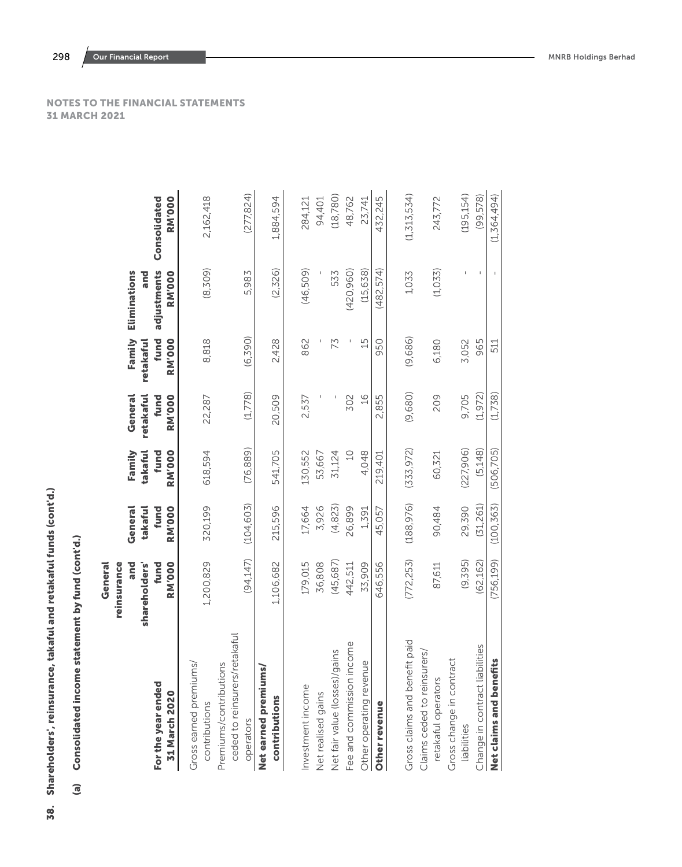(a) Consolidated income statement by fund (cont'd.)

| For the year ended<br>31 March 2020                                  | General<br>reinsurance<br>and<br>fund<br><b>RM'000</b><br>shareholders | General<br>takaful<br>fund<br><b>RM'000</b> | Family<br><b>RM'000</b><br>takaful<br>fund | General<br>retakaful<br>fund<br><b>RM'000</b> | Family<br>fund<br>retakaful<br><b>RM'000</b> | adjustments<br>Eliminations<br><b>RM'000</b><br>and | Consolidated<br><b>RM'000</b> |
|----------------------------------------------------------------------|------------------------------------------------------------------------|---------------------------------------------|--------------------------------------------|-----------------------------------------------|----------------------------------------------|-----------------------------------------------------|-------------------------------|
| Gross earned premiums/<br>contributions                              | 1,200,829                                                              | 320,199                                     | 618,594                                    | 22,287                                        | 8,818                                        | (8, 309)                                            | 2,162,418                     |
| ceded to reinsurers/retakaful<br>Premiums/contributions<br>operators | (94, 147)                                                              | (104, 603)                                  | (76, 889)                                  | (1,778)                                       | (6, 390)                                     | 5,983                                               | (277, 824)                    |
| $\overline{9}$<br>Net earned premium<br>contributions                | 1,106,682                                                              | 215,596                                     | 541,705                                    | 20,509                                        | 2,428                                        | (2, 326)                                            | 1,884,594                     |
| nvestment income                                                     | 179,015                                                                | 17,664                                      | 130,552                                    | 2,537                                         | 862                                          | (46,509)                                            | 284,121                       |
| Net realised gains                                                   | 36,808                                                                 | 3,926                                       | 53,667                                     |                                               |                                              |                                                     | 94,401                        |
| Net fair value (losses)/gains                                        | (45,687)                                                               | (4, 823)                                    | 31,124                                     |                                               | 73                                           | 533                                                 | (18,780)                      |
| Fee and commission income                                            | 442,511                                                                | 26,899                                      | $\overline{a}$                             | 302                                           |                                              | (420, 960)                                          | 48,762                        |
| Other operating revenue                                              | 33,909                                                                 | 1,391                                       | 4,048                                      | $\overline{16}$                               | 15                                           | (15, 638)                                           | 23,741                        |
| Other revenue                                                        | 646,556                                                                | 45,057                                      | 219,401                                    | 2,855                                         | 950                                          | (482.574)                                           | 432,245                       |
| Gross claims and benefit paid                                        | (772, 253)                                                             | (188, 976)                                  | (333, 972)                                 | (9,680)                                       | (9,686)                                      | 1,033                                               | (1, 313, 534)                 |
| Claims ceded to reinsurers/<br>retakaful operators                   | 87,611                                                                 | 90,484                                      | 60,321                                     | 209                                           | 6,180                                        | (1, 033)                                            | 243,772                       |
| Gross change in contract                                             |                                                                        |                                             |                                            |                                               |                                              |                                                     |                               |
| liabilities                                                          | (9,395)                                                                | 29,390                                      | (227, 906)                                 | 9,705                                         | 3,052                                        |                                                     | (195, 154)                    |
| Change in contract liabilities                                       | (62, 162)                                                              | (31, 261)                                   | (5,148)                                    | (1, 972)                                      | 965                                          |                                                     | (99,578)                      |
| Net claims and benefits                                              | (756, 199)                                                             | (100, 363)                                  | (506, 705)                                 | (1,738)                                       | 511                                          |                                                     | (1,364,494)                   |

NOTES TO THE FINANCIAL STATEMENTS 31 MARCH 2021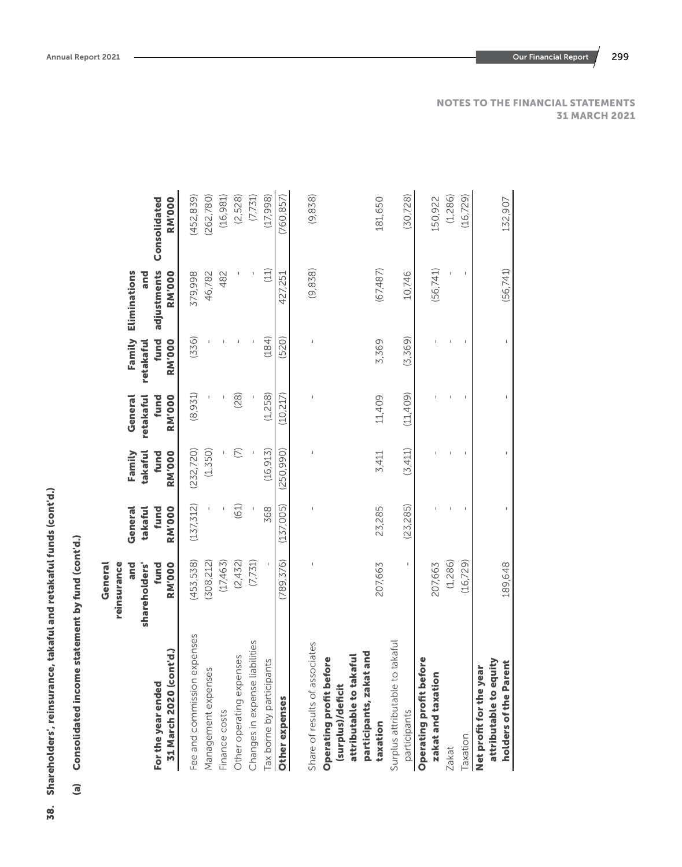38. Shareholders', reinsurance, takaful and retakaful funds (cont'd.) 38. Shareholders', reinsurance, takaful and retakaful funds (cont'd.)

(a) Consolidated income statement by fund (cont'd.) (a) Consolidated income statement by fund (cont'd.)

|                                               | General<br>reinsurance |                       |                       |                       |                       |                              |                               |
|-----------------------------------------------|------------------------|-----------------------|-----------------------|-----------------------|-----------------------|------------------------------|-------------------------------|
|                                               | and<br>shareholders'   | General<br>takaful    | Family<br>takaful     | General<br>retakaful  | Family<br>retakaful   | Eliminations<br>and          |                               |
| 31 March 2020 (cont'd.)<br>For the year ended | <b>RM'000</b><br>fund  | fund<br><b>RM'000</b> | fund<br><b>RM'000</b> | <b>RM'000</b><br>fund | fund<br><b>RM'000</b> | adjustments<br><b>RM'000</b> | Consolidated<br><b>RM'000</b> |
| expenses<br>Fee and commission                | (453, 538)             | (137, 312)            | (232, 720)            | (8,931)               | (336)                 | 379,998                      | (452, 839)                    |
| Management expenses                           | (308, 212)             |                       | (1, 350)              |                       |                       | 46,782                       | (262, 780)                    |
| Finance costs                                 | (17,463)               |                       |                       |                       |                       | 482                          | (16, 981)                     |
| Other operating expenses                      | (2,432)                | (61)                  | S                     | (28)                  |                       |                              | (2,528)                       |
| liabilities<br>Changes in expense             | (7,731)                |                       |                       |                       |                       |                              | (7,731)                       |
| Tax borne by participants                     | $\sf I$                | 368                   | (16, 913)             | (1.258)               | (184)                 | (11)                         | (17,998)                      |
| Other expenses                                | (789,376)              | (137,005)             | (250,990)             | (10, 217)             | (520)                 | 427,251                      | (760,857)                     |
| Share of results of associates                |                        | I                     | I                     |                       |                       | (9, 838)                     | (9, 838)                      |
| Operating profit before                       |                        |                       |                       |                       |                       |                              |                               |
| attributable to takaful<br>(surplus)/deficit  |                        |                       |                       |                       |                       |                              |                               |
| t and<br>participants, zaka                   |                        |                       |                       |                       |                       |                              |                               |
| taxation                                      | 207,663                | 23,285                | 3,411                 | 11,409                | 3,369                 | (67, 487)                    | 181,650                       |
| Surplus attributable to takaful               |                        |                       |                       |                       |                       |                              |                               |
| participants                                  | I,                     | (23, 285)             | (3,411)               | (11,409)              | (3,369)               | 10,746                       | (30, 728)                     |
| Operating profit before                       |                        |                       |                       |                       |                       |                              |                               |
| zakat and taxatio                             | 207,663                |                       |                       |                       |                       | (56, 741)                    | 150,922                       |
| <b>Zakat</b>                                  | (1, 286)               |                       |                       |                       |                       |                              | (1, 286)                      |
| Taxation                                      | (16, 729)              |                       |                       |                       |                       | I                            | (16, 729)                     |
| Net profit for the year                       |                        |                       |                       |                       |                       |                              |                               |
| attributable to equity                        |                        |                       |                       |                       |                       |                              |                               |
| holders of the Parent                         | 189,648                |                       |                       |                       |                       | (56, 741)                    | 132,907                       |

NOTES TO THE FINANCIAL STATEMENTS 31 MARCH 2021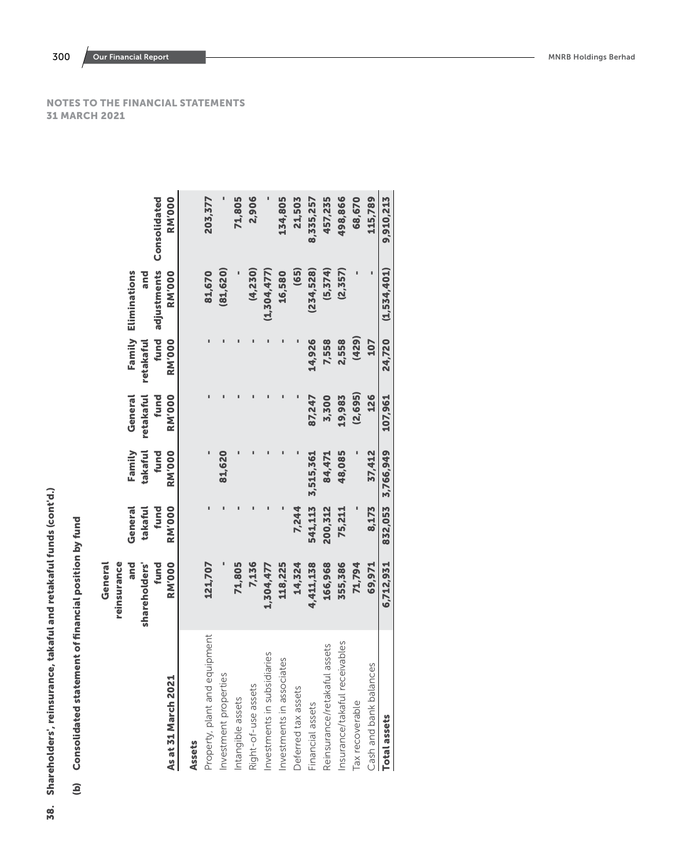Shareholders', reinsurance, takaful and retakaful funds (cont'd.) 38. Shareholders', reinsurance, takaful and retakaful funds (cont'd.) (b) Consolidated statement of financial position by fund 38.

(b) Consolidated statement of financial position by fund

General reinsurance

General<br>reinsurance

|                               | and           | General       | Family            | General       | Family        | Eliminations  |               |
|-------------------------------|---------------|---------------|-------------------|---------------|---------------|---------------|---------------|
|                               | shareholders' | takaful       | takaful           | retakaful     | retakaful     | and           |               |
|                               | fund          | fund          | fund              | fund          | fund          | adjustments   | Consolidated  |
| As at 31 March 2021           | <b>RM'000</b> | <b>RM'000</b> | <b>RM'000</b>     | <b>RM'000</b> | <b>RM'000</b> | <b>RM'000</b> | <b>RM'000</b> |
| Assets                        |               |               |                   |               |               |               |               |
| Property, plant and equipment | 121,707       |               |                   |               |               | 81,670        | 203,377       |
| Investment properties         |               |               | 81,620            |               |               | (81,620)      |               |
| Intangible assets             | 71,805        |               |                   |               |               |               | 71,805        |
| Right-of-use assets           | 7,136         |               |                   |               |               | (4, 230)      | 2,906         |
| nvestments in subsidiaries    | 1,304,477     |               |                   |               |               | (1,304,477)   |               |
| Investments in associates     | 118,225       |               |                   |               |               | 16,580        | 134,805       |
| Deferred tax assets           | 14,324        | 7,244         |                   |               |               | (65)          | 21,503        |
| Financial assets              | 4,411,138     | 541,113       | 3,515,361         | 87,247        | 14,926        | (234, 528)    | 8,335,257     |
| Reinsurance/retakaful assets  | 166,968       | 200,312       | 84,471            | 3,300         | 7,558         | (5, 374)      | 457,235       |
| Insurance/takaful receivables | 355,386       | 75,211        | 48,085            | 19,983        | 2,558         | (2, 357)      | 498,866       |
| Tax recoverable               | 71,794        |               |                   | (2, 695)      | (429)         |               | 68,670        |
| Cash and bank balances        | 69,971        | 8,173         | 37,412            | 126           | 107           |               | 115,789       |
| <b>Total assets</b>           | 6,712,931     |               | 832,053 3,766,949 | 107,961       | 24,720        | (1,534,401)   | 9,910,213     |
|                               |               |               |                   |               |               |               |               |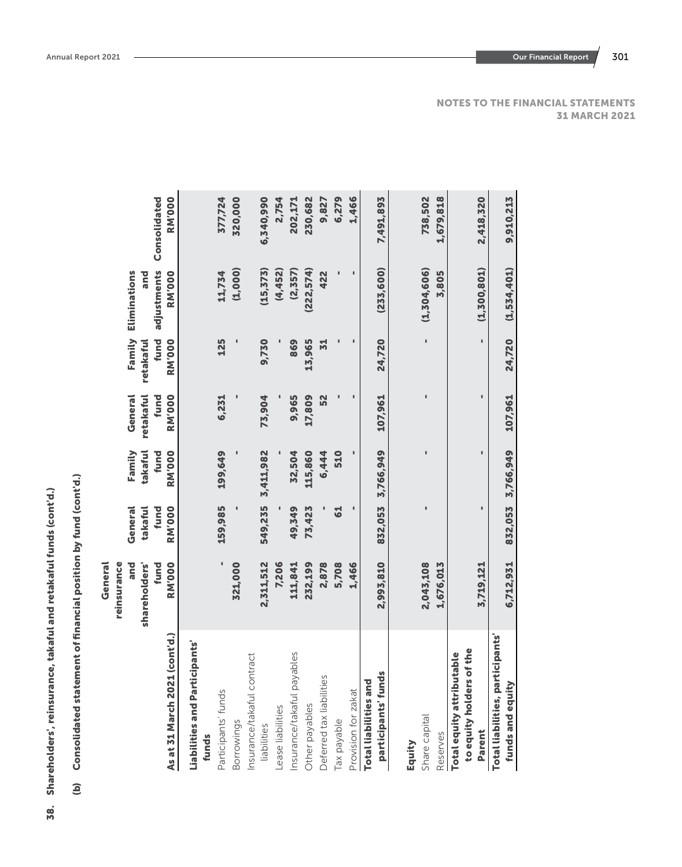(b) Consolidated statement of financial position by fund (cont'd.) (b) Consolidated statement of financial position by fund (cont'd.)

|                                   | General<br>reinsurance |                       |                       |                       |                       |                              |                               |
|-----------------------------------|------------------------|-----------------------|-----------------------|-----------------------|-----------------------|------------------------------|-------------------------------|
|                                   | and<br>shareholders'   | takaful<br>General    | Family<br>takaful     | General<br>retakaful  | Family<br>retakaful   | Eliminations<br>and          |                               |
| As at 31 March 2021 (cont'd.)     | <b>RM'000</b><br>fund  | fund<br><b>RM'000</b> | <b>RM'000</b><br>fund | fund<br><b>RM'000</b> | fund<br><b>RM'000</b> | adjustments<br><b>RM'000</b> | Consolidated<br><b>RM'000</b> |
| icipants'<br>Liabilities and Part |                        |                       |                       |                       |                       |                              |                               |
| Participants' funds<br>funds      |                        | 159,985               | 199,649               | 6,231                 | <b>125</b>            | 11,734                       | 377,724                       |
| Borrowings                        | 321,000                |                       |                       |                       |                       | (1,000)                      | 320,000                       |
| Insurance/takaful contract        |                        |                       |                       |                       |                       |                              |                               |
| liabilities                       | 2,311,512              | 549,235               | 3,411,982             | 73,904                | 9,730                 | (15, 373)                    | 6,340,990                     |
| ease liabilities                  | 7,206                  |                       |                       |                       |                       | (4, 452)                     | 2,754                         |
| nsurance/takaful payables         | 111,841                | 49,349                | 32,504                | 9,965                 | 869                   | (2,357)                      | 202,171                       |
| Other payables                    | 232,199                | 73,423                | 115,860               | 17,809                | 13,965                | (222, 574)                   | 230,682                       |
| S<br>Deferred tax liabilitie      | 2,878                  |                       | 6,444                 | 52                    | <u>기</u>              | 422                          | 9,827                         |
| Tax payable                       | 5,708                  | $\overline{6}$        | 510                   |                       |                       |                              | 6,279                         |
| Provision for zakat               | 1,466                  |                       |                       | I                     |                       | I                            | 1,466                         |
| <b>Total liabilities and</b>      |                        |                       |                       |                       |                       |                              |                               |
| 꽁<br>participants' fun            | 2,993,810              | 832,053               | 3,766,949             | 107,961               | 24,720                | (233, 600)                   | 7,491,893                     |
| Equity                            |                        |                       |                       |                       |                       |                              |                               |
| Share capital                     | 2,043,108              | I                     | I                     | I                     | $\blacksquare$        | (1,304,606)                  | 738,502                       |
| Reserves                          | 1,676,013              |                       |                       |                       |                       | 3,805                        | 1,679,818                     |
| Total equity attributable         |                        |                       |                       |                       |                       |                              |                               |
| of the<br>to equity holders       |                        |                       |                       |                       |                       |                              |                               |
| Parent                            | 3,719,121              | ı                     | ı                     | ı                     | ı                     | (1,300,801)                  | 2,418,320                     |
| Total liabilities, participants'  |                        |                       |                       |                       |                       |                              |                               |
| funds and equity                  | 6,712,931              | 832,053               | 3,766,949             | 107,961               | 24,720                | (1,534,401)                  | 9,910,213                     |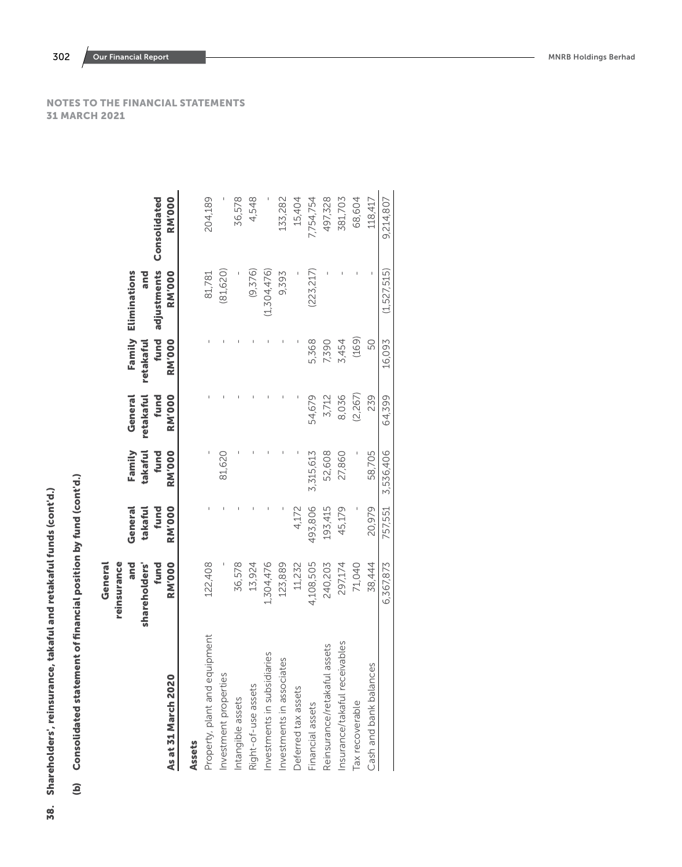| 38. Shareholders', reinsurance, takaful and retakaful funds (cont'd.) | (b) Consolidated statement of financial position by fund (cont'd |
|-----------------------------------------------------------------------|------------------------------------------------------------------|
|                                                                       |                                                                  |
|                                                                       |                                                                  |

Consolidated statement of financial position by fund (cont'd.)  $\overline{a}$ 

| As at 31 March 2020           | reinsurance           |                       |                       |                       |                       |                              |                               |
|-------------------------------|-----------------------|-----------------------|-----------------------|-----------------------|-----------------------|------------------------------|-------------------------------|
|                               | and<br>shareholders'  | General<br>takaful    | Family<br>takaful     | General<br>retakaful  | retakaful             | Family Eliminations<br>and   |                               |
|                               | <b>RM'000</b><br>fund | fund<br><b>RM'000</b> | <b>RM'000</b><br>fund | <b>RM'000</b><br>fund | fund<br><b>RM'000</b> | adjustments<br><b>RM'000</b> | <b>RM'000</b><br>Consolidated |
| Assets                        |                       |                       |                       |                       |                       |                              |                               |
| Property, plant and equipment | 122,408               |                       |                       |                       |                       | 81,781                       | 204,189                       |
| nvestment properties          |                       |                       | 81,620                |                       |                       | (81, 620)                    |                               |
| Intangible assets             | 36,578                |                       |                       |                       |                       |                              | 36,578                        |
| Right-of-use assets           | 13,924                |                       |                       |                       |                       | (9, 376)                     | 4,548                         |
| nvestments in subsidiaries    | 1,304,476             |                       |                       |                       |                       | 1,304,476)                   |                               |
| Investments in associates     | 123,889               |                       |                       |                       |                       | 9,393                        | 133,282                       |
| Deferred tax assets           | 11,232                | 4,172                 |                       |                       |                       |                              | 15,404                        |
| Financial assets              | 4,108,505             | 493,806               | 3,315,613             | 54,679                | 5,368                 | (223,217)                    | 7,754,754                     |
| Reinsurance/retakaful assets  | 240,203               | 193,415               | 52,608                | 3,712                 | 7,390                 |                              | 497,328                       |
| Insurance/takaful receivables | 297,174               | 45,179                | 27,860                | 8,036                 | 3,454                 |                              | 381,703                       |
| Tax recoverable               | 71,040                |                       |                       | (2,267)               | (169)                 |                              | 68,604                        |
| Cash and bank balances        | 38,444                | 20,979                | 58,705                | 239                   | 50                    |                              | 118,417                       |
|                               | 6,367,873             | 757,551               | 3,536,406             | 64,399                | 16,093                | (1,527,515)                  | 9,214,807                     |

NOTES TO THE FINANCIAL STATEMENTS 31 MARCH 2021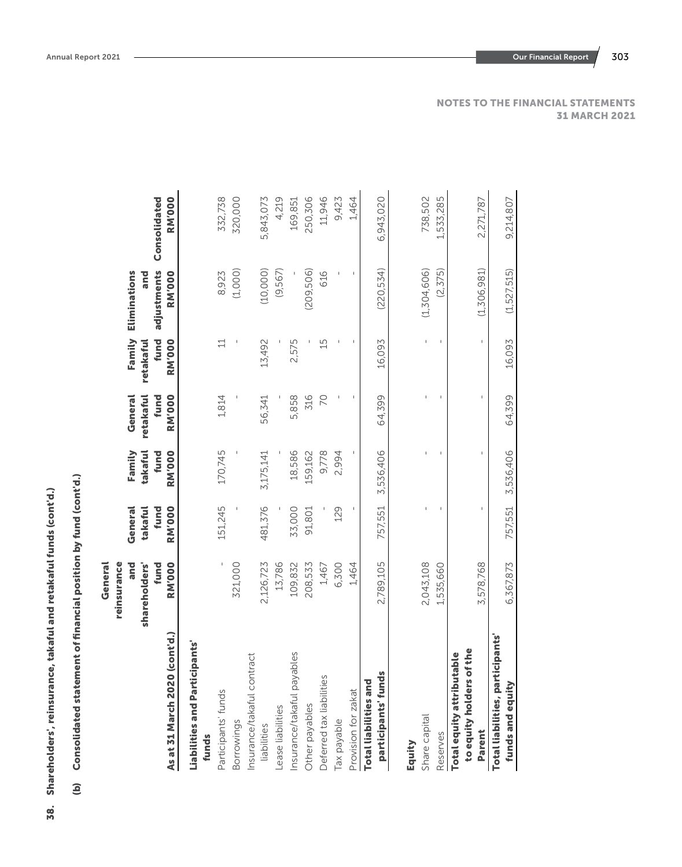(b) Consolidated statement of financial position by fund (cont'd.) (b) Consolidated statement of financial position by fund (cont'd.)

|                                      | General               |                       |                       |                       |                       |                              |                               |
|--------------------------------------|-----------------------|-----------------------|-----------------------|-----------------------|-----------------------|------------------------------|-------------------------------|
|                                      | reinsurance           |                       |                       |                       |                       |                              |                               |
|                                      | and<br>shareholders'  | General<br>takaful    | Family<br>takaful     | General<br>retakaful  | Family<br>retakaful   | Eliminations<br>and          |                               |
| (cont'd.)<br>As at 31 March 2020     | fund<br><b>RM'000</b> | fund<br><b>RM'000</b> | <b>RM'000</b><br>fund | <b>RM'000</b><br>fund | fund<br><b>RM'000</b> | adjustments<br><b>RM'000</b> | Consolidated<br><b>RM'000</b> |
| <b>Liabilities and Participants'</b> |                       |                       |                       |                       |                       |                              |                               |
| funds                                |                       |                       |                       |                       |                       |                              |                               |
| Participants' funds                  | $\sf I$               | 151,245               | 170,745               | 1,814                 | $\Box$                | 8,923                        | 332,738                       |
| Borrowings                           | 321,000               |                       |                       |                       |                       | (1,000)                      | 320,000                       |
| Insurance/takaful contract           |                       |                       |                       |                       |                       |                              |                               |
| liabilities                          | 2,126,723             | 481,376               | 3,175,141             | 56,341                | 13,492                | (10,000)                     | 5,843,073                     |
| Lease liabilities                    | 13,786                |                       |                       |                       |                       | (9,567)                      | 4,219                         |
| Insurance/takaful payables           | 109,832               | 33,000                | 18,586                | 5,858                 | 2,575                 |                              | 169,851                       |
| Other payables                       | 208,533               | 91,801                | 159,162               | 316                   |                       | (209,506)                    | 250,306                       |
| Deferred tax liabilities             | 1,467                 |                       | 9,778                 | 20                    | 15                    | 616                          | 11,946                        |
| Tax payable                          | 6,300                 | 129                   | 2,994                 |                       |                       |                              | 9,423                         |
| Provision for zakat                  | 1,464                 |                       |                       |                       |                       |                              | 1,464                         |
| <b>Total liabilities and</b>         |                       |                       |                       |                       |                       |                              |                               |
| S<br>participants' fund              | 2,789,105             | 757,551               | 3,536,406             | 64,399                | 16,093                | (220,534)                    | 6,943,020                     |
| Equity                               |                       |                       |                       |                       |                       |                              |                               |
| Share capital                        | 2,043,108             |                       | I                     |                       | $\mathsf I$           | (1,304,606)                  | 738,502                       |
| Reserves                             | 1,535,660             |                       |                       |                       | $\mathbf{I}$          | (2,375)                      | 1,533,285                     |
| Total equity attributable            |                       |                       |                       |                       |                       |                              |                               |
| of the<br>to equity holders          |                       |                       |                       |                       |                       |                              |                               |
| Parent                               | 3,578,768             | $\mathsf I$           | $\mathsf I$           | $\mathbf{I}$          | $\mathsf I$           | (1,306,981)                  | 2,271,787                     |
| Total liabilities, participants'     |                       |                       |                       |                       |                       |                              |                               |
| funds and equity                     | 6,367,873             | 757,551               | 3,536,406             | 64,399                | 16,093                | (1,527,515)                  | 9,214,807                     |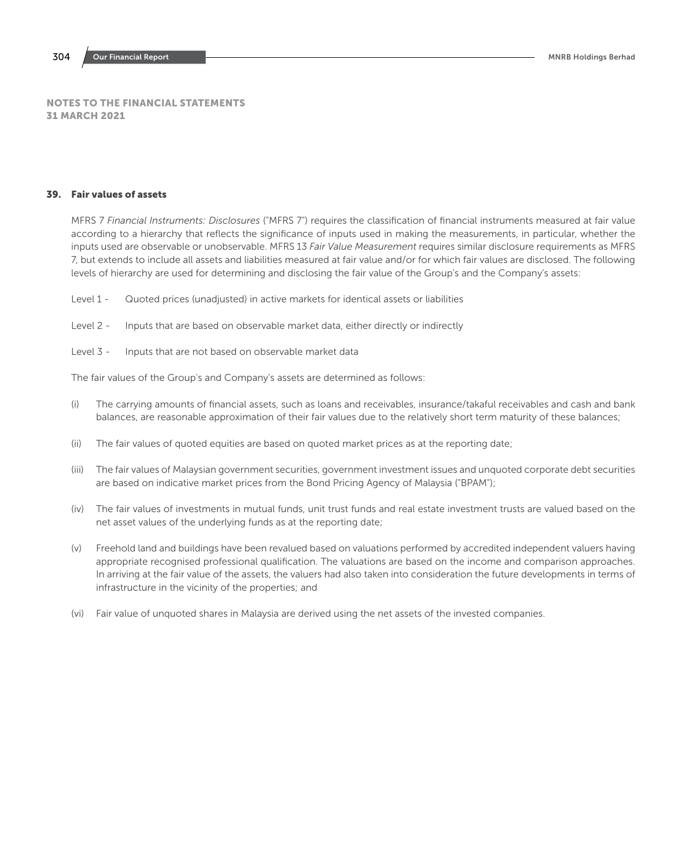#### 39. Fair values of assets

MFRS 7 *Financial Instruments: Disclosures* ("MFRS 7") requires the classification of financial instruments measured at fair value according to a hierarchy that reflects the significance of inputs used in making the measurements, in particular, whether the inputs used are observable or unobservable. MFRS 13 *Fair Value Measurement* requires similar disclosure requirements as MFRS 7, but extends to include all assets and liabilities measured at fair value and/or for which fair values are disclosed. The following levels of hierarchy are used for determining and disclosing the fair value of the Group's and the Company's assets:

- Level 1 Quoted prices (unadjusted) in active markets for identical assets or liabilities
- Level 2 Inputs that are based on observable market data, either directly or indirectly
- Level 3 Inputs that are not based on observable market data

The fair values of the Group's and Company's assets are determined as follows:

- (i) The carrying amounts of financial assets, such as loans and receivables, insurance/takaful receivables and cash and bank balances, are reasonable approximation of their fair values due to the relatively short term maturity of these balances;
- (ii) The fair values of quoted equities are based on quoted market prices as at the reporting date;
- (iii) The fair values of Malaysian government securities, government investment issues and unquoted corporate debt securities are based on indicative market prices from the Bond Pricing Agency of Malaysia ("BPAM");
- (iv) The fair values of investments in mutual funds, unit trust funds and real estate investment trusts are valued based on the net asset values of the underlying funds as at the reporting date;
- (v) Freehold land and buildings have been revalued based on valuations performed by accredited independent valuers having appropriate recognised professional qualification. The valuations are based on the income and comparison approaches. In arriving at the fair value of the assets, the valuers had also taken into consideration the future developments in terms of infrastructure in the vicinity of the properties; and
- (vi) Fair value of unquoted shares in Malaysia are derived using the net assets of the invested companies.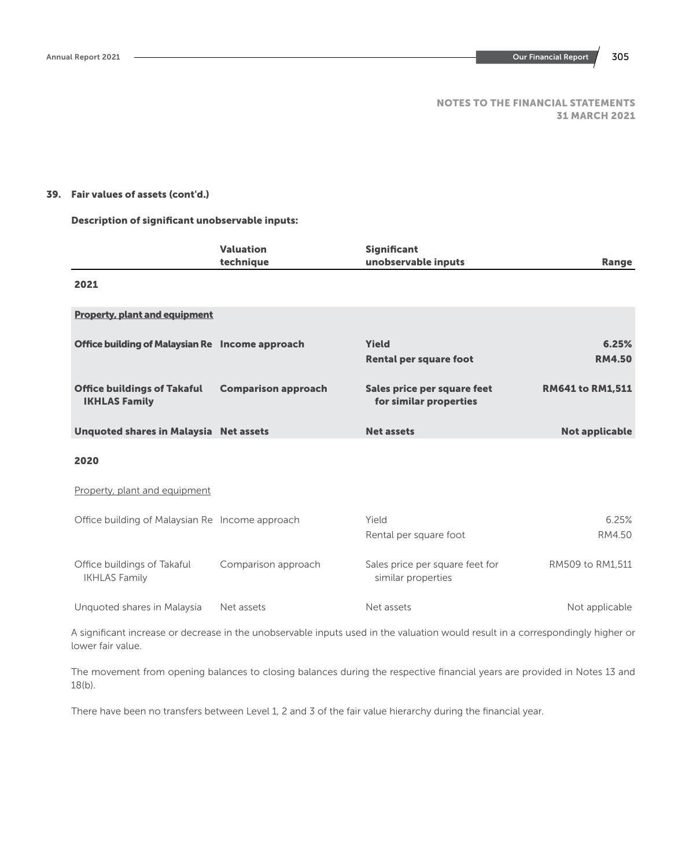### 39. Fair values of assets (cont'd.)

# Description of significant unobservable inputs:

|                                                            | <b>Valuation</b><br>technique | <b>Significant</b><br>unobservable inputs             | Range                   |
|------------------------------------------------------------|-------------------------------|-------------------------------------------------------|-------------------------|
| 2021                                                       |                               |                                                       |                         |
| <b>Property, plant and equipment</b>                       |                               |                                                       |                         |
| Office building of Malaysian Re Income approach            |                               | Yield<br><b>Rental per square foot</b>                | 6.25%<br><b>RM4.50</b>  |
| <b>Office buildings of Takaful</b><br><b>IKHLAS Family</b> | <b>Comparison approach</b>    | Sales price per square feet<br>for similar properties | <b>RM641 to RM1,511</b> |
| <b>Unquoted shares in Malaysia Net assets</b>              |                               | <b>Net assets</b>                                     | <b>Not applicable</b>   |
| 2020                                                       |                               |                                                       |                         |
| Property, plant and equipment                              |                               |                                                       |                         |
| Office building of Malaysian Re Income approach            |                               | Yield<br>Rental per square foot                       | 6.25%<br>RM4.50         |
| Office buildings of Takaful<br><b>IKHLAS Family</b>        | Comparison approach           | Sales price per square feet for<br>similar properties | RM509 to RM1.511        |
| Unquoted shares in Malaysia                                | Net assets                    | Net assets                                            | Not applicable          |

A significant increase or decrease in the unobservable inputs used in the valuation would result in a correspondingly higher or lower fair value.

The movement from opening balances to closing balances during the respective financial years are provided in Notes 13 and 18(b).

There have been no transfers between Level 1, 2 and 3 of the fair value hierarchy during the financial year.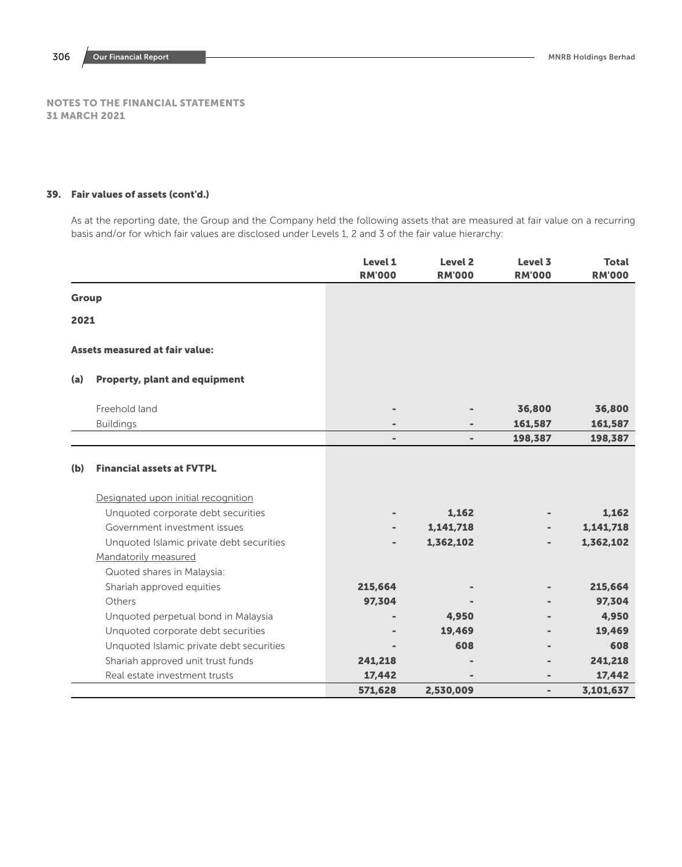### 39. Fair values of assets (cont'd.)

As at the reporting date, the Group and the Company held the following assets that are measured at fair value on a recurring basis and/or for which fair values are disclosed under Levels 1, 2 and 3 of the fair value hierarchy:

|              |                                                                           | Level 1<br><b>RM'000</b> | <b>Level 2</b><br><b>RM'000</b> | Level 3<br><b>RM'000</b> | <b>Total</b><br><b>RM'000</b> |
|--------------|---------------------------------------------------------------------------|--------------------------|---------------------------------|--------------------------|-------------------------------|
|              |                                                                           |                          |                                 |                          |                               |
| <b>Group</b> |                                                                           |                          |                                 |                          |                               |
| 2021         |                                                                           |                          |                                 |                          |                               |
|              | <b>Assets measured at fair value:</b>                                     |                          |                                 |                          |                               |
| (a)          | Property, plant and equipment                                             |                          |                                 |                          |                               |
|              | Freehold land                                                             |                          |                                 | 36,800                   | 36,800                        |
|              | <b>Buildings</b>                                                          |                          |                                 | 161,587                  | 161,587                       |
|              |                                                                           | $\blacksquare$           | $\blacksquare$                  | 198,387                  | 198,387                       |
| (b)          | <b>Financial assets at FVTPL</b>                                          |                          |                                 |                          |                               |
|              |                                                                           |                          |                                 |                          |                               |
|              | Designated upon initial recognition<br>Unquoted corporate debt securities |                          | 1,162                           |                          | 1,162                         |
|              | Government investment issues                                              |                          | 1,141,718                       |                          | 1,141,718                     |
|              | Unquoted Islamic private debt securities                                  |                          | 1,362,102                       | $\blacksquare$           | 1,362,102                     |
|              | Mandatorily measured                                                      |                          |                                 |                          |                               |
|              | Quoted shares in Malaysia:                                                |                          |                                 |                          |                               |
|              | Shariah approved equities                                                 | 215,664                  |                                 |                          | 215,664                       |
|              | Others                                                                    | 97.304                   |                                 |                          | 97,304                        |
|              | Unquoted perpetual bond in Malaysia                                       |                          | 4,950                           |                          | 4,950                         |
|              | Unquoted corporate debt securities                                        |                          | 19,469                          |                          | 19,469                        |
|              | Unquoted Islamic private debt securities                                  |                          | 608                             | $\overline{\phantom{a}}$ | 608                           |
|              | Shariah approved unit trust funds                                         | 241,218                  |                                 |                          | 241,218                       |
|              | Real estate investment trusts                                             | 17,442                   |                                 | $\qquad \qquad =$        | 17,442                        |
|              |                                                                           | 571,628                  | 2,530,009                       | $\blacksquare$           | 3,101,637                     |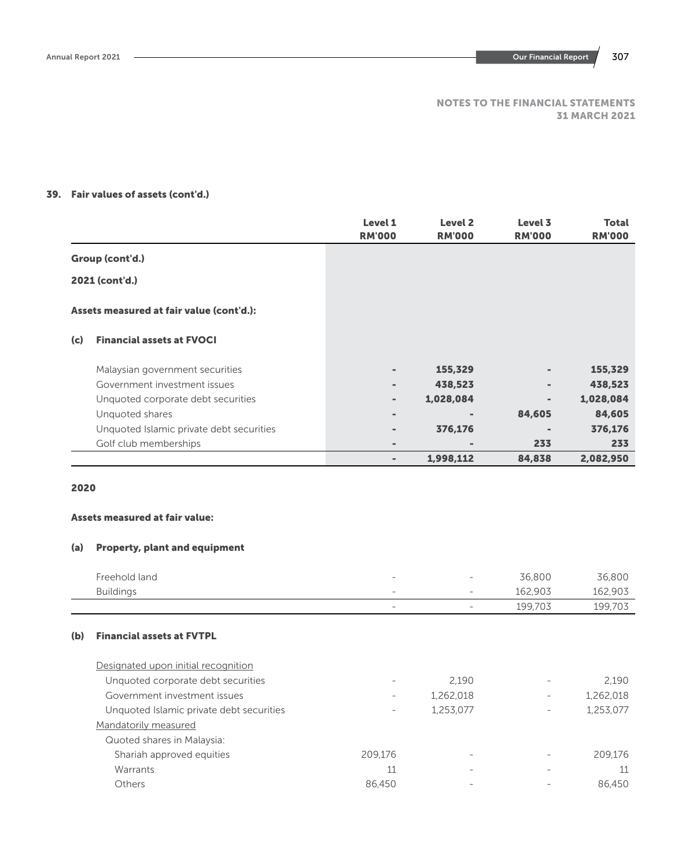#### 39. Fair values of assets (cont'd.)

|     |                                          | <b>Level 1</b> | Level 2        | Level 3           | <b>Total</b>  |
|-----|------------------------------------------|----------------|----------------|-------------------|---------------|
|     |                                          | <b>RM'000</b>  | <b>RM'000</b>  | <b>RM'000</b>     | <b>RM'000</b> |
|     | Group (cont'd.)                          |                |                |                   |               |
|     | 2021 (cont'd.)                           |                |                |                   |               |
|     | Assets measured at fair value (cont'd.): |                |                |                   |               |
| (c) | <b>Financial assets at FVOCI</b>         |                |                |                   |               |
|     | Malaysian government securities          | ٠              | 155,329        | $\qquad \qquad =$ | 155,329       |
|     | Government investment issues             | ۰              | 438,523        | $\blacksquare$    | 438,523       |
|     | Unquoted corporate debt securities       | ٠              | 1,028,084      | $\qquad \qquad =$ | 1,028,084     |
|     | Unquoted shares                          | ٠              |                | 84,605            | 84,605        |
|     | Unquoted Islamic private debt securities | -              | 376,176        | $\blacksquare$    | 376,176       |
|     | Golf club memberships                    | ٠              | $\blacksquare$ | 233               | 233           |
|     |                                          | ٠              | 1,998,112      | 84,838            | 2,082,950     |

# 2020

### Assets measured at fair value:

## (a) Property, plant and equipment

| Freehold land    | $\,$                     | $\,$                     | 36,800  | 36,800  |
|------------------|--------------------------|--------------------------|---------|---------|
| <b>Buildings</b> | $\overline{\phantom{0}}$ | $\overline{\phantom{0}}$ | 162.903 | 162,903 |
|                  | $\sim$                   | $\sim$                   | 199,703 | 199,703 |

### (b) Financial assets at FVTPL

| Designated upon initial recognition      |         |           |                          |           |
|------------------------------------------|---------|-----------|--------------------------|-----------|
| Unquoted corporate debt securities       |         | 2.190     | $\overline{\phantom{0}}$ | 2.190     |
| Government investment issues             |         | 1,262,018 | $\overline{\phantom{a}}$ | 1,262,018 |
| Unquoted Islamic private debt securities | -       | 1.253.077 |                          | 1,253,077 |
| Mandatorily measured                     |         |           |                          |           |
| Quoted shares in Malaysia:               |         |           |                          |           |
| Shariah approved equities                | 209.176 |           |                          | 209.176   |
| Warrants                                 | 11      |           | $\sim$                   | 11        |
| <b>Others</b>                            | 86.450  |           |                          | 86.450    |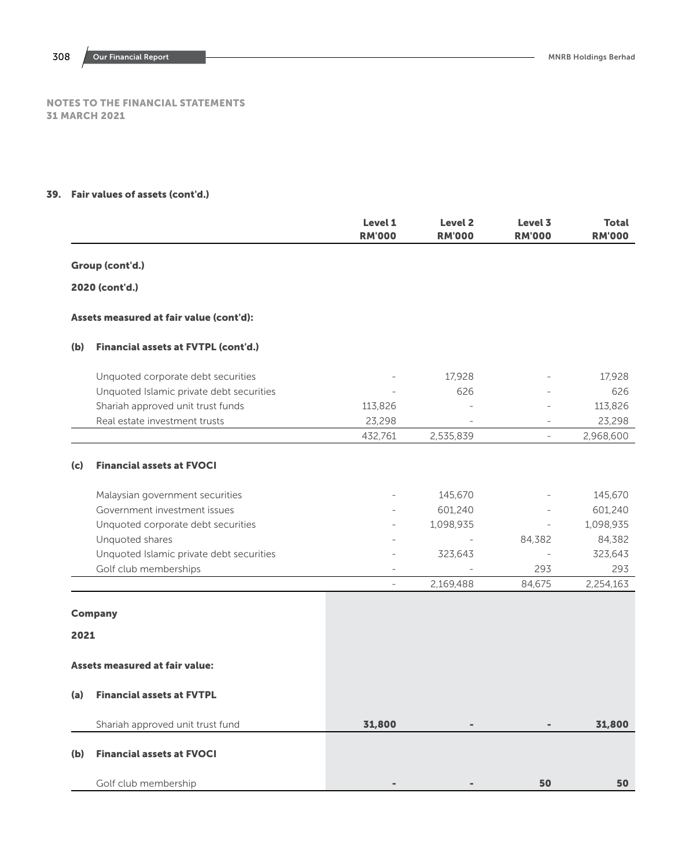### 39. Fair values of assets (cont'd.)

|      |                                          | Level 1<br><b>RM'000</b> | <b>Level 2</b><br><b>RM'000</b> | Level 3<br><b>RM'000</b> | <b>Total</b><br><b>RM'000</b> |
|------|------------------------------------------|--------------------------|---------------------------------|--------------------------|-------------------------------|
|      | Group (cont'd.)                          |                          |                                 |                          |                               |
|      | 2020 (cont'd.)                           |                          |                                 |                          |                               |
|      | Assets measured at fair value (cont'd):  |                          |                                 |                          |                               |
| (b)  | Financial assets at FVTPL (cont'd.)      |                          |                                 |                          |                               |
|      | Unquoted corporate debt securities       |                          | 17,928                          |                          | 17,928                        |
|      | Unquoted Islamic private debt securities |                          | 626                             |                          | 626                           |
|      | Shariah approved unit trust funds        | 113,826                  |                                 |                          | 113,826                       |
|      | Real estate investment trusts            | 23,298                   |                                 |                          | 23,298                        |
|      |                                          | 432,761                  | 2,535,839                       | $\overline{\phantom{0}}$ | 2,968,600                     |
| (c)  | <b>Financial assets at FVOCI</b>         |                          |                                 |                          |                               |
|      | Malaysian government securities          |                          | 145,670                         |                          | 145,670                       |
|      | Government investment issues             |                          | 601,240                         |                          | 601,240                       |
|      | Unquoted corporate debt securities       |                          | 1,098,935                       | $\overline{\phantom{a}}$ | 1,098,935                     |
|      | Unquoted shares                          |                          |                                 | 84,382                   | 84,382                        |
|      | Unquoted Islamic private debt securities |                          | 323,643                         | $\overline{\phantom{a}}$ | 323,643                       |
|      | Golf club memberships                    | $\overline{a}$           |                                 | 293                      | 293                           |
|      |                                          | $\overline{\phantom{a}}$ | 2,169,488                       | 84,675                   | 2,254,163                     |
|      | <b>Company</b>                           |                          |                                 |                          |                               |
| 2021 |                                          |                          |                                 |                          |                               |
|      | <b>Assets measured at fair value:</b>    |                          |                                 |                          |                               |
| (a)  | <b>Financial assets at FVTPL</b>         |                          |                                 |                          |                               |
|      | Shariah approved unit trust fund         | 31,800                   |                                 |                          | 31,800                        |
| (b)  | <b>Financial assets at FVOCI</b>         |                          |                                 |                          |                               |
|      | Golf club membership                     |                          |                                 | 50                       | 50                            |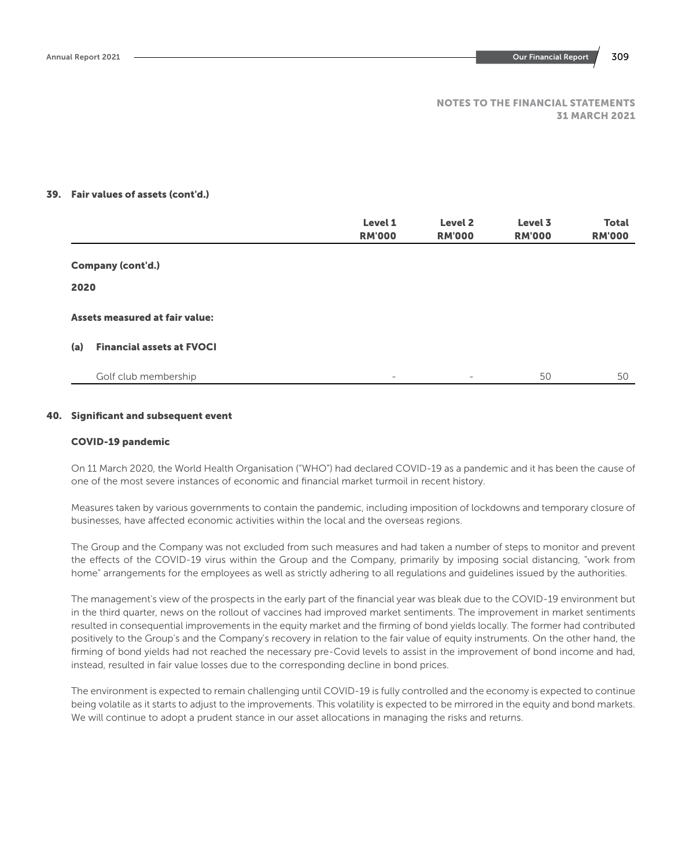#### 39. Fair values of assets (cont'd.)

|      |                                  | Level 1<br><b>RM'000</b> | Level 2<br><b>RM'000</b> | Level 3<br><b>RM'000</b> | <b>Total</b><br><b>RM'000</b> |
|------|----------------------------------|--------------------------|--------------------------|--------------------------|-------------------------------|
|      | <b>Company (cont'd.)</b>         |                          |                          |                          |                               |
| 2020 |                                  |                          |                          |                          |                               |
|      | Assets measured at fair value:   |                          |                          |                          |                               |
| (a)  | <b>Financial assets at FVOCI</b> |                          |                          |                          |                               |
|      | Golf club membership             | $\overline{\phantom{a}}$ | $\overline{\phantom{a}}$ | 50                       | 50                            |

#### 40. Significant and subsequent event

#### COVID-19 pandemic

On 11 March 2020, the World Health Organisation ("WHO") had declared COVID-19 as a pandemic and it has been the cause of one of the most severe instances of economic and financial market turmoil in recent history.

Measures taken by various governments to contain the pandemic, including imposition of lockdowns and temporary closure of businesses, have affected economic activities within the local and the overseas regions.

The Group and the Company was not excluded from such measures and had taken a number of steps to monitor and prevent the effects of the COVID-19 virus within the Group and the Company, primarily by imposing social distancing, "work from home" arrangements for the employees as well as strictly adhering to all regulations and guidelines issued by the authorities.

The management's view of the prospects in the early part of the financial year was bleak due to the COVID-19 environment but in the third quarter, news on the rollout of vaccines had improved market sentiments. The improvement in market sentiments resulted in consequential improvements in the equity market and the firming of bond yields locally. The former had contributed positively to the Group's and the Company's recovery in relation to the fair value of equity instruments. On the other hand, the firming of bond yields had not reached the necessary pre-Covid levels to assist in the improvement of bond income and had, instead, resulted in fair value losses due to the corresponding decline in bond prices.

The environment is expected to remain challenging until COVID-19 is fully controlled and the economy is expected to continue being volatile as it starts to adjust to the improvements. This volatility is expected to be mirrored in the equity and bond markets. We will continue to adopt a prudent stance in our asset allocations in managing the risks and returns.